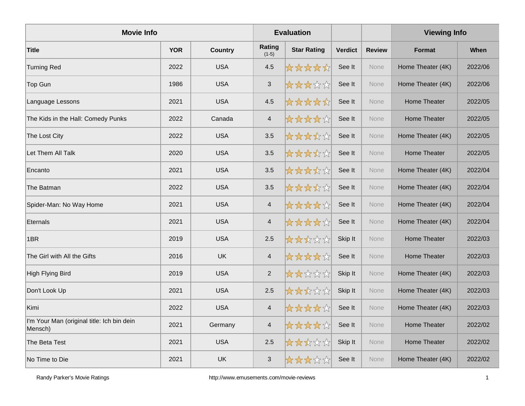| <b>Movie Info</b>                                     |            |                |                          | <b>Evaluation</b>  |                |               | <b>Viewing Info</b> |             |
|-------------------------------------------------------|------------|----------------|--------------------------|--------------------|----------------|---------------|---------------------|-------------|
| <b>Title</b>                                          | <b>YOR</b> | <b>Country</b> | Rating<br>$(1-5)$        | <b>Star Rating</b> | <b>Verdict</b> | <b>Review</b> | <b>Format</b>       | <b>When</b> |
| <b>Turning Red</b>                                    | 2022       | <b>USA</b>     | 4.5                      | *****              | See It         | None          | Home Theater (4K)   | 2022/06     |
| Top Gun                                               | 1986       | <b>USA</b>     | $\mathfrak{S}$           | *****              | See It         | None          | Home Theater (4K)   | 2022/06     |
| Language Lessons                                      | 2021       | <b>USA</b>     | 4.5                      | *****              | See It         | None          | Home Theater        | 2022/05     |
| The Kids in the Hall: Comedy Punks                    | 2022       | Canada         | $\overline{\mathbf{4}}$  | *****              | See It         | None          | <b>Home Theater</b> | 2022/05     |
| The Lost City                                         | 2022       | <b>USA</b>     | 3.5                      | *****              | See It         | None          | Home Theater (4K)   | 2022/05     |
| Let Them All Talk                                     | 2020       | <b>USA</b>     | 3.5                      | *****              | See It         | None          | Home Theater        | 2022/05     |
| Encanto                                               | 2021       | <b>USA</b>     | 3.5                      | *****              | See It         | None          | Home Theater (4K)   | 2022/04     |
| The Batman                                            | 2022       | <b>USA</b>     | 3.5                      | *****              | See It         | None          | Home Theater (4K)   | 2022/04     |
| Spider-Man: No Way Home                               | 2021       | <b>USA</b>     | $\overline{\mathcal{A}}$ | *****              | See It         | None          | Home Theater (4K)   | 2022/04     |
| <b>Eternals</b>                                       | 2021       | <b>USA</b>     | $\overline{\mathbf{4}}$  | *****              | See It         | None          | Home Theater (4K)   | 2022/04     |
| 1BR                                                   | 2019       | <b>USA</b>     | 2.5                      | *****              | Skip It        | None          | Home Theater        | 2022/03     |
| The Girl with All the Gifts                           | 2016       | <b>UK</b>      | $\overline{\mathbf{4}}$  | *****              | See It         | None          | <b>Home Theater</b> | 2022/03     |
| <b>High Flying Bird</b>                               | 2019       | <b>USA</b>     | $\sqrt{2}$               | *****              | Skip It        | None          | Home Theater (4K)   | 2022/03     |
| Don't Look Up                                         | 2021       | <b>USA</b>     | 2.5                      | *****              | Skip It        | None          | Home Theater (4K)   | 2022/03     |
| Kimi                                                  | 2022       | <b>USA</b>     | $\overline{4}$           | *****              | See It         | None          | Home Theater (4K)   | 2022/03     |
| I'm Your Man (original title: Ich bin dein<br>Mensch) | 2021       | Germany        | $\overline{\mathcal{L}}$ | *****              | See It         | None          | Home Theater        | 2022/02     |
| The Beta Test                                         | 2021       | <b>USA</b>     | 2.5                      | *****              | Skip It        | None          | <b>Home Theater</b> | 2022/02     |
| No Time to Die                                        | 2021       | <b>UK</b>      | $\mathfrak{S}$           | *****              | See It         | None          | Home Theater (4K)   | 2022/02     |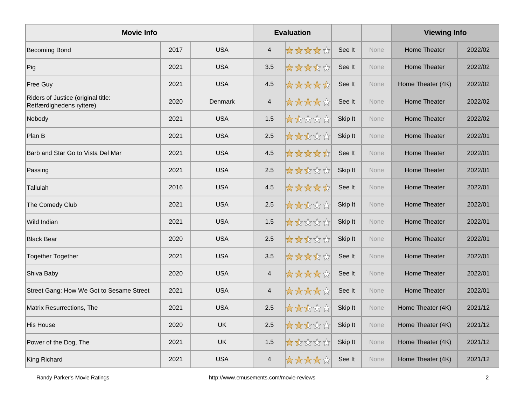| <b>Movie Info</b>                                              |      |            |                          | <b>Evaluation</b> |         |             | <b>Viewing Info</b> |         |
|----------------------------------------------------------------|------|------------|--------------------------|-------------------|---------|-------------|---------------------|---------|
| <b>Becoming Bond</b>                                           | 2017 | <b>USA</b> | $\overline{4}$           | *****             | See It  | None        | <b>Home Theater</b> | 2022/02 |
| Pig                                                            | 2021 | <b>USA</b> | 3.5                      | *****             | See It  | <b>None</b> | <b>Home Theater</b> | 2022/02 |
| <b>Free Guy</b>                                                | 2021 | <b>USA</b> | 4.5                      | *****             | See It  | None        | Home Theater (4K)   | 2022/02 |
| Riders of Justice (original title:<br>Retfærdighedens ryttere) | 2020 | Denmark    | $\overline{\mathcal{A}}$ | *****             | See It  | None        | Home Theater        | 2022/02 |
| Nobody                                                         | 2021 | <b>USA</b> | 1.5                      | *****             | Skip It | None        | Home Theater        | 2022/02 |
| Plan B                                                         | 2021 | <b>USA</b> | 2.5                      | *****             | Skip It | None        | Home Theater        | 2022/01 |
| Barb and Star Go to Vista Del Mar                              | 2021 | <b>USA</b> | 4.5                      | *****             | See It  | None        | Home Theater        | 2022/01 |
| Passing                                                        | 2021 | <b>USA</b> | 2.5                      | ☆☆☆☆☆             | Skip It | None        | Home Theater        | 2022/01 |
| Tallulah                                                       | 2016 | <b>USA</b> | 4.5                      | *****             | See It  | None        | Home Theater        | 2022/01 |
| The Comedy Club                                                | 2021 | <b>USA</b> | 2.5                      | *****             | Skip It | None        | <b>Home Theater</b> | 2022/01 |
| Wild Indian                                                    | 2021 | <b>USA</b> | 1.5                      | *****             | Skip It | None        | <b>Home Theater</b> | 2022/01 |
| <b>Black Bear</b>                                              | 2020 | <b>USA</b> | 2.5                      | ☆☆☆☆☆☆            | Skip It | None        | <b>Home Theater</b> | 2022/01 |
| Together Together                                              | 2021 | <b>USA</b> | 3.5                      | *****             | See It  | None        | Home Theater        | 2022/01 |
| Shiva Baby                                                     | 2020 | <b>USA</b> | $\overline{4}$           | *****             | See It  | None        | <b>Home Theater</b> | 2022/01 |
| Street Gang: How We Got to Sesame Street                       | 2021 | <b>USA</b> | $\overline{4}$           | *****             | See It  | None        | <b>Home Theater</b> | 2022/01 |
| Matrix Resurrections, The                                      | 2021 | <b>USA</b> | 2.5                      | ☆☆☆☆☆             | Skip It | None        | Home Theater (4K)   | 2021/12 |
| <b>His House</b>                                               | 2020 | <b>UK</b>  | 2.5                      | *****             | Skip It | None        | Home Theater (4K)   | 2021/12 |
| Power of the Dog, The                                          | 2021 | UK         | 1.5                      | *****             | Skip It | None        | Home Theater (4K)   | 2021/12 |
| King Richard                                                   | 2021 | <b>USA</b> | $\overline{\mathcal{L}}$ | ☆☆☆☆☆☆            | See It  | None        | Home Theater (4K)   | 2021/12 |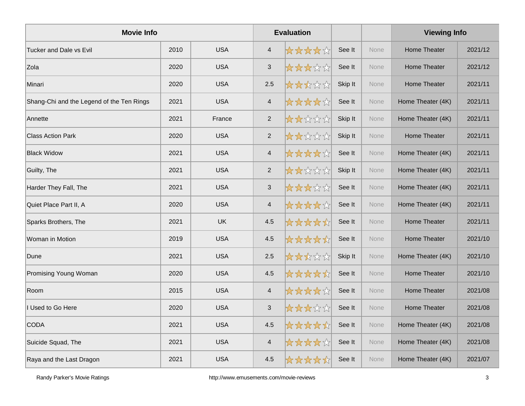| <b>Movie Info</b>                         |      |            |                          | <b>Evaluation</b> |         |             | <b>Viewing Info</b> |         |  |
|-------------------------------------------|------|------------|--------------------------|-------------------|---------|-------------|---------------------|---------|--|
| <b>Tucker and Dale vs Evil</b>            | 2010 | <b>USA</b> | $\overline{4}$           | *****             | See It  | <b>None</b> | <b>Home Theater</b> | 2021/12 |  |
| Zola                                      | 2020 | <b>USA</b> | $\sqrt{3}$               | *****             | See It  | None        | <b>Home Theater</b> | 2021/12 |  |
| Minari                                    | 2020 | <b>USA</b> | 2.5                      | *****             | Skip It | None        | Home Theater        | 2021/11 |  |
| Shang-Chi and the Legend of the Ten Rings | 2021 | <b>USA</b> | $\overline{\mathcal{A}}$ | *****             | See It  | None        | Home Theater (4K)   | 2021/11 |  |
| Annette                                   | 2021 | France     | 2                        | *****             | Skip It | None        | Home Theater (4K)   | 2021/11 |  |
| <b>Class Action Park</b>                  | 2020 | <b>USA</b> | $\overline{2}$           | *****             | Skip It | None        | <b>Home Theater</b> | 2021/11 |  |
| <b>Black Widow</b>                        | 2021 | <b>USA</b> | $\overline{4}$           | *****             | See It  | None        | Home Theater (4K)   | 2021/11 |  |
| Guilty, The                               | 2021 | <b>USA</b> | $\overline{2}$           | 女女女女女             | Skip It | None        | Home Theater (4K)   | 2021/11 |  |
| Harder They Fall, The                     | 2021 | <b>USA</b> | $\sqrt{3}$               | *****             | See It  | None        | Home Theater (4K)   | 2021/11 |  |
| Quiet Place Part II, A                    | 2020 | <b>USA</b> | $\overline{\mathcal{A}}$ | *****             | See It  | None        | Home Theater (4K)   | 2021/11 |  |
| Sparks Brothers, The                      | 2021 | <b>UK</b>  | 4.5                      | *****             | See It  | None        | Home Theater        | 2021/11 |  |
| Woman in Motion                           | 2019 | <b>USA</b> | 4.5                      | *****             | See It  | None        | Home Theater        | 2021/10 |  |
| Dune                                      | 2021 | <b>USA</b> | 2.5                      | *****             | Skip It | None        | Home Theater (4K)   | 2021/10 |  |
| Promising Young Woman                     | 2020 | <b>USA</b> | 4.5                      | *****             | See It  | None        | <b>Home Theater</b> | 2021/10 |  |
| Room                                      | 2015 | <b>USA</b> | $\overline{4}$           | *****             | See It  | None        | <b>Home Theater</b> | 2021/08 |  |
| Used to Go Here                           | 2020 | <b>USA</b> | $\sqrt{3}$               | ☆☆☆☆☆☆            | See It  | None        | Home Theater        | 2021/08 |  |
| <b>CODA</b>                               | 2021 | <b>USA</b> | 4.5                      | *****             | See It  | None        | Home Theater (4K)   | 2021/08 |  |
| Suicide Squad, The                        | 2021 | <b>USA</b> | $\overline{4}$           | ☆☆☆☆☆             | See It  | None        | Home Theater (4K)   | 2021/08 |  |
| Raya and the Last Dragon                  | 2021 | <b>USA</b> | 4.5                      | *****             | See It  | None        | Home Theater (4K)   | 2021/07 |  |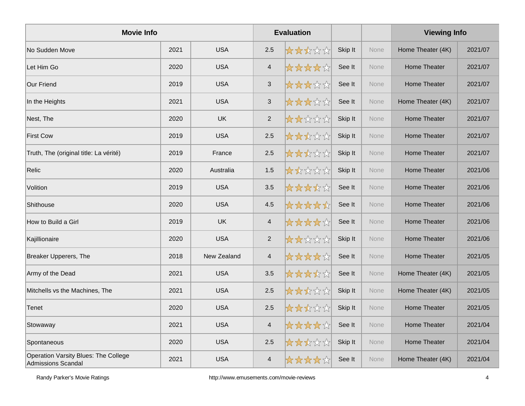| <b>Movie Info</b>                                          |      |             |                           | <b>Evaluation</b> |         |      | <b>Viewing Info</b> |         |
|------------------------------------------------------------|------|-------------|---------------------------|-------------------|---------|------|---------------------|---------|
| No Sudden Move                                             | 2021 | <b>USA</b>  | 2.5                       | *****             | Skip It | None | Home Theater (4K)   | 2021/07 |
| Let Him Go                                                 | 2020 | <b>USA</b>  | $\overline{4}$            | ☆☆☆☆☆             | See It  | None | Home Theater        | 2021/07 |
| <b>Our Friend</b>                                          | 2019 | <b>USA</b>  | 3                         | *****             | See It  | None | Home Theater        | 2021/07 |
| In the Heights                                             | 2021 | <b>USA</b>  | $\ensuremath{\mathsf{3}}$ | *****             | See It  | None | Home Theater (4K)   | 2021/07 |
| Nest, The                                                  | 2020 | <b>UK</b>   | $\overline{2}$            | *****             | Skip It | None | Home Theater        | 2021/07 |
| <b>First Cow</b>                                           | 2019 | <b>USA</b>  | 2.5                       | *****             | Skip It | None | Home Theater        | 2021/07 |
| Truth, The (original title: La vérité)                     | 2019 | France      | 2.5                       | *****             | Skip It | None | Home Theater        | 2021/07 |
| Relic                                                      | 2020 | Australia   | 1.5                       | *****             | Skip It | None | Home Theater        | 2021/06 |
| Volition                                                   | 2019 | <b>USA</b>  | 3.5                       | *****             | See It  | None | Home Theater        | 2021/06 |
| Shithouse                                                  | 2020 | <b>USA</b>  | 4.5                       | *****             | See It  | None | Home Theater        | 2021/06 |
| How to Build a Girl                                        | 2019 | <b>UK</b>   | $\overline{4}$            | *****             | See It  | None | Home Theater        | 2021/06 |
| Kajillionaire                                              | 2020 | <b>USA</b>  | 2                         | *****             | Skip It | None | Home Theater        | 2021/06 |
| <b>Breaker Upperers, The</b>                               | 2018 | New Zealand | $\overline{4}$            | *****             | See It  | None | Home Theater        | 2021/05 |
| Army of the Dead                                           | 2021 | <b>USA</b>  | 3.5                       | *****             | See It  | None | Home Theater (4K)   | 2021/05 |
| Mitchells vs the Machines, The                             | 2021 | <b>USA</b>  | 2.5                       | *****             | Skip It | None | Home Theater (4K)   | 2021/05 |
| Tenet                                                      | 2020 | <b>USA</b>  | 2.5                       | *****             | Skip It | None | Home Theater        | 2021/05 |
| Stowaway                                                   | 2021 | <b>USA</b>  | $\overline{4}$            | *****             | See It  | None | Home Theater        | 2021/04 |
| Spontaneous                                                | 2020 | <b>USA</b>  | 2.5                       | *****             | Skip It | None | Home Theater        | 2021/04 |
| Operation Varsity Blues: The College<br>Admissions Scandal | 2021 | <b>USA</b>  | $\overline{4}$            | *****             | See It  | None | Home Theater (4K)   | 2021/04 |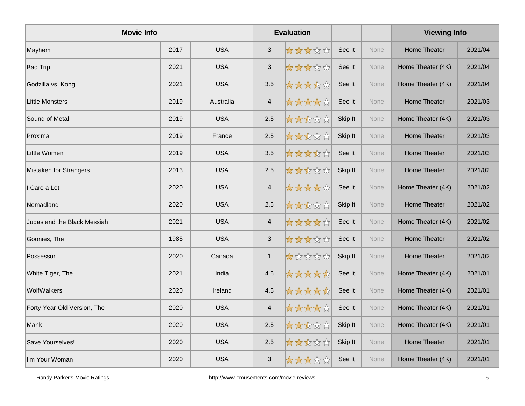| <b>Movie Info</b>           |      |            |                | <b>Evaluation</b> |         |      | <b>Viewing Info</b> |         |
|-----------------------------|------|------------|----------------|-------------------|---------|------|---------------------|---------|
| Mayhem                      | 2017 | <b>USA</b> | $\mathbf{3}$   | *****             | See It  | None | Home Theater        | 2021/04 |
| <b>Bad Trip</b>             | 2021 | <b>USA</b> | $\mathfrak{S}$ | *****             | See It  | None | Home Theater (4K)   | 2021/04 |
| Godzilla vs. Kong           | 2021 | <b>USA</b> | 3.5            | *****             | See It  | None | Home Theater (4K)   | 2021/04 |
| <b>Little Monsters</b>      | 2019 | Australia  | $\overline{4}$ | *****             | See It  | None | Home Theater        | 2021/03 |
| Sound of Metal              | 2019 | <b>USA</b> | 2.5            | *****             | Skip It | None | Home Theater (4K)   | 2021/03 |
| Proxima                     | 2019 | France     | 2.5            | *****             | Skip It | None | <b>Home Theater</b> | 2021/03 |
| Little Women                | 2019 | <b>USA</b> | 3.5            | *****             | See It  | None | Home Theater        | 2021/03 |
| Mistaken for Strangers      | 2013 | <b>USA</b> | 2.5            | *****             | Skip It | None | Home Theater        | 2021/02 |
| I Care a Lot                | 2020 | <b>USA</b> | $\overline{4}$ | *****             | See It  | None | Home Theater (4K)   | 2021/02 |
| Nomadland                   | 2020 | <b>USA</b> | 2.5            | *****             | Skip It | None | <b>Home Theater</b> | 2021/02 |
| Judas and the Black Messiah | 2021 | <b>USA</b> | $\overline{4}$ | *****             | See It  | None | Home Theater (4K)   | 2021/02 |
| Goonies, The                | 1985 | <b>USA</b> | $\sqrt{3}$     | *****             | See It  | None | Home Theater        | 2021/02 |
| Possessor                   | 2020 | Canada     | $\mathbf{1}$   | *****             | Skip It | None | Home Theater        | 2021/02 |
| White Tiger, The            | 2021 | India      | 4.5            | *****             | See It  | None | Home Theater (4K)   | 2021/01 |
| WolfWalkers                 | 2020 | Ireland    | 4.5            | *****             | See It  | None | Home Theater (4K)   | 2021/01 |
| Forty-Year-Old Version, The | 2020 | <b>USA</b> | $\overline{4}$ | *****             | See It  | None | Home Theater (4K)   | 2021/01 |
| Mank                        | 2020 | <b>USA</b> | 2.5            | *****             | Skip It | None | Home Theater (4K)   | 2021/01 |
| Save Yourselves!            | 2020 | <b>USA</b> | 2.5            | *****             | Skip It | None | <b>Home Theater</b> | 2021/01 |
| I'm Your Woman              | 2020 | <b>USA</b> | $\mathbf{3}$   | *****             | See It  | None | Home Theater (4K)   | 2021/01 |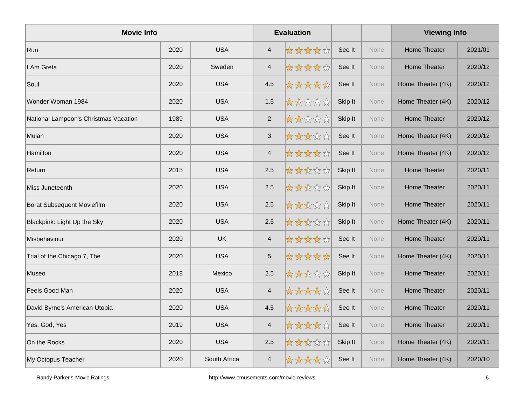| <b>Movie Info</b>                     |      |              |                           | <b>Evaluation</b> |         |      | <b>Viewing Info</b> |         |
|---------------------------------------|------|--------------|---------------------------|-------------------|---------|------|---------------------|---------|
| Run                                   | 2020 | <b>USA</b>   | $\overline{4}$            | *****             | See It  | None | Home Theater        | 2021/01 |
| I Am Greta                            | 2020 | Sweden       | $\overline{4}$            | ☆☆☆☆☆             | See It  | None | <b>Home Theater</b> | 2020/12 |
| Soul                                  | 2020 | <b>USA</b>   | 4.5                       | *****             | See It  | None | Home Theater (4K)   | 2020/12 |
| Wonder Woman 1984                     | 2020 | <b>USA</b>   | 1.5                       | *****             | Skip It | None | Home Theater (4K)   | 2020/12 |
| National Lampoon's Christmas Vacation | 1989 | <b>USA</b>   | 2                         | *****             | Skip It | None | Home Theater        | 2020/12 |
| Mulan                                 | 2020 | <b>USA</b>   | $\ensuremath{\mathsf{3}}$ | *****             | See It  | None | Home Theater (4K)   | 2020/12 |
| Hamilton                              | 2020 | <b>USA</b>   | $\overline{4}$            | *****             | See It  | None | Home Theater (4K)   | 2020/12 |
| Return                                | 2015 | <b>USA</b>   | 2.5                       | *****             | Skip It | None | Home Theater        | 2020/11 |
| Miss Juneteenth                       | 2020 | <b>USA</b>   | 2.5                       | *****             | Skip It | None | Home Theater        | 2020/11 |
| <b>Borat Subsequent Moviefilm</b>     | 2020 | <b>USA</b>   | 2.5                       | *****             | Skip It | None | <b>Home Theater</b> | 2020/11 |
| Blackpink: Light Up the Sky           | 2020 | <b>USA</b>   | 2.5                       | *****             | Skip It | None | Home Theater (4K)   | 2020/11 |
| Misbehaviour                          | 2020 | <b>UK</b>    | $\overline{4}$            | *****             | See It  | None | Home Theater        | 2020/11 |
| Trial of the Chicago 7, The           | 2020 | <b>USA</b>   | $\overline{5}$            | *****             | See It  | None | Home Theater (4K)   | 2020/11 |
| Museo                                 | 2018 | Mexico       | 2.5                       | *****             | Skip It | None | <b>Home Theater</b> | 2020/11 |
| Feels Good Man                        | 2020 | <b>USA</b>   | $\overline{4}$            | *****             | See It  | None | <b>Home Theater</b> | 2020/11 |
| David Byrne's American Utopia         | 2020 | <b>USA</b>   | 4.5                       | *****             | See It  | None | Home Theater        | 2020/11 |
| Yes, God, Yes                         | 2019 | <b>USA</b>   | $\overline{4}$            | *****             | See It  | None | <b>Home Theater</b> | 2020/11 |
| On the Rocks                          | 2020 | <b>USA</b>   | 2.5                       | ☆☆☆☆☆             | Skip It | None | Home Theater (4K)   | 2020/11 |
| My Octopus Teacher                    | 2020 | South Africa | $\overline{\mathcal{L}}$  | ☆☆☆☆☆             | See It  | None | Home Theater (4K)   | 2020/10 |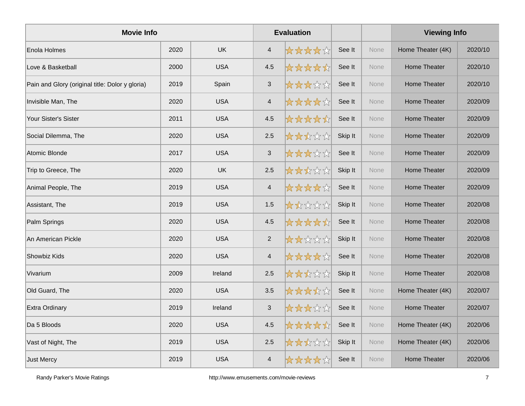| <b>Movie Info</b>                               |      |            | <b>Evaluation</b>        |       |         |      | <b>Viewing Info</b> |         |
|-------------------------------------------------|------|------------|--------------------------|-------|---------|------|---------------------|---------|
| Enola Holmes                                    | 2020 | <b>UK</b>  | $\overline{4}$           | ***** | See It  | None | Home Theater (4K)   | 2020/10 |
| Love & Basketball                               | 2000 | <b>USA</b> | 4.5                      | ***** | See It  | None | Home Theater        | 2020/10 |
| Pain and Glory (original title: Dolor y gloria) | 2019 | Spain      | $\sqrt{3}$               | ***** | See It  | None | Home Theater        | 2020/10 |
| Invisible Man, The                              | 2020 | <b>USA</b> | $\overline{4}$           | ***** | See It  | None | Home Theater        | 2020/09 |
| Your Sister's Sister                            | 2011 | <b>USA</b> | 4.5                      | ***** | See It  | None | Home Theater        | 2020/09 |
| Social Dilemma, The                             | 2020 | <b>USA</b> | 2.5                      | ***** | Skip It | None | <b>Home Theater</b> | 2020/09 |
| Atomic Blonde                                   | 2017 | <b>USA</b> | $\sqrt{3}$               | ***** | See It  | None | <b>Home Theater</b> | 2020/09 |
| Trip to Greece, The                             | 2020 | <b>UK</b>  | 2.5                      | ***** | Skip It | None | <b>Home Theater</b> | 2020/09 |
| Animal People, The                              | 2019 | <b>USA</b> | $\overline{\mathcal{A}}$ | ***** | See It  | None | Home Theater        | 2020/09 |
| Assistant, The                                  | 2019 | <b>USA</b> | 1.5                      | ***** | Skip It | None | <b>Home Theater</b> | 2020/08 |
| Palm Springs                                    | 2020 | <b>USA</b> | 4.5                      | ***** | See It  | None | <b>Home Theater</b> | 2020/08 |
| An American Pickle                              | 2020 | <b>USA</b> | 2                        | ***** | Skip It | None | <b>Home Theater</b> | 2020/08 |
| Showbiz Kids                                    | 2020 | <b>USA</b> | $\overline{4}$           | ***** | See It  | None | Home Theater        | 2020/08 |
| Vivarium                                        | 2009 | Ireland    | 2.5                      | ***** | Skip It | None | <b>Home Theater</b> | 2020/08 |
| Old Guard, The                                  | 2020 | <b>USA</b> | 3.5                      | ***** | See It  | None | Home Theater (4K)   | 2020/07 |
| Extra Ordinary                                  | 2019 | Ireland    | $\sqrt{3}$               | ***** | See It  | None | Home Theater        | 2020/07 |
| Da 5 Bloods                                     | 2020 | <b>USA</b> | 4.5                      | ***** | See It  | None | Home Theater (4K)   | 2020/06 |
| Vast of Night, The                              | 2019 | <b>USA</b> | 2.5                      | ***** | Skip It | None | Home Theater (4K)   | 2020/06 |
| Just Mercy                                      | 2019 | <b>USA</b> | $\overline{4}$           | ***** | See It  | None | Home Theater        | 2020/06 |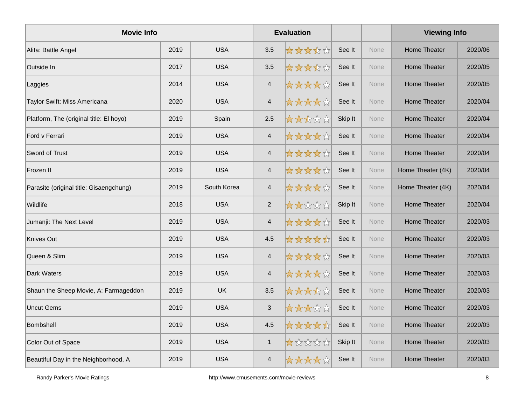| <b>Movie Info</b>                       |      |             |                          | <b>Evaluation</b> |         |      | <b>Viewing Info</b> |         |
|-----------------------------------------|------|-------------|--------------------------|-------------------|---------|------|---------------------|---------|
| Alita: Battle Angel                     | 2019 | <b>USA</b>  | 3.5                      | *****             | See It  | None | <b>Home Theater</b> | 2020/06 |
| Outside In                              | 2017 | <b>USA</b>  | 3.5                      | *****             | See It  | None | <b>Home Theater</b> | 2020/05 |
| Laggies                                 | 2014 | <b>USA</b>  | $\overline{4}$           | *****             | See It  | None | Home Theater        | 2020/05 |
| Taylor Swift: Miss Americana            | 2020 | <b>USA</b>  | $\overline{\mathcal{A}}$ | *****             | See It  | None | <b>Home Theater</b> | 2020/04 |
| Platform, The (original title: El hoyo) | 2019 | Spain       | 2.5                      | *****             | Skip It | None | Home Theater        | 2020/04 |
| Ford v Ferrari                          | 2019 | <b>USA</b>  | $\overline{\mathbf{4}}$  | *****             | See It  | None | Home Theater        | 2020/04 |
| Sword of Trust                          | 2019 | <b>USA</b>  | $\overline{4}$           | *****             | See It  | None | Home Theater        | 2020/04 |
| Frozen II                               | 2019 | <b>USA</b>  | $\overline{\mathcal{A}}$ | *****             | See It  | None | Home Theater (4K)   | 2020/04 |
| Parasite (original title: Gisaengchung) | 2019 | South Korea | $\overline{4}$           | ☆☆☆☆☆             | See It  | None | Home Theater (4K)   | 2020/04 |
| Wildlife                                | 2018 | <b>USA</b>  | 2                        | *****             | Skip It | None | <b>Home Theater</b> | 2020/04 |
| Jumanji: The Next Level                 | 2019 | <b>USA</b>  | $\overline{\mathbf{4}}$  | *****             | See It  | None | <b>Home Theater</b> | 2020/03 |
| Knives Out                              | 2019 | <b>USA</b>  | 4.5                      | *****             | See It  | None | <b>Home Theater</b> | 2020/03 |
| Queen & Slim                            | 2019 | <b>USA</b>  | $\overline{\mathbf{4}}$  | *****             | See It  | None | Home Theater        | 2020/03 |
| Dark Waters                             | 2019 | <b>USA</b>  | $\overline{\mathbf{4}}$  | *****             | See It  | None | <b>Home Theater</b> | 2020/03 |
| Shaun the Sheep Movie, A: Farmageddon   | 2019 | <b>UK</b>   | 3.5                      | *****             | See It  | None | <b>Home Theater</b> | 2020/03 |
| <b>Uncut Gems</b>                       | 2019 | <b>USA</b>  | $\mathfrak{S}$           | *****             | See It  | None | <b>Home Theater</b> | 2020/03 |
| Bombshell                               | 2019 | <b>USA</b>  | 4.5                      | *****             | See It  | None | Home Theater        | 2020/03 |
| Color Out of Space                      | 2019 | <b>USA</b>  | $\mathbf{1}$             | *****             | Skip It | None | Home Theater        | 2020/03 |
| Beautiful Day in the Neighborhood, A    | 2019 | <b>USA</b>  | $\overline{\mathcal{L}}$ | ☆☆☆☆☆             | See It  | None | Home Theater        | 2020/03 |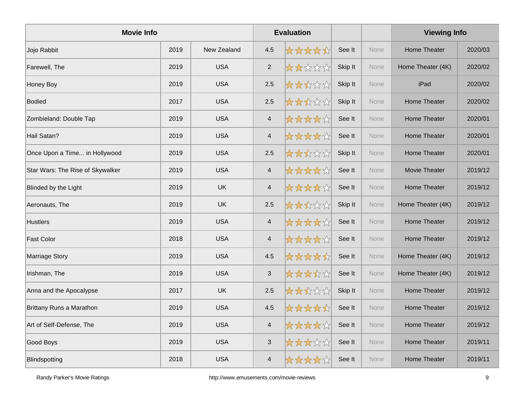| <b>Movie Info</b>                |      |             |                           | <b>Evaluation</b> |         |             | <b>Viewing Info</b> |         |
|----------------------------------|------|-------------|---------------------------|-------------------|---------|-------------|---------------------|---------|
| Jojo Rabbit                      | 2019 | New Zealand | 4.5                       | *****             | See It  | <b>None</b> | Home Theater        | 2020/03 |
| Farewell, The                    | 2019 | <b>USA</b>  | 2                         | *****             | Skip It | None        | Home Theater (4K)   | 2020/02 |
| Honey Boy                        | 2019 | <b>USA</b>  | 2.5                       | *****             | Skip It | None        | iPad                | 2020/02 |
| <b>Bodied</b>                    | 2017 | <b>USA</b>  | 2.5                       | *****             | Skip It | None        | <b>Home Theater</b> | 2020/02 |
| Zombieland: Double Tap           | 2019 | <b>USA</b>  | $\overline{4}$            | *****             | See It  | None        | Home Theater        | 2020/01 |
| Hail Satan?                      | 2019 | <b>USA</b>  | $\overline{\mathcal{A}}$  | *****             | See It  | None        | <b>Home Theater</b> | 2020/01 |
| Once Upon a Time in Hollywood    | 2019 | <b>USA</b>  | 2.5                       | *****             | Skip It | None        | <b>Home Theater</b> | 2020/01 |
| Star Wars: The Rise of Skywalker | 2019 | <b>USA</b>  | $\overline{4}$            | ☆☆☆☆☆             | See It  | None        | Movie Theater       | 2019/12 |
| Blinded by the Light             | 2019 | <b>UK</b>   | $\overline{4}$            | *****             | See It  | None        | Home Theater        | 2019/12 |
| Aeronauts, The                   | 2019 | <b>UK</b>   | 2.5                       | *****             | Skip It | None        | Home Theater (4K)   | 2019/12 |
| <b>Hustlers</b>                  | 2019 | <b>USA</b>  | $\overline{4}$            | *****             | See It  | None        | <b>Home Theater</b> | 2019/12 |
| <b>Fast Color</b>                | 2018 | <b>USA</b>  | $\overline{4}$            | ☆☆☆☆☆☆            | See It  | None        | Home Theater        | 2019/12 |
| <b>Marriage Story</b>            | 2019 | <b>USA</b>  | 4.5                       | *****             | See It  | None        | Home Theater (4K)   | 2019/12 |
| Irishman, The                    | 2019 | <b>USA</b>  | $\sqrt{3}$                | *****             | See It  | None        | Home Theater (4K)   | 2019/12 |
| Anna and the Apocalypse          | 2017 | <b>UK</b>   | 2.5                       | *****             | Skip It | None        | <b>Home Theater</b> | 2019/12 |
| Brittany Runs a Marathon         | 2019 | <b>USA</b>  | 4.5                       | *****             | See It  | None        | <b>Home Theater</b> | 2019/12 |
| Art of Self-Defense, The         | 2019 | <b>USA</b>  | $\overline{4}$            | ☆☆☆☆☆             | See It  | None        | <b>Home Theater</b> | 2019/12 |
| Good Boys                        | 2019 | <b>USA</b>  | $\ensuremath{\mathsf{3}}$ | ☆☆☆☆☆☆            | See It  | None        | <b>Home Theater</b> | 2019/11 |
| Blindspotting                    | 2018 | <b>USA</b>  | $\overline{\mathcal{L}}$  | ☆☆☆☆☆             | See It  | None        | Home Theater        | 2019/11 |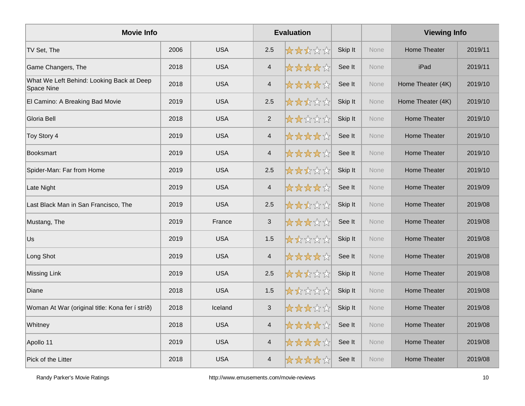| <b>Movie Info</b>                                       |      |            |                          | <b>Evaluation</b> |         |      | <b>Viewing Info</b> |         |
|---------------------------------------------------------|------|------------|--------------------------|-------------------|---------|------|---------------------|---------|
| TV Set, The                                             | 2006 | <b>USA</b> | 2.5                      | *****             | Skip It | None | Home Theater        | 2019/11 |
| Game Changers, The                                      | 2018 | <b>USA</b> | $\overline{4}$           | *****             | See It  | None | iPad                | 2019/11 |
| What We Left Behind: Looking Back at Deep<br>Space Nine | 2018 | <b>USA</b> | $\overline{4}$           | *****             | See It  | None | Home Theater (4K)   | 2019/10 |
| El Camino: A Breaking Bad Movie                         | 2019 | <b>USA</b> | 2.5                      | *****             | Skip It | None | Home Theater (4K)   | 2019/10 |
| Gloria Bell                                             | 2018 | <b>USA</b> | $\sqrt{2}$               | *****             | Skip It | None | <b>Home Theater</b> | 2019/10 |
| Toy Story 4                                             | 2019 | <b>USA</b> | $\overline{\mathcal{A}}$ | *****             | See It  | None | <b>Home Theater</b> | 2019/10 |
| <b>Booksmart</b>                                        | 2019 | <b>USA</b> | $\overline{4}$           | *****             | See It  | None | Home Theater        | 2019/10 |
| Spider-Man: Far from Home                               | 2019 | <b>USA</b> | 2.5                      | *****             | Skip It | None | Home Theater        | 2019/10 |
| Late Night                                              | 2019 | <b>USA</b> | $\overline{4}$           | *****             | See It  | None | Home Theater        | 2019/09 |
| Last Black Man in San Francisco, The                    | 2019 | <b>USA</b> | 2.5                      | *****             | Skip It | None | <b>Home Theater</b> | 2019/08 |
| Mustang, The                                            | 2019 | France     | $\sqrt{3}$               | *****             | See It  | None | Home Theater        | 2019/08 |
| Us.                                                     | 2019 | <b>USA</b> | 1.5                      | *****             | Skip It | None | Home Theater        | 2019/08 |
| Long Shot                                               | 2019 | <b>USA</b> | $\overline{\mathcal{A}}$ | *****             | See It  | None | <b>Home Theater</b> | 2019/08 |
| <b>Missing Link</b>                                     | 2019 | <b>USA</b> | $2.5\,$                  | *****             | Skip It | None | Home Theater        | 2019/08 |
| Diane                                                   | 2018 | <b>USA</b> | 1.5                      | *****             | Skip It | None | Home Theater        | 2019/08 |
| Woman At War (original title: Kona fer í stríð)         | 2018 | Iceland    | $\mathfrak{S}$           | *****             | Skip It | None | Home Theater        | 2019/08 |
| Whitney                                                 | 2018 | <b>USA</b> | $\overline{4}$           | *****             | See It  | None | Home Theater        | 2019/08 |
| Apollo 11                                               | 2019 | <b>USA</b> | $\overline{4}$           | ☆☆☆☆☆             | See It  | None | Home Theater        | 2019/08 |
| Pick of the Litter                                      | 2018 | <b>USA</b> | $\overline{4}$           | *****             | See It  | None | Home Theater        | 2019/08 |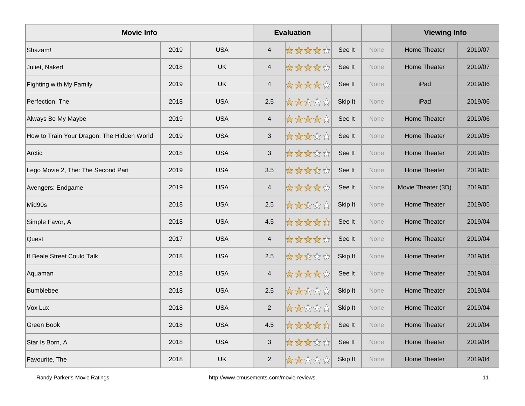| <b>Movie Info</b>                          |      |            |                           | <b>Evaluation</b> |         |             | <b>Viewing Info</b> |         |
|--------------------------------------------|------|------------|---------------------------|-------------------|---------|-------------|---------------------|---------|
| Shazam!                                    | 2019 | <b>USA</b> | $\overline{4}$            | *****             | See It  | <b>None</b> | Home Theater        | 2019/07 |
| Juliet, Naked                              | 2018 | <b>UK</b>  | $\overline{\mathcal{A}}$  | ☆☆☆☆☆             | See It  | None        | Home Theater        | 2019/07 |
| Fighting with My Family                    | 2019 | <b>UK</b>  | $\overline{4}$            | *****             | See It  | None        | iPad                | 2019/06 |
| Perfection, The                            | 2018 | <b>USA</b> | 2.5                       | *****             | Skip It | <b>None</b> | iPad                | 2019/06 |
| Always Be My Maybe                         | 2019 | <b>USA</b> | $\overline{4}$            | *****             | See It  | None        | Home Theater        | 2019/06 |
| How to Train Your Dragon: The Hidden World | 2019 | <b>USA</b> | $\mathsf 3$               | *****             | See It  | None        | Home Theater        | 2019/05 |
| Arctic                                     | 2018 | <b>USA</b> | $\mathbf{3}$              | *****             | See It  | None        | Home Theater        | 2019/05 |
| Lego Movie 2, The: The Second Part         | 2019 | <b>USA</b> | 3.5                       | ☆☆☆☆☆             | See It  | None        | Home Theater        | 2019/05 |
| Avengers: Endgame                          | 2019 | <b>USA</b> | $\overline{4}$            | *****             | See It  | None        | Movie Theater (3D)  | 2019/05 |
| Mid90s                                     | 2018 | <b>USA</b> | 2.5                       | *****             | Skip It | None        | <b>Home Theater</b> | 2019/05 |
| Simple Favor, A                            | 2018 | <b>USA</b> | 4.5                       | *****             | See It  | None        | Home Theater        | 2019/04 |
| Quest                                      | 2017 | <b>USA</b> | $\overline{4}$            | ☆☆☆☆☆☆            | See It  | None        | Home Theater        | 2019/04 |
| If Beale Street Could Talk                 | 2018 | <b>USA</b> | 2.5                       | *****             | Skip It | None        | Home Theater        | 2019/04 |
| Aquaman                                    | 2018 | <b>USA</b> | $\overline{4}$            | *****             | See It  | None        | Home Theater        | 2019/04 |
| <b>Bumblebee</b>                           | 2018 | <b>USA</b> | 2.5                       | *****             | Skip It | None        | <b>Home Theater</b> | 2019/04 |
| Vox Lux                                    | 2018 | <b>USA</b> | $\sqrt{2}$                | *****             | Skip It | None        | <b>Home Theater</b> | 2019/04 |
| Green Book                                 | 2018 | <b>USA</b> | 4.5                       | *****             | See It  | None        | <b>Home Theater</b> | 2019/04 |
| Star Is Born, A                            | 2018 | <b>USA</b> | $\ensuremath{\mathsf{3}}$ | *****             | See It  | None        | <b>Home Theater</b> | 2019/04 |
| Favourite, The                             | 2018 | UK         | 2                         | *****             | Skip It | None        | Home Theater        | 2019/04 |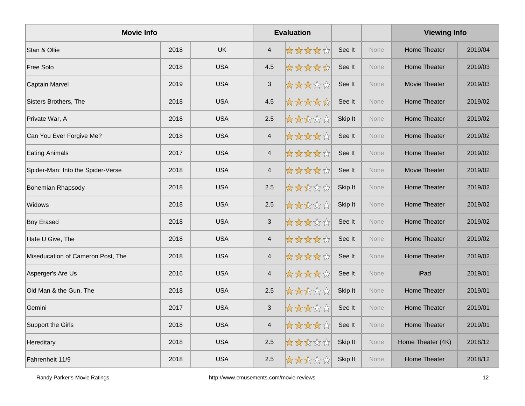| <b>Movie Info</b>                 |      |            |                          | <b>Evaluation</b> |         |      | <b>Viewing Info</b>  |         |
|-----------------------------------|------|------------|--------------------------|-------------------|---------|------|----------------------|---------|
| Stan & Ollie                      | 2018 | <b>UK</b>  | $\overline{4}$           | *****             | See It  | None | <b>Home Theater</b>  | 2019/04 |
| Free Solo                         | 2018 | <b>USA</b> | 4.5                      | *****             | See It  | None | <b>Home Theater</b>  | 2019/03 |
| Captain Marvel                    | 2019 | <b>USA</b> | $\sqrt{3}$               | *****             | See It  | None | Movie Theater        | 2019/03 |
| Sisters Brothers, The             | 2018 | <b>USA</b> | 4.5                      | *****             | See It  | None | Home Theater         | 2019/02 |
| Private War, A                    | 2018 | <b>USA</b> | 2.5                      | *****             | Skip It | None | Home Theater         | 2019/02 |
| Can You Ever Forgive Me?          | 2018 | <b>USA</b> | $\overline{\mathcal{A}}$ | *****             | See It  | None | <b>Home Theater</b>  | 2019/02 |
| <b>Eating Animals</b>             | 2017 | <b>USA</b> | $\overline{4}$           | *****             | See It  | None | <b>Home Theater</b>  | 2019/02 |
| Spider-Man: Into the Spider-Verse | 2018 | <b>USA</b> | $\overline{4}$           | *****             | See It  | None | <b>Movie Theater</b> | 2019/02 |
| <b>Bohemian Rhapsody</b>          | 2018 | <b>USA</b> | 2.5                      | *****             | Skip It | None | <b>Home Theater</b>  | 2019/02 |
| Widows                            | 2018 | <b>USA</b> | 2.5                      | *****             | Skip It | None | <b>Home Theater</b>  | 2019/02 |
| <b>Boy Erased</b>                 | 2018 | <b>USA</b> | $\mathbf{3}$             | *****             | See It  | None | Home Theater         | 2019/02 |
| Hate U Give, The                  | 2018 | <b>USA</b> | $\overline{4}$           | *****             | See It  | None | Home Theater         | 2019/02 |
| Miseducation of Cameron Post, The | 2018 | <b>USA</b> | $\overline{4}$           | *****             | See It  | None | <b>Home Theater</b>  | 2019/02 |
| Asperger's Are Us                 | 2016 | <b>USA</b> | $\overline{\mathcal{L}}$ | *****             | See It  | None | iPad                 | 2019/01 |
| Old Man & the Gun, The            | 2018 | <b>USA</b> | 2.5                      | *****             | Skip It | None | <b>Home Theater</b>  | 2019/01 |
| Gemini                            | 2017 | <b>USA</b> | $\sqrt{3}$               | *****             | See It  | None | <b>Home Theater</b>  | 2019/01 |
| Support the Girls                 | 2018 | <b>USA</b> | $\overline{\mathcal{L}}$ | *****             | See It  | None | <b>Home Theater</b>  | 2019/01 |
| Hereditary                        | 2018 | <b>USA</b> | 2.5                      | *****             | Skip It | None | Home Theater (4K)    | 2018/12 |
| Fahrenheit 11/9                   | 2018 | <b>USA</b> | 2.5                      | *****             | Skip It | None | <b>Home Theater</b>  | 2018/12 |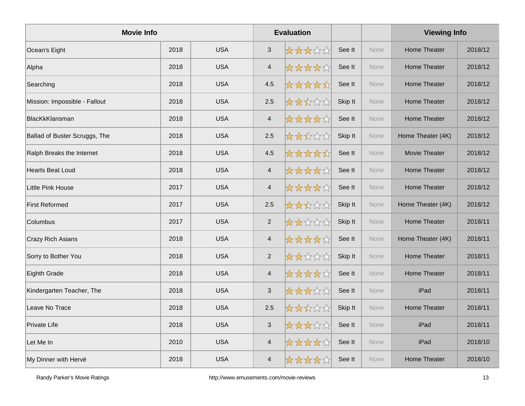| <b>Movie Info</b>             |      |            |                          | <b>Evaluation</b> |         |      | <b>Viewing Info</b> |         |
|-------------------------------|------|------------|--------------------------|-------------------|---------|------|---------------------|---------|
| Ocean's Eight                 | 2018 | <b>USA</b> | 3                        | *****             | See It  | None | <b>Home Theater</b> | 2018/12 |
| Alpha                         | 2018 | <b>USA</b> | $\overline{\mathcal{A}}$ | ☆☆☆☆☆             | See It  | None | <b>Home Theater</b> | 2018/12 |
| Searching                     | 2018 | <b>USA</b> | 4.5                      | *****             | See It  | None | Home Theater        | 2018/12 |
| Mission: Impossible - Fallout | 2018 | <b>USA</b> | 2.5                      | *****             | Skip It | None | Home Theater        | 2018/12 |
| BlacKkKlansman                | 2018 | <b>USA</b> | $\overline{4}$           | *****             | See It  | None | Home Theater        | 2018/12 |
| Ballad of Buster Scruggs, The | 2018 | <b>USA</b> | 2.5                      | *****             | Skip It | None | Home Theater (4K)   | 2018/12 |
| Ralph Breaks the Internet     | 2018 | <b>USA</b> | 4.5                      | *****             | See It  | None | Movie Theater       | 2018/12 |
| <b>Hearts Beat Loud</b>       | 2018 | <b>USA</b> | $\overline{4}$           | *****             | See It  | None | <b>Home Theater</b> | 2018/12 |
| Little Pink House             | 2017 | <b>USA</b> | $\overline{\mathcal{A}}$ | *****             | See It  | None | Home Theater        | 2018/12 |
| <b>First Reformed</b>         | 2017 | <b>USA</b> | 2.5                      | *****             | Skip It | None | Home Theater (4K)   | 2018/12 |
| Columbus                      | 2017 | <b>USA</b> | $\overline{2}$           | *****             | Skip It | None | Home Theater        | 2018/11 |
| <b>Crazy Rich Asians</b>      | 2018 | <b>USA</b> | $\overline{4}$           | *****             | See It  | None | Home Theater (4K)   | 2018/11 |
| Sorry to Bother You           | 2018 | <b>USA</b> | 2                        | *****             | Skip It | None | Home Theater        | 2018/11 |
| Eighth Grade                  | 2018 | <b>USA</b> | $\overline{\mathcal{A}}$ | *****             | See It  | None | <b>Home Theater</b> | 2018/11 |
| Kindergarten Teacher, The     | 2018 | <b>USA</b> | 3                        | *****             | See It  | None | iPad                | 2018/11 |
| Leave No Trace                | 2018 | <b>USA</b> | 2.5                      | ☆☆☆☆☆             | Skip It | None | <b>Home Theater</b> | 2018/11 |
| Private Life                  | 2018 | <b>USA</b> | $\sqrt{3}$               | *****             | See It  | None | iPad                | 2018/11 |
| Let Me In                     | 2010 | <b>USA</b> | $\overline{\mathbf{4}}$  | ☆☆☆☆☆             | See It  | None | iPad                | 2018/10 |
| My Dinner with Hervé          | 2018 | <b>USA</b> | $\overline{4}$           | *****             | See It  | None | <b>Home Theater</b> | 2018/10 |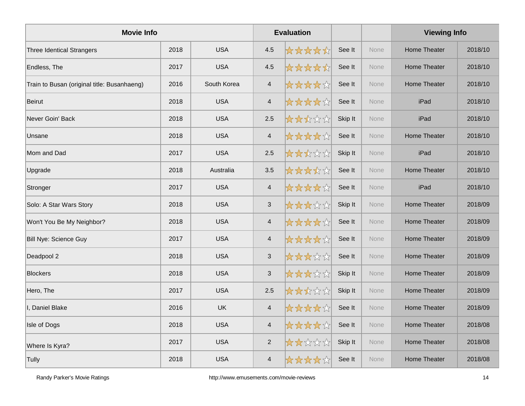| <b>Movie Info</b>                           |      |             |                           | <b>Evaluation</b> |         |             | <b>Viewing Info</b> |         |
|---------------------------------------------|------|-------------|---------------------------|-------------------|---------|-------------|---------------------|---------|
| <b>Three Identical Strangers</b>            | 2018 | <b>USA</b>  | 4.5                       | *****             | See It  | <b>None</b> | <b>Home Theater</b> | 2018/10 |
| Endless, The                                | 2017 | <b>USA</b>  | 4.5                       | *****             | See It  | None        | <b>Home Theater</b> | 2018/10 |
| Train to Busan (original title: Busanhaeng) | 2016 | South Korea | $\overline{4}$            | *****             | See It  | None        | Home Theater        | 2018/10 |
| <b>Beirut</b>                               | 2018 | <b>USA</b>  | $\overline{\mathbf{4}}$   | *****             | See It  | <b>None</b> | iPad                | 2018/10 |
| Never Goin' Back                            | 2018 | <b>USA</b>  | 2.5                       | *****             | Skip It | None        | iPad                | 2018/10 |
| Unsane                                      | 2018 | <b>USA</b>  | $\overline{\mathcal{A}}$  | *****             | See It  | None        | <b>Home Theater</b> | 2018/10 |
| Mom and Dad                                 | 2017 | <b>USA</b>  | 2.5                       | *****             | Skip It | None        | iPad                | 2018/10 |
| Upgrade                                     | 2018 | Australia   | 3.5                       | ☆☆☆☆☆             | See It  | None        | <b>Home Theater</b> | 2018/10 |
| Stronger                                    | 2017 | <b>USA</b>  | $\overline{4}$            | *****             | See It  | None        | iPad                | 2018/10 |
| Solo: A Star Wars Story                     | 2018 | <b>USA</b>  | $\ensuremath{\mathsf{3}}$ | *****             | Skip It | None        | <b>Home Theater</b> | 2018/09 |
| Won't You Be My Neighbor?                   | 2018 | <b>USA</b>  | $\overline{4}$            | *****             | See It  | None        | <b>Home Theater</b> | 2018/09 |
| <b>Bill Nye: Science Guy</b>                | 2017 | <b>USA</b>  | $\overline{\mathcal{A}}$  | ☆☆☆☆☆☆            | See It  | None        | Home Theater        | 2018/09 |
| Deadpool 2                                  | 2018 | <b>USA</b>  | $\sqrt{3}$                | *****             | See It  | None        | <b>Home Theater</b> | 2018/09 |
| <b>Blockers</b>                             | 2018 | <b>USA</b>  | $\mathfrak{S}$            | *****             | Skip It | None        | <b>Home Theater</b> | 2018/09 |
| Hero, The                                   | 2017 | <b>USA</b>  | 2.5                       | *****             | Skip It | None        | <b>Home Theater</b> | 2018/09 |
| I, Daniel Blake                             | 2016 | <b>UK</b>   | $\overline{4}$            | ☆☆☆☆☆☆            | See It  | None        | <b>Home Theater</b> | 2018/09 |
| Isle of Dogs                                | 2018 | <b>USA</b>  | $\overline{\mathbf{4}}$   | ☆☆☆☆☆             | See It  | None        | <b>Home Theater</b> | 2018/08 |
| Where Is Kyra?                              | 2017 | <b>USA</b>  | 2                         | *****             | Skip It | None        | <b>Home Theater</b> | 2018/08 |
| Tully                                       | 2018 | <b>USA</b>  | $\overline{\mathcal{L}}$  | ☆☆☆☆☆             | See It  | None        | Home Theater        | 2018/08 |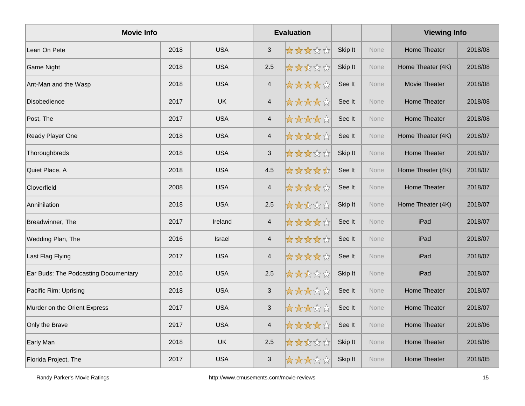| <b>Movie Info</b>                    |      |               |                | <b>Evaluation</b> |         |      | <b>Viewing Info</b>  |         |
|--------------------------------------|------|---------------|----------------|-------------------|---------|------|----------------------|---------|
| Lean On Pete                         | 2018 | <b>USA</b>    | $\mathfrak{S}$ | *****             | Skip It | None | Home Theater         | 2018/08 |
| Game Night                           | 2018 | <b>USA</b>    | 2.5            | *****             | Skip It | None | Home Theater (4K)    | 2018/08 |
| Ant-Man and the Wasp                 | 2018 | <b>USA</b>    | $\overline{4}$ | *****             | See It  | None | <b>Movie Theater</b> | 2018/08 |
| <b>Disobedience</b>                  | 2017 | <b>UK</b>     | $\overline{4}$ | *****             | See It  | None | <b>Home Theater</b>  | 2018/08 |
| Post, The                            | 2017 | <b>USA</b>    | $\overline{4}$ | *****             | See It  | None | Home Theater         | 2018/08 |
| Ready Player One                     | 2018 | <b>USA</b>    | $\overline{4}$ | *****             | See It  | None | Home Theater (4K)    | 2018/07 |
| Thoroughbreds                        | 2018 | <b>USA</b>    | 3              | *****             | Skip It | None | Home Theater         | 2018/07 |
| Quiet Place, A                       | 2018 | <b>USA</b>    | 4.5            | *****             | See It  | None | Home Theater (4K)    | 2018/07 |
| Cloverfield                          | 2008 | <b>USA</b>    | $\overline{4}$ | *****             | See It  | None | Home Theater         | 2018/07 |
| Annihilation                         | 2018 | <b>USA</b>    | 2.5            | *****             | Skip It | None | Home Theater (4K)    | 2018/07 |
| Breadwinner, The                     | 2017 | Ireland       | $\overline{4}$ | *****             | See It  | None | iPad                 | 2018/07 |
| Wedding Plan, The                    | 2016 | <b>Israel</b> | $\overline{4}$ | *****             | See It  | None | iPad                 | 2018/07 |
| Last Flag Flying                     | 2017 | <b>USA</b>    | $\overline{4}$ | *****             | See It  | None | iPad                 | 2018/07 |
| Ear Buds: The Podcasting Documentary | 2016 | <b>USA</b>    | 2.5            | *****             | Skip It | None | iPad                 | 2018/07 |
| Pacific Rim: Uprising                | 2018 | <b>USA</b>    | 3              | *****             | See It  | None | <b>Home Theater</b>  | 2018/07 |
| Murder on the Orient Express         | 2017 | <b>USA</b>    | $\sqrt{3}$     | *****             | See It  | None | Home Theater         | 2018/07 |
| Only the Brave                       | 2917 | <b>USA</b>    | $\overline{4}$ | *****             | See It  | None | Home Theater         | 2018/06 |
| Early Man                            | 2018 | <b>UK</b>     | 2.5            | *****             | Skip It | None | <b>Home Theater</b>  | 2018/06 |
| Florida Project, The                 | 2017 | <b>USA</b>    | 3              | *****             | Skip It | None | <b>Home Theater</b>  | 2018/05 |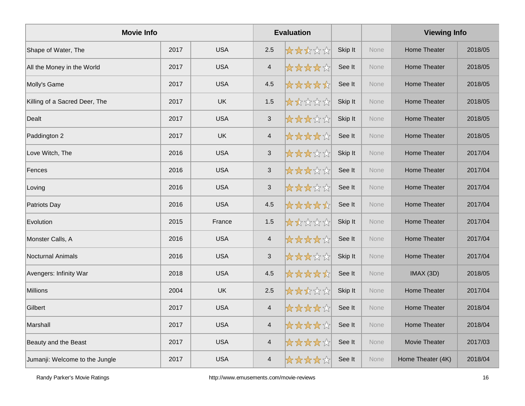| <b>Movie Info</b>              |      |            |                          | <b>Evaluation</b> |         |      | <b>Viewing Info</b> |         |
|--------------------------------|------|------------|--------------------------|-------------------|---------|------|---------------------|---------|
| Shape of Water, The            | 2017 | <b>USA</b> | 2.5                      | 女女女女女             | Skip It | None | Home Theater        | 2018/05 |
| All the Money in the World     | 2017 | <b>USA</b> | $\overline{\mathcal{A}}$ | ☆☆☆☆☆             | See It  | None | <b>Home Theater</b> | 2018/05 |
| Molly's Game                   | 2017 | <b>USA</b> | 4.5                      | *****             | See It  | None | <b>Home Theater</b> | 2018/05 |
| Killing of a Sacred Deer, The  | 2017 | <b>UK</b>  | 1.5                      | 大大众公众             | Skip It | None | <b>Home Theater</b> | 2018/05 |
| Dealt                          | 2017 | <b>USA</b> | $\mathbf{3}$             | *****             | Skip It | None | Home Theater        | 2018/05 |
| Paddington 2                   | 2017 | <b>UK</b>  | $\overline{\mathcal{A}}$ | *****             | See It  | None | <b>Home Theater</b> | 2018/05 |
| Love Witch, The                | 2016 | <b>USA</b> | $\mathbf{3}$             | *****             | Skip It | None | <b>Home Theater</b> | 2017/04 |
| Fences                         | 2016 | <b>USA</b> | $\sqrt{3}$               | 女女女女众             | See It  | None | <b>Home Theater</b> | 2017/04 |
| Loving                         | 2016 | <b>USA</b> | $\mathsf 3$              | *****             | See It  | None | <b>Home Theater</b> | 2017/04 |
| Patriots Day                   | 2016 | <b>USA</b> | 4.5                      | *****             | See It  | None | Home Theater        | 2017/04 |
| Evolution                      | 2015 | France     | 1.5                      | 大大众公众             | Skip It | None | <b>Home Theater</b> | 2017/04 |
| Monster Calls, A               | 2016 | <b>USA</b> | $\overline{4}$           | *****             | See It  | None | Home Theater        | 2017/04 |
| <b>Nocturnal Animals</b>       | 2016 | <b>USA</b> | $\mathbf{3}$             | *****             | Skip It | None | <b>Home Theater</b> | 2017/04 |
| Avengers: Infinity War         | 2018 | <b>USA</b> | 4.5                      | *****             | See It  | None | IMAX(3D)            | 2018/05 |
| <b>Millions</b>                | 2004 | <b>UK</b>  | 2.5                      | *****             | Skip It | None | <b>Home Theater</b> | 2017/04 |
| Gilbert                        | 2017 | <b>USA</b> | $\overline{\mathcal{A}}$ | *****             | See It  | None | Home Theater        | 2018/04 |
| Marshall                       | 2017 | <b>USA</b> | $\overline{\mathcal{A}}$ | ☆☆☆☆☆             | See It  | None | <b>Home Theater</b> | 2018/04 |
| Beauty and the Beast           | 2017 | <b>USA</b> | $\overline{\mathcal{L}}$ | ☆☆☆☆☆☆            | See It  | None | Movie Theater       | 2017/03 |
| Jumanji: Welcome to the Jungle | 2017 | <b>USA</b> | $\overline{\mathcal{A}}$ | *****             | See It  | None | Home Theater (4K)   | 2018/04 |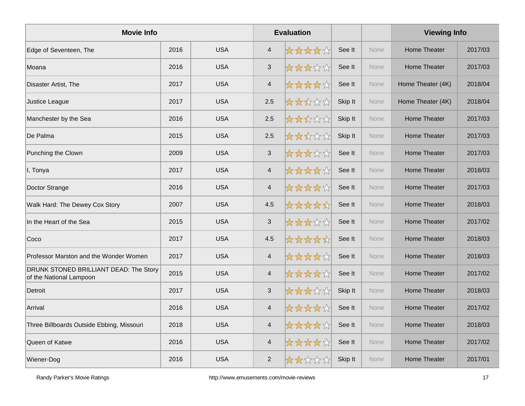| <b>Movie Info</b>                                                 |      |            |                          | <b>Evaluation</b> |         |             | <b>Viewing Info</b> |         |
|-------------------------------------------------------------------|------|------------|--------------------------|-------------------|---------|-------------|---------------------|---------|
| Edge of Seventeen, The                                            | 2016 | <b>USA</b> | $\overline{4}$           | *****             | See It  | <b>None</b> | Home Theater        | 2017/03 |
| Moana                                                             | 2016 | <b>USA</b> | $\sqrt{3}$               | *****             | See It  | None        | <b>Home Theater</b> | 2017/03 |
| Disaster Artist, The                                              | 2017 | <b>USA</b> | $\overline{4}$           | *****             | See It  | None        | Home Theater (4K)   | 2018/04 |
| Justice League                                                    | 2017 | <b>USA</b> | 2.5                      | *****             | Skip It | None        | Home Theater (4K)   | 2018/04 |
| Manchester by the Sea                                             | 2016 | <b>USA</b> | 2.5                      | *****             | Skip It | None        | Home Theater        | 2017/03 |
| De Palma                                                          | 2015 | <b>USA</b> | 2.5                      | *****             | Skip It | None        | Home Theater        | 2017/03 |
| Punching the Clown                                                | 2009 | <b>USA</b> | $\sqrt{3}$               | *****             | See It  | None        | Home Theater        | 2017/03 |
| I, Tonya                                                          | 2017 | <b>USA</b> | $\overline{4}$           | *****             | See It  | <b>None</b> | Home Theater        | 2018/03 |
| Doctor Strange                                                    | 2016 | <b>USA</b> | $\overline{\mathcal{L}}$ | ☆☆☆☆☆             | See It  | None        | <b>Home Theater</b> | 2017/03 |
| Walk Hard: The Dewey Cox Story                                    | 2007 | <b>USA</b> | 4.5                      | *****             | See It  | None        | <b>Home Theater</b> | 2018/03 |
| In the Heart of the Sea                                           | 2015 | <b>USA</b> | $\mathfrak{S}$           | *****             | See It  | None        | <b>Home Theater</b> | 2017/02 |
| Coco                                                              | 2017 | <b>USA</b> | 4.5                      | *****             | See It  | None        | <b>Home Theater</b> | 2018/03 |
| Professor Marston and the Wonder Women                            | 2017 | <b>USA</b> | $\overline{\mathbf{4}}$  | *****             | See It  | <b>None</b> | Home Theater        | 2018/03 |
| DRUNK STONED BRILLIANT DEAD: The Story<br>of the National Lampoon | 2015 | <b>USA</b> | $\overline{\mathbf{4}}$  | *****             | See It  | None        | <b>Home Theater</b> | 2017/02 |
| Detroit                                                           | 2017 | <b>USA</b> | $\mathbf{3}$             | *****             | Skip It | None        | <b>Home Theater</b> | 2018/03 |
| Arrival                                                           | 2016 | <b>USA</b> | $\overline{4}$           | *****             | See It  | None        | <b>Home Theater</b> | 2017/02 |
| Three Billboards Outside Ebbing, Missouri                         | 2018 | <b>USA</b> | $\overline{\mathcal{L}}$ | ☆☆☆☆☆             | See It  | None        | Home Theater        | 2018/03 |
| Queen of Katwe                                                    | 2016 | <b>USA</b> | $\overline{\mathcal{A}}$ | <b>☆☆☆☆</b> ☆     | See It  | None        | Home Theater        | 2017/02 |
| Wiener-Dog                                                        | 2016 | <b>USA</b> | 2                        | *****             | Skip It | None        | Home Theater        | 2017/01 |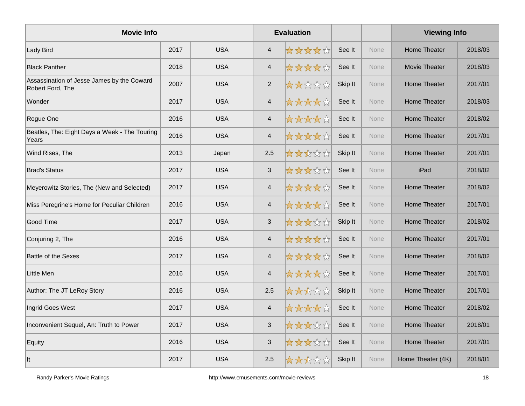| <b>Movie Info</b>                                              |      |            |                          | <b>Evaluation</b> |         |             | <b>Viewing Info</b> |         |
|----------------------------------------------------------------|------|------------|--------------------------|-------------------|---------|-------------|---------------------|---------|
| <b>Lady Bird</b>                                               | 2017 | <b>USA</b> | $\overline{4}$           | *****             | See It  | <b>None</b> | <b>Home Theater</b> | 2018/03 |
| <b>Black Panther</b>                                           | 2018 | <b>USA</b> | $\overline{\mathbf{4}}$  | ☆☆☆☆☆             | See It  | None        | Movie Theater       | 2018/03 |
| Assassination of Jesse James by the Coward<br>Robert Ford, The | 2007 | <b>USA</b> | $\overline{2}$           | *****             | Skip It | None        | Home Theater        | 2017/01 |
| Wonder                                                         | 2017 | <b>USA</b> | $\overline{4}$           | *****             | See It  | None        | Home Theater        | 2018/03 |
| Rogue One                                                      | 2016 | <b>USA</b> | $\overline{4}$           | *****             | See It  | None        | Home Theater        | 2018/02 |
| Beatles, The: Eight Days a Week - The Touring<br>Years         | 2016 | <b>USA</b> | $\overline{\mathcal{A}}$ | *****             | See It  | None        | <b>Home Theater</b> | 2017/01 |
| Wind Rises, The                                                | 2013 | Japan      | 2.5                      | *****             | Skip It | None        | <b>Home Theater</b> | 2017/01 |
| <b>Brad's Status</b>                                           | 2017 | <b>USA</b> | $\mathbf{3}$             | 女女女女众             | See It  | None        | iPad                | 2018/02 |
| Meyerowitz Stories, The (New and Selected)                     | 2017 | <b>USA</b> | $\overline{\mathcal{A}}$ | *****             | See It  | None        | <b>Home Theater</b> | 2018/02 |
| Miss Peregrine's Home for Peculiar Children                    | 2016 | <b>USA</b> | $\overline{\mathbf{4}}$  | ☆☆☆☆☆             | See It  | None        | <b>Home Theater</b> | 2017/01 |
| Good Time                                                      | 2017 | <b>USA</b> | $\mathbf{3}$             | *****             | Skip It | None        | Home Theater        | 2018/02 |
| Conjuring 2, The                                               | 2016 | <b>USA</b> | $\overline{\mathcal{L}}$ | *****             | See It  | None        | Home Theater        | 2017/01 |
| <b>Battle of the Sexes</b>                                     | 2017 | <b>USA</b> | $\overline{\mathbf{4}}$  | *****             | See It  | None        | Home Theater        | 2018/02 |
| Little Men                                                     | 2016 | <b>USA</b> | $\overline{4}$           | *****             | See It  | <b>None</b> | Home Theater        | 2017/01 |
| Author: The JT LeRoy Story                                     | 2016 | <b>USA</b> | 2.5                      | *****             | Skip It | None        | <b>Home Theater</b> | 2017/01 |
| Ingrid Goes West                                               | 2017 | <b>USA</b> | $\overline{4}$           | ☆☆☆☆☆             | See It  | <b>None</b> | Home Theater        | 2018/02 |
| Inconvenient Sequel, An: Truth to Power                        | 2017 | <b>USA</b> | $\sqrt{3}$               | ☆☆☆☆☆☆            | See It  | <b>None</b> | <b>Home Theater</b> | 2018/01 |
| Equity                                                         | 2016 | <b>USA</b> | $\mathfrak{S}$           | *****             | See It  | None        | <b>Home Theater</b> | 2017/01 |
| llt                                                            | 2017 | <b>USA</b> | 2.5                      | 大大大公众             | Skip It | None        | Home Theater (4K)   | 2018/01 |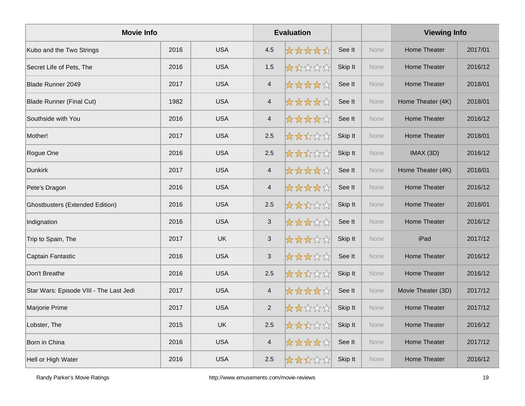| <b>Movie Info</b>                       |      |            |                         | <b>Evaluation</b> |         |             | <b>Viewing Info</b> |         |
|-----------------------------------------|------|------------|-------------------------|-------------------|---------|-------------|---------------------|---------|
| Kubo and the Two Strings                | 2016 | <b>USA</b> | 4.5                     | *****             | See It  | <b>None</b> | Home Theater        | 2017/01 |
| Secret Life of Pets, The                | 2016 | <b>USA</b> | 1.5                     | *****             | Skip It | None        | <b>Home Theater</b> | 2016/12 |
| Blade Runner 2049                       | 2017 | <b>USA</b> | $\overline{4}$          | ☆☆☆☆☆☆            | See It  | None        | Home Theater        | 2018/01 |
| <b>Blade Runner (Final Cut)</b>         | 1982 | <b>USA</b> | $\overline{\mathbf{4}}$ | *****             | See It  | None        | Home Theater (4K)   | 2018/01 |
| Southside with You                      | 2016 | <b>USA</b> | $\overline{4}$          | *****             | See It  | None        | Home Theater        | 2016/12 |
| Mother!                                 | 2017 | <b>USA</b> | 2.5                     | *****             | Skip It | None        | <b>Home Theater</b> | 2018/01 |
| Rogue One                               | 2016 | <b>USA</b> | 2.5                     | *****             | Skip It | None        | IMAX(3D)            | 2016/12 |
| <b>Dunkirk</b>                          | 2017 | <b>USA</b> | $\overline{4}$          | *****             | See It  | None        | Home Theater (4K)   | 2018/01 |
| Pete's Dragon                           | 2016 | <b>USA</b> | $\overline{4}$          | *****             | See It  | None        | Home Theater        | 2016/12 |
| <b>Ghostbusters (Extended Edition)</b>  | 2016 | <b>USA</b> | 2.5                     | *****             | Skip It | None        | <b>Home Theater</b> | 2018/01 |
| Indignation                             | 2016 | <b>USA</b> | $\mathbf{3}$            | *****             | See It  | None        | <b>Home Theater</b> | 2016/12 |
| Trip to Spain, The                      | 2017 | <b>UK</b>  | $\sqrt{3}$              | *****             | Skip It | <b>None</b> | iPad                | 2017/12 |
| Captain Fantastic                       | 2016 | <b>USA</b> | $\sqrt{3}$              | *****             | See It  | None        | <b>Home Theater</b> | 2016/12 |
| Don't Breathe                           | 2016 | <b>USA</b> | 2.5                     | *****             | Skip It | None        | <b>Home Theater</b> | 2016/12 |
| Star Wars: Episode VIII - The Last Jedi | 2017 | <b>USA</b> | $\overline{4}$          | *****             | See It  | None        | Movie Theater (3D)  | 2017/12 |
| Marjorie Prime                          | 2017 | <b>USA</b> | $\overline{2}$          | *****             | Skip It | None        | Home Theater        | 2017/12 |
| Lobster, The                            | 2015 | <b>UK</b>  | 2.5                     | ☆☆☆☆☆☆            | Skip It | None        | <b>Home Theater</b> | 2016/12 |
| Born in China                           | 2016 | <b>USA</b> | $\overline{\mathbf{4}}$ | ☆☆☆☆☆☆            | See It  | None        | <b>Home Theater</b> | 2017/12 |
| Hell or High Water                      | 2016 | <b>USA</b> | 2.5                     | *****             | Skip It | None        | Home Theater        | 2016/12 |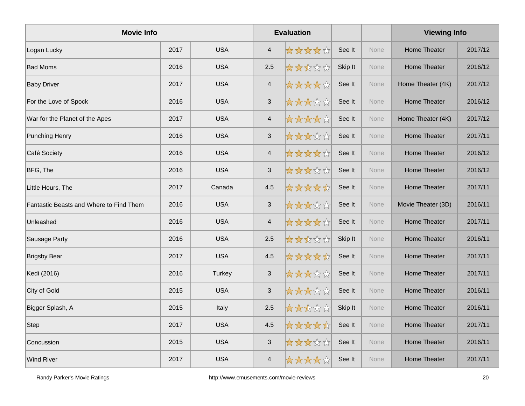| <b>Movie Info</b>                       |      |            |                           | <b>Evaluation</b> |         |      | <b>Viewing Info</b> |         |
|-----------------------------------------|------|------------|---------------------------|-------------------|---------|------|---------------------|---------|
| Logan Lucky                             | 2017 | <b>USA</b> | $\overline{4}$            | *****             | See It  | None | Home Theater        | 2017/12 |
| <b>Bad Moms</b>                         | 2016 | <b>USA</b> | 2.5                       | *****             | Skip It | None | <b>Home Theater</b> | 2016/12 |
| <b>Baby Driver</b>                      | 2017 | <b>USA</b> | $\overline{4}$            | *****             | See It  | None | Home Theater (4K)   | 2017/12 |
| For the Love of Spock                   | 2016 | <b>USA</b> | $\sqrt{3}$                | *****             | See It  | None | Home Theater        | 2016/12 |
| War for the Planet of the Apes          | 2017 | <b>USA</b> | $\overline{4}$            | *****             | See It  | None | Home Theater (4K)   | 2017/12 |
| <b>Punching Henry</b>                   | 2016 | <b>USA</b> | $\sqrt{3}$                | *****             | See It  | None | Home Theater        | 2017/11 |
| Café Society                            | 2016 | <b>USA</b> | $\overline{4}$            | *****             | See It  | None | <b>Home Theater</b> | 2016/12 |
| BFG, The                                | 2016 | <b>USA</b> | $\ensuremath{\mathsf{3}}$ | *****             | See It  | None | Home Theater        | 2016/12 |
| Little Hours, The                       | 2017 | Canada     | 4.5                       | *****             | See It  | None | Home Theater        | 2017/11 |
| Fantastic Beasts and Where to Find Them | 2016 | <b>USA</b> | $\sqrt{3}$                | *****             | See It  | None | Movie Theater (3D)  | 2016/11 |
| Unleashed                               | 2016 | <b>USA</b> | $\overline{4}$            | *****             | See It  | None | <b>Home Theater</b> | 2017/11 |
| Sausage Party                           | 2016 | <b>USA</b> | 2.5                       | *****             | Skip It | None | <b>Home Theater</b> | 2016/11 |
| <b>Brigsby Bear</b>                     | 2017 | <b>USA</b> | 4.5                       | *****             | See It  | None | <b>Home Theater</b> | 2017/11 |
| Kedi (2016)                             | 2016 | Turkey     | $\sqrt{3}$                | *****             | See It  | None | <b>Home Theater</b> | 2017/11 |
| City of Gold                            | 2015 | <b>USA</b> | 3                         | *****             | See It  | None | <b>Home Theater</b> | 2016/11 |
| Bigger Splash, A                        | 2015 | Italy      | 2.5                       | *****             | Skip It | None | Home Theater        | 2016/11 |
| <b>Step</b>                             | 2017 | <b>USA</b> | 4.5                       | *****             | See It  | None | Home Theater        | 2017/11 |
| Concussion                              | 2015 | <b>USA</b> | $\sqrt{3}$                | *****             | See It  | None | Home Theater        | 2016/11 |
| <b>Wind River</b>                       | 2017 | <b>USA</b> | $\overline{4}$            | *****             | See It  | None | Home Theater        | 2017/11 |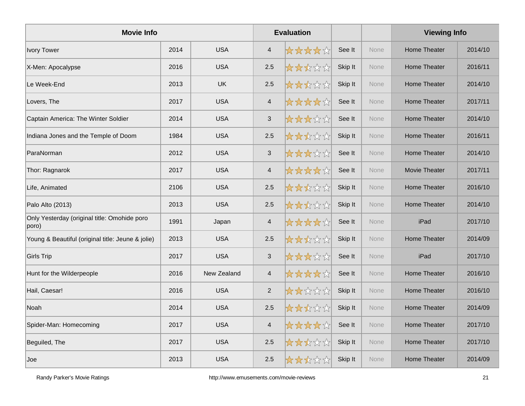| <b>Movie Info</b>                                     |      |             |                          | <b>Evaluation</b> |         |             | <b>Viewing Info</b> |         |
|-------------------------------------------------------|------|-------------|--------------------------|-------------------|---------|-------------|---------------------|---------|
| <b>Ivory Tower</b>                                    | 2014 | <b>USA</b>  | $\overline{4}$           | *****             | See It  | <b>None</b> | Home Theater        | 2014/10 |
| X-Men: Apocalypse                                     | 2016 | <b>USA</b>  | 2.5                      | *****             | Skip It | None        | <b>Home Theater</b> | 2016/11 |
| Le Week-End                                           | 2013 | <b>UK</b>   | 2.5                      | *****             | Skip It | None        | <b>Home Theater</b> | 2014/10 |
| Lovers, The                                           | 2017 | <b>USA</b>  | $\overline{4}$           | ☆☆☆☆☆             | See It  | None        | <b>Home Theater</b> | 2017/11 |
| Captain America: The Winter Soldier                   | 2014 | <b>USA</b>  | $\mathbf{3}$             | *****             | See It  | None        | Home Theater        | 2014/10 |
| Indiana Jones and the Temple of Doom                  | 1984 | <b>USA</b>  | 2.5                      | *****             | Skip It | None        | <b>Home Theater</b> | 2016/11 |
| ParaNorman                                            | 2012 | <b>USA</b>  | $\mathbf{3}$             | *****             | See It  | None        | <b>Home Theater</b> | 2014/10 |
| Thor: Ragnarok                                        | 2017 | <b>USA</b>  | $\overline{\mathbf{4}}$  | *****             | See It  | None        | Movie Theater       | 2017/11 |
| Life, Animated                                        | 2106 | <b>USA</b>  | 2.5                      | *****             | Skip It | None        | <b>Home Theater</b> | 2016/10 |
| Palo Alto (2013)                                      | 2013 | <b>USA</b>  | 2.5                      | *****             | Skip It | None        | <b>Home Theater</b> | 2014/10 |
| Only Yesterday (original title: Omohide poro<br>poro) | 1991 | Japan       | $\overline{\mathbf{4}}$  | ☆☆☆☆☆             | See It  | None        | iPad                | 2017/10 |
| Young & Beautiful (original title: Jeune & jolie)     | 2013 | <b>USA</b>  | 2.5                      | ☆☆☆☆☆             | Skip It | <b>None</b> | Home Theater        | 2014/09 |
| <b>Girls Trip</b>                                     | 2017 | <b>USA</b>  | $\mathbf{3}$             | *****             | See It  | None        | iPad                | 2017/10 |
| Hunt for the Wilderpeople                             | 2016 | New Zealand | $\overline{4}$           | *****             | See It  | None        | Home Theater        | 2016/10 |
| Hail, Caesar!                                         | 2016 | <b>USA</b>  | 2                        | 太太太太太             | Skip It | None        | Home Theater        | 2016/10 |
| Noah                                                  | 2014 | <b>USA</b>  | 2.5                      | ☆☆☆☆☆             | Skip It | None        | Home Theater        | 2014/09 |
| Spider-Man: Homecoming                                | 2017 | <b>USA</b>  | $\overline{\mathcal{A}}$ | ☆☆☆☆☆             | See It  | None        | <b>Home Theater</b> | 2017/10 |
| Beguiled, The                                         | 2017 | <b>USA</b>  | 2.5                      | *****             | Skip It | None        | Home Theater        | 2017/10 |
| Joe                                                   | 2013 | <b>USA</b>  | 2.5                      | *****             | Skip It | <b>None</b> | Home Theater        | 2014/09 |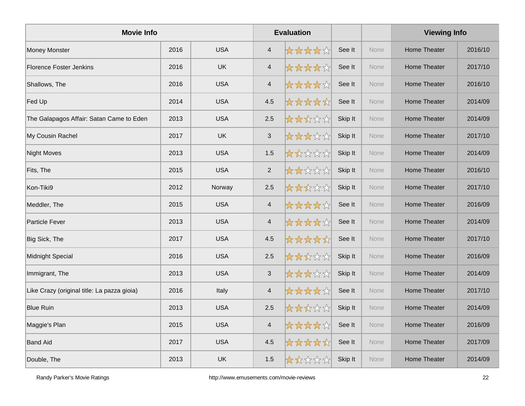| <b>Movie Info</b>                           |      |            |                          | <b>Evaluation</b> |         |      | <b>Viewing Info</b> |         |
|---------------------------------------------|------|------------|--------------------------|-------------------|---------|------|---------------------|---------|
| <b>Money Monster</b>                        | 2016 | <b>USA</b> | $\overline{4}$           | *****             | See It  | None | <b>Home Theater</b> | 2016/10 |
| <b>Florence Foster Jenkins</b>              | 2016 | <b>UK</b>  | $\overline{4}$           | ☆☆☆☆☆             | See It  | None | <b>Home Theater</b> | 2017/10 |
| Shallows, The                               | 2016 | <b>USA</b> | $\overline{4}$           | *****             | See It  | None | <b>Home Theater</b> | 2016/10 |
| Fed Up                                      | 2014 | <b>USA</b> | 4.5                      | *****             | See It  | None | <b>Home Theater</b> | 2014/09 |
| The Galapagos Affair: Satan Came to Eden    | 2013 | <b>USA</b> | 2.5                      | *****             | Skip It | None | Home Theater        | 2014/09 |
| My Cousin Rachel                            | 2017 | <b>UK</b>  | $\mathsf 3$              | *****             | Skip It | None | <b>Home Theater</b> | 2017/10 |
| <b>Night Moves</b>                          | 2013 | <b>USA</b> | 1.5                      | *****             | Skip It | None | <b>Home Theater</b> | 2014/09 |
| Fits, The                                   | 2015 | <b>USA</b> | 2                        | *****             | Skip It | None | <b>Home Theater</b> | 2016/10 |
| Kon-Tiki9                                   | 2012 | Norway     | 2.5                      | *****             | Skip It | None | <b>Home Theater</b> | 2017/10 |
| Meddler, The                                | 2015 | <b>USA</b> | $\overline{4}$           | ☆☆☆☆☆☆            | See It  | None | <b>Home Theater</b> | 2016/09 |
| <b>Particle Fever</b>                       | 2013 | <b>USA</b> | $\overline{\mathbf{4}}$  | ☆☆☆☆☆             | See It  | None | <b>Home Theater</b> | 2014/09 |
| Big Sick, The                               | 2017 | <b>USA</b> | 4.5                      | *****             | See It  | None | Home Theater        | 2017/10 |
| <b>Midnight Special</b>                     | 2016 | <b>USA</b> | 2.5                      | *****             | Skip It | None | <b>Home Theater</b> | 2016/09 |
| Immigrant, The                              | 2013 | <b>USA</b> | $\mathsf 3$              | *****             | Skip It | None | <b>Home Theater</b> | 2014/09 |
| Like Crazy (original title: La pazza gioia) | 2016 | Italy      | $\overline{4}$           | *****             | See It  | None | Home Theater        | 2017/10 |
| <b>Blue Ruin</b>                            | 2013 | <b>USA</b> | 2.5                      | ☆☆☆☆☆             | Skip It | None | Home Theater        | 2014/09 |
| Maggie's Plan                               | 2015 | <b>USA</b> | $\overline{\mathcal{A}}$ | ☆☆☆☆☆             | See It  | None | <b>Home Theater</b> | 2016/09 |
| <b>Band Aid</b>                             | 2017 | <b>USA</b> | 4.5                      | *****             | See It  | None | <b>Home Theater</b> | 2017/09 |
| Double, The                                 | 2013 | <b>UK</b>  | 1.5                      | *****             | Skip It | None | Home Theater        | 2014/09 |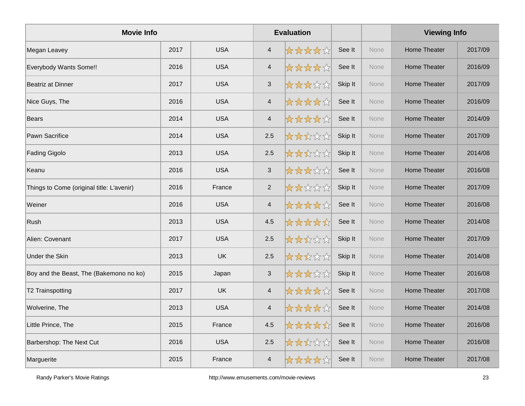| <b>Movie Info</b>                         |      |            | <b>Evaluation</b>        |        |         |      | <b>Viewing Info</b> |         |
|-------------------------------------------|------|------------|--------------------------|--------|---------|------|---------------------|---------|
| Megan Leavey                              | 2017 | <b>USA</b> | $\overline{4}$           | *****  | See It  | None | Home Theater        | 2017/09 |
| Everybody Wants Some!!                    | 2016 | <b>USA</b> | $\overline{\mathcal{A}}$ | ☆☆☆☆☆  | See It  | None | <b>Home Theater</b> | 2016/09 |
| <b>Beatriz at Dinner</b>                  | 2017 | <b>USA</b> | 3                        | *****  | Skip It | None | Home Theater        | 2017/09 |
| Nice Guys, The                            | 2016 | <b>USA</b> | $\sqrt{4}$               | *****  | See It  | None | Home Theater        | 2016/09 |
| <b>Bears</b>                              | 2014 | <b>USA</b> | $\overline{4}$           | *****  | See It  | None | Home Theater        | 2014/09 |
| Pawn Sacrifice                            | 2014 | <b>USA</b> | 2.5                      | *****  | Skip It | None | <b>Home Theater</b> | 2017/09 |
| Fading Gigolo                             | 2013 | <b>USA</b> | 2.5                      | *****  | Skip It | None | <b>Home Theater</b> | 2014/08 |
| Keanu                                     | 2016 | <b>USA</b> | $\sqrt{3}$               | *****  | See It  | None | <b>Home Theater</b> | 2016/08 |
| Things to Come (original title: L'avenir) | 2016 | France     | $\overline{2}$           | *****  | Skip It | None | Home Theater        | 2017/09 |
| Weiner                                    | 2016 | <b>USA</b> | $\overline{\mathbf{4}}$  | ☆☆☆☆☆☆ | See It  | None | <b>Home Theater</b> | 2016/08 |
| Rush                                      | 2013 | <b>USA</b> | 4.5                      | *****  | See It  | None | <b>Home Theater</b> | 2014/08 |
| Alien: Covenant                           | 2017 | <b>USA</b> | 2.5                      | *****  | Skip It | None | <b>Home Theater</b> | 2017/09 |
| <b>Under the Skin</b>                     | 2013 | <b>UK</b>  | 2.5                      | *****  | Skip It | None | Home Theater        | 2014/08 |
| Boy and the Beast, The (Bakemono no ko)   | 2015 | Japan      | $\sqrt{3}$               | *****  | Skip It | None | <b>Home Theater</b> | 2016/08 |
| T2 Trainspotting                          | 2017 | <b>UK</b>  | $\overline{4}$           | *****  | See It  | None | <b>Home Theater</b> | 2017/08 |
| Wolverine, The                            | 2013 | <b>USA</b> | $\overline{\mathbf{4}}$  | *****  | See It  | None | <b>Home Theater</b> | 2014/08 |
| Little Prince, The                        | 2015 | France     | 4.5                      | *****  | See It  | None | Home Theater        | 2016/08 |
| <b>Barbershop: The Next Cut</b>           | 2016 | <b>USA</b> | 2.5                      | *****  | See It  | None | <b>Home Theater</b> | 2016/08 |
| Marguerite                                | 2015 | France     | $\overline{4}$           | *****  | See It  | None | Home Theater        | 2017/08 |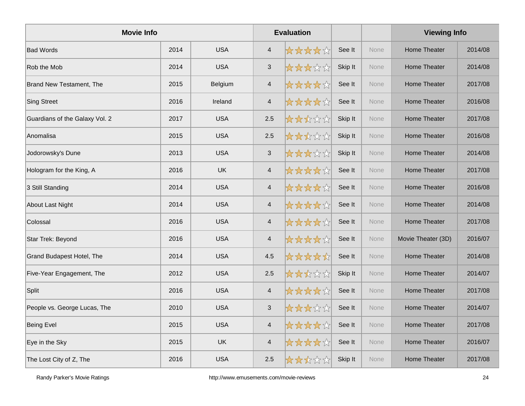| <b>Movie Info</b>              |      |            |                           | <b>Evaluation</b> |         |             | <b>Viewing Info</b> |         |
|--------------------------------|------|------------|---------------------------|-------------------|---------|-------------|---------------------|---------|
| <b>Bad Words</b>               | 2014 | <b>USA</b> | $\overline{4}$            | *****             | See It  | <b>None</b> | Home Theater        | 2014/08 |
| Rob the Mob                    | 2014 | <b>USA</b> | $\mathfrak{S}$            | ☆☆☆☆☆             | Skip It | None        | <b>Home Theater</b> | 2014/08 |
| Brand New Testament, The       | 2015 | Belgium    | $\overline{4}$            | *****             | See It  | None        | Home Theater        | 2017/08 |
| <b>Sing Street</b>             | 2016 | Ireland    | $\overline{\mathbf{4}}$   | *****             | See It  | None        | Home Theater        | 2016/08 |
| Guardians of the Galaxy Vol. 2 | 2017 | <b>USA</b> | 2.5                       | *****             | Skip It | None        | Home Theater        | 2017/08 |
| Anomalisa                      | 2015 | <b>USA</b> | 2.5                       | *****             | Skip It | None        | <b>Home Theater</b> | 2016/08 |
| Jodorowsky's Dune              | 2013 | <b>USA</b> | $\mathbf{3}$              | *****             | Skip It | None        | <b>Home Theater</b> | 2014/08 |
| Hologram for the King, A       | 2016 | <b>UK</b>  | $\overline{4}$            | *****             | See It  | None        | <b>Home Theater</b> | 2017/08 |
| 3 Still Standing               | 2014 | <b>USA</b> | $\overline{4}$            | *****             | See It  | None        | <b>Home Theater</b> | 2016/08 |
| About Last Night               | 2014 | <b>USA</b> | $\overline{\mathcal{A}}$  | *****             | See It  | None        | <b>Home Theater</b> | 2014/08 |
| Colossal                       | 2016 | <b>USA</b> | $\overline{4}$            | *****             | See It  | None        | <b>Home Theater</b> | 2017/08 |
| Star Trek: Beyond              | 2016 | <b>USA</b> | $\overline{\mathcal{A}}$  | ☆☆☆☆☆☆            | See It  | None        | Movie Theater (3D)  | 2016/07 |
| Grand Budapest Hotel, The      | 2014 | <b>USA</b> | 4.5                       | *****             | See It  | None        | <b>Home Theater</b> | 2014/08 |
| Five-Year Engagement, The      | 2012 | <b>USA</b> | 2.5                       | *****             | Skip It | None        | <b>Home Theater</b> | 2014/07 |
| Split                          | 2016 | <b>USA</b> | $\overline{4}$            | *****             | See It  | None        | <b>Home Theater</b> | 2017/08 |
| People vs. George Lucas, The   | 2010 | <b>USA</b> | $\ensuremath{\mathsf{3}}$ | *****             | See It  | None        | <b>Home Theater</b> | 2014/07 |
| <b>Being Evel</b>              | 2015 | <b>USA</b> | $\overline{\mathbf{4}}$   | ☆☆☆☆☆             | See It  | None        | <b>Home Theater</b> | 2017/08 |
| Eye in the Sky                 | 2015 | <b>UK</b>  | $\overline{\mathbf{4}}$   | ☆☆☆☆☆☆            | See It  | None        | <b>Home Theater</b> | 2016/07 |
| The Lost City of Z, The        | 2016 | <b>USA</b> | 2.5                       | *****             | Skip It | None        | Home Theater        | 2017/08 |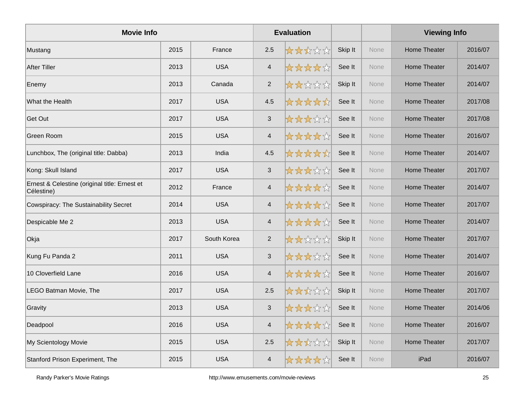| <b>Movie Info</b>                                           |      |             |                          | <b>Evaluation</b> |         |             | <b>Viewing Info</b> |         |
|-------------------------------------------------------------|------|-------------|--------------------------|-------------------|---------|-------------|---------------------|---------|
| Mustang                                                     | 2015 | France      | 2.5                      | ☆☆☆☆☆             | Skip It | <b>None</b> | Home Theater        | 2016/07 |
| <b>After Tiller</b>                                         | 2013 | <b>USA</b>  | $\overline{4}$           | ☆☆☆☆☆             | See It  | None        | <b>Home Theater</b> | 2014/07 |
| Enemy                                                       | 2013 | Canada      | 2                        | *****             | Skip It | None        | Home Theater        | 2014/07 |
| What the Health                                             | 2017 | <b>USA</b>  | 4.5                      | *****             | See It  | None        | Home Theater        | 2017/08 |
| Get Out                                                     | 2017 | <b>USA</b>  | 3                        | *****             | See It  | <b>None</b> | Home Theater        | 2017/08 |
| <b>Green Room</b>                                           | 2015 | <b>USA</b>  | $\overline{\mathcal{A}}$ | *****             | See It  | <b>None</b> | <b>Home Theater</b> | 2016/07 |
| Lunchbox, The (original title: Dabba)                       | 2013 | India       | 4.5                      | *****             | See It  | None        | <b>Home Theater</b> | 2014/07 |
| Kong: Skull Island                                          | 2017 | <b>USA</b>  | $\sqrt{3}$               | ☆☆☆☆☆☆            | See It  | None        | <b>Home Theater</b> | 2017/07 |
| Ernest & Celestine (original title: Ernest et<br>Célestine) | 2012 | France      | $\overline{4}$           | ☆☆☆☆☆             | See It  | <b>None</b> | Home Theater        | 2014/07 |
| <b>Cowspiracy: The Sustainability Secret</b>                | 2014 | <b>USA</b>  | $\overline{\mathcal{A}}$ | *****             | See It  | None        | <b>Home Theater</b> | 2017/07 |
| Despicable Me 2                                             | 2013 | <b>USA</b>  | $\overline{4}$           | *****             | See It  | None        | <b>Home Theater</b> | 2014/07 |
| Okja                                                        | 2017 | South Korea | 2                        | *****             | Skip It | None        | <b>Home Theater</b> | 2017/07 |
| Kung Fu Panda 2                                             | 2011 | <b>USA</b>  | 3                        | *****             | See It  | None        | Home Theater        | 2014/07 |
| 10 Cloverfield Lane                                         | 2016 | <b>USA</b>  | $\overline{\mathcal{A}}$ | *****             | See It  | None        | <b>Home Theater</b> | 2016/07 |
| LEGO Batman Movie, The                                      | 2017 | <b>USA</b>  | 2.5                      | *****             | Skip It | None        | <b>Home Theater</b> | 2017/07 |
| Gravity                                                     | 2013 | <b>USA</b>  | $\sqrt{3}$               | ☆☆☆☆☆☆            | See It  | None        | <b>Home Theater</b> | 2014/06 |
| Deadpool                                                    | 2016 | <b>USA</b>  | $\overline{\mathbf{4}}$  | *****             | See It  | None        | Home Theater        | 2016/07 |
| My Scientology Movie                                        | 2015 | <b>USA</b>  | 2.5                      | ☆☆☆☆☆             | Skip It | None        | <b>Home Theater</b> | 2017/07 |
| Stanford Prison Experiment, The                             | 2015 | <b>USA</b>  | $\overline{\mathcal{L}}$ | ☆☆☆☆☆☆            | See It  | None        | iPad                | 2016/07 |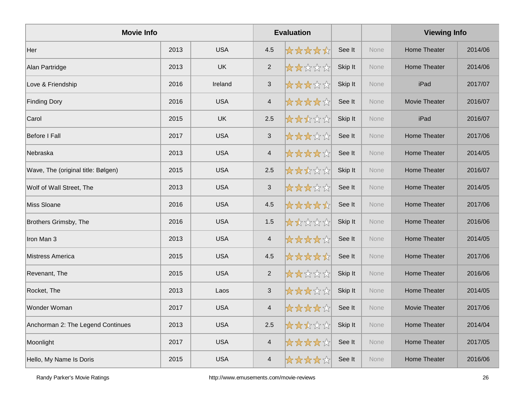| <b>Movie Info</b>                  |      |            |                         | <b>Evaluation</b> |         |      | <b>Viewing Info</b>  |         |
|------------------------------------|------|------------|-------------------------|-------------------|---------|------|----------------------|---------|
| Her                                | 2013 | <b>USA</b> | 4.5                     | *****             | See It  | None | <b>Home Theater</b>  | 2014/06 |
| Alan Partridge                     | 2013 | <b>UK</b>  | $\sqrt{2}$              | *****             | Skip It | None | <b>Home Theater</b>  | 2014/06 |
| Love & Friendship                  | 2016 | Ireland    | 3                       | *****             | Skip It | None | iPad                 | 2017/07 |
| <b>Finding Dory</b>                | 2016 | <b>USA</b> | $\overline{4}$          | *****             | See It  | None | <b>Movie Theater</b> | 2016/07 |
| Carol                              | 2015 | <b>UK</b>  | 2.5                     | *****             | Skip It | None | iPad                 | 2016/07 |
| Before I Fall                      | 2017 | <b>USA</b> | $\sqrt{3}$              | *****             | See It  | None | <b>Home Theater</b>  | 2017/06 |
| Nebraska                           | 2013 | <b>USA</b> | $\overline{4}$          | *****             | See It  | None | <b>Home Theater</b>  | 2014/05 |
| Wave, The (original title: Bølgen) | 2015 | <b>USA</b> | 2.5                     | *****             | Skip It | None | <b>Home Theater</b>  | 2016/07 |
| Wolf of Wall Street, The           | 2013 | <b>USA</b> | $\sqrt{3}$              | *****             | See It  | None | <b>Home Theater</b>  | 2014/05 |
| Miss Sloane                        | 2016 | <b>USA</b> | 4.5                     | *****             | See It  | None | <b>Home Theater</b>  | 2017/06 |
| Brothers Grimsby, The              | 2016 | <b>USA</b> | 1.5                     | *****             | Skip It | None | Home Theater         | 2016/06 |
| Iron Man 3                         | 2013 | <b>USA</b> | $\overline{4}$          | *****             | See It  | None | Home Theater         | 2014/05 |
| Mistress America                   | 2015 | <b>USA</b> | 4.5                     | *****             | See It  | None | <b>Home Theater</b>  | 2017/06 |
| Revenant, The                      | 2015 | <b>USA</b> | $\sqrt{2}$              | *****             | Skip It | None | Home Theater         | 2016/06 |
| Rocket, The                        | 2013 | Laos       | 3                       | *****             | Skip It | None | <b>Home Theater</b>  | 2014/05 |
| Wonder Woman                       | 2017 | <b>USA</b> | $\overline{\mathbf{4}}$ | *****             | See It  | None | Movie Theater        | 2017/06 |
| Anchorman 2: The Legend Continues  | 2013 | <b>USA</b> | 2.5                     | *****             | Skip It | None | <b>Home Theater</b>  | 2014/04 |
| Moonlight                          | 2017 | <b>USA</b> | $\overline{4}$          | ☆☆☆☆☆☆            | See It  | None | Home Theater         | 2017/05 |
| Hello, My Name Is Doris            | 2015 | <b>USA</b> | $\overline{4}$          | *****             | See It  | None | <b>Home Theater</b>  | 2016/06 |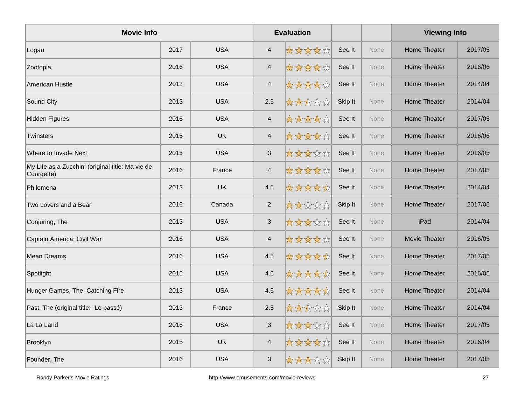| <b>Movie Info</b>                                              |      |            |                          | <b>Evaluation</b> |         |             | <b>Viewing Info</b>  |         |
|----------------------------------------------------------------|------|------------|--------------------------|-------------------|---------|-------------|----------------------|---------|
| Logan                                                          | 2017 | <b>USA</b> | $\overline{4}$           | *****             | See It  | None        | Home Theater         | 2017/05 |
| Zootopia                                                       | 2016 | <b>USA</b> | $\overline{\mathcal{A}}$ | *****             | See It  | None        | <b>Home Theater</b>  | 2016/06 |
| American Hustle                                                | 2013 | <b>USA</b> | $\overline{4}$           | *****             | See It  | None        | Home Theater         | 2014/04 |
| Sound City                                                     | 2013 | <b>USA</b> | 2.5                      | *****             | Skip It | None        | <b>Home Theater</b>  | 2014/04 |
| <b>Hidden Figures</b>                                          | 2016 | <b>USA</b> | $\overline{\mathbf{4}}$  | *****             | See It  | None        | Home Theater         | 2017/05 |
| Twinsters                                                      | 2015 | <b>UK</b>  | $\overline{\mathcal{A}}$ | *****             | See It  | None        | Home Theater         | 2016/06 |
| Where to Invade Next                                           | 2015 | <b>USA</b> | $\sqrt{3}$               | *****             | See It  | None        | Home Theater         | 2016/05 |
| My Life as a Zucchini (original title: Ma vie de<br>Courgette) | 2016 | France     | $\overline{\mathcal{A}}$ | *****             | See It  | <b>None</b> | <b>Home Theater</b>  | 2017/05 |
| Philomena                                                      | 2013 | <b>UK</b>  | 4.5                      | *****             | See It  | None        | <b>Home Theater</b>  | 2014/04 |
| Two Lovers and a Bear                                          | 2016 | Canada     | $\overline{2}$           | *****             | Skip It | None        | <b>Home Theater</b>  | 2017/05 |
| Conjuring, The                                                 | 2013 | <b>USA</b> | $\mathbf{3}$             | *****             | See It  | None        | iPad                 | 2014/04 |
| Captain America: Civil War                                     | 2016 | <b>USA</b> | $\overline{\mathbf{4}}$  | *****             | See It  | None        | <b>Movie Theater</b> | 2016/05 |
| <b>Mean Dreams</b>                                             | 2016 | <b>USA</b> | 4.5                      | *****             | See It  | <b>None</b> | Home Theater         | 2017/05 |
| Spotlight                                                      | 2015 | <b>USA</b> | 4.5                      | *****             | See It  | None        | <b>Home Theater</b>  | 2016/05 |
| Hunger Games, The: Catching Fire                               | 2013 | <b>USA</b> | 4.5                      | *****             | See It  | None        | <b>Home Theater</b>  | 2014/04 |
| Past, The (original title: "Le passé)                          | 2013 | France     | 2.5                      | ☆☆☆☆☆             | Skip It | None        | <b>Home Theater</b>  | 2014/04 |
| La La Land                                                     | 2016 | <b>USA</b> | $\sqrt{3}$               | *****             | See It  | None        | Home Theater         | 2017/05 |
| Brooklyn                                                       | 2015 | <b>UK</b>  | $\overline{\mathcal{A}}$ | ☆☆☆☆☆             | See It  | None        | <b>Home Theater</b>  | 2016/04 |
| Founder, The                                                   | 2016 | <b>USA</b> | $\mathfrak{S}$           | *****             | Skip It | None        | Home Theater         | 2017/05 |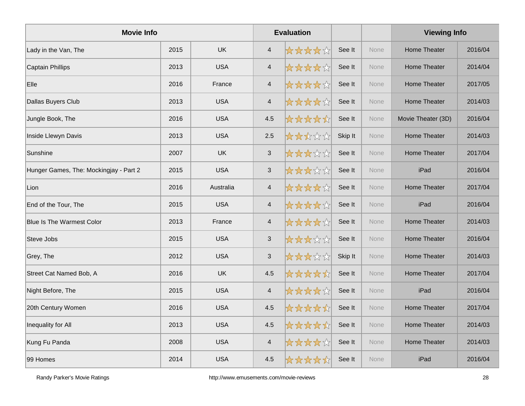| <b>Movie Info</b>                      |      |            |                          | <b>Evaluation</b> |         |      | <b>Viewing Info</b> |         |
|----------------------------------------|------|------------|--------------------------|-------------------|---------|------|---------------------|---------|
| Lady in the Van, The                   | 2015 | <b>UK</b>  | $\overline{4}$           | *****             | See It  | None | Home Theater        | 2016/04 |
| <b>Captain Phillips</b>                | 2013 | <b>USA</b> | $\overline{\mathcal{A}}$ | *****             | See It  | None | <b>Home Theater</b> | 2014/04 |
| Elle                                   | 2016 | France     | $\overline{\mathcal{L}}$ | *****             | See It  | None | Home Theater        | 2017/05 |
| Dallas Buyers Club                     | 2013 | <b>USA</b> | $\overline{\mathbf{4}}$  | *****             | See It  | None | Home Theater        | 2014/03 |
| Jungle Book, The                       | 2016 | <b>USA</b> | 4.5                      | *****             | See It  | None | Movie Theater (3D)  | 2016/04 |
| Inside Llewyn Davis                    | 2013 | <b>USA</b> | 2.5                      | *****             | Skip It | None | <b>Home Theater</b> | 2014/03 |
| Sunshine                               | 2007 | <b>UK</b>  | $\mathbf{3}$             | *****             | See It  | None | <b>Home Theater</b> | 2017/04 |
| Hunger Games, The: Mockingjay - Part 2 | 2015 | <b>USA</b> | $\mathbf{3}$             | *****             | See It  | None | iPad                | 2016/04 |
| Lion                                   | 2016 | Australia  | $\overline{\mathcal{A}}$ | *****             | See It  | None | Home Theater        | 2017/04 |
| End of the Tour, The                   | 2015 | <b>USA</b> | $\overline{\mathbf{4}}$  | *****             | See It  | None | iPad                | 2016/04 |
| <b>Blue Is The Warmest Color</b>       | 2013 | France     | $\overline{4}$           | *****             | See It  | None | Home Theater        | 2014/03 |
| Steve Jobs                             | 2015 | <b>USA</b> | $\mathbf{3}$             | *****             | See It  | None | Home Theater        | 2016/04 |
| Grey, The                              | 2012 | <b>USA</b> | $\sqrt{3}$               | *****             | Skip It | None | <b>Home Theater</b> | 2014/03 |
| Street Cat Named Bob, A                | 2016 | <b>UK</b>  | 4.5                      | *****             | See It  | None | <b>Home Theater</b> | 2017/04 |
| Night Before, The                      | 2015 | <b>USA</b> | $\overline{4}$           | *****             | See It  | None | iPad                | 2016/04 |
| 20th Century Women                     | 2016 | <b>USA</b> | 4.5                      | *****             | See It  | None | Home Theater        | 2017/04 |
| Inequality for All                     | 2013 | <b>USA</b> | 4.5                      | *****             | See It  | None | Home Theater        | 2014/03 |
| Kung Fu Panda                          | 2008 | <b>USA</b> | $\overline{\mathcal{A}}$ | *****             | See It  | None | <b>Home Theater</b> | 2014/03 |
| 99 Homes                               | 2014 | <b>USA</b> | 4.5                      | *****             | See It  | None | iPad                | 2016/04 |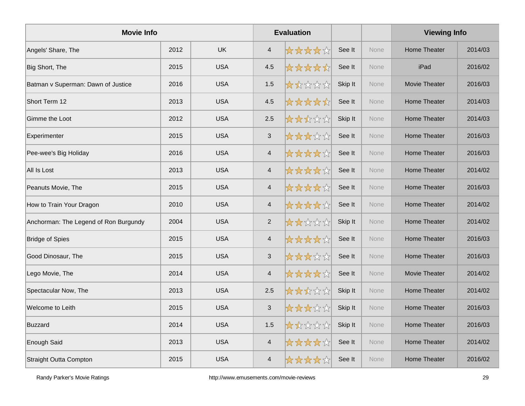| <b>Movie Info</b>                     |      |            | <b>Evaluation</b>        |        |         |             | <b>Viewing Info</b>  |         |
|---------------------------------------|------|------------|--------------------------|--------|---------|-------------|----------------------|---------|
| Angels' Share, The                    | 2012 | <b>UK</b>  | $\overline{4}$           | ☆☆☆☆☆  | See It  | <b>None</b> | <b>Home Theater</b>  | 2014/03 |
| Big Short, The                        | 2015 | <b>USA</b> | 4.5                      | *****  | See It  | None        | iPad                 | 2016/02 |
| Batman v Superman: Dawn of Justice    | 2016 | <b>USA</b> | 1.5                      | *****  | Skip It | None        | <b>Movie Theater</b> | 2016/03 |
| Short Term 12                         | 2013 | <b>USA</b> | 4.5                      | *****  | See It  | None        | Home Theater         | 2014/03 |
| Gimme the Loot                        | 2012 | <b>USA</b> | 2.5                      | *****  | Skip It | None        | Home Theater         | 2014/03 |
| Experimenter                          | 2015 | <b>USA</b> | $\mathbf{3}$             | *****  | See It  | None        | <b>Home Theater</b>  | 2016/03 |
| Pee-wee's Big Holiday                 | 2016 | <b>USA</b> | $\overline{4}$           | *****  | See It  | None        | Home Theater         | 2016/03 |
| All Is Lost                           | 2013 | <b>USA</b> | $\overline{4}$           | *****  | See It  | None        | <b>Home Theater</b>  | 2014/02 |
| Peanuts Movie, The                    | 2015 | <b>USA</b> | $\overline{4}$           | *****  | See It  | None        | <b>Home Theater</b>  | 2016/03 |
| How to Train Your Dragon              | 2010 | <b>USA</b> | $\overline{\mathcal{A}}$ | ☆☆☆☆☆  | See It  | None        | <b>Home Theater</b>  | 2014/02 |
| Anchorman: The Legend of Ron Burgundy | 2004 | <b>USA</b> | 2                        | *****  | Skip It | None        | <b>Home Theater</b>  | 2014/02 |
| <b>Bridge of Spies</b>                | 2015 | <b>USA</b> | $\overline{4}$           | ☆☆☆☆☆☆ | See It  | None        | Home Theater         | 2016/03 |
| Good Dinosaur, The                    | 2015 | <b>USA</b> | $\sqrt{3}$               | *****  | See It  | None        | <b>Home Theater</b>  | 2016/03 |
| Lego Movie, The                       | 2014 | <b>USA</b> | $\overline{\mathbf{4}}$  | *****  | See It  | None        | Movie Theater        | 2014/02 |
| Spectacular Now, The                  | 2013 | <b>USA</b> | 2.5                      | *****  | Skip It | None        | <b>Home Theater</b>  | 2014/02 |
| Welcome to Leith                      | 2015 | <b>USA</b> | $\sqrt{3}$               | *****  | Skip It | None        | <b>Home Theater</b>  | 2016/03 |
| <b>Buzzard</b>                        | 2014 | <b>USA</b> | 1.5                      | 女女女女女  | Skip It | None        | <b>Home Theater</b>  | 2016/03 |
| Enough Said                           | 2013 | <b>USA</b> | $\overline{\mathbf{4}}$  | ☆☆☆☆☆☆ | See It  | None        | <b>Home Theater</b>  | 2014/02 |
| <b>Straight Outta Compton</b>         | 2015 | <b>USA</b> | $\overline{\mathcal{L}}$ | ☆☆☆☆☆  | See It  | None        | Home Theater         | 2016/02 |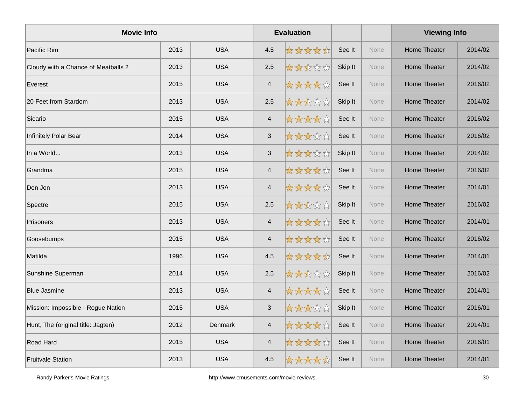| <b>Movie Info</b>                   |      |                |                          | <b>Evaluation</b> |         |      | <b>Viewing Info</b> |         |
|-------------------------------------|------|----------------|--------------------------|-------------------|---------|------|---------------------|---------|
| Pacific Rim                         | 2013 | <b>USA</b>     | 4.5                      | *****             | See It  | None | <b>Home Theater</b> | 2014/02 |
| Cloudy with a Chance of Meatballs 2 | 2013 | <b>USA</b>     | 2.5                      | *****             | Skip It | None | <b>Home Theater</b> | 2014/02 |
| Everest                             | 2015 | <b>USA</b>     | $\overline{4}$           | *****             | See It  | None | <b>Home Theater</b> | 2016/02 |
| 20 Feet from Stardom                | 2013 | <b>USA</b>     | 2.5                      | *****             | Skip It | None | <b>Home Theater</b> | 2014/02 |
| Sicario                             | 2015 | <b>USA</b>     | $\overline{4}$           | *****             | See It  | None | <b>Home Theater</b> | 2016/02 |
| Infinitely Polar Bear               | 2014 | <b>USA</b>     | $\sqrt{3}$               | *****             | See It  | None | <b>Home Theater</b> | 2016/02 |
| In a World                          | 2013 | <b>USA</b>     | $\sqrt{3}$               | *****             | Skip It | None | <b>Home Theater</b> | 2014/02 |
| Grandma                             | 2015 | <b>USA</b>     | $\overline{4}$           | ☆☆☆☆☆             | See It  | None | <b>Home Theater</b> | 2016/02 |
| Don Jon                             | 2013 | <b>USA</b>     | $\overline{4}$           | *****             | See It  | None | <b>Home Theater</b> | 2014/01 |
| Spectre                             | 2015 | <b>USA</b>     | 2.5                      | *****             | Skip It | None | <b>Home Theater</b> | 2016/02 |
| Prisoners                           | 2013 | <b>USA</b>     | $\overline{4}$           | ☆☆☆☆☆             | See It  | None | <b>Home Theater</b> | 2014/01 |
| Goosebumps                          | 2015 | <b>USA</b>     | $\overline{4}$           | ☆☆☆☆☆             | See It  | None | <b>Home Theater</b> | 2016/02 |
| Matilda                             | 1996 | <b>USA</b>     | 4.5                      | *****             | See It  | None | <b>Home Theater</b> | 2014/01 |
| Sunshine Superman                   | 2014 | <b>USA</b>     | 2.5                      | *****             | Skip It | None | <b>Home Theater</b> | 2016/02 |
| <b>Blue Jasmine</b>                 | 2013 | <b>USA</b>     | $\overline{4}$           | *****             | See It  | None | <b>Home Theater</b> | 2014/01 |
| Mission: Impossible - Rogue Nation  | 2015 | <b>USA</b>     | $\mathsf 3$              | 女女女女众             | Skip It | None | <b>Home Theater</b> | 2016/01 |
| Hunt, The (original title: Jagten)  | 2012 | <b>Denmark</b> | $\overline{4}$           | *****             | See It  | None | <b>Home Theater</b> | 2014/01 |
| Road Hard                           | 2015 | <b>USA</b>     | $\overline{\mathcal{L}}$ | ☆☆☆☆☆             | See It  | None | Home Theater        | 2016/01 |
| <b>Fruitvale Station</b>            | 2013 | <b>USA</b>     | 4.5                      | *****             | See It  | None | <b>Home Theater</b> | 2014/01 |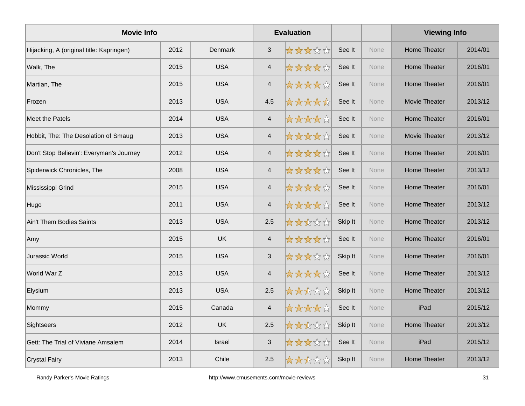| <b>Movie Info</b>                        |      |               |                           | <b>Evaluation</b> |         |             | <b>Viewing Info</b>  |         |
|------------------------------------------|------|---------------|---------------------------|-------------------|---------|-------------|----------------------|---------|
| Hijacking, A (original title: Kapringen) | 2012 | Denmark       | $\mathbf{3}$              | *****             | See It  | <b>None</b> | <b>Home Theater</b>  | 2014/01 |
| Walk, The                                | 2015 | <b>USA</b>    | $\overline{\mathcal{A}}$  | *****             | See It  | None        | <b>Home Theater</b>  | 2016/01 |
| Martian, The                             | 2015 | <b>USA</b>    | $\overline{4}$            | *****             | See It  | None        | <b>Home Theater</b>  | 2016/01 |
| Frozen                                   | 2013 | <b>USA</b>    | 4.5                       | *****             | See It  | None        | <b>Movie Theater</b> | 2013/12 |
| <b>Meet the Patels</b>                   | 2014 | <b>USA</b>    | $\overline{4}$            | *****             | See It  | <b>None</b> | <b>Home Theater</b>  | 2016/01 |
| Hobbit, The: The Desolation of Smaug     | 2013 | <b>USA</b>    | $\overline{4}$            | *****             | See It  | None        | <b>Movie Theater</b> | 2013/12 |
| Don't Stop Believin': Everyman's Journey | 2012 | <b>USA</b>    | $\overline{4}$            | *****             | See It  | None        | <b>Home Theater</b>  | 2016/01 |
| Spiderwick Chronicles, The               | 2008 | <b>USA</b>    | $\overline{\mathcal{A}}$  | *****             | See It  | None        | <b>Home Theater</b>  | 2013/12 |
| Mississippi Grind                        | 2015 | <b>USA</b>    | $\overline{4}$            | *****             | See It  | <b>None</b> | <b>Home Theater</b>  | 2016/01 |
| Hugo                                     | 2011 | <b>USA</b>    | $\overline{\mathcal{A}}$  | *****             | See It  | None        | <b>Home Theater</b>  | 2013/12 |
| Ain't Them Bodies Saints                 | 2013 | <b>USA</b>    | 2.5                       | *****             | Skip It | None        | <b>Home Theater</b>  | 2013/12 |
| Amy                                      | 2015 | <b>UK</b>     | $\overline{\mathcal{A}}$  | *****             | See It  | None        | <b>Home Theater</b>  | 2016/01 |
| Jurassic World                           | 2015 | <b>USA</b>    | $\sqrt{3}$                | *****             | Skip It | None        | Home Theater         | 2016/01 |
| World War Z                              | 2013 | <b>USA</b>    | $\overline{\mathcal{A}}$  | *****             | See It  | None        | <b>Home Theater</b>  | 2013/12 |
| Elysium                                  | 2013 | <b>USA</b>    | 2.5                       | *****             | Skip It | None        | <b>Home Theater</b>  | 2013/12 |
| Mommy                                    | 2015 | Canada        | $\overline{4}$            | *****             | See It  | None        | iPad                 | 2015/12 |
| Sightseers                               | 2012 | <b>UK</b>     | 2.5                       | *****             | Skip It | None        | Home Theater         | 2013/12 |
| Gett: The Trial of Viviane Amsalem       | 2014 | <b>Israel</b> | $\ensuremath{\mathsf{3}}$ | *****             | See It  | None        | iPad                 | 2015/12 |
| <b>Crystal Fairy</b>                     | 2013 | Chile         | 2.5                       | *****             | Skip It | None        | <b>Home Theater</b>  | 2013/12 |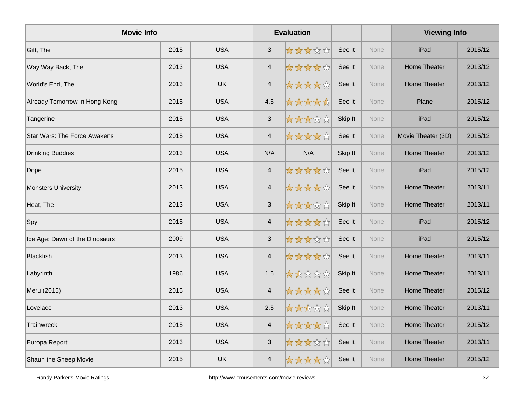| <b>Movie Info</b>                   |      |            |                           | <b>Evaluation</b> |         |             | <b>Viewing Info</b> |         |
|-------------------------------------|------|------------|---------------------------|-------------------|---------|-------------|---------------------|---------|
| Gift, The                           | 2015 | <b>USA</b> | $\sqrt{3}$                | *****             | See It  | <b>None</b> | iPad                | 2015/12 |
| Way Way Back, The                   | 2013 | <b>USA</b> | $\overline{\mathcal{A}}$  | *****             | See It  | None        | <b>Home Theater</b> | 2013/12 |
| World's End, The                    | 2013 | <b>UK</b>  | $\overline{4}$            | *****             | See It  | None        | Home Theater        | 2013/12 |
| Already Tomorrow in Hong Kong       | 2015 | <b>USA</b> | 4.5                       | *****             | See It  | None        | Plane               | 2015/12 |
| Tangerine                           | 2015 | <b>USA</b> | $\sqrt{3}$                | *****             | Skip It | None        | iPad                | 2015/12 |
| <b>Star Wars: The Force Awakens</b> | 2015 | <b>USA</b> | $\overline{\mathcal{A}}$  | *****             | See It  | None        | Movie Theater (3D)  | 2015/12 |
| <b>Drinking Buddies</b>             | 2013 | <b>USA</b> | N/A                       | N/A               | Skip It | None        | <b>Home Theater</b> | 2013/12 |
| Dope                                | 2015 | <b>USA</b> | $\overline{4}$            | ☆☆☆☆☆             | See It  | None        | iPad                | 2015/12 |
| Monsters University                 | 2013 | <b>USA</b> | $\overline{4}$            | *****             | See It  | None        | <b>Home Theater</b> | 2013/11 |
| Heat, The                           | 2013 | <b>USA</b> | $\ensuremath{\mathsf{3}}$ | *****             | Skip It | None        | <b>Home Theater</b> | 2013/11 |
| Spy                                 | 2015 | <b>USA</b> | $\overline{4}$            | *****             | See It  | None        | iPad                | 2015/12 |
| Ice Age: Dawn of the Dinosaurs      | 2009 | <b>USA</b> | $\sqrt{3}$                | *****             | See It  | None        | iPad                | 2015/12 |
| Blackfish                           | 2013 | <b>USA</b> | $\overline{\mathcal{A}}$  | *****             | See It  | None        | <b>Home Theater</b> | 2013/11 |
| Labyrinth                           | 1986 | <b>USA</b> | 1.5                       | *****             | Skip It | None        | <b>Home Theater</b> | 2013/11 |
| Meru (2015)                         | 2015 | <b>USA</b> | $\overline{4}$            | *****             | See It  | None        | <b>Home Theater</b> | 2015/12 |
| Lovelace                            | 2013 | <b>USA</b> | 2.5                       | ☆☆☆☆☆             | Skip It | None        | Home Theater        | 2013/11 |
| Trainwreck                          | 2015 | <b>USA</b> | $\overline{4}$            | *****             | See It  | None        | <b>Home Theater</b> | 2015/12 |
| Europa Report                       | 2013 | <b>USA</b> | $\ensuremath{\mathsf{3}}$ | *****             | See It  | None        | <b>Home Theater</b> | 2013/11 |
| Shaun the Sheep Movie               | 2015 | UK         | $\overline{\mathcal{L}}$  | ☆☆☆☆☆             | See It  | None        | <b>Home Theater</b> | 2015/12 |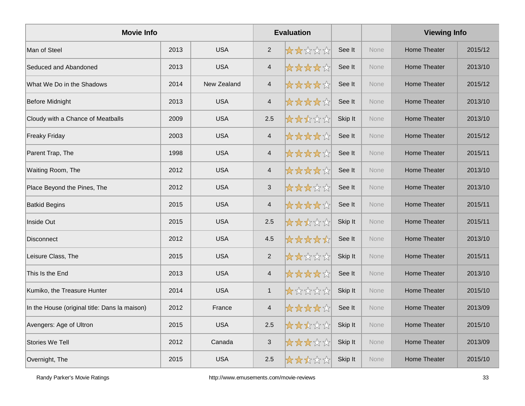| <b>Movie Info</b>                             |      |             |                           | <b>Evaluation</b> |         |             | <b>Viewing Info</b> |         |
|-----------------------------------------------|------|-------------|---------------------------|-------------------|---------|-------------|---------------------|---------|
| Man of Steel                                  | 2013 | <b>USA</b>  | $\overline{2}$            | *****             | See It  | None        | <b>Home Theater</b> | 2015/12 |
| Seduced and Abandoned                         | 2013 | <b>USA</b>  | $\overline{\mathcal{A}}$  | *****             | See It  | <b>None</b> | <b>Home Theater</b> | 2013/10 |
| What We Do in the Shadows                     | 2014 | New Zealand | $\overline{4}$            | *****             | See It  | None        | Home Theater        | 2015/12 |
| <b>Before Midnight</b>                        | 2013 | <b>USA</b>  | $\overline{\mathcal{A}}$  | *****             | See It  | None        | Home Theater        | 2013/10 |
| Cloudy with a Chance of Meatballs             | 2009 | <b>USA</b>  | 2.5                       | *****             | Skip It | None        | Home Theater        | 2013/10 |
| <b>Freaky Friday</b>                          | 2003 | <b>USA</b>  | $\overline{\mathcal{A}}$  | *****             | See It  | None        | <b>Home Theater</b> | 2015/12 |
| Parent Trap, The                              | 1998 | <b>USA</b>  | $\overline{4}$            | *****             | See It  | None        | Home Theater        | 2015/11 |
| Waiting Room, The                             | 2012 | <b>USA</b>  | $\overline{4}$            | *****             | See It  | <b>None</b> | Home Theater        | 2013/10 |
| Place Beyond the Pines, The                   | 2012 | <b>USA</b>  | $\mathbf{3}$              | *****             | See It  | None        | <b>Home Theater</b> | 2013/10 |
| <b>Batkid Begins</b>                          | 2015 | <b>USA</b>  | $\overline{\mathcal{A}}$  | *****             | See It  | None        | <b>Home Theater</b> | 2015/11 |
| Inside Out                                    | 2015 | <b>USA</b>  | 2.5                       | *****             | Skip It | None        | <b>Home Theater</b> | 2015/11 |
| Disconnect                                    | 2012 | <b>USA</b>  | 4.5                       | *****             | See It  | None        | <b>Home Theater</b> | 2013/10 |
| Leisure Class, The                            | 2015 | <b>USA</b>  | 2                         | *****             | Skip It | None        | Home Theater        | 2015/11 |
| This Is the End                               | 2013 | <b>USA</b>  | $\overline{\mathcal{A}}$  | *****             | See It  | None        | <b>Home Theater</b> | 2013/10 |
| Kumiko, the Treasure Hunter                   | 2014 | <b>USA</b>  | $\mathbf{1}$              | *****             | Skip It | None        | <b>Home Theater</b> | 2015/10 |
| In the House (original title: Dans la maison) | 2012 | France      | $\overline{4}$            | ☆☆☆☆☆             | See It  | None        | <b>Home Theater</b> | 2013/09 |
| Avengers: Age of Ultron                       | 2015 | <b>USA</b>  | 2.5                       | ☆☆☆☆☆☆            | Skip It | None        | Home Theater        | 2015/10 |
| Stories We Tell                               | 2012 | Canada      | $\ensuremath{\mathsf{3}}$ | *****             | Skip It | None        | Home Theater        | 2013/09 |
| Overnight, The                                | 2015 | <b>USA</b>  | 2.5                       | ☆☆☆☆☆             | Skip It | None        | Home Theater        | 2015/10 |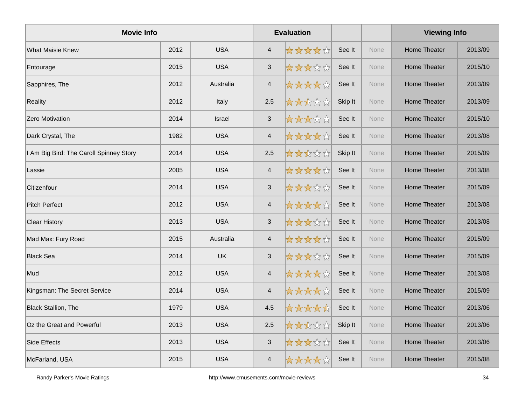| <b>Movie Info</b>                       |      |               |                           | <b>Evaluation</b> |         |      | <b>Viewing Info</b> |         |
|-----------------------------------------|------|---------------|---------------------------|-------------------|---------|------|---------------------|---------|
| <b>What Maisie Knew</b>                 | 2012 | <b>USA</b>    | $\overline{4}$            | *****             | See It  | None | Home Theater        | 2013/09 |
| Entourage                               | 2015 | <b>USA</b>    | $\ensuremath{\mathsf{3}}$ | *****             | See It  | None | <b>Home Theater</b> | 2015/10 |
| Sapphires, The                          | 2012 | Australia     | $\overline{4}$            | *****             | See It  | None | <b>Home Theater</b> | 2013/09 |
| Reality                                 | 2012 | Italy         | 2.5                       | *****             | Skip It | None | <b>Home Theater</b> | 2013/09 |
| <b>Zero Motivation</b>                  | 2014 | <b>Israel</b> | $\mathbf{3}$              | *****             | See It  | None | Home Theater        | 2015/10 |
| Dark Crystal, The                       | 1982 | <b>USA</b>    | $\overline{\mathbf{4}}$   | *****             | See It  | None | <b>Home Theater</b> | 2013/08 |
| I Am Big Bird: The Caroll Spinney Story | 2014 | <b>USA</b>    | 2.5                       | *****             | Skip It | None | <b>Home Theater</b> | 2015/09 |
| Lassie                                  | 2005 | <b>USA</b>    | $\overline{\mathbf{4}}$   | ☆☆☆☆☆             | See It  | None | Home Theater        | 2013/08 |
| Citizenfour                             | 2014 | <b>USA</b>    | $\mathsf 3$               | *****             | See It  | None | <b>Home Theater</b> | 2015/09 |
| <b>Pitch Perfect</b>                    | 2012 | <b>USA</b>    | $\overline{4}$            | ☆☆☆☆☆             | See It  | None | Home Theater        | 2013/08 |
| <b>Clear History</b>                    | 2013 | <b>USA</b>    | $\mathbf{3}$              | ☆☆☆☆☆☆            | See It  | None | <b>Home Theater</b> | 2013/08 |
| Mad Max: Fury Road                      | 2015 | Australia     | $\overline{4}$            | ☆☆☆☆☆             | See It  | None | Home Theater        | 2015/09 |
| <b>Black Sea</b>                        | 2014 | <b>UK</b>     | $\mathbf{3}$              | *****             | See It  | None | <b>Home Theater</b> | 2015/09 |
| Mud                                     | 2012 | <b>USA</b>    | $\overline{4}$            | *****             | See It  | None | Home Theater        | 2013/08 |
| Kingsman: The Secret Service            | 2014 | <b>USA</b>    | $\overline{\mathbf{4}}$   | *****             | See It  | None | <b>Home Theater</b> | 2015/09 |
| <b>Black Stallion, The</b>              | 1979 | <b>USA</b>    | 4.5                       | *****             | See It  | None | Home Theater        | 2013/06 |
| Oz the Great and Powerful               | 2013 | <b>USA</b>    | 2.5                       | ☆☆☆☆☆             | Skip It | None | Home Theater        | 2013/06 |
| Side Effects                            | 2013 | <b>USA</b>    | $\ensuremath{\mathsf{3}}$ | *****             | See It  | None | Home Theater        | 2013/06 |
| McFarland, USA                          | 2015 | <b>USA</b>    | $\overline{\mathcal{A}}$  | *****             | See It  | None | Home Theater        | 2015/08 |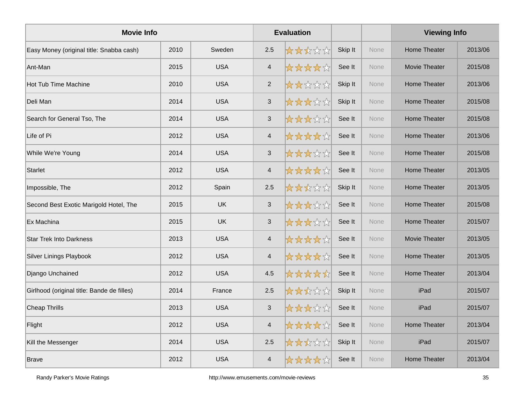| <b>Movie Info</b>                          |      |            |                          | <b>Evaluation</b> |         |             | <b>Viewing Info</b>  |         |
|--------------------------------------------|------|------------|--------------------------|-------------------|---------|-------------|----------------------|---------|
| Easy Money (original title: Snabba cash)   | 2010 | Sweden     | 2.5                      | *****             | Skip It | <b>None</b> | <b>Home Theater</b>  | 2013/06 |
| Ant-Man                                    | 2015 | <b>USA</b> | $\overline{\mathcal{A}}$ | *****             | See It  | None        | <b>Movie Theater</b> | 2015/08 |
| <b>Hot Tub Time Machine</b>                | 2010 | <b>USA</b> | $\overline{2}$           | *****             | Skip It | None        | <b>Home Theater</b>  | 2013/06 |
| Deli Man                                   | 2014 | <b>USA</b> | $\mathfrak{S}$           | *****             | Skip It | None        | Home Theater         | 2015/08 |
| Search for General Tso, The                | 2014 | <b>USA</b> | $\mathfrak{S}$           | *****             | See It  | <b>None</b> | <b>Home Theater</b>  | 2015/08 |
| Life of Pi                                 | 2012 | <b>USA</b> | $\overline{\mathcal{A}}$ | *****             | See It  | <b>None</b> | <b>Home Theater</b>  | 2013/06 |
| While We're Young                          | 2014 | <b>USA</b> | $\sqrt{3}$               | *****             | See It  | None        | <b>Home Theater</b>  | 2015/08 |
| <b>Starlet</b>                             | 2012 | <b>USA</b> | $\overline{\mathcal{A}}$ | *****             | See It  | None        | <b>Home Theater</b>  | 2013/05 |
| Impossible, The                            | 2012 | Spain      | 2.5                      | *****             | Skip It | <b>None</b> | <b>Home Theater</b>  | 2013/05 |
| Second Best Exotic Marigold Hotel, The     | 2015 | <b>UK</b>  | $\sqrt{3}$               | *****             | See It  | None        | <b>Home Theater</b>  | 2015/08 |
| Ex Machina                                 | 2015 | <b>UK</b>  | $\mathbf{3}$             | *****             | See It  | None        | Home Theater         | 2015/07 |
| <b>Star Trek Into Darkness</b>             | 2013 | <b>USA</b> | $\overline{\mathcal{A}}$ | *****             | See It  | None        | <b>Movie Theater</b> | 2013/05 |
| <b>Silver Linings Playbook</b>             | 2012 | <b>USA</b> | $\overline{4}$           | *****             | See It  | None        | Home Theater         | 2013/05 |
| Django Unchained                           | 2012 | <b>USA</b> | 4.5                      | *****             | See It  | None        | <b>Home Theater</b>  | 2013/04 |
| Girlhood (original title: Bande de filles) | 2014 | France     | 2.5                      | *****             | Skip It | None        | iPad                 | 2015/07 |
| Cheap Thrills                              | 2013 | <b>USA</b> | $\mathfrak{S}$           | *****             | See It  | None        | iPad                 | 2015/07 |
| Flight                                     | 2012 | <b>USA</b> | $\overline{4}$           | *****             | See It  | None        | <b>Home Theater</b>  | 2013/04 |
| Kill the Messenger                         | 2014 | <b>USA</b> | $2.5\,$                  | *****             | Skip It | None        | iPad                 | 2015/07 |
| <b>Brave</b>                               | 2012 | <b>USA</b> | $\overline{4}$           | *****             | See It  | None        | Home Theater         | 2013/04 |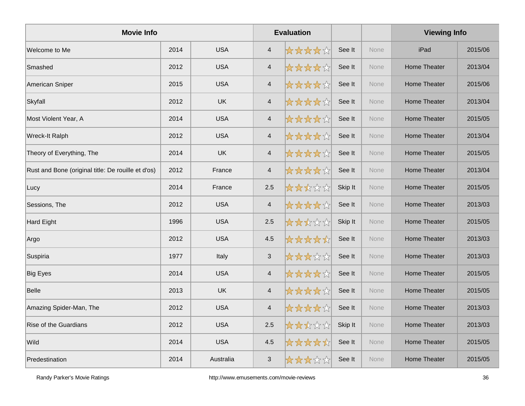| <b>Movie Info</b>                                  |      |            |                          | <b>Evaluation</b> |         |      | <b>Viewing Info</b> |         |
|----------------------------------------------------|------|------------|--------------------------|-------------------|---------|------|---------------------|---------|
| Welcome to Me                                      | 2014 | <b>USA</b> | $\overline{4}$           | *****             | See It  | None | iPad                | 2015/06 |
| Smashed                                            | 2012 | <b>USA</b> | $\overline{\mathcal{A}}$ | *****             | See It  | None | <b>Home Theater</b> | 2013/04 |
| American Sniper                                    | 2015 | <b>USA</b> | $\overline{4}$           | *****             | See It  | None | Home Theater        | 2015/06 |
| Skyfall                                            | 2012 | <b>UK</b>  | $\overline{4}$           | *****             | See It  | None | Home Theater        | 2013/04 |
| Most Violent Year, A                               | 2014 | <b>USA</b> | $\overline{4}$           | *****             | See It  | None | Home Theater        | 2015/05 |
| Wreck-It Ralph                                     | 2012 | <b>USA</b> | $\overline{\mathcal{A}}$ | *****             | See It  | None | <b>Home Theater</b> | 2013/04 |
| Theory of Everything, The                          | 2014 | <b>UK</b>  | $\overline{4}$           | *****             | See It  | None | Home Theater        | 2015/05 |
| Rust and Bone (original title: De rouille et d'os) | 2012 | France     | $\overline{\mathcal{A}}$ | ☆☆☆☆☆             | See It  | None | <b>Home Theater</b> | 2013/04 |
| Lucy                                               | 2014 | France     | 2.5                      | *****             | Skip It | None | Home Theater        | 2015/05 |
| Sessions, The                                      | 2012 | <b>USA</b> | $\overline{\mathcal{A}}$ | ☆☆☆☆☆             | See It  | None | <b>Home Theater</b> | 2013/03 |
| Hard Eight                                         | 1996 | <b>USA</b> | 2.5                      | *****             | Skip It | None | Home Theater        | 2015/05 |
| Argo                                               | 2012 | <b>USA</b> | 4.5                      | *****             | See It  | None | Home Theater        | 2013/03 |
| Suspiria                                           | 1977 | Italy      | $\mathbf{3}$             | *****             | See It  | None | Home Theater        | 2013/03 |
| <b>Big Eyes</b>                                    | 2014 | <b>USA</b> | $\overline{\mathcal{A}}$ | *****             | See It  | None | Home Theater        | 2015/05 |
| <b>Belle</b>                                       | 2013 | <b>UK</b>  | $\overline{4}$           | *****             | See It  | None | Home Theater        | 2015/05 |
| Amazing Spider-Man, The                            | 2012 | <b>USA</b> | $\overline{4}$           | *****             | See It  | None | Home Theater        | 2013/03 |
| <b>Rise of the Guardians</b>                       | 2012 | <b>USA</b> | 2.5                      | *****             | Skip It | None | Home Theater        | 2013/03 |
| Wild                                               | 2014 | <b>USA</b> | 4.5                      | *****             | See It  | None | Home Theater        | 2015/05 |
| Predestination                                     | 2014 | Australia  | $\mathbf{3}$             | *****             | See It  | None | Home Theater        | 2015/05 |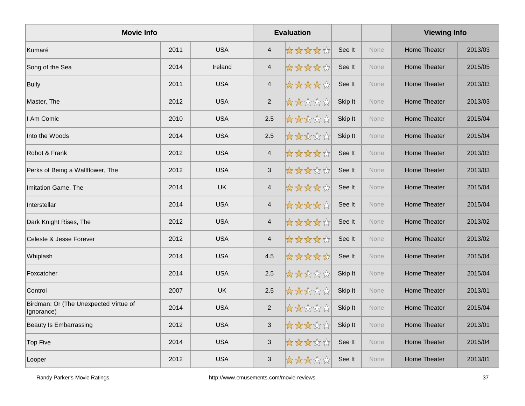| <b>Movie Info</b>                                   |      |            |                           | <b>Evaluation</b> |         |      | <b>Viewing Info</b> |         |
|-----------------------------------------------------|------|------------|---------------------------|-------------------|---------|------|---------------------|---------|
| Kumaré                                              | 2011 | <b>USA</b> | $\overline{4}$            | *****             | See It  | None | Home Theater        | 2013/03 |
| Song of the Sea                                     | 2014 | Ireland    | $\overline{4}$            | *****             | See It  | None | <b>Home Theater</b> | 2015/05 |
| Bully                                               | 2011 | <b>USA</b> | $\overline{4}$            | *****             | See It  | None | Home Theater        | 2013/03 |
| Master, The                                         | 2012 | <b>USA</b> | $\overline{2}$            | *****             | Skip It | None | <b>Home Theater</b> | 2013/03 |
| I Am Comic                                          | 2010 | <b>USA</b> | 2.5                       | *****             | Skip It | None | Home Theater        | 2015/04 |
| Into the Woods                                      | 2014 | <b>USA</b> | 2.5                       | *****             | Skip It | None | Home Theater        | 2015/04 |
| Robot & Frank                                       | 2012 | <b>USA</b> | $\overline{4}$            | *****             | See It  | None | Home Theater        | 2013/03 |
| Perks of Being a Wallflower, The                    | 2012 | <b>USA</b> | $\ensuremath{\mathsf{3}}$ | *****             | See It  | None | Home Theater        | 2013/03 |
| Imitation Game, The                                 | 2014 | <b>UK</b>  | $\overline{4}$            | *****             | See It  | None | Home Theater        | 2015/04 |
| Interstellar                                        | 2014 | <b>USA</b> | $\overline{\mathbf{4}}$   | *****             | See It  | None | Home Theater        | 2015/04 |
| Dark Knight Rises, The                              | 2012 | <b>USA</b> | $\overline{4}$            | *****             | See It  | None | Home Theater        | 2013/02 |
| Celeste & Jesse Forever                             | 2012 | <b>USA</b> | $\overline{\mathbf{4}}$   | *****             | See It  | None | Home Theater        | 2013/02 |
| Whiplash                                            | 2014 | <b>USA</b> | 4.5                       | *****             | See It  | None | Home Theater        | 2015/04 |
| Foxcatcher                                          | 2014 | <b>USA</b> | 2.5                       | *****             | Skip It | None | Home Theater        | 2015/04 |
| Control                                             | 2007 | <b>UK</b>  | 2.5                       | *****             | Skip It | None | Home Theater        | 2013/01 |
| Birdman: Or (The Unexpected Virtue of<br>Ignorance) | 2014 | <b>USA</b> | $\overline{2}$            | *****             | Skip It | None | Home Theater        | 2015/04 |
| Beauty Is Embarrassing                              | 2012 | <b>USA</b> | $\sqrt{3}$                | *****             | Skip It | None | Home Theater        | 2013/01 |
| Top Five                                            | 2014 | <b>USA</b> | $\sqrt{3}$                | *****             | See It  | None | <b>Home Theater</b> | 2015/04 |
| Looper                                              | 2012 | <b>USA</b> | 3                         | *****             | See It  | None | <b>Home Theater</b> | 2013/01 |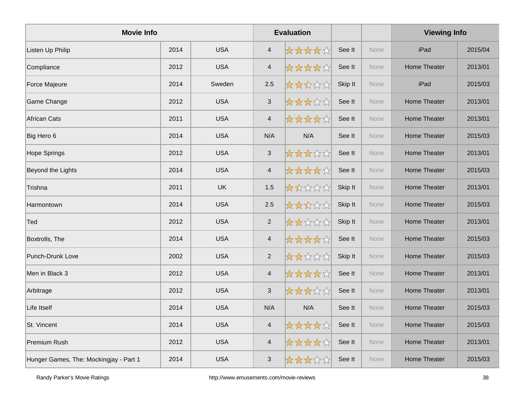| <b>Movie Info</b>                      |      |            |                           | <b>Evaluation</b> |         |             | <b>Viewing Info</b> |         |
|----------------------------------------|------|------------|---------------------------|-------------------|---------|-------------|---------------------|---------|
| Listen Up Philip                       | 2014 | <b>USA</b> | $\overline{4}$            | *****             | See It  | <b>None</b> | iPad                | 2015/04 |
| Compliance                             | 2012 | <b>USA</b> | $\overline{4}$            | *****             | See It  | None        | <b>Home Theater</b> | 2013/01 |
| Force Majeure                          | 2014 | Sweden     | 2.5                       | *****             | Skip It | None        | iPad                | 2015/03 |
| Game Change                            | 2012 | <b>USA</b> | $\ensuremath{\mathsf{3}}$ | *****             | See It  | None        | <b>Home Theater</b> | 2013/01 |
| <b>African Cats</b>                    | 2011 | <b>USA</b> | $\overline{4}$            | *****             | See It  | None        | <b>Home Theater</b> | 2013/01 |
| Big Hero 6                             | 2014 | <b>USA</b> | N/A                       | N/A               | See It  | None        | <b>Home Theater</b> | 2015/03 |
| <b>Hope Springs</b>                    | 2012 | <b>USA</b> | $\mathbf{3}$              | *****             | See It  | None        | <b>Home Theater</b> | 2013/01 |
| Beyond the Lights                      | 2014 | <b>USA</b> | $\overline{4}$            | *****             | See It  | <b>None</b> | <b>Home Theater</b> | 2015/03 |
| Trishna                                | 2011 | UK         | $1.5$                     | *****             | Skip It | None        | <b>Home Theater</b> | 2013/01 |
| Harmontown                             | 2014 | <b>USA</b> | 2.5                       | *****             | Skip It | None        | <b>Home Theater</b> | 2015/03 |
| Ted                                    | 2012 | <b>USA</b> | $\overline{2}$            | *****             | Skip It | None        | <b>Home Theater</b> | 2013/01 |
| Boxtrolls, The                         | 2014 | <b>USA</b> | $\overline{4}$            | *****             | See It  | None        | <b>Home Theater</b> | 2015/03 |
| Punch-Drunk Love                       | 2002 | <b>USA</b> | $\overline{2}$            | *****             | Skip It | None        | <b>Home Theater</b> | 2015/03 |
| Men in Black 3                         | 2012 | <b>USA</b> | $\overline{4}$            | *****             | See It  | None        | <b>Home Theater</b> | 2013/01 |
| Arbitrage                              | 2012 | <b>USA</b> | $\mathfrak{S}$            | *****             | See It  | None        | <b>Home Theater</b> | 2013/01 |
| Life Itself                            | 2014 | <b>USA</b> | N/A                       | N/A               | See It  | None        | Home Theater        | 2015/03 |
| St. Vincent                            | 2014 | <b>USA</b> | $\overline{4}$            | ☆☆☆☆☆             | See It  | None        | <b>Home Theater</b> | 2015/03 |
| Premium Rush                           | 2012 | <b>USA</b> | $\overline{4}$            | ☆☆☆☆☆             | See It  | None        | <b>Home Theater</b> | 2013/01 |
| Hunger Games, The: Mockingjay - Part 1 | 2014 | <b>USA</b> | $\ensuremath{\mathsf{3}}$ | *****             | See It  | <b>None</b> | <b>Home Theater</b> | 2015/03 |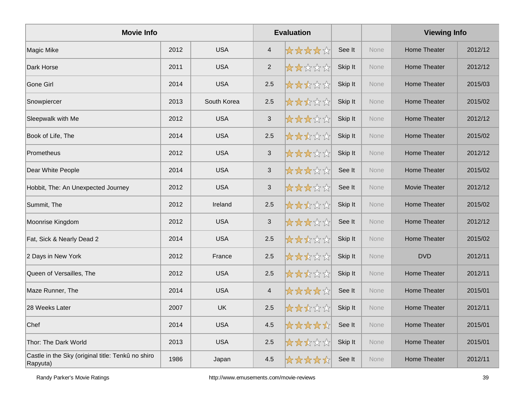| <b>Movie Info</b>                                             |      |             |                | <b>Evaluation</b> |         |      | <b>Viewing Info</b> |         |
|---------------------------------------------------------------|------|-------------|----------------|-------------------|---------|------|---------------------|---------|
| Magic Mike                                                    | 2012 | <b>USA</b>  | $\overline{4}$ | *****             | See It  | None | Home Theater        | 2012/12 |
| Dark Horse                                                    | 2011 | <b>USA</b>  | $\overline{2}$ | *****             | Skip It | None | <b>Home Theater</b> | 2012/12 |
| Gone Girl                                                     | 2014 | <b>USA</b>  | 2.5            | *****             | Skip It | None | Home Theater        | 2015/03 |
| Snowpiercer                                                   | 2013 | South Korea | 2.5            | *****             | Skip It | None | Home Theater        | 2015/02 |
| Sleepwalk with Me                                             | 2012 | <b>USA</b>  | $\mathfrak{S}$ | *****             | Skip It | None | <b>Home Theater</b> | 2012/12 |
| Book of Life, The                                             | 2014 | <b>USA</b>  | 2.5            | *****             | Skip It | None | <b>Home Theater</b> | 2015/02 |
| Prometheus                                                    | 2012 | <b>USA</b>  | $\mathbf{3}$   | *****             | Skip It | None | Home Theater        | 2012/12 |
| Dear White People                                             | 2014 | <b>USA</b>  | $\sqrt{3}$     | *****             | See It  | None | Home Theater        | 2015/02 |
| Hobbit, The: An Unexpected Journey                            | 2012 | <b>USA</b>  | $\sqrt{3}$     | *****             | See It  | None | Movie Theater       | 2012/12 |
| Summit, The                                                   | 2012 | Ireland     | 2.5            | *****             | Skip It | None | Home Theater        | 2015/02 |
| Moonrise Kingdom                                              | 2012 | <b>USA</b>  | $\mathfrak{S}$ | *****             | See It  | None | Home Theater        | 2012/12 |
| Fat, Sick & Nearly Dead 2                                     | 2014 | <b>USA</b>  | 2.5            | *****             | Skip It | None | Home Theater        | 2015/02 |
| 2 Days in New York                                            | 2012 | France      | 2.5            | *****             | Skip It | None | <b>DVD</b>          | 2012/11 |
| Queen of Versailles, The                                      | 2012 | <b>USA</b>  | 2.5            | *****             | Skip It | None | Home Theater        | 2012/11 |
| Maze Runner, The                                              | 2014 | <b>USA</b>  | $\overline{4}$ | *****             | See It  | None | Home Theater        | 2015/01 |
| 28 Weeks Later                                                | 2007 | <b>UK</b>   | 2.5            | *****             | Skip It | None | Home Theater        | 2012/11 |
| Chef                                                          | 2014 | <b>USA</b>  | 4.5            | *****             | See It  | None | <b>Home Theater</b> | 2015/01 |
| Thor: The Dark World                                          | 2013 | <b>USA</b>  | 2.5            | *****             | Skip It | None | Home Theater        | 2015/01 |
| Castle in the Sky (original title: Tenkû no shiro<br>Rapyuta) | 1986 | Japan       | 4.5            | *****             | See It  | None | <b>Home Theater</b> | 2012/11 |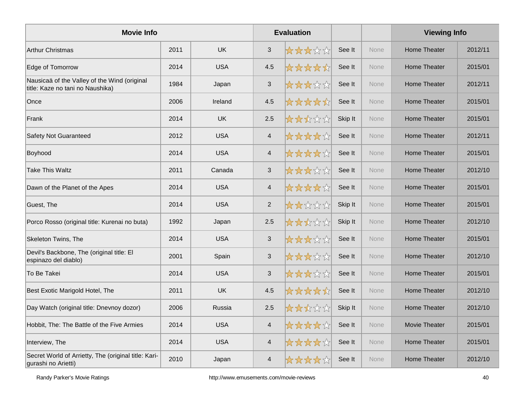| <b>Movie Info</b>                                                                |      |            |                | <b>Evaluation</b> |         |             | <b>Viewing Info</b>  |         |
|----------------------------------------------------------------------------------|------|------------|----------------|-------------------|---------|-------------|----------------------|---------|
| <b>Arthur Christmas</b>                                                          | 2011 | <b>UK</b>  | $\mathfrak{S}$ | *****             | See It  | <b>None</b> | Home Theater         | 2012/11 |
| Edge of Tomorrow                                                                 | 2014 | <b>USA</b> | 4.5            | *****             | See It  | None        | <b>Home Theater</b>  | 2015/01 |
| Nausicaä of the Valley of the Wind (original<br>title: Kaze no tani no Naushika) | 1984 | Japan      | $\sqrt{3}$     | *****             | See It  | None        | <b>Home Theater</b>  | 2012/11 |
| Once                                                                             | 2006 | Ireland    | 4.5            | *****             | See It  | None        | <b>Home Theater</b>  | 2015/01 |
| Frank                                                                            | 2014 | <b>UK</b>  | 2.5            | *****             | Skip It | <b>None</b> | Home Theater         | 2015/01 |
| <b>Safety Not Guaranteed</b>                                                     | 2012 | <b>USA</b> | $\overline{4}$ | *****             | See It  | None        | <b>Home Theater</b>  | 2012/11 |
| Boyhood                                                                          | 2014 | <b>USA</b> | $\overline{4}$ | *****             | See It  | None        | <b>Home Theater</b>  | 2015/01 |
| Take This Waltz                                                                  | 2011 | Canada     | $\sqrt{3}$     | *****             | See It  | None        | <b>Home Theater</b>  | 2012/10 |
| Dawn of the Planet of the Apes                                                   | 2014 | <b>USA</b> | $\overline{4}$ | *****             | See It  | None        | Home Theater         | 2015/01 |
| Guest, The                                                                       | 2014 | <b>USA</b> | $\sqrt{2}$     | *****             | Skip It | None        | <b>Home Theater</b>  | 2015/01 |
| Porco Rosso (original title: Kurenai no buta)                                    | 1992 | Japan      | 2.5            | *****             | Skip It | None        | <b>Home Theater</b>  | 2012/10 |
| Skeleton Twins, The                                                              | 2014 | <b>USA</b> | $\sqrt{3}$     | *****             | See It  | None        | Home Theater         | 2015/01 |
| Devil's Backbone, The (original title: El<br>espinazo del diablo)                | 2001 | Spain      | $\sqrt{3}$     | *****             | See It  | None        | Home Theater         | 2012/10 |
| To Be Takei                                                                      | 2014 | <b>USA</b> | $\sqrt{3}$     | *****             | See It  | None        | <b>Home Theater</b>  | 2015/01 |
| Best Exotic Marigold Hotel, The                                                  | 2011 | <b>UK</b>  | 4.5            | *****             | See It  | <b>None</b> | <b>Home Theater</b>  | 2012/10 |
| Day Watch (original title: Dnevnoy dozor)                                        | 2006 | Russia     | 2.5            | *****             | Skip It | None        | Home Theater         | 2012/10 |
| Hobbit, The: The Battle of the Five Armies                                       | 2014 | <b>USA</b> | $\overline{4}$ | *****             | See It  | None        | <b>Movie Theater</b> | 2015/01 |
| Interview, The                                                                   | 2014 | <b>USA</b> | $\overline{4}$ | *****             | See It  | None        | <b>Home Theater</b>  | 2015/01 |
| Secret World of Arrietty, The (original title: Kari-<br>gurashi no Arietti)      | 2010 | Japan      | 4              | *****             | See It  | None        | Home Theater         | 2012/10 |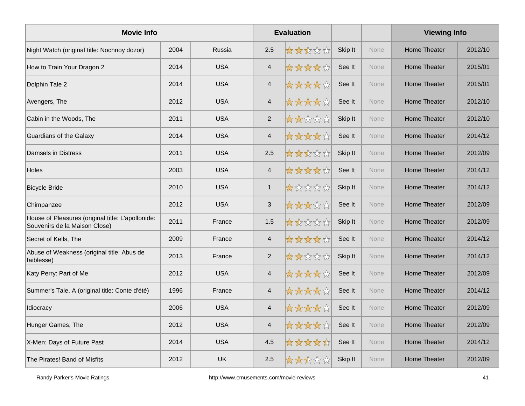| <b>Movie Info</b>                                                                  |      |            |                | <b>Evaluation</b> |         |             | <b>Viewing Info</b> |         |
|------------------------------------------------------------------------------------|------|------------|----------------|-------------------|---------|-------------|---------------------|---------|
| Night Watch (original title: Nochnoy dozor)                                        | 2004 | Russia     | 2.5            | *****             | Skip It | <b>None</b> | <b>Home Theater</b> | 2012/10 |
| How to Train Your Dragon 2                                                         | 2014 | <b>USA</b> | $\overline{4}$ | *****             | See It  | None        | <b>Home Theater</b> | 2015/01 |
| Dolphin Tale 2                                                                     | 2014 | <b>USA</b> | $\overline{4}$ | *****             | See It  | None        | <b>Home Theater</b> | 2015/01 |
| Avengers, The                                                                      | 2012 | <b>USA</b> | $\overline{4}$ | *****             | See It  | None        | <b>Home Theater</b> | 2012/10 |
| Cabin in the Woods, The                                                            | 2011 | <b>USA</b> | $\overline{2}$ | *****             | Skip It | None        | Home Theater        | 2012/10 |
| Guardians of the Galaxy                                                            | 2014 | <b>USA</b> | $\overline{4}$ | *****             | See It  | None        | <b>Home Theater</b> | 2014/12 |
| <b>Damsels in Distress</b>                                                         | 2011 | <b>USA</b> | 2.5            | *****             | Skip It | None        | <b>Home Theater</b> | 2012/09 |
| <b>Holes</b>                                                                       | 2003 | <b>USA</b> | $\overline{4}$ | *****             | See It  | <b>None</b> | Home Theater        | 2014/12 |
| <b>Bicycle Bride</b>                                                               | 2010 | <b>USA</b> | $\mathbf{1}$   | *****             | Skip It | None        | Home Theater        | 2014/12 |
| Chimpanzee                                                                         | 2012 | <b>USA</b> | $\sqrt{3}$     | *****             | See It  | None        | <b>Home Theater</b> | 2012/09 |
| House of Pleasures (original title: L'apollonide:<br>Souvenirs de la Maison Close) | 2011 | France     | 1.5            | *****             | Skip It | None        | Home Theater        | 2012/09 |
| Secret of Kells, The                                                               | 2009 | France     | $\overline{4}$ | *****             | See It  | None        | Home Theater        | 2014/12 |
| Abuse of Weakness (original title: Abus de<br>faiblesse)                           | 2013 | France     | $\overline{2}$ | *****             | Skip It | None        | <b>Home Theater</b> | 2014/12 |
| Katy Perry: Part of Me                                                             | 2012 | <b>USA</b> | $\overline{4}$ | *****             | See It  | None        | <b>Home Theater</b> | 2012/09 |
| Summer's Tale, A (original title: Conte d'été)                                     | 1996 | France     | $\overline{4}$ | *****             | See It  | None        | Home Theater        | 2014/12 |
| Idiocracy                                                                          | 2006 | <b>USA</b> | $\overline{4}$ | *****             | See It  | None        | Home Theater        | 2012/09 |
| Hunger Games, The                                                                  | 2012 | <b>USA</b> | $\overline{4}$ | ☆☆☆☆☆             | See It  | None        | <b>Home Theater</b> | 2012/09 |
| X-Men: Days of Future Past                                                         | 2014 | <b>USA</b> | 4.5            | *****             | See It  | None        | Home Theater        | 2014/12 |
| The Pirates! Band of Misfits                                                       | 2012 | <b>UK</b>  | 2.5            | *****             | Skip It | None        | Home Theater        | 2012/09 |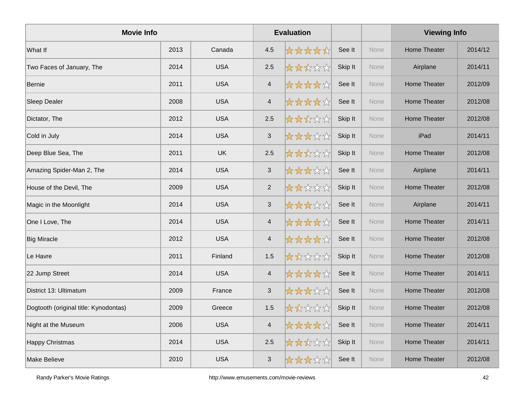| <b>Movie Info</b>                     |      |            |                          | <b>Evaluation</b> |         |             | <b>Viewing Info</b> |         |
|---------------------------------------|------|------------|--------------------------|-------------------|---------|-------------|---------------------|---------|
| What If                               | 2013 | Canada     | 4.5                      | *****             | See It  | <b>None</b> | Home Theater        | 2014/12 |
| Two Faces of January, The             | 2014 | <b>USA</b> | 2.5                      | *****             | Skip It | None        | Airplane            | 2014/11 |
| <b>Bernie</b>                         | 2011 | <b>USA</b> | $\overline{4}$           | *****             | See It  | None        | Home Theater        | 2012/09 |
| Sleep Dealer                          | 2008 | <b>USA</b> | $\overline{\mathcal{A}}$ | *****             | See It  | None        | Home Theater        | 2012/08 |
| Dictator, The                         | 2012 | <b>USA</b> | 2.5                      | *****             | Skip It | None        | Home Theater        | 2012/08 |
| Cold in July                          | 2014 | <b>USA</b> | $\sqrt{3}$               | *****             | Skip It | None        | iPad                | 2014/11 |
| Deep Blue Sea, The                    | 2011 | <b>UK</b>  | 2.5                      | *****             | Skip It | None        | <b>Home Theater</b> | 2012/08 |
| Amazing Spider-Man 2, The             | 2014 | <b>USA</b> | $\sqrt{3}$               | *****             | See It  | None        | Airplane            | 2014/11 |
| House of the Devil, The               | 2009 | <b>USA</b> | $\overline{2}$           | *****             | Skip It | None        | Home Theater        | 2012/08 |
| Magic in the Moonlight                | 2014 | <b>USA</b> | $\sqrt{3}$               | *****             | See It  | None        | Airplane            | 2014/11 |
| One I Love, The                       | 2014 | <b>USA</b> | $\overline{\mathcal{A}}$ | *****             | See It  | None        | <b>Home Theater</b> | 2014/11 |
| <b>Big Miracle</b>                    | 2012 | <b>USA</b> | $\overline{\mathbf{4}}$  | *****             | See It  | None        | Home Theater        | 2012/08 |
| Le Havre                              | 2011 | Finland    | 1.5                      | *****             | Skip It | None        | Home Theater        | 2012/08 |
| 22 Jump Street                        | 2014 | <b>USA</b> | $\overline{\mathcal{A}}$ | *****             | See It  | None        | Home Theater        | 2014/11 |
| District 13: Ultimatum                | 2009 | France     | 3                        | *****             | See It  | None        | Home Theater        | 2012/08 |
| Dogtooth (original title: Kynodontas) | 2009 | Greece     | 1.5                      | 大大众公众             | Skip It | None        | Home Theater        | 2012/08 |
| Night at the Museum                   | 2006 | <b>USA</b> | $\overline{4}$           | *****             | See It  | None        | Home Theater        | 2014/11 |
| <b>Happy Christmas</b>                | 2014 | <b>USA</b> | 2.5                      | *****             | Skip It | None        | Home Theater        | 2014/11 |
| Make Believe                          | 2010 | <b>USA</b> | 3                        | *****             | See It  | None        | Home Theater        | 2012/08 |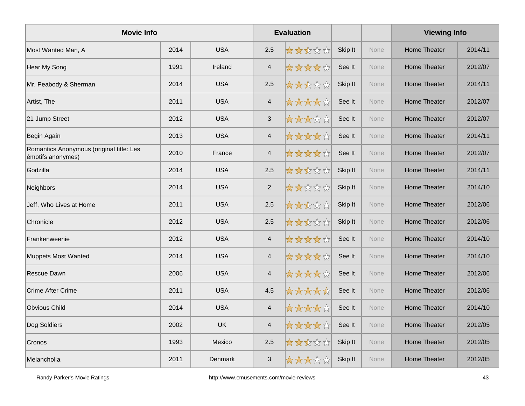| <b>Movie Info</b>                                             |      |            |                          | <b>Evaluation</b> |         |             | <b>Viewing Info</b> |         |
|---------------------------------------------------------------|------|------------|--------------------------|-------------------|---------|-------------|---------------------|---------|
| Most Wanted Man, A                                            | 2014 | <b>USA</b> | 2.5                      | ☆☆☆☆☆             | Skip It | <b>None</b> | <b>Home Theater</b> | 2014/11 |
| <b>Hear My Song</b>                                           | 1991 | Ireland    | $\overline{\mathcal{A}}$ | ☆☆☆☆☆             | See It  | None        | Home Theater        | 2012/07 |
| Mr. Peabody & Sherman                                         | 2014 | <b>USA</b> | 2.5                      | *****             | Skip It | None        | Home Theater        | 2014/11 |
| Artist, The                                                   | 2011 | <b>USA</b> | $\overline{4}$           | *****             | See It  | None        | Home Theater        | 2012/07 |
| 21 Jump Street                                                | 2012 | <b>USA</b> | $\mathbf{3}$             | *****             | See It  | <b>None</b> | <b>Home Theater</b> | 2012/07 |
| Begin Again                                                   | 2013 | <b>USA</b> | $\overline{\mathcal{A}}$ | ☆☆☆☆☆             | See It  | None        | <b>Home Theater</b> | 2014/11 |
| Romantics Anonymous (original title: Les<br>émotifs anonymes) | 2010 | France     | $\overline{4}$           | *****             | See It  | None        | Home Theater        | 2012/07 |
| Godzilla                                                      | 2014 | <b>USA</b> | 2.5                      | ☆☆☆☆☆             | Skip It | None        | Home Theater        | 2014/11 |
| Neighbors                                                     | 2014 | <b>USA</b> | $\sqrt{2}$               | 女女女女女             | Skip It | <b>None</b> | Home Theater        | 2014/10 |
| Jeff, Who Lives at Home                                       | 2011 | <b>USA</b> | 2.5                      | *****             | Skip It | None        | <b>Home Theater</b> | 2012/06 |
| Chronicle                                                     | 2012 | <b>USA</b> | 2.5                      | *****             | Skip It | None        | <b>Home Theater</b> | 2012/06 |
| Frankenweenie                                                 | 2012 | <b>USA</b> | $\overline{4}$           | ☆☆☆☆☆             | See It  | None        | <b>Home Theater</b> | 2014/10 |
| <b>Muppets Most Wanted</b>                                    | 2014 | <b>USA</b> | $\overline{4}$           | *****             | See It  | None        | Home Theater        | 2014/10 |
| Rescue Dawn                                                   | 2006 | <b>USA</b> | $\overline{\mathcal{A}}$ | *****             | See It  | None        | <b>Home Theater</b> | 2012/06 |
| <b>Crime After Crime</b>                                      | 2011 | <b>USA</b> | 4.5                      | *****             | See It  | None        | <b>Home Theater</b> | 2012/06 |
| <b>Obvious Child</b>                                          | 2014 | <b>USA</b> | $\overline{4}$           | ☆☆☆☆☆             | See It  | None        | <b>Home Theater</b> | 2014/10 |
| Dog Soldiers                                                  | 2002 | <b>UK</b>  | $\overline{\mathbf{4}}$  | *****             | See It  | None        | Home Theater        | 2012/05 |
| Cronos                                                        | 1993 | Mexico     | 2.5                      | *****             | Skip It | None        | <b>Home Theater</b> | 2012/05 |
| Melancholia                                                   | 2011 | Denmark    | $\mathfrak{S}$           | *****             | Skip It | None        | Home Theater        | 2012/05 |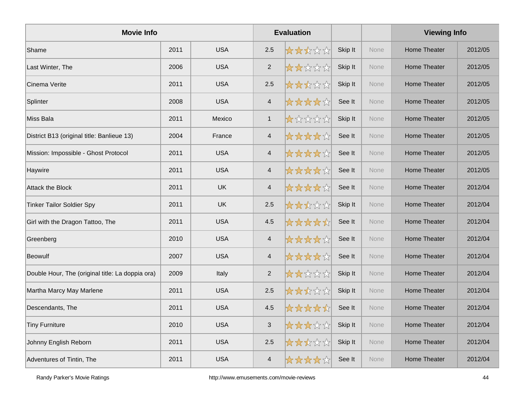| <b>Movie Info</b>                                |      |            |                          | <b>Evaluation</b> |         |             | <b>Viewing Info</b> |         |
|--------------------------------------------------|------|------------|--------------------------|-------------------|---------|-------------|---------------------|---------|
| Shame                                            | 2011 | <b>USA</b> | 2.5                      | *****             | Skip It | <b>None</b> | <b>Home Theater</b> | 2012/05 |
| Last Winter, The                                 | 2006 | <b>USA</b> | $\sqrt{2}$               | *****             | Skip It | None        | <b>Home Theater</b> | 2012/05 |
| Cinema Verite                                    | 2011 | <b>USA</b> | 2.5                      | *****             | Skip It | None        | <b>Home Theater</b> | 2012/05 |
| Splinter                                         | 2008 | <b>USA</b> | $\overline{4}$           | *****             | See It  | None        | Home Theater        | 2012/05 |
| Miss Bala                                        | 2011 | Mexico     | $\mathbf{1}$             | *****             | Skip It | <b>None</b> | <b>Home Theater</b> | 2012/05 |
| District B13 (original title: Banlieue 13)       | 2004 | France     | $\overline{4}$           | *****             | See It  | <b>None</b> | <b>Home Theater</b> | 2012/05 |
| Mission: Impossible - Ghost Protocol             | 2011 | <b>USA</b> | $\overline{4}$           | *****             | See It  | None        | <b>Home Theater</b> | 2012/05 |
| Haywire                                          | 2011 | <b>USA</b> | $\overline{\mathcal{A}}$ | *****             | See It  | None        | <b>Home Theater</b> | 2012/05 |
| <b>Attack the Block</b>                          | 2011 | <b>UK</b>  | $\overline{4}$           | *****             | See It  | <b>None</b> | <b>Home Theater</b> | 2012/04 |
| <b>Tinker Tailor Soldier Spy</b>                 | 2011 | <b>UK</b>  | $2.5\,$                  | *****             | Skip It | None        | <b>Home Theater</b> | 2012/04 |
| Girl with the Dragon Tattoo, The                 | 2011 | <b>USA</b> | 4.5                      | *****             | See It  | None        | <b>Home Theater</b> | 2012/04 |
| Greenberg                                        | 2010 | <b>USA</b> | $\overline{\mathcal{A}}$ | *****             | See It  | None        | <b>Home Theater</b> | 2012/04 |
| <b>Beowulf</b>                                   | 2007 | <b>USA</b> | $\overline{4}$           | *****             | See It  | None        | Home Theater        | 2012/04 |
| Double Hour, The (original title: La doppia ora) | 2009 | Italy      | $\overline{2}$           | *****             | Skip It | None        | <b>Home Theater</b> | 2012/04 |
| Martha Marcy May Marlene                         | 2011 | <b>USA</b> | 2.5                      | *****             | Skip It | None        | <b>Home Theater</b> | 2012/04 |
| Descendants, The                                 | 2011 | <b>USA</b> | 4.5                      | *****             | See It  | None        | <b>Home Theater</b> | 2012/04 |
| <b>Tiny Furniture</b>                            | 2010 | <b>USA</b> | $\sqrt{3}$               | *****             | Skip It | None        | Home Theater        | 2012/04 |
| Johnny English Reborn                            | 2011 | <b>USA</b> | $2.5\,$                  | *****             | Skip It | None        | <b>Home Theater</b> | 2012/04 |
| Adventures of Tintin, The                        | 2011 | <b>USA</b> | $\overline{4}$           | *****             | See It  | None        | Home Theater        | 2012/04 |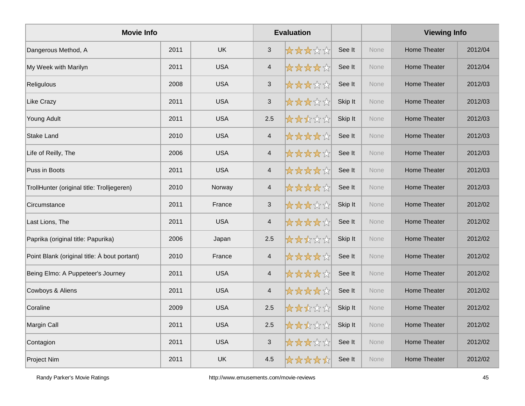| <b>Movie Info</b>                            |      |            |                           | <b>Evaluation</b> |         |             | <b>Viewing Info</b> |         |
|----------------------------------------------|------|------------|---------------------------|-------------------|---------|-------------|---------------------|---------|
| Dangerous Method, A                          | 2011 | <b>UK</b>  | 3                         | *****             | See It  | <b>None</b> | <b>Home Theater</b> | 2012/04 |
| My Week with Marilyn                         | 2011 | <b>USA</b> | $\overline{\mathcal{A}}$  | ☆☆☆☆☆             | See It  | None        | <b>Home Theater</b> | 2012/04 |
| Religulous                                   | 2008 | <b>USA</b> | $\mathfrak{S}$            | *****             | See It  | None        | Home Theater        | 2012/03 |
| Like Crazy                                   | 2011 | <b>USA</b> | $\sqrt{3}$                | *****             | Skip It | None        | Home Theater        | 2012/03 |
| Young Adult                                  | 2011 | <b>USA</b> | 2.5                       | *****             | Skip It | None        | Home Theater        | 2012/03 |
| <b>Stake Land</b>                            | 2010 | <b>USA</b> | $\overline{4}$            | *****             | See It  | None        | Home Theater        | 2012/03 |
| Life of Reilly, The                          | 2006 | <b>USA</b> | $\overline{4}$            | *****             | See It  | None        | Home Theater        | 2012/03 |
| Puss in Boots                                | 2011 | <b>USA</b> | $\overline{4}$            | ☆☆☆☆☆             | See It  | None        | Home Theater        | 2012/03 |
| TrollHunter (original title: Trolljegeren)   | 2010 | Norway     | $\overline{4}$            | *****             | See It  | None        | Home Theater        | 2012/03 |
| Circumstance                                 | 2011 | France     | $\ensuremath{\mathsf{3}}$ | *****             | Skip It | None        | Home Theater        | 2012/02 |
| Last Lions, The                              | 2011 | <b>USA</b> | $\overline{4}$            | *****             | See It  | None        | Home Theater        | 2012/02 |
| Paprika (original title: Papurika)           | 2006 | Japan      | 2.5                       | *****             | Skip It | None        | Home Theater        | 2012/02 |
| Point Blank (original title: À bout portant) | 2010 | France     | $\overline{4}$            | *****             | See It  | None        | Home Theater        | 2012/02 |
| Being Elmo: A Puppeteer's Journey            | 2011 | <b>USA</b> | $\overline{\mathbf{4}}$   | *****             | See It  | None        | Home Theater        | 2012/02 |
| Cowboys & Aliens                             | 2011 | <b>USA</b> | $\overline{4}$            | *****             | See It  | None        | <b>Home Theater</b> | 2012/02 |
| Coraline                                     | 2009 | <b>USA</b> | 2.5                       | *****             | Skip It | None        | Home Theater        | 2012/02 |
| Margin Call                                  | 2011 | <b>USA</b> | 2.5                       | ☆☆☆☆☆             | Skip It | None        | Home Theater        | 2012/02 |
| Contagion                                    | 2011 | <b>USA</b> | $\ensuremath{\mathsf{3}}$ | *****             | See It  | None        | Home Theater        | 2012/02 |
| Project Nim                                  | 2011 | <b>UK</b>  | 4.5                       | *****             | See It  | None        | Home Theater        | 2012/02 |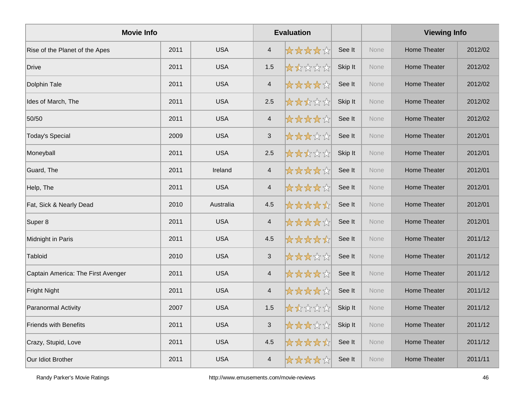| <b>Movie Info</b>                  |      |            |                           | <b>Evaluation</b> |         |      | <b>Viewing Info</b> |         |
|------------------------------------|------|------------|---------------------------|-------------------|---------|------|---------------------|---------|
| Rise of the Planet of the Apes     | 2011 | <b>USA</b> | $\overline{4}$            | ☆☆☆☆☆             | See It  | None | <b>Home Theater</b> | 2012/02 |
| Drive                              | 2011 | <b>USA</b> | 1.5                       | *****             | Skip It | None | Home Theater        | 2012/02 |
| Dolphin Tale                       | 2011 | <b>USA</b> | $\overline{4}$            | ☆☆☆☆☆             | See It  | None | Home Theater        | 2012/02 |
| Ides of March, The                 | 2011 | <b>USA</b> | 2.5                       | *****             | Skip It | None | Home Theater        | 2012/02 |
| 50/50                              | 2011 | <b>USA</b> | $\overline{4}$            | *****             | See It  | None | Home Theater        | 2012/02 |
| <b>Today's Special</b>             | 2009 | <b>USA</b> | $\ensuremath{\mathsf{3}}$ | *****             | See It  | None | <b>Home Theater</b> | 2012/01 |
| Moneyball                          | 2011 | <b>USA</b> | 2.5                       | *****             | Skip It | None | Home Theater        | 2012/01 |
| Guard, The                         | 2011 | Ireland    | $\overline{4}$            | *****             | See It  | None | Home Theater        | 2012/01 |
| Help, The                          | 2011 | <b>USA</b> | $\overline{4}$            | ☆☆☆☆☆             | See It  | None | Home Theater        | 2012/01 |
| Fat, Sick & Nearly Dead            | 2010 | Australia  | 4.5                       | *****             | See It  | None | <b>Home Theater</b> | 2012/01 |
| Super 8                            | 2011 | <b>USA</b> | $\overline{4}$            | *****             | See It  | None | Home Theater        | 2012/01 |
| Midnight in Paris                  | 2011 | <b>USA</b> | 4.5                       | *****             | See It  | None | Home Theater        | 2011/12 |
| Tabloid                            | 2010 | <b>USA</b> | $\mathbf{3}$              | *****             | See It  | None | Home Theater        | 2011/12 |
| Captain America: The First Avenger | 2011 | <b>USA</b> | $\overline{\mathcal{A}}$  | *****             | See It  | None | <b>Home Theater</b> | 2011/12 |
| Fright Night                       | 2011 | <b>USA</b> | $\overline{4}$            | *****             | See It  | None | <b>Home Theater</b> | 2011/12 |
| Paranormal Activity                | 2007 | <b>USA</b> | 1.5                       | 女女女女女             | Skip It | None | <b>Home Theater</b> | 2011/12 |
| <b>Friends with Benefits</b>       | 2011 | <b>USA</b> | $\sqrt{3}$                | *****             | Skip It | None | <b>Home Theater</b> | 2011/12 |
| Crazy, Stupid, Love                | 2011 | <b>USA</b> | 4.5                       | *****             | See It  | None | <b>Home Theater</b> | 2011/12 |
| Our Idiot Brother                  | 2011 | <b>USA</b> | $\overline{\mathcal{A}}$  | ☆☆☆☆☆☆            | See It  | None | <b>Home Theater</b> | 2011/11 |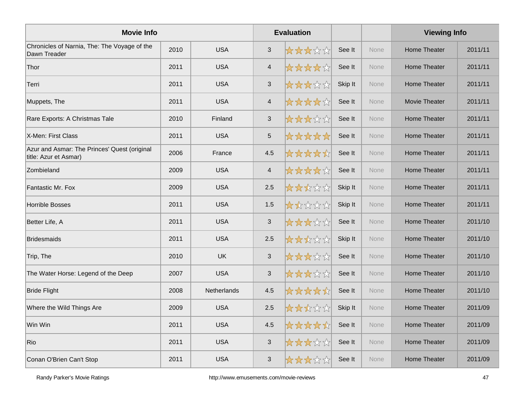| <b>Movie Info</b>                                                     |      |             |                          | <b>Evaluation</b> |         |             | <b>Viewing Info</b> |         |
|-----------------------------------------------------------------------|------|-------------|--------------------------|-------------------|---------|-------------|---------------------|---------|
| Chronicles of Narnia, The: The Voyage of the<br>Dawn Treader          | 2010 | <b>USA</b>  | $\mathfrak{S}$           | *****             | See It  | None        | Home Theater        | 2011/11 |
| Thor                                                                  | 2011 | <b>USA</b>  | $\overline{4}$           | *****             | See It  | None        | <b>Home Theater</b> | 2011/11 |
| Terri                                                                 | 2011 | <b>USA</b>  | $\sqrt{3}$               | *****             | Skip It | None        | Home Theater        | 2011/11 |
| Muppets, The                                                          | 2011 | <b>USA</b>  | $\overline{\mathcal{A}}$ | *****             | See It  | None        | Movie Theater       | 2011/11 |
| Rare Exports: A Christmas Tale                                        | 2010 | Finland     | $\sqrt{3}$               | *****             | See It  | None        | Home Theater        | 2011/11 |
| X-Men: First Class                                                    | 2011 | <b>USA</b>  | $\sqrt{5}$               | *****             | See It  | None        | <b>Home Theater</b> | 2011/11 |
| Azur and Asmar: The Princes' Quest (original<br>title: Azur et Asmar) | 2006 | France      | 4.5                      | *****             | See It  | None        | Home Theater        | 2011/11 |
| Zombieland                                                            | 2009 | <b>USA</b>  | $\overline{\mathcal{A}}$ | *****             | See It  | <b>None</b> | Home Theater        | 2011/11 |
| Fantastic Mr. Fox                                                     | 2009 | <b>USA</b>  | 2.5                      | *****             | Skip It | None        | <b>Home Theater</b> | 2011/11 |
| <b>Horrible Bosses</b>                                                | 2011 | <b>USA</b>  | 1.5                      | *****             | Skip It | None        | <b>Home Theater</b> | 2011/11 |
| Better Life, A                                                        | 2011 | <b>USA</b>  | $\mathfrak{S}$           | *****             | See It  | None        | <b>Home Theater</b> | 2011/10 |
| <b>Bridesmaids</b>                                                    | 2011 | <b>USA</b>  | 2.5                      | *****             | Skip It | None        | <b>Home Theater</b> | 2011/10 |
| Trip, The                                                             | 2010 | <b>UK</b>   | $\sqrt{3}$               | *****             | See It  | None        | <b>Home Theater</b> | 2011/10 |
| The Water Horse: Legend of the Deep                                   | 2007 | <b>USA</b>  | $\sqrt{3}$               | *****             | See It  | None        | <b>Home Theater</b> | 2011/10 |
| <b>Bride Flight</b>                                                   | 2008 | Netherlands | 4.5                      | *****             | See It  | None        | <b>Home Theater</b> | 2011/10 |
| Where the Wild Things Are                                             | 2009 | <b>USA</b>  | 2.5                      | *****             | Skip It | None        | <b>Home Theater</b> | 2011/09 |
| Win Win                                                               | 2011 | <b>USA</b>  | 4.5                      | *****             | See It  | None        | <b>Home Theater</b> | 2011/09 |
| Rio                                                                   | 2011 | <b>USA</b>  | $\mathbf{3}$             | *****             | See It  | None        | Home Theater        | 2011/09 |
| Conan O'Brien Can't Stop                                              | 2011 | <b>USA</b>  | $\mathbf{3}$             | *****             | See It  | None        | Home Theater        | 2011/09 |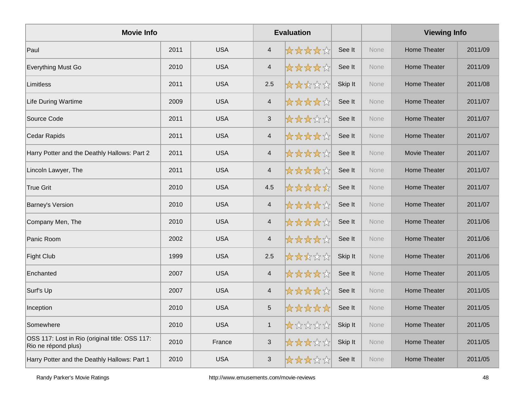| <b>Movie Info</b>                                                     |      |            |                          | <b>Evaluation</b> |         |      | <b>Viewing Info</b>  |         |
|-----------------------------------------------------------------------|------|------------|--------------------------|-------------------|---------|------|----------------------|---------|
| Paul                                                                  | 2011 | <b>USA</b> | $\overline{4}$           | *****             | See It  | None | <b>Home Theater</b>  | 2011/09 |
| Everything Must Go                                                    | 2010 | <b>USA</b> | $\overline{4}$           | *****             | See It  | None | <b>Home Theater</b>  | 2011/09 |
| Limitless                                                             | 2011 | <b>USA</b> | 2.5                      | *****             | Skip It | None | Home Theater         | 2011/08 |
| Life During Wartime                                                   | 2009 | <b>USA</b> | $\overline{\mathbf{4}}$  | *****             | See It  | None | <b>Home Theater</b>  | 2011/07 |
| Source Code                                                           | 2011 | <b>USA</b> | $\sqrt{3}$               | *****             | See It  | None | <b>Home Theater</b>  | 2011/07 |
| Cedar Rapids                                                          | 2011 | <b>USA</b> | $\overline{\mathbf{4}}$  | *****             | See It  | None | Home Theater         | 2011/07 |
| Harry Potter and the Deathly Hallows: Part 2                          | 2011 | <b>USA</b> | $\overline{4}$           | *****             | See It  | None | <b>Movie Theater</b> | 2011/07 |
| Lincoln Lawyer, The                                                   | 2011 | <b>USA</b> | $\overline{\mathbf{4}}$  | *****             | See It  | None | Home Theater         | 2011/07 |
| True Grit                                                             | 2010 | <b>USA</b> | 4.5                      | *****             | See It  | None | <b>Home Theater</b>  | 2011/07 |
| <b>Barney's Version</b>                                               | 2010 | <b>USA</b> | $\overline{\mathbf{4}}$  | *****             | See It  | None | <b>Home Theater</b>  | 2011/07 |
| Company Men, The                                                      | 2010 | <b>USA</b> | $\overline{\mathcal{A}}$ | *****             | See It  | None | <b>Home Theater</b>  | 2011/06 |
| Panic Room                                                            | 2002 | <b>USA</b> | $\overline{\mathbf{4}}$  | *****             | See It  | None | <b>Home Theater</b>  | 2011/06 |
| <b>Fight Club</b>                                                     | 1999 | <b>USA</b> | 2.5                      | *****             | Skip It | None | Home Theater         | 2011/06 |
| Enchanted                                                             | 2007 | <b>USA</b> | $\overline{\mathcal{A}}$ | *****             | See It  | None | Home Theater         | 2011/05 |
| Surf's Up                                                             | 2007 | <b>USA</b> | $\overline{4}$           | *****             | See It  | None | <b>Home Theater</b>  | 2011/05 |
| Inception                                                             | 2010 | <b>USA</b> | $\sqrt{5}$               | *****             | See It  | None | <b>Home Theater</b>  | 2011/05 |
| Somewhere                                                             | 2010 | <b>USA</b> | $\mathbf{1}$             | *****             | Skip It | None | Home Theater         | 2011/05 |
| OSS 117: Lost in Rio (original title: OSS 117:<br>Rio ne répond plus) | 2010 | France     | $\sqrt{3}$               | *****             | Skip It | None | Home Theater         | 2011/05 |
| Harry Potter and the Deathly Hallows: Part 1                          | 2010 | <b>USA</b> | 3                        | *****             | See It  | None | Home Theater         | 2011/05 |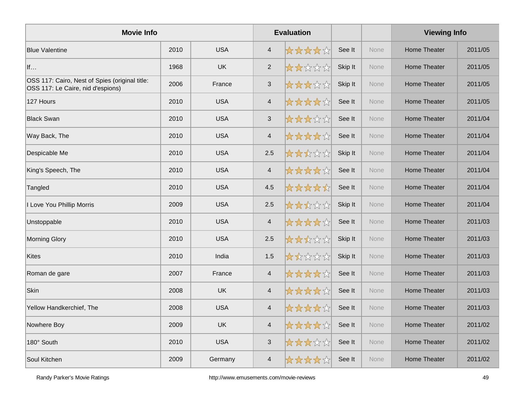| <b>Movie Info</b>                                                                   |      |            |                          | <b>Evaluation</b> |         |             | <b>Viewing Info</b> |         |
|-------------------------------------------------------------------------------------|------|------------|--------------------------|-------------------|---------|-------------|---------------------|---------|
| <b>Blue Valentine</b>                                                               | 2010 | <b>USA</b> | $\overline{4}$           | *****             | See It  | None        | <b>Home Theater</b> | 2011/05 |
| If                                                                                  | 1968 | <b>UK</b>  | $\sqrt{2}$               | *****             | Skip It | None        | <b>Home Theater</b> | 2011/05 |
| OSS 117: Cairo, Nest of Spies (original title:<br>OSS 117: Le Caire, nid d'espions) | 2006 | France     | $\sqrt{3}$               | 女女女女女             | Skip It | None        | Home Theater        | 2011/05 |
| 127 Hours                                                                           | 2010 | <b>USA</b> | $\overline{\mathcal{A}}$ | *****             | See It  | None        | Home Theater        | 2011/05 |
| <b>Black Swan</b>                                                                   | 2010 | <b>USA</b> | $\sqrt{3}$               | *****             | See It  | None        | <b>Home Theater</b> | 2011/04 |
| Way Back, The                                                                       | 2010 | <b>USA</b> | $\overline{\mathcal{A}}$ | *****             | See It  | None        | <b>Home Theater</b> | 2011/04 |
| Despicable Me                                                                       | 2010 | <b>USA</b> | 2.5                      | *****             | Skip It | None        | Home Theater        | 2011/04 |
| King's Speech, The                                                                  | 2010 | <b>USA</b> | $\overline{\mathcal{A}}$ | *****             | See It  | <b>None</b> | Home Theater        | 2011/04 |
| Tangled                                                                             | 2010 | <b>USA</b> | 4.5                      | *****             | See It  | None        | <b>Home Theater</b> | 2011/04 |
| I Love You Phillip Morris                                                           | 2009 | <b>USA</b> | 2.5                      | *****             | Skip It | None        | <b>Home Theater</b> | 2011/04 |
| Unstoppable                                                                         | 2010 | <b>USA</b> | $\overline{4}$           | *****             | See It  | None        | <b>Home Theater</b> | 2011/03 |
| <b>Morning Glory</b>                                                                | 2010 | <b>USA</b> | 2.5                      | *****             | Skip It | None        | <b>Home Theater</b> | 2011/03 |
| <b>Kites</b>                                                                        | 2010 | India      | $1.5$                    | *****             | Skip It | None        | <b>Home Theater</b> | 2011/03 |
| Roman de gare                                                                       | 2007 | France     | $\overline{\mathcal{A}}$ | *****             | See It  | None        | <b>Home Theater</b> | 2011/03 |
| Skin                                                                                | 2008 | <b>UK</b>  | $\overline{4}$           | *****             | See It  | None        | <b>Home Theater</b> | 2011/03 |
| Yellow Handkerchief, The                                                            | 2008 | <b>USA</b> | $\overline{4}$           | *****             | See It  | None        | <b>Home Theater</b> | 2011/03 |
| Nowhere Boy                                                                         | 2009 | <b>UK</b>  | $\overline{4}$           | ☆☆☆☆☆             | See It  | None        | Home Theater        | 2011/02 |
| 180° South                                                                          | 2010 | <b>USA</b> | $\sqrt{3}$               | *****             | See It  | None        | Home Theater        | 2011/02 |
| Soul Kitchen                                                                        | 2009 | Germany    | $\overline{4}$           | *****             | See It  | None        | Home Theater        | 2011/02 |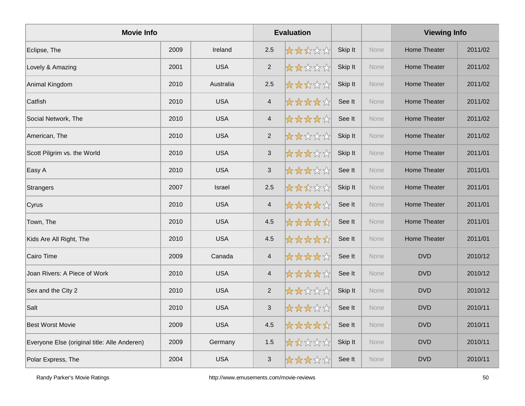| <b>Movie Info</b>                            |      |            |                           | <b>Evaluation</b> |         |      | <b>Viewing Info</b> |         |
|----------------------------------------------|------|------------|---------------------------|-------------------|---------|------|---------------------|---------|
| Eclipse, The                                 | 2009 | Ireland    | 2.5                       | *****             | Skip It | None | <b>Home Theater</b> | 2011/02 |
| Lovely & Amazing                             | 2001 | <b>USA</b> | $\overline{2}$            | *****             | Skip It | None | <b>Home Theater</b> | 2011/02 |
| Animal Kingdom                               | 2010 | Australia  | 2.5                       | 女女女女女             | Skip It | None | <b>Home Theater</b> | 2011/02 |
| Catfish                                      | 2010 | <b>USA</b> | $\overline{4}$            | *****             | See It  | None | <b>Home Theater</b> | 2011/02 |
| Social Network, The                          | 2010 | <b>USA</b> | $\overline{4}$            | *****             | See It  | None | <b>Home Theater</b> | 2011/02 |
| American, The                                | 2010 | <b>USA</b> | $\overline{2}$            | *****             | Skip It | None | <b>Home Theater</b> | 2011/02 |
| Scott Pilgrim vs. the World                  | 2010 | <b>USA</b> | $\mathbf{3}$              | *****             | Skip It | None | Home Theater        | 2011/01 |
| Easy A                                       | 2010 | <b>USA</b> | $\ensuremath{\mathsf{3}}$ | *****             | See It  | None | <b>Home Theater</b> | 2011/01 |
| Strangers                                    | 2007 | Israel     | 2.5                       | *****             | Skip It | None | <b>Home Theater</b> | 2011/01 |
| Cyrus                                        | 2010 | <b>USA</b> | $\overline{\mathbf{4}}$   | *****             | See It  | None | <b>Home Theater</b> | 2011/01 |
| Town, The                                    | 2010 | <b>USA</b> | 4.5                       | *****             | See It  | None | <b>Home Theater</b> | 2011/01 |
| Kids Are All Right, The                      | 2010 | <b>USA</b> | 4.5                       | *****             | See It  | None | <b>Home Theater</b> | 2011/01 |
| Cairo Time                                   | 2009 | Canada     | $\overline{4}$            | *****             | See It  | None | <b>DVD</b>          | 2010/12 |
| Joan Rivers: A Piece of Work                 | 2010 | <b>USA</b> | $\overline{\mathcal{A}}$  | *****             | See It  | None | <b>DVD</b>          | 2010/12 |
| Sex and the City 2                           | 2010 | <b>USA</b> | $\overline{2}$            | *****             | Skip It | None | <b>DVD</b>          | 2010/12 |
| Salt                                         | 2010 | <b>USA</b> | $\sqrt{3}$                | *****             | See It  | None | <b>DVD</b>          | 2010/11 |
| <b>Best Worst Movie</b>                      | 2009 | <b>USA</b> | 4.5                       | *****             | See It  | None | <b>DVD</b>          | 2010/11 |
| Everyone Else (original title: Alle Anderen) | 2009 | Germany    | 1.5                       | *****             | Skip It | None | <b>DVD</b>          | 2010/11 |
| Polar Express, The                           | 2004 | <b>USA</b> | 3                         | *****             | See It  | None | <b>DVD</b>          | 2010/11 |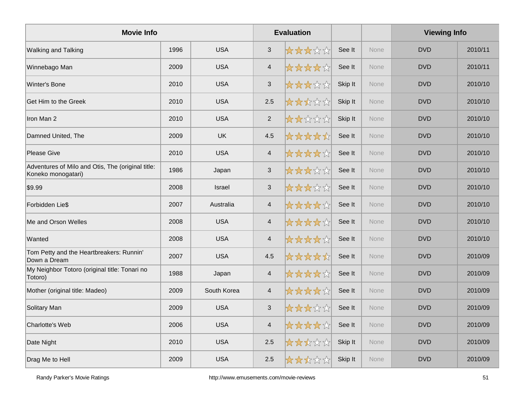| <b>Movie Info</b>                                                       |      |             |                          | <b>Evaluation</b> |         |             | <b>Viewing Info</b> |         |
|-------------------------------------------------------------------------|------|-------------|--------------------------|-------------------|---------|-------------|---------------------|---------|
| <b>Walking and Talking</b>                                              | 1996 | <b>USA</b>  | $\mathbf{3}$             | *****             | See It  | <b>None</b> | <b>DVD</b>          | 2010/11 |
| Winnebago Man                                                           | 2009 | <b>USA</b>  | $\overline{4}$           | *****             | See It  | None        | <b>DVD</b>          | 2010/11 |
| Winter's Bone                                                           | 2010 | <b>USA</b>  | $\mathfrak{S}$           | *****             | Skip It | None        | <b>DVD</b>          | 2010/10 |
| Get Him to the Greek                                                    | 2010 | <b>USA</b>  | 2.5                      | *****             | Skip It | None        | <b>DVD</b>          | 2010/10 |
| Iron Man 2                                                              | 2010 | <b>USA</b>  | $\overline{2}$           | *****             | Skip It | None        | <b>DVD</b>          | 2010/10 |
| Damned United, The                                                      | 2009 | <b>UK</b>   | 4.5                      | *****             | See It  | None        | <b>DVD</b>          | 2010/10 |
| <b>Please Give</b>                                                      | 2010 | <b>USA</b>  | $\overline{4}$           | *****             | See It  | None        | <b>DVD</b>          | 2010/10 |
| Adventures of Milo and Otis, The (original title:<br>Koneko monogatari) | 1986 | Japan       | $\sqrt{3}$               | 女女女女众             | See It  | None        | <b>DVD</b>          | 2010/10 |
| \$9.99                                                                  | 2008 | Israel      | $\mathbf{3}$             | 女女女女众             | See It  | None        | <b>DVD</b>          | 2010/10 |
| Forbidden Lie\$                                                         | 2007 | Australia   | $\overline{\mathcal{A}}$ | ☆☆☆☆☆             | See It  | None        | <b>DVD</b>          | 2010/10 |
| Me and Orson Welles                                                     | 2008 | <b>USA</b>  | $\overline{4}$           | *****             | See It  | None        | <b>DVD</b>          | 2010/10 |
| Wanted                                                                  | 2008 | <b>USA</b>  | $\overline{\mathbf{4}}$  | *****             | See It  | <b>None</b> | <b>DVD</b>          | 2010/10 |
| Tom Petty and the Heartbreakers: Runnin'<br>Down a Dream                | 2007 | <b>USA</b>  | 4.5                      | *****             | See It  | None        | <b>DVD</b>          | 2010/09 |
| My Neighbor Totoro (original title: Tonari no<br>Totoro)                | 1988 | Japan       | $\overline{\mathbf{4}}$  | *****             | See It  | None        | <b>DVD</b>          | 2010/09 |
| Mother (original title: Madeo)                                          | 2009 | South Korea | $\overline{\mathcal{A}}$ | *****             | See It  | None        | <b>DVD</b>          | 2010/09 |
| Solitary Man                                                            | 2009 | <b>USA</b>  | $\mathbf{3}$             | *****             | See It  | None        | <b>DVD</b>          | 2010/09 |
| <b>Charlotte's Web</b>                                                  | 2006 | <b>USA</b>  | $\overline{\mathbf{4}}$  | *****             | See It  | <b>None</b> | <b>DVD</b>          | 2010/09 |
| Date Night                                                              | 2010 | <b>USA</b>  | 2.5                      | *****             | Skip It | None        | <b>DVD</b>          | 2010/09 |
| Drag Me to Hell                                                         | 2009 | <b>USA</b>  | 2.5                      | 大大大公众             | Skip It | None        | <b>DVD</b>          | 2010/09 |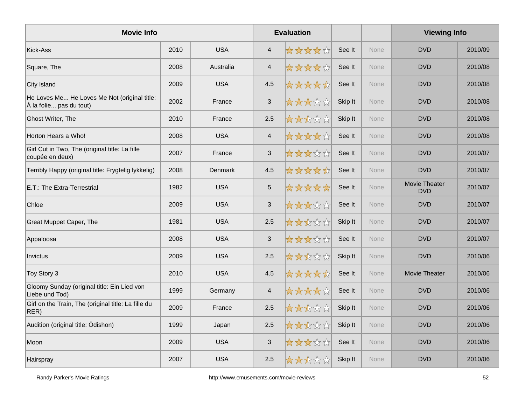| <b>Movie Info</b>                                                       |      |            |                | <b>Evaluation</b> |         |             | <b>Viewing Info</b>         |         |
|-------------------------------------------------------------------------|------|------------|----------------|-------------------|---------|-------------|-----------------------------|---------|
| Kick-Ass                                                                | 2010 | <b>USA</b> | $\overline{4}$ | *****             | See It  | <b>None</b> | <b>DVD</b>                  | 2010/09 |
| Square, The                                                             | 2008 | Australia  | $\overline{4}$ | *****             | See It  | None        | <b>DVD</b>                  | 2010/08 |
| City Island                                                             | 2009 | <b>USA</b> | 4.5            | *****             | See It  | None        | <b>DVD</b>                  | 2010/08 |
| He Loves Me He Loves Me Not (original title:<br>À la folie pas du tout) | 2002 | France     | $\sqrt{3}$     | *****             | Skip It | None        | <b>DVD</b>                  | 2010/08 |
| <b>Ghost Writer, The</b>                                                | 2010 | France     | 2.5            | *****             | Skip It | None        | <b>DVD</b>                  | 2010/08 |
| Horton Hears a Who!                                                     | 2008 | <b>USA</b> | $\overline{4}$ | *****             | See It  | None        | <b>DVD</b>                  | 2010/08 |
| Girl Cut in Two, The (original title: La fille<br>coupée en deux)       | 2007 | France     | $\sqrt{3}$     | *****             | See It  | None        | <b>DVD</b>                  | 2010/07 |
| Terribly Happy (original title: Frygtelig lykkelig)                     | 2008 | Denmark    | 4.5            | *****             | See It  | <b>None</b> | <b>DVD</b>                  | 2010/07 |
| E.T.: The Extra-Terrestrial                                             | 1982 | <b>USA</b> | $\sqrt{5}$     | *****             | See It  | None        | Movie Theater<br><b>DVD</b> | 2010/07 |
| Chloe                                                                   | 2009 | <b>USA</b> | $\sqrt{3}$     | *****             | See It  | None        | <b>DVD</b>                  | 2010/07 |
| <b>Great Muppet Caper, The</b>                                          | 1981 | <b>USA</b> | 2.5            | *****             | Skip It | None        | <b>DVD</b>                  | 2010/07 |
| Appaloosa                                                               | 2008 | <b>USA</b> | $\sqrt{3}$     | *****             | See It  | None        | <b>DVD</b>                  | 2010/07 |
| Invictus                                                                | 2009 | <b>USA</b> | 2.5            | *****             | Skip It | None        | <b>DVD</b>                  | 2010/06 |
| Toy Story 3                                                             | 2010 | <b>USA</b> | 4.5            | *****             | See It  | None        | Movie Theater               | 2010/06 |
| Gloomy Sunday (original title: Ein Lied von<br>Liebe und Tod)           | 1999 | Germany    | $\overline{4}$ | *****             | See It  | None        | <b>DVD</b>                  | 2010/06 |
| Girl on the Train, The (original title: La fille du<br>RER)             | 2009 | France     | 2.5            | *****             | Skip It | <b>None</b> | <b>DVD</b>                  | 2010/06 |
| Audition (original title: Ôdishon)                                      | 1999 | Japan      | 2.5            | *****             | Skip It | <b>None</b> | <b>DVD</b>                  | 2010/06 |
| Moon                                                                    | 2009 | <b>USA</b> | $\sqrt{3}$     | *****             | See It  | <b>None</b> | <b>DVD</b>                  | 2010/06 |
| Hairspray                                                               | 2007 | <b>USA</b> | 2.5            | 大大大文文             | Skip It | None        | <b>DVD</b>                  | 2010/06 |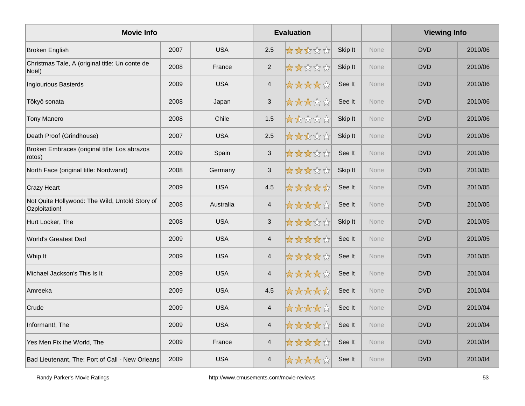| <b>Movie Info</b>                                               |      |            |                           | <b>Evaluation</b> |         |             | <b>Viewing Info</b> |         |
|-----------------------------------------------------------------|------|------------|---------------------------|-------------------|---------|-------------|---------------------|---------|
| <b>Broken English</b>                                           | 2007 | <b>USA</b> | 2.5                       | *****             | Skip It | None        | <b>DVD</b>          | 2010/06 |
| Christmas Tale, A (original title: Un conte de<br>Noël)         | 2008 | France     | 2                         | 太太太太太             | Skip It | None        | <b>DVD</b>          | 2010/06 |
| <b>Inglourious Basterds</b>                                     | 2009 | <b>USA</b> | $\overline{4}$            | *****             | See It  | None        | <b>DVD</b>          | 2010/06 |
| Tôkyô sonata                                                    | 2008 | Japan      | $\sqrt{3}$                | *****             | See It  | None        | <b>DVD</b>          | 2010/06 |
| <b>Tony Manero</b>                                              | 2008 | Chile      | 1.5                       | *****             | Skip It | None        | <b>DVD</b>          | 2010/06 |
| Death Proof (Grindhouse)                                        | 2007 | <b>USA</b> | 2.5                       | *****             | Skip It | None        | <b>DVD</b>          | 2010/06 |
| Broken Embraces (original title: Los abrazos<br>rotos)          | 2009 | Spain      | $\sqrt{3}$                | *****             | See It  | None        | <b>DVD</b>          | 2010/06 |
| North Face (original title: Nordwand)                           | 2008 | Germany    | $\ensuremath{\mathsf{3}}$ | *****             | Skip It | <b>None</b> | <b>DVD</b>          | 2010/05 |
| <b>Crazy Heart</b>                                              | 2009 | <b>USA</b> | 4.5                       | *****             | See It  | None        | <b>DVD</b>          | 2010/05 |
| Not Quite Hollywood: The Wild, Untold Story of<br>Ozploitation! | 2008 | Australia  | $\overline{4}$            | *****             | See It  | None        | <b>DVD</b>          | 2010/05 |
| Hurt Locker, The                                                | 2008 | <b>USA</b> | $\mathbf{3}$              | *****             | Skip It | None        | <b>DVD</b>          | 2010/05 |
| World's Greatest Dad                                            | 2009 | <b>USA</b> | $\overline{4}$            | *****             | See It  | None        | <b>DVD</b>          | 2010/05 |
| Whip It                                                         | 2009 | <b>USA</b> | $\overline{\mathbf{4}}$   | *****             | See It  | <b>None</b> | <b>DVD</b>          | 2010/05 |
| Michael Jackson's This Is It                                    | 2009 | <b>USA</b> | $\overline{\mathbf{4}}$   | *****             | See It  | None        | <b>DVD</b>          | 2010/04 |
| Amreeka                                                         | 2009 | <b>USA</b> | 4.5                       | *****             | See It  | None        | <b>DVD</b>          | 2010/04 |
| Crude                                                           | 2009 | <b>USA</b> | $\overline{4}$            | *****             | See It  | None        | <b>DVD</b>          | 2010/04 |
| Informant!, The                                                 | 2009 | <b>USA</b> | $\overline{\mathcal{A}}$  | *****             | See It  | <b>None</b> | <b>DVD</b>          | 2010/04 |
| Yes Men Fix the World, The                                      | 2009 | France     | $\overline{4}$            | ☆☆☆☆☆             | See It  | <b>None</b> | <b>DVD</b>          | 2010/04 |
| Bad Lieutenant, The: Port of Call - New Orleans                 | 2009 | <b>USA</b> | $\overline{\mathcal{A}}$  | ☆☆☆☆☆             | See It  | None        | <b>DVD</b>          | 2010/04 |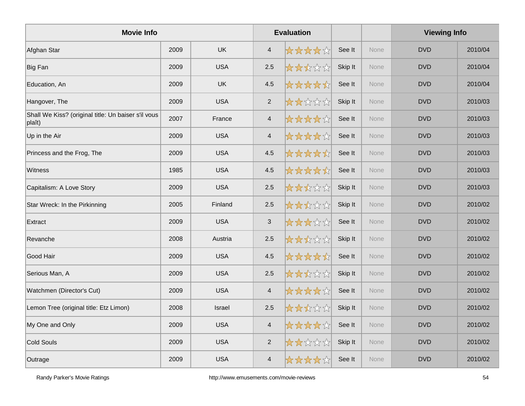| <b>Movie Info</b>                                             |      |            |                         | <b>Evaluation</b> |         |             | <b>Viewing Info</b> |         |
|---------------------------------------------------------------|------|------------|-------------------------|-------------------|---------|-------------|---------------------|---------|
| Afghan Star                                                   | 2009 | <b>UK</b>  | $\overline{4}$          | *****             | See It  | None        | <b>DVD</b>          | 2010/04 |
| Big Fan                                                       | 2009 | <b>USA</b> | 2.5                     | *****             | Skip It | <b>None</b> | <b>DVD</b>          | 2010/04 |
| Education, An                                                 | 2009 | <b>UK</b>  | 4.5                     | *****             | See It  | None        | <b>DVD</b>          | 2010/04 |
| Hangover, The                                                 | 2009 | <b>USA</b> | 2                       | *****             | Skip It | None        | <b>DVD</b>          | 2010/03 |
| Shall We Kiss? (original title: Un baiser s'il vous<br>plaît) | 2007 | France     | $\overline{4}$          | *****             | See It  | None        | <b>DVD</b>          | 2010/03 |
| Up in the Air                                                 | 2009 | <b>USA</b> | $\overline{\mathbf{4}}$ | *****             | See It  | None        | <b>DVD</b>          | 2010/03 |
| Princess and the Frog, The                                    | 2009 | <b>USA</b> | 4.5                     | *****             | See It  | None        | <b>DVD</b>          | 2010/03 |
| <b>Witness</b>                                                | 1985 | <b>USA</b> | 4.5                     | <b>☆☆☆☆☆</b>      | See It  | None        | <b>DVD</b>          | 2010/03 |
| Capitalism: A Love Story                                      | 2009 | <b>USA</b> | 2.5                     | *****             | Skip It | None        | <b>DVD</b>          | 2010/03 |
| Star Wreck: In the Pirkinning                                 | 2005 | Finland    | 2.5                     | *****             | Skip It | None        | <b>DVD</b>          | 2010/02 |
| Extract                                                       | 2009 | <b>USA</b> | $\sqrt{3}$              | 女女女女众             | See It  | None        | <b>DVD</b>          | 2010/02 |
| Revanche                                                      | 2008 | Austria    | 2.5                     | ☆☆☆☆☆             | Skip It | None        | <b>DVD</b>          | 2010/02 |
| Good Hair                                                     | 2009 | <b>USA</b> | 4.5                     | *****             | See It  | None        | <b>DVD</b>          | 2010/02 |
| Serious Man, A                                                | 2009 | <b>USA</b> | $2.5\,$                 | *****             | Skip It | None        | <b>DVD</b>          | 2010/02 |
| Watchmen (Director's Cut)                                     | 2009 | <b>USA</b> | $\overline{4}$          | *****             | See It  | None        | <b>DVD</b>          | 2010/02 |
| Lemon Tree (original title: Etz Limon)                        | 2008 | Israel     | 2.5                     | 女女女女女             | Skip It | None        | <b>DVD</b>          | 2010/02 |
| My One and Only                                               | 2009 | <b>USA</b> | $\overline{4}$          | ☆☆☆☆☆             | See It  | None        | <b>DVD</b>          | 2010/02 |
| Cold Souls                                                    | 2009 | <b>USA</b> | $\overline{2}$          | *****             | Skip It | None        | <b>DVD</b>          | 2010/02 |
| Outrage                                                       | 2009 | <b>USA</b> | $\overline{\mathbf{4}}$ | ☆☆☆☆☆☆            | See It  | None        | <b>DVD</b>          | 2010/02 |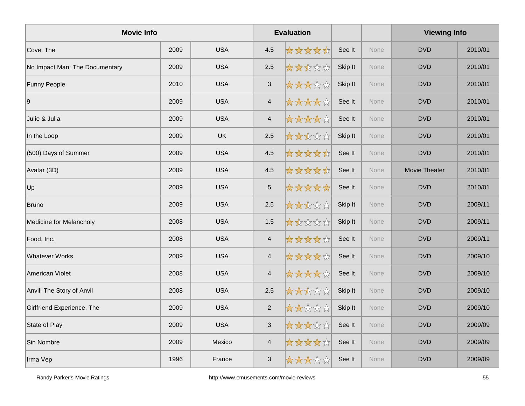| <b>Movie Info</b>              |      |            |                          | <b>Evaluation</b> |         |      | <b>Viewing Info</b> |         |
|--------------------------------|------|------------|--------------------------|-------------------|---------|------|---------------------|---------|
| Cove, The                      | 2009 | <b>USA</b> | 4.5                      | *****             | See It  | None | <b>DVD</b>          | 2010/01 |
| No Impact Man: The Documentary | 2009 | <b>USA</b> | 2.5                      | *****             | Skip It | None | <b>DVD</b>          | 2010/01 |
| <b>Funny People</b>            | 2010 | <b>USA</b> | $\mathsf 3$              | *****             | Skip It | None | <b>DVD</b>          | 2010/01 |
| 9                              | 2009 | <b>USA</b> | $\overline{4}$           | *****             | See It  | None | <b>DVD</b>          | 2010/01 |
| Julie & Julia                  | 2009 | <b>USA</b> | $\overline{4}$           | *****             | See It  | None | <b>DVD</b>          | 2010/01 |
| In the Loop                    | 2009 | <b>UK</b>  | 2.5                      | *****             | Skip It | None | <b>DVD</b>          | 2010/01 |
| (500) Days of Summer           | 2009 | <b>USA</b> | 4.5                      | *****             | See It  | None | <b>DVD</b>          | 2010/01 |
| Avatar (3D)                    | 2009 | <b>USA</b> | 4.5                      | <b>☆☆☆☆☆</b>      | See It  | None | Movie Theater       | 2010/01 |
| Up                             | 2009 | <b>USA</b> | $\sqrt{5}$               | *****             | See It  | None | <b>DVD</b>          | 2010/01 |
| Brüno                          | 2009 | <b>USA</b> | 2.5                      | *****             | Skip It | None | <b>DVD</b>          | 2009/11 |
| <b>Medicine for Melancholy</b> | 2008 | <b>USA</b> | 1.5                      | 大大众公众             | Skip It | None | <b>DVD</b>          | 2009/11 |
| Food, Inc.                     | 2008 | <b>USA</b> | $\overline{4}$           | ☆☆☆☆☆             | See It  | None | <b>DVD</b>          | 2009/11 |
| <b>Whatever Works</b>          | 2009 | <b>USA</b> | $\overline{4}$           | *****             | See It  | None | <b>DVD</b>          | 2009/10 |
| American Violet                | 2008 | <b>USA</b> | $\overline{\mathcal{A}}$ | *****             | See It  | None | <b>DVD</b>          | 2009/10 |
| Anvil! The Story of Anvil      | 2008 | <b>USA</b> | 2.5                      | *****             | Skip It | None | <b>DVD</b>          | 2009/10 |
| Girlfriend Experience, The     | 2009 | <b>USA</b> | $\overline{2}$           | *****             | Skip It | None | <b>DVD</b>          | 2009/10 |
| State of Play                  | 2009 | <b>USA</b> | $\sqrt{3}$               | 女女女女众             | See It  | None | <b>DVD</b>          | 2009/09 |
| Sin Nombre                     | 2009 | Mexico     | $\overline{4}$           | ☆☆☆☆☆             | See It  | None | <b>DVD</b>          | 2009/09 |
| Irma Vep                       | 1996 | France     | $\mathbf{3}$             | *****             | See It  | None | <b>DVD</b>          | 2009/09 |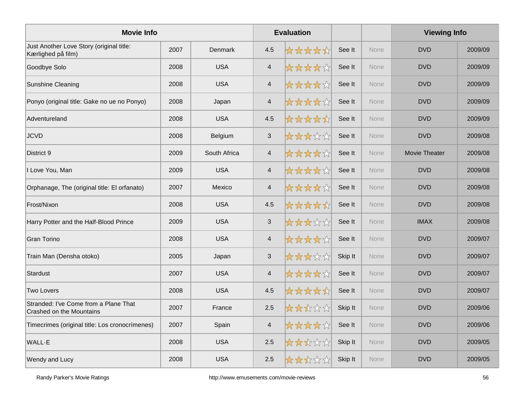| <b>Movie Info</b>                                                 |      |              |                          | <b>Evaluation</b> |         |             | <b>Viewing Info</b>  |         |
|-------------------------------------------------------------------|------|--------------|--------------------------|-------------------|---------|-------------|----------------------|---------|
| Just Another Love Story (original title:<br>Kærlighed på film)    | 2007 | Denmark      | 4.5                      | *****             | See It  | <b>None</b> | <b>DVD</b>           | 2009/09 |
| Goodbye Solo                                                      | 2008 | <b>USA</b>   | $\overline{\mathcal{A}}$ | ☆☆☆☆☆             | See It  | None        | <b>DVD</b>           | 2009/09 |
| Sunshine Cleaning                                                 | 2008 | <b>USA</b>   | $\overline{4}$           | *****             | See It  | None        | <b>DVD</b>           | 2009/09 |
| Ponyo (original title: Gake no ue no Ponyo)                       | 2008 | Japan        | $\overline{\mathcal{A}}$ | ☆☆☆☆☆☆            | See It  | None        | <b>DVD</b>           | 2009/09 |
| Adventureland                                                     | 2008 | <b>USA</b>   | 4.5                      | *****             | See It  | None        | <b>DVD</b>           | 2009/09 |
| <b>JCVD</b>                                                       | 2008 | Belgium      | $\mathfrak{S}$           | *****             | See It  | None        | <b>DVD</b>           | 2009/08 |
| District 9                                                        | 2009 | South Africa | $\overline{4}$           | *****             | See It  | None        | <b>Movie Theater</b> | 2009/08 |
| I Love You, Man                                                   | 2009 | <b>USA</b>   | $\overline{\mathcal{A}}$ | *****             | See It  | <b>None</b> | <b>DVD</b>           | 2009/08 |
| Orphanage, The (original title: El orfanato)                      | 2007 | Mexico       | $\overline{\mathcal{A}}$ | *****             | See It  | None        | <b>DVD</b>           | 2009/08 |
| Frost/Nixon                                                       | 2008 | <b>USA</b>   | 4.5                      | *****             | See It  | None        | <b>DVD</b>           | 2009/08 |
| Harry Potter and the Half-Blood Prince                            | 2009 | <b>USA</b>   | $\sqrt{3}$               | *****             | See It  | None        | <b>IMAX</b>          | 2009/08 |
| <b>Gran Torino</b>                                                | 2008 | <b>USA</b>   | $\overline{4}$           | *****             | See It  | <b>None</b> | <b>DVD</b>           | 2009/07 |
| Train Man (Densha otoko)                                          | 2005 | Japan        | $\mathbf{3}$             | *****             | Skip It | <b>None</b> | <b>DVD</b>           | 2009/07 |
| Stardust                                                          | 2007 | <b>USA</b>   | $\overline{\mathbf{4}}$  | *****             | See It  | None        | <b>DVD</b>           | 2009/07 |
| <b>Two Lovers</b>                                                 | 2008 | <b>USA</b>   | 4.5                      | *****             | See It  | None        | <b>DVD</b>           | 2009/07 |
| Stranded: I've Come from a Plane That<br>Crashed on the Mountains | 2007 | France       | 2.5                      | *****             | Skip It | None        | <b>DVD</b>           | 2009/06 |
| Timecrimes (original title: Los cronocrímenes)                    | 2007 | Spain        | $\overline{4}$           | *****             | See It  | <b>None</b> | <b>DVD</b>           | 2009/06 |
| WALL-E                                                            | 2008 | <b>USA</b>   | 2.5                      | *****             | Skip It | None        | <b>DVD</b>           | 2009/05 |
| Wendy and Lucy                                                    | 2008 | <b>USA</b>   | 2.5                      | 大大大公众             | Skip It | None        | <b>DVD</b>           | 2009/05 |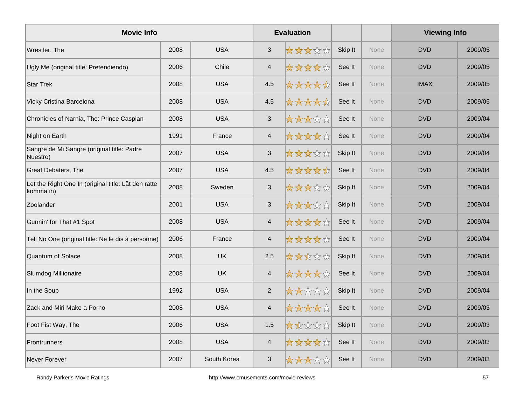| <b>Movie Info</b>                                                |      |             |                | <b>Evaluation</b> |         |             | <b>Viewing Info</b> |         |
|------------------------------------------------------------------|------|-------------|----------------|-------------------|---------|-------------|---------------------|---------|
| Wrestler, The                                                    | 2008 | <b>USA</b>  | $\mathbf{3}$   | *****             | Skip It | <b>None</b> | <b>DVD</b>          | 2009/05 |
| Ugly Me (original title: Pretendiendo)                           | 2006 | Chile       | $\overline{4}$ | *****             | See It  | None        | <b>DVD</b>          | 2009/05 |
| <b>Star Trek</b>                                                 | 2008 | <b>USA</b>  | 4.5            | *****             | See It  | None        | <b>IMAX</b>         | 2009/05 |
| Vicky Cristina Barcelona                                         | 2008 | <b>USA</b>  | 4.5            | *****             | See It  | None        | <b>DVD</b>          | 2009/05 |
| Chronicles of Narnia, The: Prince Caspian                        | 2008 | <b>USA</b>  | $\mathbf{3}$   | *****             | See It  | None        | <b>DVD</b>          | 2009/04 |
| Night on Earth                                                   | 1991 | France      | $\overline{4}$ | *****             | See It  | None        | <b>DVD</b>          | 2009/04 |
| Sangre de Mi Sangre (original title: Padre<br>Nuestro)           | 2007 | <b>USA</b>  | $\mathfrak{S}$ | *****             | Skip It | None        | <b>DVD</b>          | 2009/04 |
| <b>Great Debaters, The</b>                                       | 2007 | <b>USA</b>  | 4.5            | *****             | See It  | <b>None</b> | <b>DVD</b>          | 2009/04 |
| Let the Right One In (original title: Låt den rätte<br>komma in) | 2008 | Sweden      | $\sqrt{3}$     | *****             | Skip It | None        | <b>DVD</b>          | 2009/04 |
| Zoolander                                                        | 2001 | <b>USA</b>  | $\sqrt{3}$     | *****             | Skip It | None        | <b>DVD</b>          | 2009/04 |
| Gunnin' for That #1 Spot                                         | 2008 | <b>USA</b>  | $\overline{4}$ | *****             | See It  | None        | <b>DVD</b>          | 2009/04 |
| Tell No One (original title: Ne le dis à personne)               | 2006 | France      | $\overline{4}$ | *****             | See It  | <b>None</b> | <b>DVD</b>          | 2009/04 |
| Quantum of Solace                                                | 2008 | <b>UK</b>   | 2.5            | *****             | Skip It | <b>None</b> | <b>DVD</b>          | 2009/04 |
| Slumdog Millionaire                                              | 2008 | <b>UK</b>   | $\overline{4}$ | *****             | See It  | None        | <b>DVD</b>          | 2009/04 |
| In the Soup                                                      | 1992 | <b>USA</b>  | $\overline{2}$ | *****             | Skip It | None        | <b>DVD</b>          | 2009/04 |
| Zack and Miri Make a Porno                                       | 2008 | <b>USA</b>  | $\overline{4}$ | *****             | See It  | None        | <b>DVD</b>          | 2009/03 |
| Foot Fist Way, The                                               | 2006 | <b>USA</b>  | 1.5            | *****             | Skip It | <b>None</b> | <b>DVD</b>          | 2009/03 |
| Frontrunners                                                     | 2008 | <b>USA</b>  | $\overline{4}$ | *****             | See It  | <b>None</b> | <b>DVD</b>          | 2009/03 |
| <b>Never Forever</b>                                             | 2007 | South Korea | $\mathbf{3}$   | *****             | See It  | None        | <b>DVD</b>          | 2009/03 |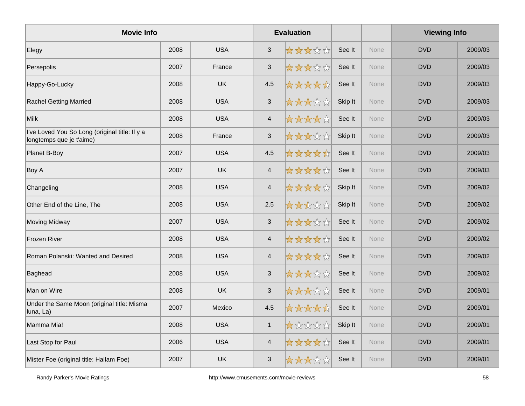| <b>Movie Info</b>                                                          |      |            |                           | <b>Evaluation</b> |         |             | <b>Viewing Info</b> |         |
|----------------------------------------------------------------------------|------|------------|---------------------------|-------------------|---------|-------------|---------------------|---------|
| Elegy                                                                      | 2008 | <b>USA</b> | 3                         | *****             | See It  | <b>None</b> | <b>DVD</b>          | 2009/03 |
| Persepolis                                                                 | 2007 | France     | $\ensuremath{\mathsf{3}}$ | *****             | See It  | None        | <b>DVD</b>          | 2009/03 |
| Happy-Go-Lucky                                                             | 2008 | <b>UK</b>  | 4.5                       | *****             | See It  | None        | <b>DVD</b>          | 2009/03 |
| <b>Rachel Getting Married</b>                                              | 2008 | <b>USA</b> | $\sqrt{3}$                | *****             | Skip It | None        | <b>DVD</b>          | 2009/03 |
| Milk                                                                       | 2008 | <b>USA</b> | $\overline{4}$            | *****             | See It  | None        | <b>DVD</b>          | 2009/03 |
| I've Loved You So Long (original title: Il y a<br>longtemps que je t'aime) | 2008 | France     | $\sqrt{3}$                | *****             | Skip It | None        | <b>DVD</b>          | 2009/03 |
| Planet B-Boy                                                               | 2007 | <b>USA</b> | 4.5                       | *****             | See It  | None        | <b>DVD</b>          | 2009/03 |
| Boy A                                                                      | 2007 | <b>UK</b>  | $\overline{\mathbf{4}}$   | *****             | See It  | None        | <b>DVD</b>          | 2009/03 |
| Changeling                                                                 | 2008 | <b>USA</b> | $\overline{\mathbf{4}}$   | ☆☆☆☆☆             | Skip It | None        | <b>DVD</b>          | 2009/02 |
| Other End of the Line, The                                                 | 2008 | <b>USA</b> | 2.5                       | *****             | Skip It | None        | <b>DVD</b>          | 2009/02 |
| <b>Moving Midway</b>                                                       | 2007 | <b>USA</b> | $\sqrt{3}$                | *****             | See It  | None        | <b>DVD</b>          | 2009/02 |
| Frozen River                                                               | 2008 | <b>USA</b> | $\overline{4}$            | *****             | See It  | <b>None</b> | <b>DVD</b>          | 2009/02 |
| Roman Polanski: Wanted and Desired                                         | 2008 | <b>USA</b> | $\overline{\mathbf{4}}$   | *****             | See It  | None        | <b>DVD</b>          | 2009/02 |
| Baghead                                                                    | 2008 | <b>USA</b> | $\ensuremath{\mathsf{3}}$ | *****             | See It  | None        | <b>DVD</b>          | 2009/02 |
| Man on Wire                                                                | 2008 | <b>UK</b>  | $\mathbf{3}$              | *****             | See It  | None        | <b>DVD</b>          | 2009/01 |
| Under the Same Moon (original title: Misma<br>luna, La)                    | 2007 | Mexico     | 4.5                       | *****             | See It  | None        | <b>DVD</b>          | 2009/01 |
| Mamma Mia!                                                                 | 2008 | <b>USA</b> | $\mathbf{1}$              | 大众众众众             | Skip It | <b>None</b> | <b>DVD</b>          | 2009/01 |
| Last Stop for Paul                                                         | 2006 | <b>USA</b> | $\overline{4}$            | ☆☆☆☆☆             | See It  | <b>None</b> | <b>DVD</b>          | 2009/01 |
| Mister Foe (original title: Hallam Foe)                                    | 2007 | <b>UK</b>  | $\mathfrak{S}$            | *****             | See It  | None        | <b>DVD</b>          | 2009/01 |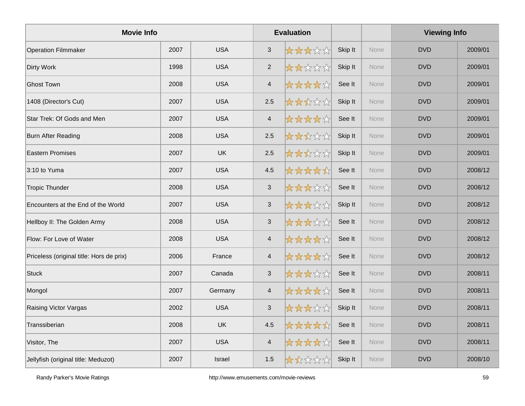| <b>Movie Info</b>                        |      |            |                         | <b>Evaluation</b> |         |             | <b>Viewing Info</b> |         |
|------------------------------------------|------|------------|-------------------------|-------------------|---------|-------------|---------------------|---------|
| <b>Operation Filmmaker</b>               | 2007 | <b>USA</b> | $\mathfrak{S}$          | *****             | Skip It | <b>None</b> | <b>DVD</b>          | 2009/01 |
| Dirty Work                               | 1998 | <b>USA</b> | $\overline{2}$          | *****             | Skip It | None        | <b>DVD</b>          | 2009/01 |
| <b>Ghost Town</b>                        | 2008 | <b>USA</b> | $\overline{4}$          | *****             | See It  | None        | <b>DVD</b>          | 2009/01 |
| 1408 (Director's Cut)                    | 2007 | <b>USA</b> | 2.5                     | *****             | Skip It | None        | <b>DVD</b>          | 2009/01 |
| Star Trek: Of Gods and Men               | 2007 | <b>USA</b> | $\overline{4}$          | *****             | See It  | None        | <b>DVD</b>          | 2009/01 |
| <b>Burn After Reading</b>                | 2008 | <b>USA</b> | 2.5                     | *****             | Skip It | None        | <b>DVD</b>          | 2009/01 |
| <b>Eastern Promises</b>                  | 2007 | <b>UK</b>  | 2.5                     | *****             | Skip It | None        | <b>DVD</b>          | 2009/01 |
| 3:10 to Yuma                             | 2007 | <b>USA</b> | 4.5                     | *****             | See It  | None        | <b>DVD</b>          | 2008/12 |
| <b>Tropic Thunder</b>                    | 2008 | <b>USA</b> | 3                       | *****             | See It  | None        | <b>DVD</b>          | 2008/12 |
| Encounters at the End of the World       | 2007 | <b>USA</b> | $\mathbf{3}$            | *****             | Skip It | None        | <b>DVD</b>          | 2008/12 |
| Hellboy II: The Golden Army              | 2008 | <b>USA</b> | $\mathbf{3}$            | *****             | See It  | None        | <b>DVD</b>          | 2008/12 |
| Flow: For Love of Water                  | 2008 | <b>USA</b> | $\overline{4}$          | *****             | See It  | None        | <b>DVD</b>          | 2008/12 |
| Priceless (original title: Hors de prix) | 2006 | France     | $\overline{4}$          | *****             | See It  | None        | <b>DVD</b>          | 2008/12 |
| Stuck                                    | 2007 | Canada     | $\sqrt{3}$              | *****             | See It  | None        | <b>DVD</b>          | 2008/11 |
| Mongol                                   | 2007 | Germany    | $\overline{4}$          | *****             | See It  | None        | <b>DVD</b>          | 2008/11 |
| Raising Victor Vargas                    | 2002 | <b>USA</b> | $\sqrt{3}$              | *****             | Skip It | None        | <b>DVD</b>          | 2008/11 |
| Transsiberian                            | 2008 | <b>UK</b>  | 4.5                     | *****             | See It  | None        | <b>DVD</b>          | 2008/11 |
| Visitor, The                             | 2007 | <b>USA</b> | $\overline{\mathbf{4}}$ | *****             | See It  | None        | <b>DVD</b>          | 2008/11 |
| Jellyfish (original title: Meduzot)      | 2007 | Israel     | 1.5                     | *****             | Skip It | None        | <b>DVD</b>          | 2008/10 |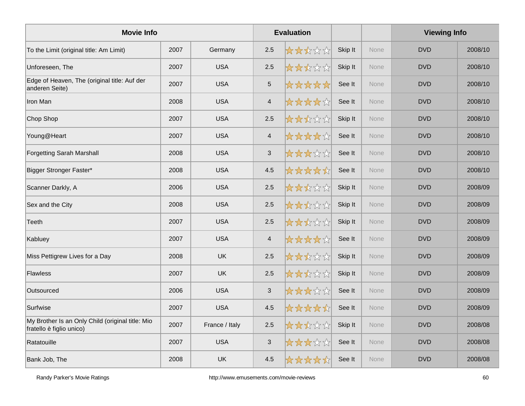| <b>Movie Info</b>                                                            |      |                |                           | <b>Evaluation</b> |         |             | <b>Viewing Info</b> |         |
|------------------------------------------------------------------------------|------|----------------|---------------------------|-------------------|---------|-------------|---------------------|---------|
| To the Limit (original title: Am Limit)                                      | 2007 | Germany        | 2.5                       | *****             | Skip It | None        | <b>DVD</b>          | 2008/10 |
| Unforeseen, The                                                              | 2007 | <b>USA</b>     | 2.5                       | *****             | Skip It | <b>None</b> | <b>DVD</b>          | 2008/10 |
| Edge of Heaven, The (original title: Auf der<br>anderen Seite)               | 2007 | <b>USA</b>     | $\overline{5}$            | *****             | See It  | None        | <b>DVD</b>          | 2008/10 |
| Iron Man                                                                     | 2008 | <b>USA</b>     | $\overline{4}$            | *****             | See It  | None        | <b>DVD</b>          | 2008/10 |
| Chop Shop                                                                    | 2007 | <b>USA</b>     | 2.5                       | *****             | Skip It | None        | <b>DVD</b>          | 2008/10 |
| Young@Heart                                                                  | 2007 | <b>USA</b>     | $\overline{4}$            | *****             | See It  | None        | <b>DVD</b>          | 2008/10 |
| <b>Forgetting Sarah Marshall</b>                                             | 2008 | <b>USA</b>     | $\sqrt{3}$                | *****             | See It  | None        | <b>DVD</b>          | 2008/10 |
| Bigger Stronger Faster*                                                      | 2008 | <b>USA</b>     | 4.5                       | *****             | See It  | None        | <b>DVD</b>          | 2008/10 |
| Scanner Darkly, A                                                            | 2006 | <b>USA</b>     | 2.5                       | *****             | Skip It | None        | <b>DVD</b>          | 2008/09 |
| Sex and the City                                                             | 2008 | <b>USA</b>     | 2.5                       | *****             | Skip It | None        | <b>DVD</b>          | 2008/09 |
| Teeth                                                                        | 2007 | <b>USA</b>     | 2.5                       | *****             | Skip It | None        | <b>DVD</b>          | 2008/09 |
| Kabluey                                                                      | 2007 | <b>USA</b>     | $\overline{4}$            | *****             | See It  | None        | <b>DVD</b>          | 2008/09 |
| Miss Pettigrew Lives for a Day                                               | 2008 | <b>UK</b>      | 2.5                       | *****             | Skip It | <b>None</b> | <b>DVD</b>          | 2008/09 |
| <b>Flawless</b>                                                              | 2007 | <b>UK</b>      | 2.5                       | *****             | Skip It | None        | <b>DVD</b>          | 2008/09 |
| Outsourced                                                                   | 2006 | <b>USA</b>     | $\mathbf{3}$              | *****             | See It  | None        | <b>DVD</b>          | 2008/09 |
| Surfwise                                                                     | 2007 | <b>USA</b>     | 4.5                       | *****             | See It  | None        | <b>DVD</b>          | 2008/09 |
| My Brother Is an Only Child (original title: Mio<br>fratello è figlio unico) | 2007 | France / Italy | 2.5                       | *****             | Skip It | None        | <b>DVD</b>          | 2008/08 |
| Ratatouille                                                                  | 2007 | <b>USA</b>     | $\ensuremath{\mathsf{3}}$ | ☆☆☆☆☆☆            | See It  | None        | <b>DVD</b>          | 2008/08 |
| Bank Job, The                                                                | 2008 | <b>UK</b>      | 4.5                       | ☆☆☆☆☆             | See It  | None        | <b>DVD</b>          | 2008/08 |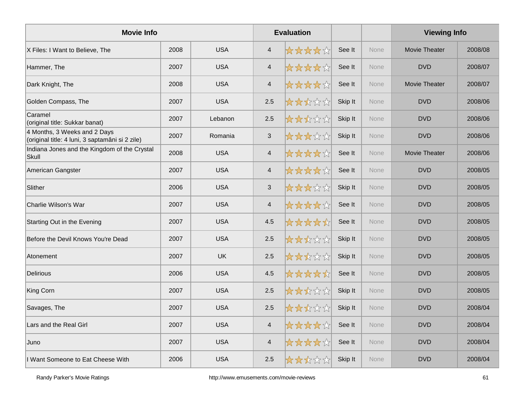| <b>Movie Info</b>                                                               |      |            |                          | <b>Evaluation</b> |         |             | <b>Viewing Info</b>  |         |
|---------------------------------------------------------------------------------|------|------------|--------------------------|-------------------|---------|-------------|----------------------|---------|
| X Files: I Want to Believe, The                                                 | 2008 | <b>USA</b> | $\overline{4}$           | *****             | See It  | <b>None</b> | <b>Movie Theater</b> | 2008/08 |
| Hammer, The                                                                     | 2007 | <b>USA</b> | $\overline{4}$           | *****             | See It  | None        | <b>DVD</b>           | 2008/07 |
| Dark Knight, The                                                                | 2008 | <b>USA</b> | $\overline{4}$           | *****             | See It  | None        | <b>Movie Theater</b> | 2008/07 |
| Golden Compass, The                                                             | 2007 | <b>USA</b> | 2.5                      | *****             | Skip It | None        | <b>DVD</b>           | 2008/06 |
| Caramel<br>(original title: Sukkar banat)                                       | 2007 | Lebanon    | 2.5                      | *****             | Skip It | <b>None</b> | <b>DVD</b>           | 2008/06 |
| 4 Months, 3 Weeks and 2 Days<br>(original title: 4 luni, 3 saptamâni si 2 zile) | 2007 | Romania    | $\sqrt{3}$               | *****             | Skip It | None        | <b>DVD</b>           | 2008/06 |
| Indiana Jones and the Kingdom of the Crystal<br>Skull                           | 2008 | <b>USA</b> | $\overline{\mathcal{A}}$ | *****             | See It  | None        | Movie Theater        | 2008/06 |
| American Gangster                                                               | 2007 | <b>USA</b> | $\overline{4}$           | *****             | See It  | None        | <b>DVD</b>           | 2008/05 |
| Slither                                                                         | 2006 | <b>USA</b> | $\sqrt{3}$               | *****             | Skip It | <b>None</b> | <b>DVD</b>           | 2008/05 |
| Charlie Wilson's War                                                            | 2007 | <b>USA</b> | $\overline{\mathcal{A}}$ | ☆☆☆☆☆             | See It  | None        | <b>DVD</b>           | 2008/05 |
| Starting Out in the Evening                                                     | 2007 | <b>USA</b> | 4.5                      | *****             | See It  | None        | <b>DVD</b>           | 2008/05 |
| Before the Devil Knows You're Dead                                              | 2007 | <b>USA</b> | 2.5                      | *****             | Skip It | None        | <b>DVD</b>           | 2008/05 |
| Atonement                                                                       | 2007 | <b>UK</b>  | 2.5                      | *****             | Skip It | None        | <b>DVD</b>           | 2008/05 |
| <b>Delirious</b>                                                                | 2006 | <b>USA</b> | 4.5                      | *****             | See It  | None        | <b>DVD</b>           | 2008/05 |
| King Corn                                                                       | 2007 | <b>USA</b> | 2.5                      | *****             | Skip It | None        | <b>DVD</b>           | 2008/05 |
| Savages, The                                                                    | 2007 | <b>USA</b> | 2.5                      | ☆☆☆☆☆             | Skip It | None        | <b>DVD</b>           | 2008/04 |
| Lars and the Real Girl                                                          | 2007 | <b>USA</b> | $\overline{4}$           | ☆☆☆☆☆             | See It  | None        | <b>DVD</b>           | 2008/04 |
| Juno                                                                            | 2007 | <b>USA</b> | $\overline{4}$           | ☆☆☆☆☆             | See It  | None        | <b>DVD</b>           | 2008/04 |
| I Want Someone to Eat Cheese With                                               | 2006 | <b>USA</b> | 2.5                      | *****             | Skip It | None        | <b>DVD</b>           | 2008/04 |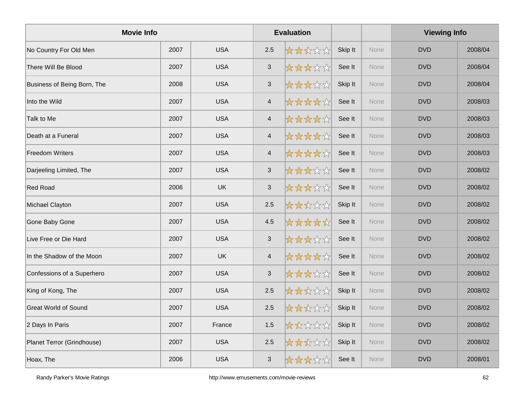| <b>Movie Info</b>           |      |            |                           | <b>Evaluation</b> |         |             | <b>Viewing Info</b> |         |
|-----------------------------|------|------------|---------------------------|-------------------|---------|-------------|---------------------|---------|
| No Country For Old Men      | 2007 | <b>USA</b> | 2.5                       | *****             | Skip It | <b>None</b> | <b>DVD</b>          | 2008/04 |
| There Will Be Blood         | 2007 | <b>USA</b> | $\ensuremath{\mathsf{3}}$ | ☆☆☆☆☆             | See It  | None        | <b>DVD</b>          | 2008/04 |
| Business of Being Born, The | 2008 | <b>USA</b> | $\mathbf{3}$              | *****             | Skip It | None        | <b>DVD</b>          | 2008/04 |
| Into the Wild               | 2007 | <b>USA</b> | $\overline{4}$            | *****             | See It  | <b>None</b> | <b>DVD</b>          | 2008/03 |
| Talk to Me                  | 2007 | <b>USA</b> | $\overline{4}$            | *****             | See It  | None        | <b>DVD</b>          | 2008/03 |
| Death at a Funeral          | 2007 | <b>USA</b> | $\overline{\mathcal{A}}$  | ☆☆☆☆☆             | See It  | None        | <b>DVD</b>          | 2008/03 |
| <b>Freedom Writers</b>      | 2007 | <b>USA</b> | $\overline{4}$            | *****             | See It  | None        | <b>DVD</b>          | 2008/03 |
| Darjeeling Limited, The     | 2007 | <b>USA</b> | $\mathsf 3$               | *****             | See It  | None        | <b>DVD</b>          | 2008/02 |
| <b>Red Road</b>             | 2006 | <b>UK</b>  | $\sqrt{3}$                | 女女女女众             | See It  | <b>None</b> | <b>DVD</b>          | 2008/02 |
| Michael Clayton             | 2007 | <b>USA</b> | 2.5                       | *****             | Skip It | <b>None</b> | <b>DVD</b>          | 2008/02 |
| Gone Baby Gone              | 2007 | <b>USA</b> | 4.5                       | *****             | See It  | None        | <b>DVD</b>          | 2008/02 |
| Live Free or Die Hard       | 2007 | <b>USA</b> | $\sqrt{3}$                | *****             | See It  | None        | <b>DVD</b>          | 2008/02 |
| In the Shadow of the Moon   | 2007 | <b>UK</b>  | $\overline{4}$            | *****             | See It  | None        | <b>DVD</b>          | 2008/02 |
| Confessions of a Superhero  | 2007 | <b>USA</b> | $\mathsf 3$               | *****             | See It  | None        | <b>DVD</b>          | 2008/02 |
| King of Kong, The           | 2007 | <b>USA</b> | 2.5                       | *****             | Skip It | None        | <b>DVD</b>          | 2008/02 |
| <b>Great World of Sound</b> | 2007 | <b>USA</b> | 2.5                       | ☆☆☆☆☆             | Skip It | None        | <b>DVD</b>          | 2008/02 |
| 2 Days In Paris             | 2007 | France     | 1.5                       | *****             | Skip It | None        | <b>DVD</b>          | 2008/02 |
| Planet Terror (Grindhouse)  | 2007 | <b>USA</b> | 2.5                       | *****             | Skip It | None        | <b>DVD</b>          | 2008/02 |
| Hoax, The                   | 2006 | <b>USA</b> | $\mathbf{3}$              | *****             | See It  | None        | <b>DVD</b>          | 2008/01 |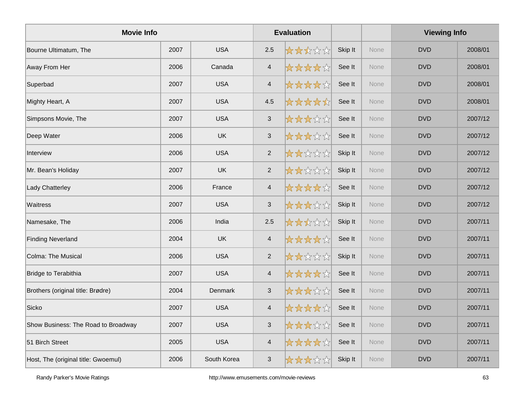| <b>Movie Info</b>                   |      |             |                           | <b>Evaluation</b> |         |      | <b>Viewing Info</b> |         |
|-------------------------------------|------|-------------|---------------------------|-------------------|---------|------|---------------------|---------|
| Bourne Ultimatum, The               | 2007 | <b>USA</b>  | 2.5                       | *****             | Skip It | None | <b>DVD</b>          | 2008/01 |
| Away From Her                       | 2006 | Canada      | $\overline{\mathcal{A}}$  | *****             | See It  | None | <b>DVD</b>          | 2008/01 |
| Superbad                            | 2007 | <b>USA</b>  | $\overline{4}$            | *****             | See It  | None | <b>DVD</b>          | 2008/01 |
| Mighty Heart, A                     | 2007 | <b>USA</b>  | 4.5                       | *****             | See It  | None | <b>DVD</b>          | 2008/01 |
| Simpsons Movie, The                 | 2007 | <b>USA</b>  | $\mathfrak{S}$            | *****             | See It  | None | <b>DVD</b>          | 2007/12 |
| Deep Water                          | 2006 | UK          | $\mathbf{3}$              | *****             | See It  | None | <b>DVD</b>          | 2007/12 |
| Interview                           | 2006 | <b>USA</b>  | $\overline{2}$            | *****             | Skip It | None | <b>DVD</b>          | 2007/12 |
| Mr. Bean's Holiday                  | 2007 | <b>UK</b>   | $\overline{2}$            | *****             | Skip It | None | <b>DVD</b>          | 2007/12 |
| Lady Chatterley                     | 2006 | France      | $\overline{4}$            | *****             | See It  | None | <b>DVD</b>          | 2007/12 |
| Waitress                            | 2007 | <b>USA</b>  | $\ensuremath{\mathsf{3}}$ | *****             | Skip It | None | <b>DVD</b>          | 2007/12 |
| Namesake, The                       | 2006 | India       | 2.5                       | *****             | Skip It | None | <b>DVD</b>          | 2007/11 |
| <b>Finding Neverland</b>            | 2004 | <b>UK</b>   | $\overline{4}$            | *****             | See It  | None | <b>DVD</b>          | 2007/11 |
| <b>Colma: The Musical</b>           | 2006 | <b>USA</b>  | 2                         | *****             | Skip It | None | <b>DVD</b>          | 2007/11 |
| Bridge to Terabithia                | 2007 | <b>USA</b>  | $\overline{\mathcal{A}}$  | *****             | See It  | None | <b>DVD</b>          | 2007/11 |
| Brothers (original title: Brødre)   | 2004 | Denmark     | 3                         | *****             | See It  | None | <b>DVD</b>          | 2007/11 |
| Sicko                               | 2007 | <b>USA</b>  | $\overline{4}$            | *****             | See It  | None | <b>DVD</b>          | 2007/11 |
| Show Business: The Road to Broadway | 2007 | <b>USA</b>  | $\sqrt{3}$                | *****             | See It  | None | <b>DVD</b>          | 2007/11 |
| 51 Birch Street                     | 2005 | <b>USA</b>  | $\overline{\mathbf{4}}$   | *****             | See It  | None | <b>DVD</b>          | 2007/11 |
| Host, The (original title: Gwoemul) | 2006 | South Korea | 3                         | *****             | Skip It | None | <b>DVD</b>          | 2007/11 |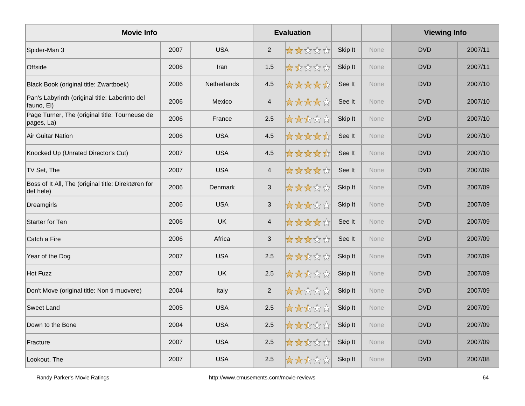| <b>Movie Info</b>                                                |      |             |                | <b>Evaluation</b> |         |             | <b>Viewing Info</b> |         |
|------------------------------------------------------------------|------|-------------|----------------|-------------------|---------|-------------|---------------------|---------|
| Spider-Man 3                                                     | 2007 | <b>USA</b>  | $\overline{2}$ | *****             | Skip It | <b>None</b> | <b>DVD</b>          | 2007/11 |
| Offside                                                          | 2006 | Iran        | 1.5            | *****             | Skip It | None        | <b>DVD</b>          | 2007/11 |
| Black Book (original title: Zwartboek)                           | 2006 | Netherlands | 4.5            | *****             | See It  | None        | <b>DVD</b>          | 2007/10 |
| Pan's Labyrinth (original title: Laberinto del<br>fauno, El)     | 2006 | Mexico      | $\overline{4}$ | *****             | See It  | <b>None</b> | <b>DVD</b>          | 2007/10 |
| Page Turner, The (original title: Tourneuse de<br>pages, La)     | 2006 | France      | 2.5            | *****             | Skip It | <b>None</b> | <b>DVD</b>          | 2007/10 |
| <b>Air Guitar Nation</b>                                         | 2006 | <b>USA</b>  | 4.5            | *****             | See It  | None        | <b>DVD</b>          | 2007/10 |
| Knocked Up (Unrated Director's Cut)                              | 2007 | <b>USA</b>  | 4.5            | *****             | See It  | None        | <b>DVD</b>          | 2007/10 |
| TV Set, The                                                      | 2007 | <b>USA</b>  | $\overline{4}$ | *****             | See It  | <b>None</b> | <b>DVD</b>          | 2007/09 |
| Boss of It All, The (original title: Direktøren for<br>det hele) | 2006 | Denmark     | $\sqrt{3}$     | *****             | Skip It | None        | <b>DVD</b>          | 2007/09 |
| Dreamgirls                                                       | 2006 | <b>USA</b>  | $\sqrt{3}$     | *****             | Skip It | None        | <b>DVD</b>          | 2007/09 |
| <b>Starter for Ten</b>                                           | 2006 | <b>UK</b>   | $\overline{4}$ | *****             | See It  | None        | <b>DVD</b>          | 2007/09 |
| Catch a Fire                                                     | 2006 | Africa      | $\sqrt{3}$     | *****             | See It  | None        | <b>DVD</b>          | 2007/09 |
| Year of the Dog                                                  | 2007 | <b>USA</b>  | $2.5\,$        | *****             | Skip It | None        | <b>DVD</b>          | 2007/09 |
| <b>Hot Fuzz</b>                                                  | 2007 | <b>UK</b>   | 2.5            | *****             | Skip It | None        | <b>DVD</b>          | 2007/09 |
| Don't Move (original title: Non ti muovere)                      | 2004 | Italy       | $\overline{2}$ | *****             | Skip It | <b>None</b> | <b>DVD</b>          | 2007/09 |
| <b>Sweet Land</b>                                                | 2005 | <b>USA</b>  | 2.5            | *****             | Skip It | None        | <b>DVD</b>          | 2007/09 |
| Down to the Bone                                                 | 2004 | <b>USA</b>  | 2.5            | *****             | Skip It | None        | <b>DVD</b>          | 2007/09 |
| Fracture                                                         | 2007 | <b>USA</b>  | 2.5            | *****             | Skip It | None        | <b>DVD</b>          | 2007/09 |
| Lookout, The                                                     | 2007 | <b>USA</b>  | 2.5            | *****             | Skip It | <b>None</b> | <b>DVD</b>          | 2007/08 |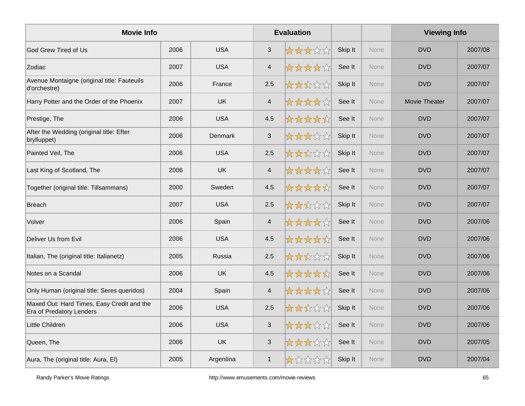| <b>Movie Info</b>                                                             |      |            |                | <b>Evaluation</b> |         |             | <b>Viewing Info</b> |         |
|-------------------------------------------------------------------------------|------|------------|----------------|-------------------|---------|-------------|---------------------|---------|
| God Grew Tired of Us                                                          | 2006 | <b>USA</b> | $\mathfrak{S}$ | *****             | Skip It | <b>None</b> | <b>DVD</b>          | 2007/08 |
| Zodiac                                                                        | 2007 | <b>USA</b> | $\overline{4}$ | *****             | See It  | None        | <b>DVD</b>          | 2007/07 |
| Avenue Montaigne (original title: Fauteuils<br>d'orchestre)                   | 2006 | France     | 2.5            | *****             | Skip It | None        | <b>DVD</b>          | 2007/07 |
| Harry Potter and the Order of the Phoenix                                     | 2007 | <b>UK</b>  | $\overline{4}$ | *****             | See It  | None        | Movie Theater       | 2007/07 |
| Prestige, The                                                                 | 2006 | <b>USA</b> | 4.5            | *****             | See It  | None        | <b>DVD</b>          | 2007/07 |
| After the Wedding (original title: Efter<br>brylluppet)                       | 2006 | Denmark    | $\sqrt{3}$     | *****             | Skip It | None        | <b>DVD</b>          | 2007/07 |
| Painted Veil, The                                                             | 2006 | <b>USA</b> | 2.5            | *****             | Skip It | <b>None</b> | <b>DVD</b>          | 2007/07 |
| Last King of Scotland, The                                                    | 2006 | <b>UK</b>  | $\overline{4}$ | *****             | See It  | <b>None</b> | <b>DVD</b>          | 2007/07 |
| Together (original title: Tillsammans)                                        | 2000 | Sweden     | 4.5            | *****             | See It  | None        | <b>DVD</b>          | 2007/07 |
| <b>Breach</b>                                                                 | 2007 | <b>USA</b> | 2.5            | *****             | Skip It | None        | <b>DVD</b>          | 2007/07 |
| Volver                                                                        | 2006 | Spain      | $\overline{4}$ | *****             | See It  | None        | <b>DVD</b>          | 2007/06 |
| Deliver Us from Evil                                                          | 2006 | <b>USA</b> | 4.5            | *****             | See It  | <b>None</b> | <b>DVD</b>          | 2007/06 |
| Italian, The (original title: Italianetz)                                     | 2005 | Russia     | 2.5            | *****             | Skip It | <b>None</b> | <b>DVD</b>          | 2007/06 |
| Notes on a Scandal                                                            | 2006 | <b>UK</b>  | 4.5            | *****             | See It  | None        | <b>DVD</b>          | 2007/06 |
| Only Human (original title: Seres queridos)                                   | 2004 | Spain      | $\overline{4}$ | *****             | See It  | None        | <b>DVD</b>          | 2007/06 |
| Maxed Out: Hard Times, Easy Credit and the<br><b>Era of Predatory Lenders</b> | 2006 | <b>USA</b> | 2.5            | *****             | Skip It | None        | <b>DVD</b>          | 2007/06 |
| Little Children                                                               | 2006 | <b>USA</b> | $\mathfrak{S}$ | *****             | See It  | <b>None</b> | <b>DVD</b>          | 2007/06 |
| Queen, The                                                                    | 2006 | <b>UK</b>  | $\sqrt{3}$     | *****             | See It  | <b>None</b> | <b>DVD</b>          | 2007/05 |
| Aura, The (original title: Aura, El)                                          | 2005 | Argentina  | $\mathbf{1}$   | *****             | Skip It | None        | <b>DVD</b>          | 2007/04 |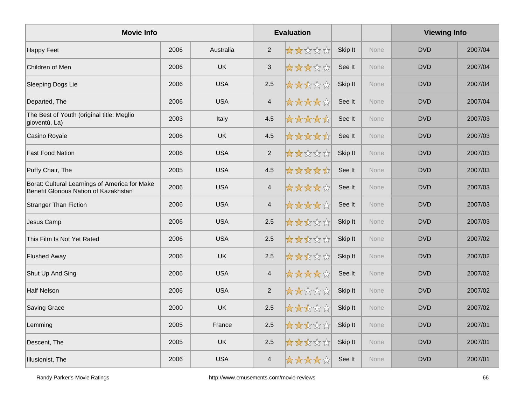| <b>Movie Info</b>                                                                      |      |            |                          | <b>Evaluation</b> |         |             | <b>Viewing Info</b> |         |
|----------------------------------------------------------------------------------------|------|------------|--------------------------|-------------------|---------|-------------|---------------------|---------|
| <b>Happy Feet</b>                                                                      | 2006 | Australia  | 2                        | *****             | Skip It | <b>None</b> | <b>DVD</b>          | 2007/04 |
| Children of Men                                                                        | 2006 | <b>UK</b>  | $\mathfrak{S}$           | ☆☆☆☆☆             | See It  | None        | <b>DVD</b>          | 2007/04 |
| Sleeping Dogs Lie                                                                      | 2006 | <b>USA</b> | 2.5                      | *****             | Skip It | None        | <b>DVD</b>          | 2007/04 |
| Departed, The                                                                          | 2006 | <b>USA</b> | $\overline{\mathbf{4}}$  | *****             | See It  | <b>None</b> | <b>DVD</b>          | 2007/04 |
| The Best of Youth (original title: Meglio<br>gioventù, La)                             | 2003 | Italy      | 4.5                      | *****             | See It  | None        | <b>DVD</b>          | 2007/03 |
| Casino Royale                                                                          | 2006 | <b>UK</b>  | 4.5                      | *****             | See It  | None        | <b>DVD</b>          | 2007/03 |
| <b>Fast Food Nation</b>                                                                | 2006 | <b>USA</b> | 2                        | *****             | Skip It | None        | <b>DVD</b>          | 2007/03 |
| Puffy Chair, The                                                                       | 2005 | <b>USA</b> | 4.5                      | *****             | See It  | <b>None</b> | <b>DVD</b>          | 2007/03 |
| Borat: Cultural Learnings of America for Make<br>Benefit Glorious Nation of Kazakhstan | 2006 | <b>USA</b> | $\overline{4}$           | *****             | See It  | None        | <b>DVD</b>          | 2007/03 |
| <b>Stranger Than Fiction</b>                                                           | 2006 | <b>USA</b> | $\overline{\mathcal{A}}$ | ☆☆☆☆☆☆            | See It  | None        | <b>DVD</b>          | 2007/03 |
| Jesus Camp                                                                             | 2006 | <b>USA</b> | 2.5                      | *****             | Skip It | None        | <b>DVD</b>          | 2007/03 |
| This Film Is Not Yet Rated                                                             | 2006 | <b>USA</b> | 2.5                      | 大大大公众             | Skip It | None        | <b>DVD</b>          | 2007/02 |
| <b>Flushed Away</b>                                                                    | 2006 | <b>UK</b>  | 2.5                      | *****             | Skip It | None        | <b>DVD</b>          | 2007/02 |
| Shut Up And Sing                                                                       | 2006 | <b>USA</b> | $\overline{4}$           | *****             | See It  | None        | <b>DVD</b>          | 2007/02 |
| <b>Half Nelson</b>                                                                     | 2006 | <b>USA</b> | 2                        | *****             | Skip It | None        | <b>DVD</b>          | 2007/02 |
| <b>Saving Grace</b>                                                                    | 2000 | <b>UK</b>  | 2.5                      | *****             | Skip It | None        | <b>DVD</b>          | 2007/02 |
| Lemming                                                                                | 2005 | France     | 2.5                      | ☆☆☆☆☆☆            | Skip It | None        | <b>DVD</b>          | 2007/01 |
| Descent, The                                                                           | 2005 | <b>UK</b>  | 2.5                      | *****             | Skip It | None        | <b>DVD</b>          | 2007/01 |
| Illusionist, The                                                                       | 2006 | <b>USA</b> | $\overline{\mathcal{L}}$ | ☆☆☆☆☆☆            | See It  | None        | <b>DVD</b>          | 2007/01 |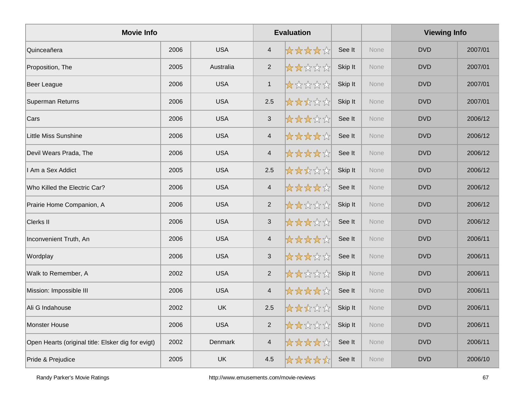| <b>Movie Info</b>                                  |      |            |                          | <b>Evaluation</b> |         |             | <b>Viewing Info</b> |         |
|----------------------------------------------------|------|------------|--------------------------|-------------------|---------|-------------|---------------------|---------|
| Quinceañera                                        | 2006 | <b>USA</b> | $\overline{4}$           | *****             | See It  | None        | <b>DVD</b>          | 2007/01 |
| Proposition, The                                   | 2005 | Australia  | $\overline{2}$           | *****             | Skip It | <b>None</b> | <b>DVD</b>          | 2007/01 |
| Beer League                                        | 2006 | <b>USA</b> | $\mathbf{1}$             | *****             | Skip It | None        | <b>DVD</b>          | 2007/01 |
| Superman Returns                                   | 2006 | <b>USA</b> | 2.5                      | *****             | Skip It | None        | <b>DVD</b>          | 2007/01 |
| Cars                                               | 2006 | <b>USA</b> | $\sqrt{3}$               | *****             | See It  | None        | <b>DVD</b>          | 2006/12 |
| Little Miss Sunshine                               | 2006 | <b>USA</b> | $\overline{\mathcal{A}}$ | *****             | See It  | None        | <b>DVD</b>          | 2006/12 |
| Devil Wears Prada, The                             | 2006 | <b>USA</b> | $\overline{4}$           | *****             | See It  | None        | <b>DVD</b>          | 2006/12 |
| I Am a Sex Addict                                  | 2005 | <b>USA</b> | 2.5                      | ☆☆☆☆☆             | Skip It | None        | <b>DVD</b>          | 2006/12 |
| Who Killed the Electric Car?                       | 2006 | <b>USA</b> | $\overline{4}$           | ☆☆☆☆☆             | See It  | <b>None</b> | <b>DVD</b>          | 2006/12 |
| Prairie Home Companion, A                          | 2006 | <b>USA</b> | $\overline{2}$           | *****             | Skip It | <b>None</b> | <b>DVD</b>          | 2006/12 |
| Clerks II                                          | 2006 | <b>USA</b> | $\mathbf{3}$             | *****             | See It  | None        | <b>DVD</b>          | 2006/12 |
| Inconvenient Truth, An                             | 2006 | <b>USA</b> | $\overline{4}$           | *****             | See It  | None        | <b>DVD</b>          | 2006/11 |
| Wordplay                                           | 2006 | <b>USA</b> | $\sqrt{3}$               | *****             | See It  | None        | <b>DVD</b>          | 2006/11 |
| Walk to Remember, A                                | 2002 | <b>USA</b> | $\overline{2}$           | *****             | Skip It | None        | <b>DVD</b>          | 2006/11 |
| Mission: Impossible III                            | 2006 | <b>USA</b> | $\overline{4}$           | *****             | See It  | None        | <b>DVD</b>          | 2006/11 |
| Ali G Indahouse                                    | 2002 | <b>UK</b>  | 2.5                      | ☆☆☆☆☆             | Skip It | <b>None</b> | <b>DVD</b>          | 2006/11 |
| Monster House                                      | 2006 | <b>USA</b> | $\overline{2}$           | 女女女女女             | Skip It | <b>None</b> | <b>DVD</b>          | 2006/11 |
| Open Hearts (original title: Elsker dig for evigt) | 2002 | Denmark    | $\overline{\mathcal{A}}$ | ☆☆☆☆☆             | See It  | None        | <b>DVD</b>          | 2006/11 |
| Pride & Prejudice                                  | 2005 | <b>UK</b>  | 4.5                      | *****             | See It  | None        | <b>DVD</b>          | 2006/10 |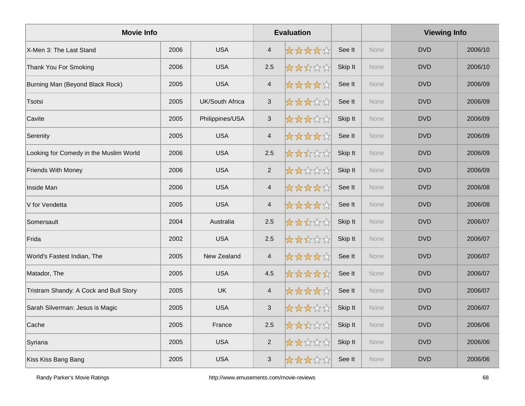| <b>Movie Info</b>                      |      |                        |                           | <b>Evaluation</b> |         |             | <b>Viewing Info</b> |         |
|----------------------------------------|------|------------------------|---------------------------|-------------------|---------|-------------|---------------------|---------|
| X-Men 3: The Last Stand                | 2006 | <b>USA</b>             | $\overline{4}$            | *****             | See It  | <b>None</b> | <b>DVD</b>          | 2006/10 |
| Thank You For Smoking                  | 2006 | <b>USA</b>             | 2.5                       | ☆☆☆☆☆             | Skip It | None        | <b>DVD</b>          | 2006/10 |
| Burning Man (Beyond Black Rock)        | 2005 | <b>USA</b>             | $\overline{4}$            | *****             | See It  | None        | <b>DVD</b>          | 2006/09 |
| Tsotsi                                 | 2005 | <b>UK/South Africa</b> | $\sqrt{3}$                | *****             | See It  | None        | <b>DVD</b>          | 2006/09 |
| Cavite                                 | 2005 | Philippines/USA        | $\ensuremath{\mathsf{3}}$ | *****             | Skip It | <b>None</b> | <b>DVD</b>          | 2006/09 |
| Serenity                               | 2005 | <b>USA</b>             | $\overline{\mathcal{A}}$  | *****             | See It  | None        | <b>DVD</b>          | 2006/09 |
| Looking for Comedy in the Muslim World | 2006 | <b>USA</b>             | 2.5                       | *****             | Skip It | None        | <b>DVD</b>          | 2006/09 |
| <b>Friends With Money</b>              | 2006 | <b>USA</b>             | $\overline{2}$            | *****             | Skip It | None        | <b>DVD</b>          | 2006/09 |
| Inside Man                             | 2006 | <b>USA</b>             | $\overline{4}$            | *****             | See It  | <b>None</b> | <b>DVD</b>          | 2006/08 |
| V for Vendetta                         | 2005 | <b>USA</b>             | $\overline{\mathcal{A}}$  | *****             | See It  | <b>None</b> | <b>DVD</b>          | 2006/08 |
| Somersault                             | 2004 | Australia              | 2.5                       | *****             | Skip It | None        | <b>DVD</b>          | 2006/07 |
| Frida                                  | 2002 | <b>USA</b>             | 2.5                       | *****             | Skip It | None        | <b>DVD</b>          | 2006/07 |
| World's Fastest Indian, The            | 2005 | New Zealand            | $\overline{4}$            | *****             | See It  | None        | <b>DVD</b>          | 2006/07 |
| Matador, The                           | 2005 | <b>USA</b>             | 4.5                       | *****             | See It  | None        | <b>DVD</b>          | 2006/07 |
| Tristram Shandy: A Cock and Bull Story | 2005 | <b>UK</b>              | $\overline{\mathcal{A}}$  | *****             | See It  | None        | <b>DVD</b>          | 2006/07 |
| Sarah Silverman: Jesus is Magic        | 2005 | <b>USA</b>             | $\ensuremath{\mathsf{3}}$ | *****             | Skip It | None        | <b>DVD</b>          | 2006/07 |
| Cache                                  | 2005 | France                 | 2.5                       | *****             | Skip It | None        | <b>DVD</b>          | 2006/06 |
| Syriana                                | 2005 | <b>USA</b>             | $\sqrt{2}$                | *****             | Skip It | None        | <b>DVD</b>          | 2006/06 |
| Kiss Kiss Bang Bang                    | 2005 | <b>USA</b>             | 3                         | *****             | See It  | None        | <b>DVD</b>          | 2006/06 |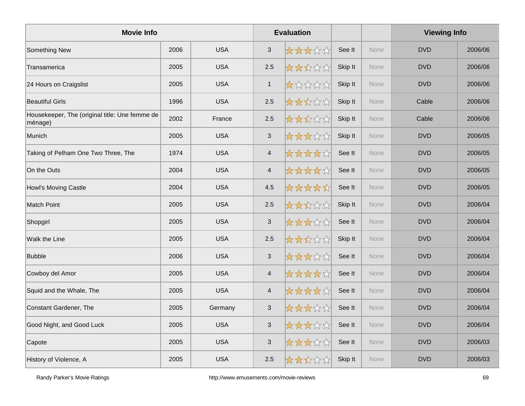| <b>Movie Info</b>                                         |      |            |                           | <b>Evaluation</b> |         |             | <b>Viewing Info</b> |         |
|-----------------------------------------------------------|------|------------|---------------------------|-------------------|---------|-------------|---------------------|---------|
| Something New                                             | 2006 | <b>USA</b> | $\mathbf{3}$              | *****             | See It  | <b>None</b> | <b>DVD</b>          | 2006/06 |
| Transamerica                                              | 2005 | <b>USA</b> | 2.5                       | *****             | Skip It | None        | <b>DVD</b>          | 2006/06 |
| 24 Hours on Craigslist                                    | 2005 | <b>USA</b> | $\mathbf{1}$              | *****             | Skip It | None        | <b>DVD</b>          | 2006/06 |
| <b>Beautiful Girls</b>                                    | 1996 | <b>USA</b> | 2.5                       | *****             | Skip It | None        | Cable               | 2006/06 |
| Housekeeper, The (original title: Une femme de<br>ménage) | 2002 | France     | 2.5                       | *****             | Skip It | None        | Cable               | 2006/06 |
| Munich                                                    | 2005 | <b>USA</b> | $\sqrt{3}$                | *****             | Skip It | None        | <b>DVD</b>          | 2006/05 |
| Taking of Pelham One Two Three, The                       | 1974 | <b>USA</b> | $\overline{4}$            | *****             | See It  | None        | <b>DVD</b>          | 2006/05 |
| On the Outs                                               | 2004 | <b>USA</b> | $\overline{\mathcal{A}}$  | *****             | See It  | None        | <b>DVD</b>          | 2006/05 |
| Howl's Moving Castle                                      | 2004 | <b>USA</b> | 4.5                       | *****             | See It  | None        | <b>DVD</b>          | 2006/05 |
| <b>Match Point</b>                                        | 2005 | <b>USA</b> | 2.5                       | *****             | Skip It | None        | <b>DVD</b>          | 2006/04 |
| Shopgirl                                                  | 2005 | <b>USA</b> | $\mathfrak{S}$            | 女女女女女             | See It  | None        | <b>DVD</b>          | 2006/04 |
| Walk the Line                                             | 2005 | <b>USA</b> | 2.5                       | ☆☆☆☆☆             | Skip It | None        | <b>DVD</b>          | 2006/04 |
| <b>Bubble</b>                                             | 2006 | <b>USA</b> | $\mathbf{3}$              | *****             | See It  | None        | <b>DVD</b>          | 2006/04 |
| Cowboy del Amor                                           | 2005 | <b>USA</b> | $\overline{\mathbf{4}}$   | *****             | See It  | None        | <b>DVD</b>          | 2006/04 |
| Squid and the Whale, The                                  | 2005 | <b>USA</b> | $\overline{4}$            | *****             | See It  | None        | <b>DVD</b>          | 2006/04 |
| Constant Gardener, The                                    | 2005 | Germany    | $\ensuremath{\mathsf{3}}$ | *****             | See It  | None        | <b>DVD</b>          | 2006/04 |
| Good Night, and Good Luck                                 | 2005 | <b>USA</b> | $\sqrt{3}$                | *****             | See It  | None        | <b>DVD</b>          | 2006/04 |
| Capote                                                    | 2005 | <b>USA</b> | $\ensuremath{\mathsf{3}}$ | ☆☆☆☆☆☆            | See It  | None        | <b>DVD</b>          | 2006/03 |
| History of Violence, A                                    | 2005 | <b>USA</b> | 2.5                       | 大大大公众             | Skip It | None        | <b>DVD</b>          | 2006/03 |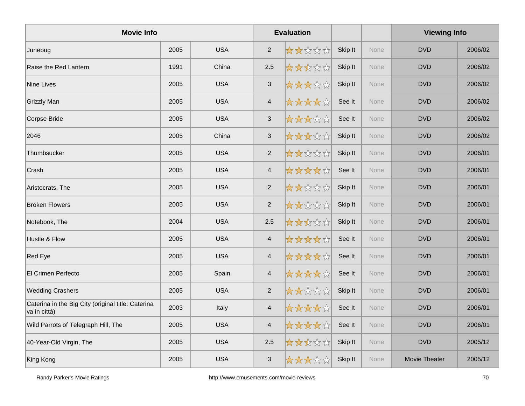| <b>Movie Info</b>                                                  |      |            |                           | <b>Evaluation</b> |         |             | <b>Viewing Info</b> |         |
|--------------------------------------------------------------------|------|------------|---------------------------|-------------------|---------|-------------|---------------------|---------|
| Junebug                                                            | 2005 | <b>USA</b> | $\overline{2}$            | *****             | Skip It | None        | <b>DVD</b>          | 2006/02 |
| Raise the Red Lantern                                              | 1991 | China      | 2.5                       | *****             | Skip It | <b>None</b> | <b>DVD</b>          | 2006/02 |
| <b>Nine Lives</b>                                                  | 2005 | <b>USA</b> | $\ensuremath{\mathsf{3}}$ | *****             | Skip It | None        | <b>DVD</b>          | 2006/02 |
| <b>Grizzly Man</b>                                                 | 2005 | <b>USA</b> | $\overline{4}$            | *****             | See It  | None        | <b>DVD</b>          | 2006/02 |
| Corpse Bride                                                       | 2005 | <b>USA</b> | $\sqrt{3}$                | *****             | See It  | None        | <b>DVD</b>          | 2006/02 |
| 2046                                                               | 2005 | China      | $\sqrt{3}$                | *****             | Skip It | None        | <b>DVD</b>          | 2006/02 |
| Thumbsucker                                                        | 2005 | <b>USA</b> | 2                         | *****             | Skip It | None        | <b>DVD</b>          | 2006/01 |
| Crash                                                              | 2005 | <b>USA</b> | $\overline{4}$            | ☆☆☆☆☆             | See It  | None        | <b>DVD</b>          | 2006/01 |
| Aristocrats, The                                                   | 2005 | <b>USA</b> | 2                         | *****             | Skip It | None        | <b>DVD</b>          | 2006/01 |
| <b>Broken Flowers</b>                                              | 2005 | <b>USA</b> | 2                         | *****             | Skip It | None        | <b>DVD</b>          | 2006/01 |
| Notebook, The                                                      | 2004 | <b>USA</b> | 2.5                       | *****             | Skip It | None        | <b>DVD</b>          | 2006/01 |
| Hustle & Flow                                                      | 2005 | <b>USA</b> | $\overline{4}$            | *****             | See It  | None        | <b>DVD</b>          | 2006/01 |
| Red Eye                                                            | 2005 | <b>USA</b> | $\overline{\mathcal{A}}$  | *****             | See It  | None        | <b>DVD</b>          | 2006/01 |
| El Crimen Perfecto                                                 | 2005 | Spain      | $\overline{\mathcal{A}}$  | *****             | See It  | None        | <b>DVD</b>          | 2006/01 |
| <b>Wedding Crashers</b>                                            | 2005 | <b>USA</b> | $\overline{2}$            | *****             | Skip It | None        | <b>DVD</b>          | 2006/01 |
| Caterina in the Big City (original title: Caterina<br>va in città) | 2003 | Italy      | $\overline{4}$            | *****             | See It  | None        | <b>DVD</b>          | 2006/01 |
| Wild Parrots of Telegraph Hill, The                                | 2005 | <b>USA</b> | $\overline{\mathbf{4}}$   | *****             | See It  | None        | <b>DVD</b>          | 2006/01 |
| 40-Year-Old Virgin, The                                            | 2005 | <b>USA</b> | 2.5                       | *****             | Skip It | None        | <b>DVD</b>          | 2005/12 |
| King Kong                                                          | 2005 | <b>USA</b> | $\mathbf{3}$              | *****             | Skip It | None        | Movie Theater       | 2005/12 |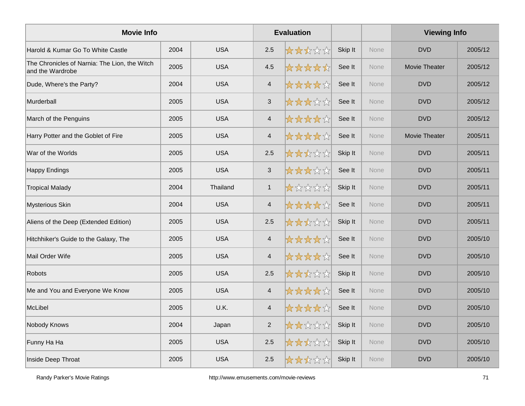| <b>Movie Info</b>                                                 |      |            |                          | <b>Evaluation</b> |         |             | <b>Viewing Info</b>  |         |
|-------------------------------------------------------------------|------|------------|--------------------------|-------------------|---------|-------------|----------------------|---------|
| Harold & Kumar Go To White Castle                                 | 2004 | <b>USA</b> | 2.5                      | *****             | Skip It | <b>None</b> | <b>DVD</b>           | 2005/12 |
| The Chronicles of Narnia: The Lion, the Witch<br>and the Wardrobe | 2005 | <b>USA</b> | 4.5                      | *****             | See It  | None        | <b>Movie Theater</b> | 2005/12 |
| Dude, Where's the Party?                                          | 2004 | <b>USA</b> | $\overline{4}$           | *****             | See It  | None        | <b>DVD</b>           | 2005/12 |
| Murderball                                                        | 2005 | <b>USA</b> | $\mathfrak{S}$           | *****             | See It  | None        | <b>DVD</b>           | 2005/12 |
| March of the Penguins                                             | 2005 | <b>USA</b> | $\overline{4}$           | *****             | See It  | None        | <b>DVD</b>           | 2005/12 |
| Harry Potter and the Goblet of Fire                               | 2005 | <b>USA</b> | $\overline{\mathcal{A}}$ | *****             | See It  | None        | <b>Movie Theater</b> | 2005/11 |
| War of the Worlds                                                 | 2005 | <b>USA</b> | 2.5                      | *****             | Skip It | None        | <b>DVD</b>           | 2005/11 |
| <b>Happy Endings</b>                                              | 2005 | <b>USA</b> | $\sqrt{3}$               | *****             | See It  | None        | <b>DVD</b>           | 2005/11 |
| <b>Tropical Malady</b>                                            | 2004 | Thailand   | $\mathbf{1}$             | *****             | Skip It | <b>None</b> | <b>DVD</b>           | 2005/11 |
| Mysterious Skin                                                   | 2004 | <b>USA</b> | $\overline{\mathcal{A}}$ | *****             | See It  | <b>None</b> | <b>DVD</b>           | 2005/11 |
| Aliens of the Deep (Extended Edition)                             | 2005 | <b>USA</b> | 2.5                      | *****             | Skip It | None        | <b>DVD</b>           | 2005/11 |
| Hitchhiker's Guide to the Galaxy, The                             | 2005 | <b>USA</b> | $\overline{4}$           | *****             | See It  | None        | <b>DVD</b>           | 2005/10 |
| Mail Order Wife                                                   | 2005 | <b>USA</b> | $\overline{4}$           | *****             | See It  | None        | <b>DVD</b>           | 2005/10 |
| <b>Robots</b>                                                     | 2005 | <b>USA</b> | 2.5                      | *****             | Skip It | None        | <b>DVD</b>           | 2005/10 |
| Me and You and Everyone We Know                                   | 2005 | <b>USA</b> | $\overline{4}$           | *****             | See It  | None        | <b>DVD</b>           | 2005/10 |
| McLibel                                                           | 2005 | U.K.       | $\overline{4}$           | ☆☆☆☆☆             | See It  | None        | <b>DVD</b>           | 2005/10 |
| Nobody Knows                                                      | 2004 | Japan      | $\sqrt{2}$               | *****             | Skip It | None        | <b>DVD</b>           | 2005/10 |
| Funny Ha Ha                                                       | 2005 | <b>USA</b> | $2.5\,$                  | *****             | Skip It | None        | <b>DVD</b>           | 2005/10 |
| Inside Deep Throat                                                | 2005 | <b>USA</b> | 2.5                      | ☆☆☆☆☆             | Skip It | None        | <b>DVD</b>           | 2005/10 |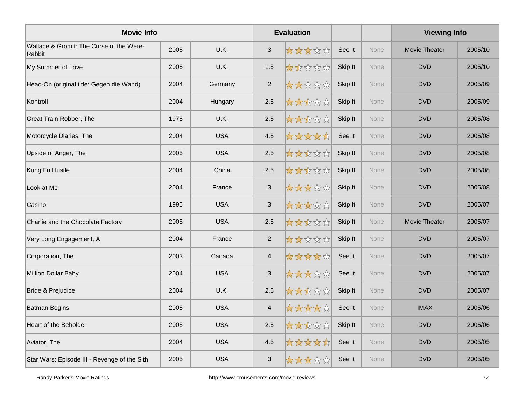| <b>Movie Info</b>                                  |      |            |                | <b>Evaluation</b> |         |             | <b>Viewing Info</b> |         |
|----------------------------------------------------|------|------------|----------------|-------------------|---------|-------------|---------------------|---------|
| Wallace & Gromit: The Curse of the Were-<br>Rabbit | 2005 | U.K.       | 3              | *****             | See It  | <b>None</b> | Movie Theater       | 2005/10 |
| My Summer of Love                                  | 2005 | U.K.       | 1.5            | *****             | Skip It | None        | <b>DVD</b>          | 2005/10 |
| Head-On (original title: Gegen die Wand)           | 2004 | Germany    | 2              | *****             | Skip It | None        | <b>DVD</b>          | 2005/09 |
| Kontroll                                           | 2004 | Hungary    | 2.5            | *****             | Skip It | <b>None</b> | <b>DVD</b>          | 2005/09 |
| Great Train Robber, The                            | 1978 | U.K.       | 2.5            | *****             | Skip It | <b>None</b> | <b>DVD</b>          | 2005/08 |
| Motorcycle Diaries, The                            | 2004 | <b>USA</b> | 4.5            | *****             | See It  | None        | <b>DVD</b>          | 2005/08 |
| Upside of Anger, The                               | 2005 | <b>USA</b> | 2.5            | *****             | Skip It | None        | <b>DVD</b>          | 2005/08 |
| Kung Fu Hustle                                     | 2004 | China      | 2.5            | ☆☆☆☆☆             | Skip It | None        | <b>DVD</b>          | 2005/08 |
| Look at Me                                         | 2004 | France     | 3              | 女女女女众             | Skip It | <b>None</b> | <b>DVD</b>          | 2005/08 |
| Casino                                             | 1995 | <b>USA</b> | $\sqrt{3}$     | *****             | Skip It | None        | <b>DVD</b>          | 2005/07 |
| Charlie and the Chocolate Factory                  | 2005 | <b>USA</b> | 2.5            | *****             | Skip It | None        | Movie Theater       | 2005/07 |
| Very Long Engagement, A                            | 2004 | France     | 2              | *****             | Skip It | None        | <b>DVD</b>          | 2005/07 |
| Corporation, The                                   | 2003 | Canada     | $\overline{4}$ | *****             | See It  | None        | <b>DVD</b>          | 2005/07 |
| Million Dollar Baby                                | 2004 | <b>USA</b> | $\sqrt{3}$     | *****             | See It  | None        | <b>DVD</b>          | 2005/07 |
| <b>Bride &amp; Prejudice</b>                       | 2004 | U.K.       | 2.5            | *****             | Skip It | None        | <b>DVD</b>          | 2005/07 |
| <b>Batman Begins</b>                               | 2005 | <b>USA</b> | $\overline{4}$ | *****             | See It  | None        | <b>IMAX</b>         | 2005/06 |
| Heart of the Beholder                              | 2005 | <b>USA</b> | 2.5            | ☆☆☆☆☆☆            | Skip It | None        | <b>DVD</b>          | 2005/06 |
| Aviator, The                                       | 2004 | <b>USA</b> | 4.5            | *****             | See It  | None        | <b>DVD</b>          | 2005/05 |
| Star Wars: Episode III - Revenge of the Sith       | 2005 | <b>USA</b> | $\mathbf{3}$   | *****             | See It  | None        | <b>DVD</b>          | 2005/05 |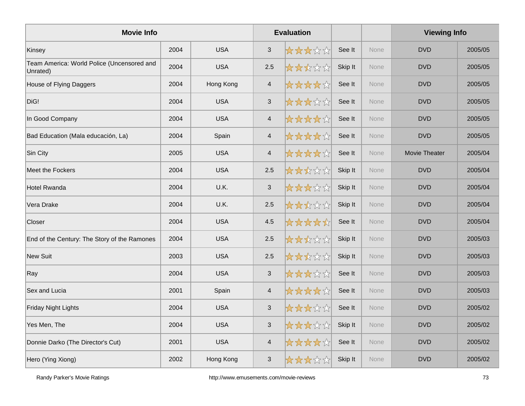| <b>Movie Info</b>                                      |      |            |                          | <b>Evaluation</b> |         |             | <b>Viewing Info</b> |         |
|--------------------------------------------------------|------|------------|--------------------------|-------------------|---------|-------------|---------------------|---------|
| Kinsey                                                 | 2004 | <b>USA</b> | 3                        | *****             | See It  | <b>None</b> | <b>DVD</b>          | 2005/05 |
| Team America: World Police (Uncensored and<br>Unrated) | 2004 | <b>USA</b> | 2.5                      | ☆☆☆☆☆             | Skip It | None        | <b>DVD</b>          | 2005/05 |
| House of Flying Daggers                                | 2004 | Hong Kong  | $\overline{4}$           | ☆☆☆☆☆☆            | See It  | None        | <b>DVD</b>          | 2005/05 |
| DiG!                                                   | 2004 | <b>USA</b> | $\sqrt{3}$               | *****             | See It  | None        | <b>DVD</b>          | 2005/05 |
| In Good Company                                        | 2004 | <b>USA</b> | $\overline{4}$           | *****             | See It  | <b>None</b> | <b>DVD</b>          | 2005/05 |
| Bad Education (Mala educación, La)                     | 2004 | Spain      | $\overline{\mathcal{A}}$ | *****             | See It  | <b>None</b> | <b>DVD</b>          | 2005/05 |
| Sin City                                               | 2005 | <b>USA</b> | $\overline{4}$           | *****             | See It  | None        | Movie Theater       | 2005/04 |
| <b>Meet the Fockers</b>                                | 2004 | <b>USA</b> | 2.5                      | ☆☆☆☆☆             | Skip It | None        | <b>DVD</b>          | 2005/04 |
| <b>Hotel Rwanda</b>                                    | 2004 | U.K.       | 3                        | *****             | Skip It | <b>None</b> | <b>DVD</b>          | 2005/04 |
| Vera Drake                                             | 2004 | U.K.       | 2.5                      | *****             | Skip It | <b>None</b> | <b>DVD</b>          | 2005/04 |
| Closer                                                 | 2004 | <b>USA</b> | 4.5                      | *****             | See It  | None        | <b>DVD</b>          | 2005/04 |
| End of the Century: The Story of the Ramones           | 2004 | <b>USA</b> | 2.5                      | *****             | Skip It | None        | <b>DVD</b>          | 2005/03 |
| <b>New Suit</b>                                        | 2003 | <b>USA</b> | 2.5                      | *****             | Skip It | None        | <b>DVD</b>          | 2005/03 |
| Ray                                                    | 2004 | <b>USA</b> | $\mathsf 3$              | *****             | See It  | None        | <b>DVD</b>          | 2005/03 |
| Sex and Lucia                                          | 2001 | Spain      | $\overline{4}$           | *****             | See It  | None        | <b>DVD</b>          | 2005/03 |
| <b>Friday Night Lights</b>                             | 2004 | <b>USA</b> | $\mathsf 3$              | ☆☆☆☆☆☆            | See It  | None        | <b>DVD</b>          | 2005/02 |
| Yes Men, The                                           | 2004 | <b>USA</b> | $\sqrt{3}$               | ☆☆☆☆☆☆            | Skip It | None        | <b>DVD</b>          | 2005/02 |
| Donnie Darko (The Director's Cut)                      | 2001 | <b>USA</b> | $\overline{4}$           | ☆☆☆☆☆☆            | See It  | None        | <b>DVD</b>          | 2005/02 |
| Hero (Ying Xiong)                                      | 2002 | Hong Kong  | $\mathbf{3}$             | *****             | Skip It | None        | <b>DVD</b>          | 2005/02 |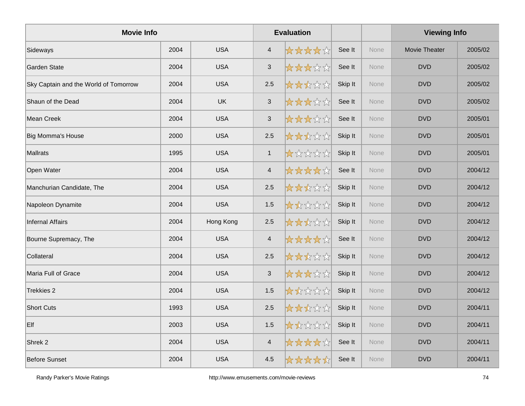| <b>Movie Info</b>                     |      |            |                | <b>Evaluation</b> |         |      | <b>Viewing Info</b>  |         |
|---------------------------------------|------|------------|----------------|-------------------|---------|------|----------------------|---------|
| Sideways                              | 2004 | <b>USA</b> | $\overline{4}$ | *****             | See It  | None | <b>Movie Theater</b> | 2005/02 |
| <b>Garden State</b>                   | 2004 | <b>USA</b> | $\mathfrak{S}$ | ☆☆☆☆☆             | See It  | None | <b>DVD</b>           | 2005/02 |
| Sky Captain and the World of Tomorrow | 2004 | <b>USA</b> | 2.5            | *****             | Skip It | None | <b>DVD</b>           | 2005/02 |
| Shaun of the Dead                     | 2004 | <b>UK</b>  | $\mathsf 3$    | *****             | See It  | None | <b>DVD</b>           | 2005/02 |
| Mean Creek                            | 2004 | <b>USA</b> | $\sqrt{3}$     | *****             | See It  | None | <b>DVD</b>           | 2005/01 |
| <b>Big Momma's House</b>              | 2000 | <b>USA</b> | 2.5            | *****             | Skip It | None | <b>DVD</b>           | 2005/01 |
| <b>Mallrats</b>                       | 1995 | <b>USA</b> | $\mathbf{1}$   | *****             | Skip It | None | <b>DVD</b>           | 2005/01 |
| Open Water                            | 2004 | <b>USA</b> | $\overline{4}$ | ☆☆☆☆☆             | See It  | None | <b>DVD</b>           | 2004/12 |
| Manchurian Candidate, The             | 2004 | <b>USA</b> | 2.5            | *****             | Skip It | None | <b>DVD</b>           | 2004/12 |
| Napoleon Dynamite                     | 2004 | <b>USA</b> | 1.5            | 大大众公众             | Skip It | None | <b>DVD</b>           | 2004/12 |
| <b>Infernal Affairs</b>               | 2004 | Hong Kong  | 2.5            | ☆☆☆☆☆             | Skip It | None | <b>DVD</b>           | 2004/12 |
| Bourne Supremacy, The                 | 2004 | <b>USA</b> | $\overline{4}$ | *****             | See It  | None | <b>DVD</b>           | 2004/12 |
| Collateral                            | 2004 | <b>USA</b> | 2.5            | *****             | Skip It | None | <b>DVD</b>           | 2004/12 |
| Maria Full of Grace                   | 2004 | <b>USA</b> | $\sqrt{3}$     | *****             | Skip It | None | <b>DVD</b>           | 2004/12 |
| Trekkies 2                            | 2004 | <b>USA</b> | 1.5            | *****             | Skip It | None | <b>DVD</b>           | 2004/12 |
| <b>Short Cuts</b>                     | 1993 | <b>USA</b> | 2.5            | *****             | Skip It | None | <b>DVD</b>           | 2004/11 |
| Elf                                   | 2003 | <b>USA</b> | 1.5            | 女女女女女             | Skip It | None | <b>DVD</b>           | 2004/11 |
| Shrek <sub>2</sub>                    | 2004 | <b>USA</b> | $\overline{4}$ | ☆☆☆☆☆             | See It  | None | <b>DVD</b>           | 2004/11 |
| <b>Before Sunset</b>                  | 2004 | <b>USA</b> | 4.5            | *****             | See It  | None | <b>DVD</b>           | 2004/11 |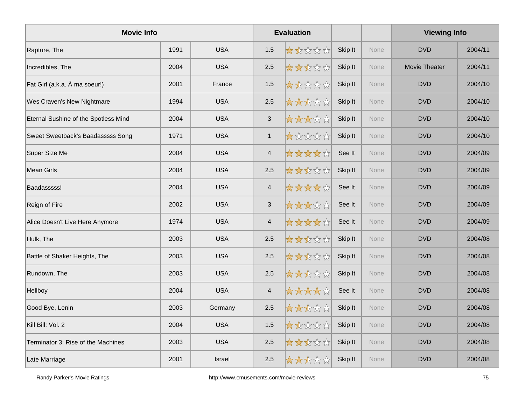| <b>Movie Info</b>                    |      |            |                | <b>Evaluation</b> |         |             | <b>Viewing Info</b>  |         |
|--------------------------------------|------|------------|----------------|-------------------|---------|-------------|----------------------|---------|
| Rapture, The                         | 1991 | <b>USA</b> | 1.5            | *****             | Skip It | None        | <b>DVD</b>           | 2004/11 |
| Incredibles, The                     | 2004 | <b>USA</b> | 2.5            | *****             | Skip It | None        | <b>Movie Theater</b> | 2004/11 |
| Fat Girl (a.k.a. À ma soeur!)        | 2001 | France     | 1.5            | *****             | Skip It | None        | <b>DVD</b>           | 2004/10 |
| Wes Craven's New Nightmare           | 1994 | <b>USA</b> | 2.5            | *****             | Skip It | None        | <b>DVD</b>           | 2004/10 |
| Eternal Sushine of the Spotless Mind | 2004 | <b>USA</b> | $\sqrt{3}$     | *****             | Skip It | None        | <b>DVD</b>           | 2004/10 |
| Sweet Sweetback's Baadasssss Song    | 1971 | <b>USA</b> | $\mathbf{1}$   | *****             | Skip It | None        | <b>DVD</b>           | 2004/10 |
| Super Size Me                        | 2004 | <b>USA</b> | $\overline{4}$ | *****             | See It  | None        | <b>DVD</b>           | 2004/09 |
| <b>Mean Girls</b>                    | 2004 | <b>USA</b> | 2.5            | ☆☆☆☆☆             | Skip It | <b>None</b> | <b>DVD</b>           | 2004/09 |
| Baadasssss!                          | 2004 | <b>USA</b> | $\overline{4}$ | *****             | See It  | None        | <b>DVD</b>           | 2004/09 |
| Reign of Fire                        | 2002 | <b>USA</b> | $\mathfrak{S}$ | *****             | See It  | None        | <b>DVD</b>           | 2004/09 |
| Alice Doesn't Live Here Anymore      | 1974 | <b>USA</b> | $\overline{4}$ | *****             | See It  | None        | <b>DVD</b>           | 2004/09 |
| Hulk, The                            | 2003 | <b>USA</b> | 2.5            | *****             | Skip It | None        | <b>DVD</b>           | 2004/08 |
| Battle of Shaker Heights, The        | 2003 | <b>USA</b> | 2.5            | *****             | Skip It | None        | <b>DVD</b>           | 2004/08 |
| Rundown, The                         | 2003 | <b>USA</b> | 2.5            | *****             | Skip It | None        | <b>DVD</b>           | 2004/08 |
| Hellboy                              | 2004 | <b>USA</b> | $\overline{4}$ | *****             | See It  | None        | <b>DVD</b>           | 2004/08 |
| Good Bye, Lenin                      | 2003 | Germany    | 2.5            | ☆☆☆☆☆             | Skip It | None        | <b>DVD</b>           | 2004/08 |
| Kill Bill: Vol. 2                    | 2004 | <b>USA</b> | 1.5            | 大大公公众             | Skip It | None        | <b>DVD</b>           | 2004/08 |
| Terminator 3: Rise of the Machines   | 2003 | <b>USA</b> | 2.5            | *****             | Skip It | None        | <b>DVD</b>           | 2004/08 |
| Late Marriage                        | 2001 | Israel     | 2.5            | <b>☆☆☆☆☆</b>      | Skip It | None        | <b>DVD</b>           | 2004/08 |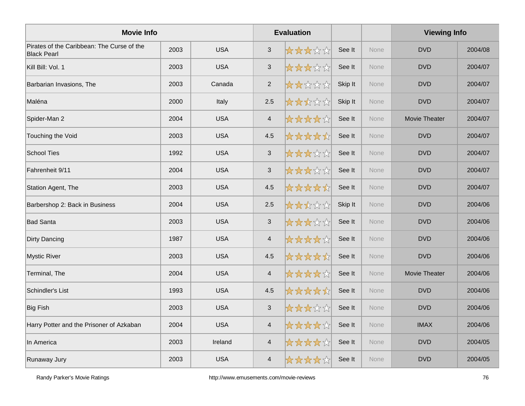| <b>Movie Info</b>                                                |      |            |                          | <b>Evaluation</b> |         |             | <b>Viewing Info</b>  |         |
|------------------------------------------------------------------|------|------------|--------------------------|-------------------|---------|-------------|----------------------|---------|
| Pirates of the Caribbean: The Curse of the<br><b>Black Pearl</b> | 2003 | <b>USA</b> | $\mathbf{3}$             | *****             | See It  | None        | <b>DVD</b>           | 2004/08 |
| Kill Bill: Vol. 1                                                | 2003 | <b>USA</b> | $\mathsf 3$              | ☆☆☆☆☆             | See It  | None        | <b>DVD</b>           | 2004/07 |
| Barbarian Invasions, The                                         | 2003 | Canada     | 2                        | *****             | Skip It | None        | <b>DVD</b>           | 2004/07 |
| Maléna                                                           | 2000 | Italy      | 2.5                      | *****             | Skip It | None        | <b>DVD</b>           | 2004/07 |
| Spider-Man 2                                                     | 2004 | <b>USA</b> | $\overline{4}$           | *****             | See It  | None        | Movie Theater        | 2004/07 |
| Touching the Void                                                | 2003 | <b>USA</b> | 4.5                      | *****             | See It  | None        | <b>DVD</b>           | 2004/07 |
| <b>School Ties</b>                                               | 1992 | <b>USA</b> | $\mathbf{3}$             | *****             | See It  | None        | <b>DVD</b>           | 2004/07 |
| Fahrenheit 9/11                                                  | 2004 | <b>USA</b> | $\sqrt{3}$               | 女女女女众             | See It  | None        | <b>DVD</b>           | 2004/07 |
| Station Agent, The                                               | 2003 | <b>USA</b> | 4.5                      | *****             | See It  | None        | <b>DVD</b>           | 2004/07 |
| Barbershop 2: Back in Business                                   | 2004 | <b>USA</b> | $2.5\,$                  | *****             | Skip It | <b>None</b> | <b>DVD</b>           | 2004/06 |
| <b>Bad Santa</b>                                                 | 2003 | <b>USA</b> | $\mathbf{3}$             | *****             | See It  | None        | <b>DVD</b>           | 2004/06 |
| Dirty Dancing                                                    | 1987 | <b>USA</b> | $\overline{4}$           | ☆☆☆☆☆             | See It  | None        | <b>DVD</b>           | 2004/06 |
| <b>Mystic River</b>                                              | 2003 | <b>USA</b> | 4.5                      | *****             | See It  | None        | <b>DVD</b>           | 2004/06 |
| Terminal, The                                                    | 2004 | <b>USA</b> | $\overline{\mathcal{A}}$ | *****             | See It  | None        | <b>Movie Theater</b> | 2004/06 |
| Schindler's List                                                 | 1993 | <b>USA</b> | 4.5                      | *****             | See It  | None        | <b>DVD</b>           | 2004/06 |
| <b>Big Fish</b>                                                  | 2003 | <b>USA</b> | $\mathsf 3$              | 女女女女众             | See It  | None        | <b>DVD</b>           | 2004/06 |
| Harry Potter and the Prisoner of Azkaban                         | 2004 | <b>USA</b> | $\overline{4}$           | *****             | See It  | None        | <b>IMAX</b>          | 2004/06 |
| In America                                                       | 2003 | Ireland    | $\overline{4}$           | ☆☆☆☆☆☆            | See It  | None        | <b>DVD</b>           | 2004/05 |
| Runaway Jury                                                     | 2003 | <b>USA</b> | $\overline{\mathcal{A}}$ | ☆☆☆☆☆☆            | See It  | None        | <b>DVD</b>           | 2004/05 |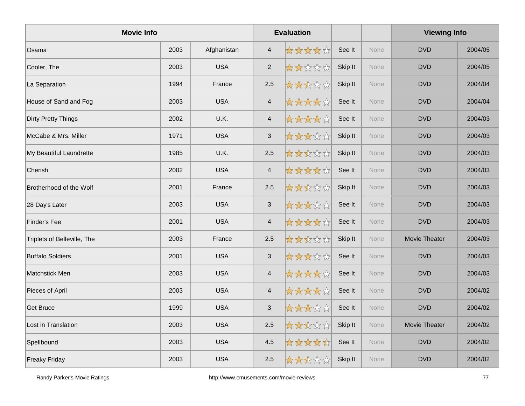| <b>Movie Info</b>           |      |             |                           | <b>Evaluation</b> |         |      | <b>Viewing Info</b><br><b>DVD</b><br><b>DVD</b> |         |  |
|-----------------------------|------|-------------|---------------------------|-------------------|---------|------|-------------------------------------------------|---------|--|
| Osama                       | 2003 | Afghanistan | $\overline{4}$            | *****             | See It  | None |                                                 | 2004/05 |  |
| Cooler, The                 | 2003 | <b>USA</b>  | $\overline{2}$            | *****             | Skip It | None |                                                 | 2004/05 |  |
| La Separation               | 1994 | France      | 2.5                       | *****             | Skip It | None | <b>DVD</b>                                      | 2004/04 |  |
| House of Sand and Fog       | 2003 | <b>USA</b>  | $\overline{4}$            | *****             | See It  | None | <b>DVD</b>                                      | 2004/04 |  |
| <b>Dirty Pretty Things</b>  | 2002 | U.K.        | $\overline{\mathcal{A}}$  | *****             | See It  | None | <b>DVD</b>                                      | 2004/03 |  |
| McCabe & Mrs. Miller        | 1971 | <b>USA</b>  | $\ensuremath{\mathsf{3}}$ | *****             | Skip It | None | <b>DVD</b>                                      | 2004/03 |  |
| My Beautiful Laundrette     | 1985 | U.K.        | 2.5                       | *****             | Skip It | None | <b>DVD</b>                                      | 2004/03 |  |
| Cherish                     | 2002 | <b>USA</b>  | $\overline{4}$            | *****             | See It  | None | <b>DVD</b>                                      | 2004/03 |  |
| Brotherhood of the Wolf     | 2001 | France      | 2.5                       | *****             | Skip It | None | <b>DVD</b>                                      | 2004/03 |  |
| 28 Day's Later              | 2003 | <b>USA</b>  | $\sqrt{3}$                | *****             | See It  | None | <b>DVD</b>                                      | 2004/03 |  |
| <b>Finder's Fee</b>         | 2001 | <b>USA</b>  | $\overline{\mathbf{4}}$   | *****             | See It  | None | <b>DVD</b>                                      | 2004/03 |  |
| Triplets of Belleville, The | 2003 | France      | 2.5                       | *****             | Skip It | None | <b>Movie Theater</b>                            | 2004/03 |  |
| <b>Buffalo Soldiers</b>     | 2001 | <b>USA</b>  | $\mathbf{3}$              | *****             | See It  | None | <b>DVD</b>                                      | 2004/03 |  |
| <b>Matchstick Men</b>       | 2003 | <b>USA</b>  | $\overline{4}$            | *****             | See It  | None | <b>DVD</b>                                      | 2004/03 |  |
| Pieces of April             | 2003 | <b>USA</b>  | $\overline{4}$            | *****             | See It  | None | <b>DVD</b>                                      | 2004/02 |  |
| <b>Get Bruce</b>            | 1999 | <b>USA</b>  | $\mathbf{3}$              | *****             | See It  | None | <b>DVD</b>                                      | 2004/02 |  |
| Lost in Translation         | 2003 | <b>USA</b>  | 2.5                       | ☆☆☆☆☆             | Skip It | None | Movie Theater                                   | 2004/02 |  |
| Spellbound                  | 2003 | <b>USA</b>  | 4.5                       | *****             | See It  | None | <b>DVD</b>                                      | 2004/02 |  |
| <b>Freaky Friday</b>        | 2003 | <b>USA</b>  | 2.5                       | *****             | Skip It | None | <b>DVD</b>                                      | 2004/02 |  |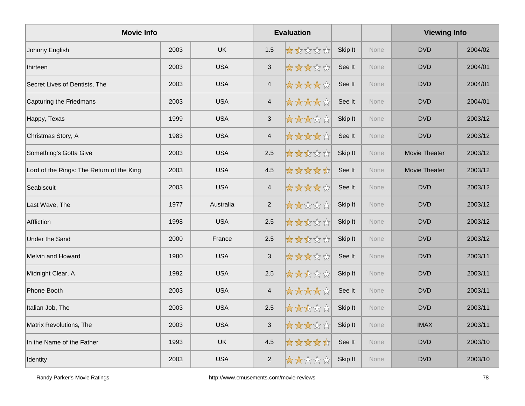| <b>Movie Info</b>                         |      |            |                          | <b>Evaluation</b> |         |      | <b>Viewing Info</b> |         |
|-------------------------------------------|------|------------|--------------------------|-------------------|---------|------|---------------------|---------|
| Johnny English                            | 2003 | <b>UK</b>  | 1.5                      | *****             | Skip It | None | <b>DVD</b>          | 2004/02 |
| thirteen                                  | 2003 | <b>USA</b> | $\mathbf{3}$             | ☆☆☆☆☆             | See It  | None | <b>DVD</b>          | 2004/01 |
| Secret Lives of Dentists, The             | 2003 | <b>USA</b> | $\overline{4}$           | *****             | See It  | None | <b>DVD</b>          | 2004/01 |
| Capturing the Friedmans                   | 2003 | <b>USA</b> | $\overline{4}$           | *****             | See It  | None | <b>DVD</b>          | 2004/01 |
| Happy, Texas                              | 1999 | <b>USA</b> | 3                        | *****             | Skip It | None | <b>DVD</b>          | 2003/12 |
| Christmas Story, A                        | 1983 | <b>USA</b> | $\overline{\mathcal{A}}$ | *****             | See It  | None | <b>DVD</b>          | 2003/12 |
| Something's Gotta Give                    | 2003 | <b>USA</b> | 2.5                      | *****             | Skip It | None | Movie Theater       | 2003/12 |
| Lord of the Rings: The Return of the King | 2003 | <b>USA</b> | 4.5                      | *****             | See It  | None | Movie Theater       | 2003/12 |
| Seabiscuit                                | 2003 | <b>USA</b> | $\overline{\mathcal{A}}$ | *****             | See It  | None | <b>DVD</b>          | 2003/12 |
| Last Wave, The                            | 1977 | Australia  | $\overline{2}$           | *****             | Skip It | None | <b>DVD</b>          | 2003/12 |
| Affliction                                | 1998 | <b>USA</b> | 2.5                      | *****             | Skip It | None | <b>DVD</b>          | 2003/12 |
| <b>Under the Sand</b>                     | 2000 | France     | 2.5                      | *****             | Skip It | None | <b>DVD</b>          | 2003/12 |
| Melvin and Howard                         | 1980 | <b>USA</b> | $\sqrt{3}$               | *****             | See It  | None | <b>DVD</b>          | 2003/11 |
| Midnight Clear, A                         | 1992 | <b>USA</b> | 2.5                      | *****             | Skip It | None | <b>DVD</b>          | 2003/11 |
| Phone Booth                               | 2003 | <b>USA</b> | $\overline{4}$           | *****             | See It  | None | <b>DVD</b>          | 2003/11 |
| Italian Job, The                          | 2003 | <b>USA</b> | 2.5                      | *****             | Skip It | None | <b>DVD</b>          | 2003/11 |
| Matrix Revolutions, The                   | 2003 | <b>USA</b> | 3                        | *****             | Skip It | None | <b>IMAX</b>         | 2003/11 |
| In the Name of the Father                 | 1993 | <b>UK</b>  | 4.5                      | *****             | See It  | None | <b>DVD</b>          | 2003/10 |
| Identity                                  | 2003 | <b>USA</b> | $\overline{2}$           | *****             | Skip It | None | <b>DVD</b>          | 2003/10 |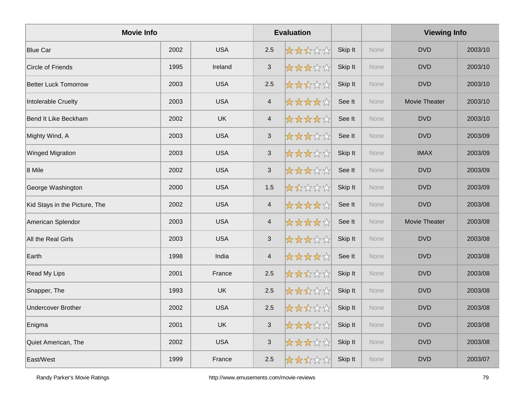| <b>Movie Info</b>             |      |            |                          | <b>Evaluation</b> |         |      | <b>Viewing Info</b> |         |
|-------------------------------|------|------------|--------------------------|-------------------|---------|------|---------------------|---------|
| <b>Blue Car</b>               | 2002 | <b>USA</b> | 2.5                      | *****             | Skip It | None | <b>DVD</b>          | 2003/10 |
| Circle of Friends             | 1995 | Ireland    | $\sqrt{3}$               | ☆☆☆☆☆             | Skip It | None | <b>DVD</b>          | 2003/10 |
| <b>Better Luck Tomorrow</b>   | 2003 | <b>USA</b> | 2.5                      | *****             | Skip It | None | <b>DVD</b>          | 2003/10 |
| Intolerable Cruelty           | 2003 | <b>USA</b> | $\overline{4}$           | *****             | See It  | None | Movie Theater       | 2003/10 |
| Bend It Like Beckham          | 2002 | <b>UK</b>  | $\overline{4}$           | *****             | See It  | None | <b>DVD</b>          | 2003/10 |
| Mighty Wind, A                | 2003 | <b>USA</b> | $\sqrt{3}$               | *****             | See It  | None | <b>DVD</b>          | 2003/09 |
| <b>Winged Migration</b>       | 2003 | <b>USA</b> | $\mathbf{3}$             | *****             | Skip It | None | <b>IMAX</b>         | 2003/09 |
| 8 Mile                        | 2002 | <b>USA</b> | $\sqrt{3}$               | *****             | See It  | None | <b>DVD</b>          | 2003/09 |
| George Washington             | 2000 | <b>USA</b> | $1.5$                    | 大大众公众             | Skip It | None | <b>DVD</b>          | 2003/09 |
| Kid Stays in the Picture, The | 2002 | <b>USA</b> | $\overline{\mathcal{A}}$ | *****             | See It  | None | <b>DVD</b>          | 2003/08 |
| American Splendor             | 2003 | <b>USA</b> | $\overline{4}$           | *****             | See It  | None | Movie Theater       | 2003/08 |
| All the Real Girls            | 2003 | <b>USA</b> | $\sqrt{3}$               | *****             | Skip It | None | <b>DVD</b>          | 2003/08 |
| Earth                         | 1998 | India      | $\overline{4}$           | *****             | See It  | None | <b>DVD</b>          | 2003/08 |
| <b>Read My Lips</b>           | 2001 | France     | 2.5                      | *****             | Skip It | None | <b>DVD</b>          | 2003/08 |
| Snapper, The                  | 1993 | UK         | 2.5                      | *****             | Skip It | None | <b>DVD</b>          | 2003/08 |
| <b>Undercover Brother</b>     | 2002 | <b>USA</b> | 2.5                      | ☆☆☆☆☆             | Skip It | None | <b>DVD</b>          | 2003/08 |
| Enigma                        | 2001 | <b>UK</b>  | $\mathbf{3}$             | *****             | Skip It | None | <b>DVD</b>          | 2003/08 |
| Quiet American, The           | 2002 | <b>USA</b> | $\sqrt{3}$               | *****             | Skip It | None | <b>DVD</b>          | 2003/08 |
| East/West                     | 1999 | France     | 2.5                      | *****             | Skip It | None | <b>DVD</b>          | 2003/07 |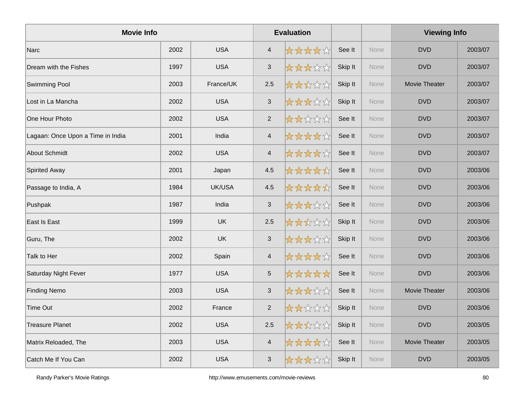| <b>Movie Info</b>                 |      |            |                           | <b>Evaluation</b> |         |      | <b>Viewing Info</b>  |         |
|-----------------------------------|------|------------|---------------------------|-------------------|---------|------|----------------------|---------|
| Narc                              | 2002 | <b>USA</b> | $\overline{4}$            | *****             | See It  | None | <b>DVD</b>           | 2003/07 |
| Dream with the Fishes             | 1997 | <b>USA</b> | $\sqrt{3}$                | *****             | Skip It | None | <b>DVD</b>           | 2003/07 |
| <b>Swimming Pool</b>              | 2003 | France/UK  | 2.5                       | *****             | Skip It | None | Movie Theater        | 2003/07 |
| Lost in La Mancha                 | 2002 | <b>USA</b> | $\sqrt{3}$                | *****             | Skip It | None | <b>DVD</b>           | 2003/07 |
| One Hour Photo                    | 2002 | <b>USA</b> | 2                         | *****             | See It  | None | <b>DVD</b>           | 2003/07 |
| Lagaan: Once Upon a Time in India | 2001 | India      | $\overline{4}$            | *****             | See It  | None | <b>DVD</b>           | 2003/07 |
| <b>About Schmidt</b>              | 2002 | <b>USA</b> | $\overline{4}$            | *****             | See It  | None | <b>DVD</b>           | 2003/07 |
| <b>Spirited Away</b>              | 2001 | Japan      | 4.5                       | *****             | See It  | None | <b>DVD</b>           | 2003/06 |
| Passage to India, A               | 1984 | UK/USA     | 4.5                       | *****             | See It  | None | <b>DVD</b>           | 2003/06 |
| Pushpak                           | 1987 | India      | $\ensuremath{\mathsf{3}}$ | *****             | See It  | None | <b>DVD</b>           | 2003/06 |
| East Is East                      | 1999 | <b>UK</b>  | 2.5                       | *****             | Skip It | None | <b>DVD</b>           | 2003/06 |
| Guru, The                         | 2002 | <b>UK</b>  | $\mathfrak{S}$            | *****             | Skip It | None | <b>DVD</b>           | 2003/06 |
| Talk to Her                       | 2002 | Spain      | $\overline{\mathcal{A}}$  | *****             | See It  | None | <b>DVD</b>           | 2003/06 |
| Saturday Night Fever              | 1977 | <b>USA</b> | $\mathbf 5$               | *****             | See It  | None | <b>DVD</b>           | 2003/06 |
| <b>Finding Nemo</b>               | 2003 | <b>USA</b> | 3                         | *****             | See It  | None | Movie Theater        | 2003/06 |
| <b>Time Out</b>                   | 2002 | France     | $\overline{2}$            | *****             | Skip It | None | <b>DVD</b>           | 2003/06 |
| <b>Treasure Planet</b>            | 2002 | <b>USA</b> | 2.5                       | *****             | Skip It | None | <b>DVD</b>           | 2003/05 |
| Matrix Reloaded, The              | 2003 | <b>USA</b> | $\overline{4}$            | *****             | See It  | None | <b>Movie Theater</b> | 2003/05 |
| Catch Me If You Can               | 2002 | <b>USA</b> | 3                         | *****             | Skip It | None | <b>DVD</b>           | 2003/05 |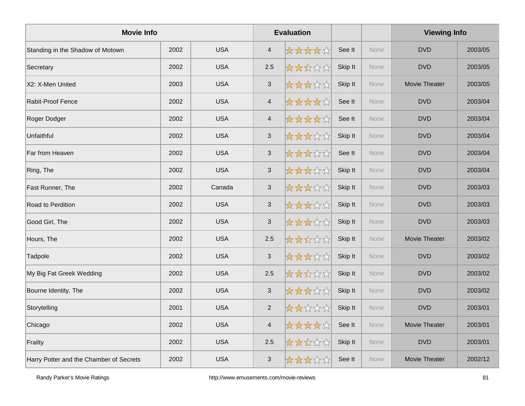| <b>Movie Info</b>                       |      |            |                | <b>Evaluation</b> |         |      | <b>Viewing Info</b>  |         |
|-----------------------------------------|------|------------|----------------|-------------------|---------|------|----------------------|---------|
| Standing in the Shadow of Motown        | 2002 | <b>USA</b> | $\overline{4}$ | *****             | See It  | None | <b>DVD</b>           | 2003/05 |
| Secretary                               | 2002 | <b>USA</b> | 2.5            | *****             | Skip It | None | <b>DVD</b>           | 2003/05 |
| X2: X-Men United                        | 2003 | <b>USA</b> | 3              | *****             | Skip It | None | Movie Theater        | 2003/05 |
| <b>Rabit-Proof Fence</b>                | 2002 | <b>USA</b> | $\overline{4}$ | *****             | See It  | None | <b>DVD</b>           | 2003/04 |
| Roger Dodger                            | 2002 | <b>USA</b> | $\overline{4}$ | *****             | See It  | None | <b>DVD</b>           | 2003/04 |
| Unfaithful                              | 2002 | <b>USA</b> | $\sqrt{3}$     | *****             | Skip It | None | <b>DVD</b>           | 2003/04 |
| Far from Heaven                         | 2002 | <b>USA</b> | $\mathbf{3}$   | *****             | See It  | None | <b>DVD</b>           | 2003/04 |
| Ring, The                               | 2002 | <b>USA</b> | $\sqrt{3}$     | *****             | Skip It | None | <b>DVD</b>           | 2003/04 |
| Fast Runner, The                        | 2002 | Canada     | $\mathbf{3}$   | *****             | Skip It | None | <b>DVD</b>           | 2003/03 |
| Road to Perdition                       | 2002 | <b>USA</b> | $\sqrt{3}$     | *****             | Skip It | None | <b>DVD</b>           | 2003/03 |
| Good Girl, The                          | 2002 | <b>USA</b> | $\mathbf{3}$   | *****             | Skip It | None | <b>DVD</b>           | 2003/03 |
| Hours, The                              | 2002 | <b>USA</b> | 2.5            | *****             | Skip It | None | Movie Theater        | 2003/02 |
| Tadpole                                 | 2002 | <b>USA</b> | $\sqrt{3}$     | *****             | Skip It | None | <b>DVD</b>           | 2003/02 |
| My Big Fat Greek Wedding                | 2002 | <b>USA</b> | 2.5            | *****             | Skip It | None | <b>DVD</b>           | 2003/02 |
| Bourne Identity, The                    | 2002 | <b>USA</b> | 3              | *****             | Skip It | None | <b>DVD</b>           | 2003/02 |
| Storytelling                            | 2001 | <b>USA</b> | $\overline{2}$ | *****             | Skip It | None | <b>DVD</b>           | 2003/01 |
| Chicago                                 | 2002 | <b>USA</b> | $\overline{4}$ | *****             | See It  | None | Movie Theater        | 2003/01 |
| Frailty                                 | 2002 | <b>USA</b> | 2.5            | *****             | Skip It | None | <b>DVD</b>           | 2003/01 |
| Harry Potter and the Chamber of Secrets | 2002 | <b>USA</b> | 3              | *****             | See It  | None | <b>Movie Theater</b> | 2002/12 |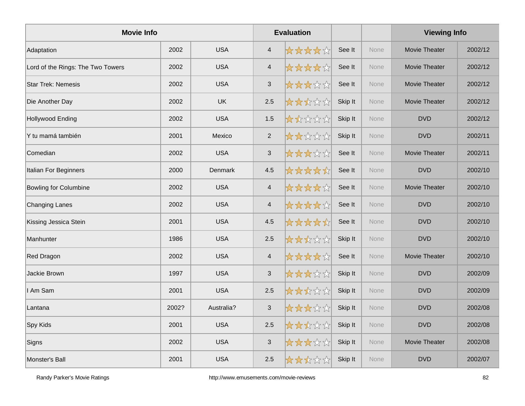| <b>Movie Info</b>                 |       |                |                          | <b>Evaluation</b> |         |      | <b>Viewing Info</b>  |         |
|-----------------------------------|-------|----------------|--------------------------|-------------------|---------|------|----------------------|---------|
| Adaptation                        | 2002  | <b>USA</b>     | $\overline{4}$           | ☆☆☆☆☆             | See It  | None | <b>Movie Theater</b> | 2002/12 |
| Lord of the Rings: The Two Towers | 2002  | <b>USA</b>     | $\overline{\mathcal{A}}$ | ☆☆☆☆☆             | See It  | None | Movie Theater        | 2002/12 |
| <b>Star Trek: Nemesis</b>         | 2002  | <b>USA</b>     | $\sqrt{3}$               | *****             | See It  | None | Movie Theater        | 2002/12 |
| Die Another Day                   | 2002  | <b>UK</b>      | 2.5                      | *****             | Skip It | None | <b>Movie Theater</b> | 2002/12 |
| Hollywood Ending                  | 2002  | <b>USA</b>     | 1.5                      | *****             | Skip It | None | <b>DVD</b>           | 2002/12 |
| Y tu mamá también                 | 2001  | Mexico         | 2                        | *****             | Skip It | None | <b>DVD</b>           | 2002/11 |
| Comedian                          | 2002  | <b>USA</b>     | $\mathbf{3}$             | *****             | See It  | None | Movie Theater        | 2002/11 |
| Italian For Beginners             | 2000  | <b>Denmark</b> | 4.5                      | *****             | See It  | None | <b>DVD</b>           | 2002/10 |
| <b>Bowling for Columbine</b>      | 2002  | <b>USA</b>     | $\overline{\mathcal{A}}$ | *****             | See It  | None | Movie Theater        | 2002/10 |
| Changing Lanes                    | 2002  | <b>USA</b>     | $\overline{\mathbf{4}}$  | *****             | See It  | None | <b>DVD</b>           | 2002/10 |
| Kissing Jessica Stein             | 2001  | <b>USA</b>     | 4.5                      | *****             | See It  | None | <b>DVD</b>           | 2002/10 |
| Manhunter                         | 1986  | <b>USA</b>     | 2.5                      | *****             | Skip It | None | <b>DVD</b>           | 2002/10 |
| Red Dragon                        | 2002  | <b>USA</b>     | $\overline{4}$           | *****             | See It  | None | Movie Theater        | 2002/10 |
| Jackie Brown                      | 1997  | <b>USA</b>     | $\sqrt{3}$               | *****             | Skip It | None | <b>DVD</b>           | 2002/09 |
| I Am Sam                          | 2001  | <b>USA</b>     | 2.5                      | *****             | Skip It | None | <b>DVD</b>           | 2002/09 |
| Lantana                           | 2002? | Australia?     | $\sqrt{3}$               | *****             | Skip It | None | <b>DVD</b>           | 2002/08 |
| Spy Kids                          | 2001  | <b>USA</b>     | 2.5                      | ☆☆☆☆☆             | Skip It | None | <b>DVD</b>           | 2002/08 |
| Signs                             | 2002  | <b>USA</b>     | $\sqrt{3}$               | *****             | Skip It | None | Movie Theater        | 2002/08 |
| Monster's Ball                    | 2001  | <b>USA</b>     | 2.5                      | *****             | Skip It | None | <b>DVD</b>           | 2002/07 |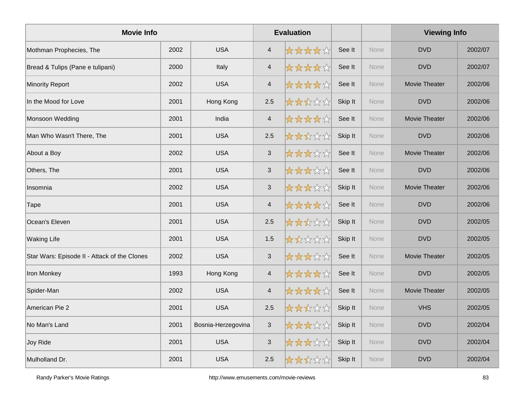| <b>Movie Info</b>                            |      |                    |                          | <b>Evaluation</b> |         |             | <b>Viewing Info</b>  |         |
|----------------------------------------------|------|--------------------|--------------------------|-------------------|---------|-------------|----------------------|---------|
| Mothman Prophecies, The                      | 2002 | <b>USA</b>         | $\overline{4}$           | ☆☆☆☆☆             | See It  | <b>None</b> | <b>DVD</b>           | 2002/07 |
| Bread & Tulips (Pane e tulipani)             | 2000 | Italy              | $\overline{\mathcal{A}}$ | ☆☆☆☆☆             | See It  | None        | <b>DVD</b>           | 2002/07 |
| <b>Minority Report</b>                       | 2002 | <b>USA</b>         | $\overline{4}$           | *****             | See It  | None        | Movie Theater        | 2002/06 |
| In the Mood for Love                         | 2001 | Hong Kong          | 2.5                      | *****             | Skip It | None        | <b>DVD</b>           | 2002/06 |
| Monsoon Wedding                              | 2001 | India              | $\overline{4}$           | *****             | See It  | <b>None</b> | Movie Theater        | 2002/06 |
| Man Who Wasn't There, The                    | 2001 | <b>USA</b>         | 2.5                      | *****             | Skip It | <b>None</b> | <b>DVD</b>           | 2002/06 |
| About a Boy                                  | 2002 | <b>USA</b>         | $\mathbf{3}$             | *****             | See It  | None        | Movie Theater        | 2002/06 |
| Others, The                                  | 2001 | <b>USA</b>         | $\sqrt{3}$               | *****             | See It  | None        | <b>DVD</b>           | 2002/06 |
| Insomnia                                     | 2002 | <b>USA</b>         | $\sqrt{3}$               | 女女女女众             | Skip It | <b>None</b> | <b>Movie Theater</b> | 2002/06 |
| Tape                                         | 2001 | <b>USA</b>         | $\overline{\mathcal{A}}$ | ☆☆☆☆☆☆            | See It  | None        | <b>DVD</b>           | 2002/06 |
| Ocean's Eleven                               | 2001 | <b>USA</b>         | 2.5                      | *****             | Skip It | None        | <b>DVD</b>           | 2002/05 |
| <b>Waking Life</b>                           | 2001 | <b>USA</b>         | 1.5                      | 大大众公众             | Skip It | None        | <b>DVD</b>           | 2002/05 |
| Star Wars: Episode II - Attack of the Clones | 2002 | <b>USA</b>         | 3                        | *****             | See It  | None        | <b>Movie Theater</b> | 2002/05 |
| Iron Monkey                                  | 1993 | Hong Kong          | $\overline{4}$           | *****             | See It  | None        | <b>DVD</b>           | 2002/05 |
| Spider-Man                                   | 2002 | <b>USA</b>         | $\overline{4}$           | *****             | See It  | None        | Movie Theater        | 2002/05 |
| American Pie 2                               | 2001 | <b>USA</b>         | 2.5                      | ☆☆☆☆☆             | Skip It | None        | <b>VHS</b>           | 2002/05 |
| No Man's Land                                | 2001 | Bosnia-Herzegovina | $\mathbf{3}$             | *****             | Skip It | None        | <b>DVD</b>           | 2002/04 |
| Joy Ride                                     | 2001 | <b>USA</b>         | $\sqrt{3}$               | ☆☆☆☆☆☆            | Skip It | None        | <b>DVD</b>           | 2002/04 |
| Mulholland Dr.                               | 2001 | <b>USA</b>         | 2.5                      | ☆☆☆☆☆             | Skip It | None        | <b>DVD</b>           | 2002/04 |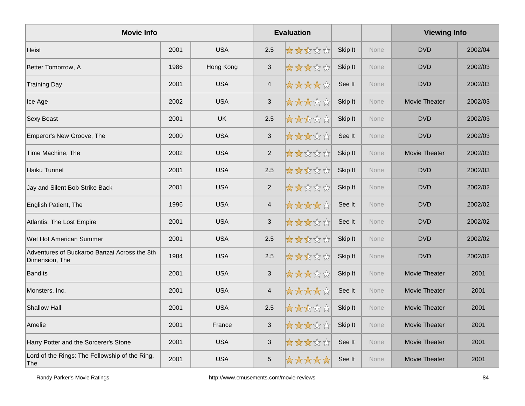| <b>Movie Info</b>                                              |      |            |                | <b>Evaluation</b> |         |             | <b>Viewing Info</b>  |         |
|----------------------------------------------------------------|------|------------|----------------|-------------------|---------|-------------|----------------------|---------|
| Heist                                                          | 2001 | <b>USA</b> | 2.5            | *****             | Skip It | <b>None</b> | <b>DVD</b>           | 2002/04 |
| Better Tomorrow, A                                             | 1986 | Hong Kong  | $\sqrt{3}$     | *****             | Skip It | None        | <b>DVD</b>           | 2002/03 |
| <b>Training Day</b>                                            | 2001 | <b>USA</b> | $\overline{4}$ | *****             | See It  | None        | <b>DVD</b>           | 2002/03 |
| Ice Age                                                        | 2002 | <b>USA</b> | $\sqrt{3}$     | *****             | Skip It | None        | Movie Theater        | 2002/03 |
| <b>Sexy Beast</b>                                              | 2001 | UK         | 2.5            | *****             | Skip It | <b>None</b> | <b>DVD</b>           | 2002/03 |
| Emperor's New Groove, The                                      | 2000 | <b>USA</b> | $\mathbf{3}$   | *****             | See It  | None        | <b>DVD</b>           | 2002/03 |
| Time Machine, The                                              | 2002 | <b>USA</b> | 2              | *****             | Skip It | None        | Movie Theater        | 2002/03 |
| Haiku Tunnel                                                   | 2001 | <b>USA</b> | 2.5            | *****             | Skip It | None        | <b>DVD</b>           | 2002/03 |
| Jay and Silent Bob Strike Back                                 | 2001 | <b>USA</b> | 2              | *****             | Skip It | None        | <b>DVD</b>           | 2002/02 |
| English Patient, The                                           | 1996 | <b>USA</b> | $\overline{4}$ | ☆☆☆☆☆☆            | See It  | None        | <b>DVD</b>           | 2002/02 |
| <b>Atlantis: The Lost Empire</b>                               | 2001 | <b>USA</b> | $\mathfrak{S}$ | *****             | See It  | None        | <b>DVD</b>           | 2002/02 |
| Wet Hot American Summer                                        | 2001 | <b>USA</b> | 2.5            | *****             | Skip It | <b>None</b> | <b>DVD</b>           | 2002/02 |
| Adventures of Buckaroo Banzai Across the 8th<br>Dimension, The | 1984 | <b>USA</b> | 2.5            | *****             | Skip It | None        | <b>DVD</b>           | 2002/02 |
| <b>Bandits</b>                                                 | 2001 | <b>USA</b> | $\mathbf{3}$   | *****             | Skip It | None        | Movie Theater        | 2001    |
| Monsters, Inc.                                                 | 2001 | <b>USA</b> | $\overline{4}$ | *****             | See It  | None        | Movie Theater        | 2001    |
| <b>Shallow Hall</b>                                            | 2001 | <b>USA</b> | 2.5            | *****             | Skip It | None        | Movie Theater        | 2001    |
| Amelie                                                         | 2001 | France     | $\mathbf{3}$   | ☆☆☆☆☆             | Skip It | None        | Movie Theater        | 2001    |
| Harry Potter and the Sorcerer's Stone                          | 2001 | <b>USA</b> | $\mathfrak{S}$ | *****             | See It  | None        | Movie Theater        | 2001    |
| Lord of the Rings: The Fellowship of the Ring,<br> The         | 2001 | <b>USA</b> | 5              | *****             | See It  | <b>None</b> | <b>Movie Theater</b> | 2001    |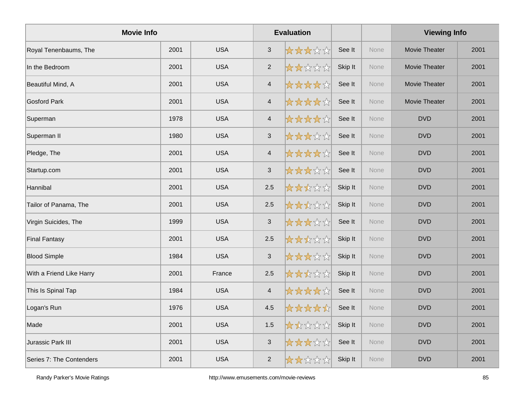| <b>Movie Info</b>        |      |            |                         | <b>Evaluation</b> |         |      | <b>Viewing Info</b>  |      |
|--------------------------|------|------------|-------------------------|-------------------|---------|------|----------------------|------|
| Royal Tenenbaums, The    | 2001 | <b>USA</b> | $\sqrt{3}$              | *****             | See It  | None | <b>Movie Theater</b> | 2001 |
| In the Bedroom           | 2001 | <b>USA</b> | $\overline{2}$          | *****             | Skip It | None | <b>Movie Theater</b> | 2001 |
| Beautiful Mind, A        | 2001 | <b>USA</b> | $\overline{4}$          | *****             | See It  | None | Movie Theater        | 2001 |
| Gosford Park             | 2001 | <b>USA</b> | $\overline{\mathbf{4}}$ | *****             | See It  | None | Movie Theater        | 2001 |
| Superman                 | 1978 | <b>USA</b> | $\overline{4}$          | *****             | See It  | None | <b>DVD</b>           | 2001 |
| Superman II              | 1980 | <b>USA</b> | $\sqrt{3}$              | *****             | See It  | None | <b>DVD</b>           | 2001 |
| Pledge, The              | 2001 | <b>USA</b> | $\overline{4}$          | *****             | See It  | None | <b>DVD</b>           | 2001 |
| Startup.com              | 2001 | <b>USA</b> | $\sqrt{3}$              | *****             | See It  | None | <b>DVD</b>           | 2001 |
| Hannibal                 | 2001 | <b>USA</b> | 2.5                     | *****             | Skip It | None | <b>DVD</b>           | 2001 |
| Tailor of Panama, The    | 2001 | <b>USA</b> | 2.5                     | *****             | Skip It | None | <b>DVD</b>           | 2001 |
| Virgin Suicides, The     | 1999 | <b>USA</b> | $\mathbf{3}$            | *****             | See It  | None | <b>DVD</b>           | 2001 |
| <b>Final Fantasy</b>     | 2001 | <b>USA</b> | 2.5                     | *****             | Skip It | None | <b>DVD</b>           | 2001 |
| <b>Blood Simple</b>      | 1984 | <b>USA</b> | $\sqrt{3}$              | *****             | Skip It | None | <b>DVD</b>           | 2001 |
| With a Friend Like Harry | 2001 | France     | 2.5                     | *****             | Skip It | None | <b>DVD</b>           | 2001 |
| This Is Spinal Tap       | 1984 | <b>USA</b> | $\overline{4}$          | *****             | See It  | None | <b>DVD</b>           | 2001 |
| Logan's Run              | 1976 | <b>USA</b> | 4.5                     | *****             | See It  | None | <b>DVD</b>           | 2001 |
| Made                     | 2001 | <b>USA</b> | 1.5                     | 大大公公众             | Skip It | None | <b>DVD</b>           | 2001 |
| Jurassic Park III        | 2001 | <b>USA</b> | $\sqrt{3}$              | *****             | See It  | None | <b>DVD</b>           | 2001 |
| Series 7: The Contenders | 2001 | <b>USA</b> | $\overline{2}$          | *****             | Skip It | None | <b>DVD</b>           | 2001 |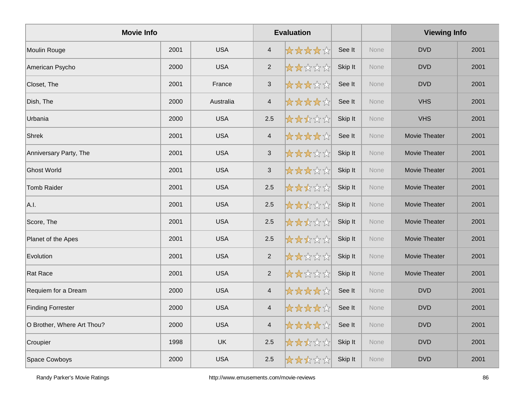| <b>Movie Info</b>          |      |            | <b>Evaluation</b>       |       |         |      | <b>Viewing Info</b>  |      |
|----------------------------|------|------------|-------------------------|-------|---------|------|----------------------|------|
| Moulin Rouge               | 2001 | <b>USA</b> | $\overline{4}$          | ***** | See It  | None | <b>DVD</b>           | 2001 |
| American Psycho            | 2000 | <b>USA</b> | $\overline{2}$          | 女女女女女 | Skip It | None | <b>DVD</b>           | 2001 |
| Closet, The                | 2001 | France     | $\mathbf{3}$            | ***** | See It  | None | <b>DVD</b>           | 2001 |
| Dish, The                  | 2000 | Australia  | $\overline{\mathbf{4}}$ | ***** | See It  | None | <b>VHS</b>           | 2001 |
| Urbania                    | 2000 | <b>USA</b> | 2.5                     | ***** | Skip It | None | <b>VHS</b>           | 2001 |
| Shrek                      | 2001 | <b>USA</b> | $\overline{\mathbf{4}}$ | ***** | See It  | None | <b>Movie Theater</b> | 2001 |
| Anniversary Party, The     | 2001 | <b>USA</b> | $\mathbf{3}$            | ***** | Skip It | None | Movie Theater        | 2001 |
| <b>Ghost World</b>         | 2001 | <b>USA</b> | $\sqrt{3}$              | ***** | Skip It | None | <b>Movie Theater</b> | 2001 |
| Tomb Raider                | 2001 | <b>USA</b> | 2.5                     | ***** | Skip It | None | Movie Theater        | 2001 |
| A.I.                       | 2001 | <b>USA</b> | 2.5                     | ***** | Skip It | None | Movie Theater        | 2001 |
| Score, The                 | 2001 | <b>USA</b> | 2.5                     | ***** | Skip It | None | Movie Theater        | 2001 |
| Planet of the Apes         | 2001 | <b>USA</b> | 2.5                     | ***** | Skip It | None | Movie Theater        | 2001 |
| Evolution                  | 2001 | <b>USA</b> | $\overline{2}$          | ***** | Skip It | None | <b>Movie Theater</b> | 2001 |
| Rat Race                   | 2001 | <b>USA</b> | $\overline{2}$          | ***** | Skip It | None | Movie Theater        | 2001 |
| Requiem for a Dream        | 2000 | <b>USA</b> | $\overline{4}$          | ***** | See It  | None | <b>DVD</b>           | 2001 |
| <b>Finding Forrester</b>   | 2000 | <b>USA</b> | $\overline{\mathbf{4}}$ | ***** | See It  | None | <b>DVD</b>           | 2001 |
| O Brother, Where Art Thou? | 2000 | <b>USA</b> | $\overline{4}$          | ***** | See It  | None | <b>DVD</b>           | 2001 |
| Croupier                   | 1998 | UK         | 2.5                     | ***** | Skip It | None | <b>DVD</b>           | 2001 |
| Space Cowboys              | 2000 | <b>USA</b> | 2.5                     | ***** | Skip It | None | <b>DVD</b>           | 2001 |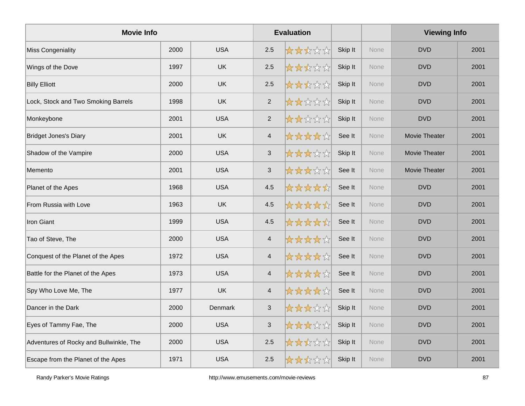| <b>Movie Info</b>                       |      |            |                | <b>Evaluation</b> |         |             | <b>Viewing Info</b>  |      |
|-----------------------------------------|------|------------|----------------|-------------------|---------|-------------|----------------------|------|
| <b>Miss Congeniality</b>                | 2000 | <b>USA</b> | 2.5            | *****             | Skip It | None        | <b>DVD</b>           | 2001 |
| Wings of the Dove                       | 1997 | <b>UK</b>  | $2.5\,$        | *****             | Skip It | None        | <b>DVD</b>           | 2001 |
| <b>Billy Elliott</b>                    | 2000 | <b>UK</b>  | 2.5            | *****             | Skip It | None        | <b>DVD</b>           | 2001 |
| Lock, Stock and Two Smoking Barrels     | 1998 | <b>UK</b>  | $\overline{2}$ | *****             | Skip It | None        | <b>DVD</b>           | 2001 |
| Monkeybone                              | 2001 | <b>USA</b> | $\overline{2}$ | *****             | Skip It | None        | <b>DVD</b>           | 2001 |
| <b>Bridget Jones's Diary</b>            | 2001 | <b>UK</b>  | $\overline{4}$ | *****             | See It  | None        | <b>Movie Theater</b> | 2001 |
| Shadow of the Vampire                   | 2000 | <b>USA</b> | $\mathfrak{S}$ | *****             | Skip It | None        | <b>Movie Theater</b> | 2001 |
| Memento                                 | 2001 | <b>USA</b> | $\sqrt{3}$     | *****             | See It  | <b>None</b> | <b>Movie Theater</b> | 2001 |
| Planet of the Apes                      | 1968 | <b>USA</b> | 4.5            | *****             | See It  | None        | <b>DVD</b>           | 2001 |
| From Russia with Love                   | 1963 | <b>UK</b>  | 4.5            | *****             | See It  | None        | <b>DVD</b>           | 2001 |
| <b>Iron Giant</b>                       | 1999 | <b>USA</b> | 4.5            | *****             | See It  | None        | <b>DVD</b>           | 2001 |
| Tao of Steve, The                       | 2000 | <b>USA</b> | $\overline{4}$ | *****             | See It  | None        | <b>DVD</b>           | 2001 |
| Conquest of the Planet of the Apes      | 1972 | <b>USA</b> | $\overline{4}$ | *****             | See It  | None        | <b>DVD</b>           | 2001 |
| Battle for the Planet of the Apes       | 1973 | <b>USA</b> | $\overline{4}$ | *****             | See It  | None        | <b>DVD</b>           | 2001 |
| Spy Who Love Me, The                    | 1977 | <b>UK</b>  | $\overline{4}$ | *****             | See It  | None        | <b>DVD</b>           | 2001 |
| Dancer in the Dark                      | 2000 | Denmark    | $\mathfrak{S}$ | *****             | Skip It | None        | <b>DVD</b>           | 2001 |
| Eyes of Tammy Fae, The                  | 2000 | <b>USA</b> | $\mathfrak{S}$ | *****             | Skip It | None        | <b>DVD</b>           | 2001 |
| Adventures of Rocky and Bullwinkle, The | 2000 | <b>USA</b> | $2.5\,$        | *****             | Skip It | None        | <b>DVD</b>           | 2001 |
| Escape from the Planet of the Apes      | 1971 | <b>USA</b> | 2.5            | *****             | Skip It | None        | <b>DVD</b>           | 2001 |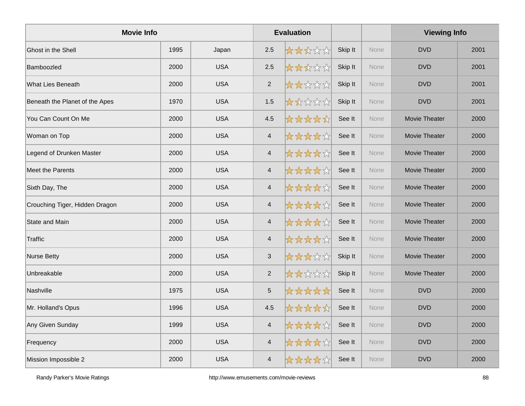| <b>Movie Info</b>              |      |            | <b>Evaluation</b>        |       |         |             | <b>Viewing Info</b>  |      |
|--------------------------------|------|------------|--------------------------|-------|---------|-------------|----------------------|------|
| <b>Ghost in the Shell</b>      | 1995 | Japan      | 2.5                      | ***** | Skip It | <b>None</b> | <b>DVD</b>           | 2001 |
| Bamboozled                     | 2000 | <b>USA</b> | 2.5                      | ***** | Skip It | None        | <b>DVD</b>           | 2001 |
| <b>What Lies Beneath</b>       | 2000 | <b>USA</b> | $\overline{2}$           | ***** | Skip It | None        | <b>DVD</b>           | 2001 |
| Beneath the Planet of the Apes | 1970 | <b>USA</b> | 1.5                      | ***** | Skip It | None        | <b>DVD</b>           | 2001 |
| You Can Count On Me            | 2000 | <b>USA</b> | 4.5                      | ***** | See It  | None        | Movie Theater        | 2000 |
| Woman on Top                   | 2000 | <b>USA</b> | $\overline{4}$           | ***** | See It  | None        | Movie Theater        | 2000 |
| Legend of Drunken Master       | 2000 | <b>USA</b> | $\overline{4}$           | ***** | See It  | None        | <b>Movie Theater</b> | 2000 |
| Meet the Parents               | 2000 | <b>USA</b> | $\overline{4}$           | ***** | See It  | None        | <b>Movie Theater</b> | 2000 |
| Sixth Day, The                 | 2000 | <b>USA</b> | $\overline{4}$           | ***** | See It  | None        | Movie Theater        | 2000 |
| Crouching Tiger, Hidden Dragon | 2000 | <b>USA</b> | $\overline{\mathbf{4}}$  | ***** | See It  | None        | Movie Theater        | 2000 |
| <b>State and Main</b>          | 2000 | <b>USA</b> | $\overline{4}$           | ***** | See It  | None        | Movie Theater        | 2000 |
| Traffic                        | 2000 | <b>USA</b> | $\overline{4}$           | ***** | See It  | None        | Movie Theater        | 2000 |
| Nurse Betty                    | 2000 | <b>USA</b> | $\sqrt{3}$               | ***** | Skip It | None        | <b>Movie Theater</b> | 2000 |
| Unbreakable                    | 2000 | <b>USA</b> | 2                        | ***** | Skip It | None        | Movie Theater        | 2000 |
| Nashville                      | 1975 | <b>USA</b> | $\sqrt{5}$               | ***** | See It  | None        | <b>DVD</b>           | 2000 |
| Mr. Holland's Opus             | 1996 | <b>USA</b> | 4.5                      | ***** | See It  | None        | <b>DVD</b>           | 2000 |
| Any Given Sunday               | 1999 | <b>USA</b> | $\overline{4}$           | ***** | See It  | None        | <b>DVD</b>           | 2000 |
| Frequency                      | 2000 | <b>USA</b> | $\overline{\mathcal{A}}$ | ***** | See It  | None        | <b>DVD</b>           | 2000 |
| Mission Impossible 2           | 2000 | <b>USA</b> | $\overline{4}$           | ***** | See It  | None        | <b>DVD</b>           | 2000 |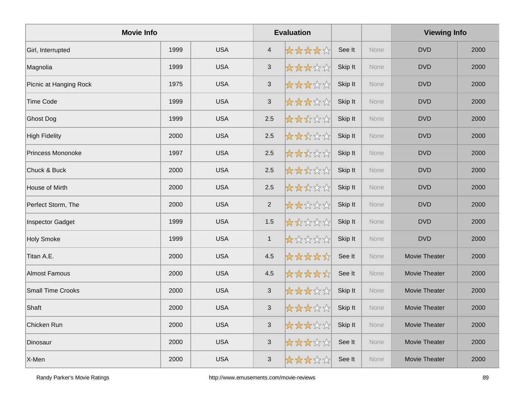| <b>Movie Info</b>        |      |            |                           | <b>Evaluation</b> |         |             | <b>Viewing Info</b>  |      |
|--------------------------|------|------------|---------------------------|-------------------|---------|-------------|----------------------|------|
| Girl, Interrupted        | 1999 | <b>USA</b> | $\overline{4}$            | *****             | See It  | <b>None</b> | <b>DVD</b>           | 2000 |
| Magnolia                 | 1999 | <b>USA</b> | $\ensuremath{\mathsf{3}}$ | *****             | Skip It | None        | <b>DVD</b>           | 2000 |
| Picnic at Hanging Rock   | 1975 | <b>USA</b> | $\mathbf{3}$              | *****             | Skip It | None        | <b>DVD</b>           | 2000 |
| <b>Time Code</b>         | 1999 | <b>USA</b> | $\ensuremath{\mathsf{3}}$ | *****             | Skip It | None        | <b>DVD</b>           | 2000 |
| <b>Ghost Dog</b>         | 1999 | <b>USA</b> | 2.5                       | *****             | Skip It | None        | <b>DVD</b>           | 2000 |
| <b>High Fidelity</b>     | 2000 | <b>USA</b> | $2.5\,$                   | *****             | Skip It | None        | <b>DVD</b>           | 2000 |
| Princess Mononoke        | 1997 | <b>USA</b> | 2.5                       | *****             | Skip It | None        | <b>DVD</b>           | 2000 |
| Chuck & Buck             | 2000 | <b>USA</b> | 2.5                       | *****             | Skip It | <b>None</b> | <b>DVD</b>           | 2000 |
| House of Mirth           | 2000 | <b>USA</b> | $2.5\,$                   | *****             | Skip It | None        | <b>DVD</b>           | 2000 |
| Perfect Storm, The       | 2000 | <b>USA</b> | $\sqrt{2}$                | *****             | Skip It | None        | <b>DVD</b>           | 2000 |
| <b>Inspector Gadget</b>  | 1999 | <b>USA</b> | 1.5                       | *****             | Skip It | <b>None</b> | <b>DVD</b>           | 2000 |
| <b>Holy Smoke</b>        | 1999 | <b>USA</b> | $\mathbf{1}$              | 大众公众众             | Skip It | None        | <b>DVD</b>           | 2000 |
| Titan A.E.               | 2000 | <b>USA</b> | 4.5                       | *****             | See It  | None        | Movie Theater        | 2000 |
| <b>Almost Famous</b>     | 2000 | <b>USA</b> | 4.5                       | *****             | See It  | None        | <b>Movie Theater</b> | 2000 |
| <b>Small Time Crooks</b> | 2000 | <b>USA</b> | $\mathbf{3}$              | *****             | Skip It | None        | <b>Movie Theater</b> | 2000 |
| Shaft                    | 2000 | <b>USA</b> | $\mathbf{3}$              | *****             | Skip It | None        | Movie Theater        | 2000 |
| Chicken Run              | 2000 | <b>USA</b> | $\ensuremath{\mathsf{3}}$ | *****             | Skip It | None        | Movie Theater        | 2000 |
| Dinosaur                 | 2000 | <b>USA</b> | $\sqrt{3}$                | *****             | See It  | None        | Movie Theater        | 2000 |
| X-Men                    | 2000 | <b>USA</b> | $\sqrt{3}$                | *****             | See It  | None        | <b>Movie Theater</b> | 2000 |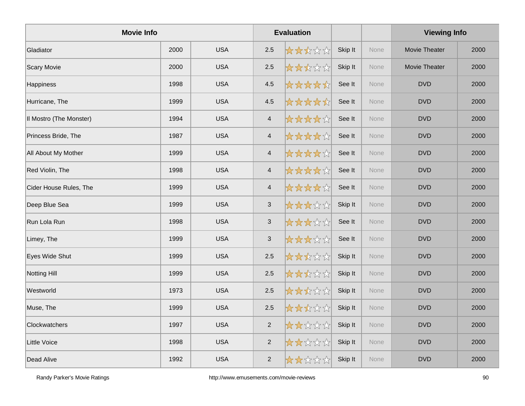| <b>Movie Info</b>       |      |            |                          | <b>Evaluation</b> |         |      | <b>Viewing Info</b>  |      |
|-------------------------|------|------------|--------------------------|-------------------|---------|------|----------------------|------|
| Gladiator               | 2000 | <b>USA</b> | 2.5                      | *****             | Skip It | None | <b>Movie Theater</b> | 2000 |
| Scary Movie             | 2000 | <b>USA</b> | 2.5                      | *****             | Skip It | None | <b>Movie Theater</b> | 2000 |
| Happiness               | 1998 | <b>USA</b> | 4.5                      | *****             | See It  | None | <b>DVD</b>           | 2000 |
| Hurricane, The          | 1999 | <b>USA</b> | 4.5                      | *****             | See It  | None | <b>DVD</b>           | 2000 |
| Il Mostro (The Monster) | 1994 | <b>USA</b> | $\overline{4}$           | *****             | See It  | None | <b>DVD</b>           | 2000 |
| Princess Bride, The     | 1987 | <b>USA</b> | $\sqrt{4}$               | *****             | See It  | None | <b>DVD</b>           | 2000 |
| All About My Mother     | 1999 | <b>USA</b> | $\overline{4}$           | *****             | See It  | None | <b>DVD</b>           | 2000 |
| Red Violin, The         | 1998 | <b>USA</b> | $\overline{4}$           | ☆☆☆☆☆             | See It  | None | <b>DVD</b>           | 2000 |
| Cider House Rules, The  | 1999 | <b>USA</b> | $\overline{\mathcal{A}}$ | *****             | See It  | None | <b>DVD</b>           | 2000 |
| Deep Blue Sea           | 1999 | <b>USA</b> | $\sqrt{3}$               | *****             | Skip It | None | <b>DVD</b>           | 2000 |
| Run Lola Run            | 1998 | <b>USA</b> | $\mathbf{3}$             | *****             | See It  | None | <b>DVD</b>           | 2000 |
| Limey, The              | 1999 | <b>USA</b> | $\sqrt{3}$               | *****             | See It  | None | <b>DVD</b>           | 2000 |
| Eyes Wide Shut          | 1999 | <b>USA</b> | 2.5                      | *****             | Skip It | None | <b>DVD</b>           | 2000 |
| <b>Notting Hill</b>     | 1999 | <b>USA</b> | 2.5                      | *****             | Skip It | None | <b>DVD</b>           | 2000 |
| Westworld               | 1973 | <b>USA</b> | 2.5                      | *****             | Skip It | None | <b>DVD</b>           | 2000 |
| Muse, The               | 1999 | <b>USA</b> | 2.5                      | ☆☆☆☆☆             | Skip It | None | <b>DVD</b>           | 2000 |
| Clockwatchers           | 1997 | <b>USA</b> | $\overline{2}$           | *****             | Skip It | None | <b>DVD</b>           | 2000 |
| Little Voice            | 1998 | <b>USA</b> | $\overline{c}$           | *****             | Skip It | None | <b>DVD</b>           | 2000 |
| Dead Alive              | 1992 | <b>USA</b> | $\overline{2}$           | *****             | Skip It | None | <b>DVD</b>           | 2000 |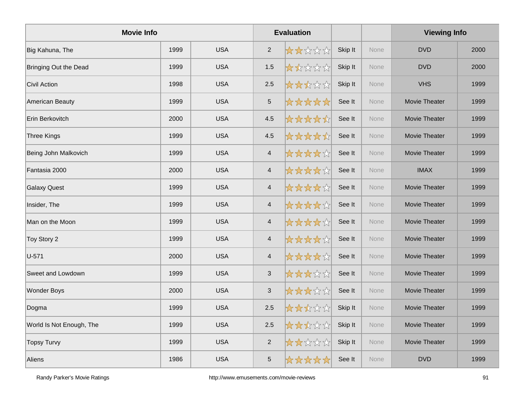| <b>Movie Info</b>        |      |            |                          | <b>Evaluation</b> |         |             | <b>Viewing Info</b>  |      |
|--------------------------|------|------------|--------------------------|-------------------|---------|-------------|----------------------|------|
| Big Kahuna, The          | 1999 | <b>USA</b> | $\overline{2}$           | *****             | Skip It | <b>None</b> | <b>DVD</b>           | 2000 |
| Bringing Out the Dead    | 1999 | <b>USA</b> | 1.5                      | 大大公公众             | Skip It | None        | <b>DVD</b>           | 2000 |
| <b>Civil Action</b>      | 1998 | <b>USA</b> | 2.5                      | *****             | Skip It | None        | <b>VHS</b>           | 1999 |
| American Beauty          | 1999 | <b>USA</b> | $\sqrt{5}$               | *****             | See It  | None        | Movie Theater        | 1999 |
| Erin Berkovitch          | 2000 | <b>USA</b> | 4.5                      | *****             | See It  | None        | Movie Theater        | 1999 |
| <b>Three Kings</b>       | 1999 | <b>USA</b> | 4.5                      | *****             | See It  | None        | Movie Theater        | 1999 |
| Being John Malkovich     | 1999 | <b>USA</b> | $\overline{4}$           | *****             | See It  | None        | <b>Movie Theater</b> | 1999 |
| Fantasia 2000            | 2000 | <b>USA</b> | $\overline{4}$           | ☆☆☆☆☆             | See It  | None        | <b>IMAX</b>          | 1999 |
| <b>Galaxy Quest</b>      | 1999 | <b>USA</b> | $\overline{\mathcal{A}}$ | *****             | See It  | None        | Movie Theater        | 1999 |
| Insider, The             | 1999 | <b>USA</b> | $\overline{\mathbf{4}}$  | *****             | See It  | None        | Movie Theater        | 1999 |
| Man on the Moon          | 1999 | <b>USA</b> | $\overline{\mathcal{A}}$ | *****             | See It  | None        | Movie Theater        | 1999 |
| Toy Story 2              | 1999 | <b>USA</b> | $\overline{4}$           | *****             | See It  | None        | Movie Theater        | 1999 |
| U-571                    | 2000 | <b>USA</b> | $\overline{\mathcal{A}}$ | *****             | See It  | None        | <b>Movie Theater</b> | 1999 |
| Sweet and Lowdown        | 1999 | <b>USA</b> | $\sqrt{3}$               | *****             | See It  | None        | Movie Theater        | 1999 |
| <b>Wonder Boys</b>       | 2000 | <b>USA</b> | 3                        | *****             | See It  | None        | Movie Theater        | 1999 |
| Dogma                    | 1999 | <b>USA</b> | 2.5                      | *****             | Skip It | None        | Movie Theater        | 1999 |
| World Is Not Enough, The | 1999 | <b>USA</b> | 2.5                      | *****             | Skip It | None        | Movie Theater        | 1999 |
| <b>Topsy Turvy</b>       | 1999 | <b>USA</b> | $\overline{c}$           | *****             | Skip It | None        | Movie Theater        | 1999 |
| Aliens                   | 1986 | <b>USA</b> | $\overline{5}$           | *****             | See It  | None        | <b>DVD</b>           | 1999 |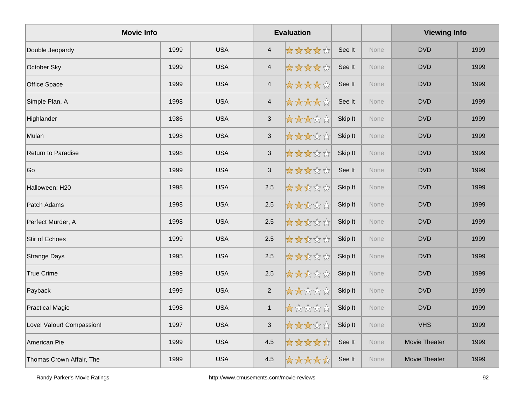| <b>Movie Info</b>         |      |            |                          | <b>Evaluation</b> |         |      | <b>Viewing Info</b> |      |
|---------------------------|------|------------|--------------------------|-------------------|---------|------|---------------------|------|
| Double Jeopardy           | 1999 | <b>USA</b> | $\overline{4}$           | *****             | See It  | None | <b>DVD</b>          | 1999 |
| October Sky               | 1999 | <b>USA</b> | $\overline{\mathcal{A}}$ | *****             | See It  | None | <b>DVD</b>          | 1999 |
| Office Space              | 1999 | <b>USA</b> | $\overline{4}$           | *****             | See It  | None | <b>DVD</b>          | 1999 |
| Simple Plan, A            | 1998 | <b>USA</b> | $\sqrt{4}$               | *****             | See It  | None | <b>DVD</b>          | 1999 |
| Highlander                | 1986 | <b>USA</b> | $\mathbf{3}$             | *****             | Skip It | None | <b>DVD</b>          | 1999 |
| Mulan                     | 1998 | <b>USA</b> | $\mathbf{3}$             | *****             | Skip It | None | <b>DVD</b>          | 1999 |
| Return to Paradise        | 1998 | <b>USA</b> | $\mathbf{3}$             | *****             | Skip It | None | <b>DVD</b>          | 1999 |
| Go                        | 1999 | <b>USA</b> | $\mathfrak{S}$           | *****             | See It  | None | <b>DVD</b>          | 1999 |
| Halloween: H20            | 1998 | <b>USA</b> | 2.5                      | *****             | Skip It | None | <b>DVD</b>          | 1999 |
| Patch Adams               | 1998 | <b>USA</b> | 2.5                      | *****             | Skip It | None | <b>DVD</b>          | 1999 |
| Perfect Murder, A         | 1998 | <b>USA</b> | 2.5                      | *****             | Skip It | None | <b>DVD</b>          | 1999 |
| <b>Stir of Echoes</b>     | 1999 | <b>USA</b> | 2.5                      | *****             | Skip It | None | <b>DVD</b>          | 1999 |
| Strange Days              | 1995 | <b>USA</b> | 2.5                      | *****             | Skip It | None | <b>DVD</b>          | 1999 |
| True Crime                | 1999 | <b>USA</b> | 2.5                      | *****             | Skip It | None | <b>DVD</b>          | 1999 |
| Payback                   | 1999 | <b>USA</b> | $\overline{2}$           | *****             | Skip It | None | <b>DVD</b>          | 1999 |
| <b>Practical Magic</b>    | 1998 | <b>USA</b> | $\mathbf{1}$             | *****             | Skip It | None | <b>DVD</b>          | 1999 |
| Love! Valour! Compassion! | 1997 | <b>USA</b> | $\sqrt{3}$               | 女女女女众             | Skip It | None | <b>VHS</b>          | 1999 |
| American Pie              | 1999 | <b>USA</b> | 4.5                      | *****             | See It  | None | Movie Theater       | 1999 |
| Thomas Crown Affair, The  | 1999 | <b>USA</b> | 4.5                      | *****             | See It  | None | Movie Theater       | 1999 |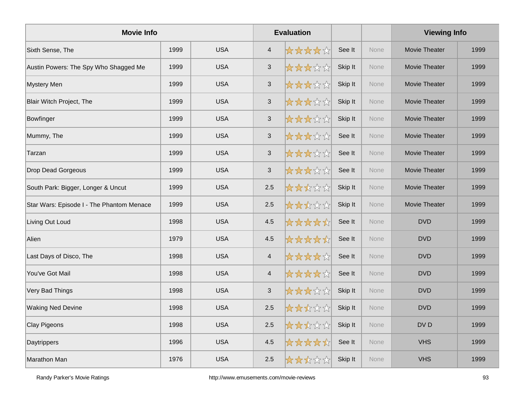| <b>Movie Info</b>                         |      |            |                | <b>Evaluation</b> |         |             | <b>Viewing Info</b>  |      |
|-------------------------------------------|------|------------|----------------|-------------------|---------|-------------|----------------------|------|
| Sixth Sense, The                          | 1999 | <b>USA</b> | $\overline{4}$ | *****             | See It  | None        | <b>Movie Theater</b> | 1999 |
| Austin Powers: The Spy Who Shagged Me     | 1999 | <b>USA</b> | $\sqrt{3}$     | ☆☆☆☆☆             | Skip It | None        | Movie Theater        | 1999 |
| <b>Mystery Men</b>                        | 1999 | <b>USA</b> | $\mathbf{3}$   | *****             | Skip It | None        | Movie Theater        | 1999 |
| Blair Witch Project, The                  | 1999 | <b>USA</b> | $\mathbf{3}$   | *****             | Skip It | None        | Movie Theater        | 1999 |
| Bowfinger                                 | 1999 | <b>USA</b> | $\mathbf{3}$   | *****             | Skip It | None        | <b>Movie Theater</b> | 1999 |
| Mummy, The                                | 1999 | <b>USA</b> | $\mathsf 3$    | *****             | See It  | None        | Movie Theater        | 1999 |
| Tarzan                                    | 1999 | <b>USA</b> | $\mathbf{3}$   | *****             | See It  | None        | Movie Theater        | 1999 |
| <b>Drop Dead Gorgeous</b>                 | 1999 | <b>USA</b> | $\mathfrak{S}$ | 女女女女众             | See It  | None        | Movie Theater        | 1999 |
| South Park: Bigger, Longer & Uncut        | 1999 | <b>USA</b> | 2.5            | *****             | Skip It | None        | Movie Theater        | 1999 |
| Star Wars: Episode I - The Phantom Menace | 1999 | <b>USA</b> | 2.5            | ☆☆☆☆☆☆            | Skip It | None        | Movie Theater        | 1999 |
| Living Out Loud                           | 1998 | <b>USA</b> | 4.5            | *****             | See It  | None        | <b>DVD</b>           | 1999 |
| Alien                                     | 1979 | <b>USA</b> | 4.5            | *****             | See It  | None        | <b>DVD</b>           | 1999 |
| Last Days of Disco, The                   | 1998 | <b>USA</b> | $\overline{4}$ | *****             | See It  | None        | <b>DVD</b>           | 1999 |
| You've Got Mail                           | 1998 | <b>USA</b> | $\overline{4}$ | *****             | See It  | None        | <b>DVD</b>           | 1999 |
| Very Bad Things                           | 1998 | <b>USA</b> | $\mathbf{3}$   | *****             | Skip It | <b>None</b> | <b>DVD</b>           | 1999 |
| <b>Waking Ned Devine</b>                  | 1998 | <b>USA</b> | 2.5            | ☆☆☆☆☆             | Skip It | None        | <b>DVD</b>           | 1999 |
| Clay Pigeons                              | 1998 | <b>USA</b> | $2.5\,$        | ☆☆☆☆☆             | Skip It | None        | DV <sub>D</sub>      | 1999 |
| Daytrippers                               | 1996 | <b>USA</b> | 4.5            | *****             | See It  | None        | <b>VHS</b>           | 1999 |
| <b>Marathon Man</b>                       | 1976 | <b>USA</b> | 2.5            | *****             | Skip It | <b>None</b> | <b>VHS</b>           | 1999 |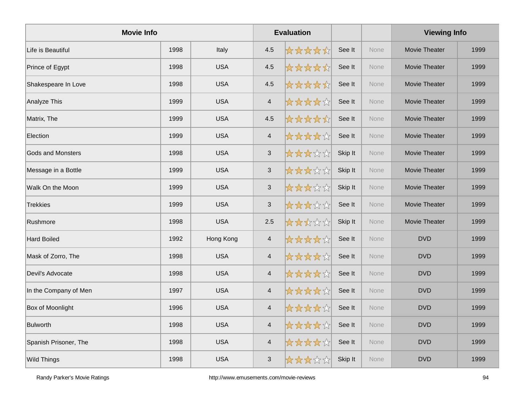| <b>Movie Info</b>        |      |            |                           | <b>Evaluation</b> |         |      | <b>Viewing Info</b>  |      |
|--------------------------|------|------------|---------------------------|-------------------|---------|------|----------------------|------|
| Life is Beautiful        | 1998 | Italy      | 4.5                       | *****             | See It  | None | Movie Theater        | 1999 |
| Prince of Egypt          | 1998 | <b>USA</b> | 4.5                       | *****             | See It  | None | <b>Movie Theater</b> | 1999 |
| Shakespeare In Love      | 1998 | <b>USA</b> | 4.5                       | *****             | See It  | None | Movie Theater        | 1999 |
| Analyze This             | 1999 | <b>USA</b> | $\sqrt{4}$                | *****             | See It  | None | Movie Theater        | 1999 |
| Matrix, The              | 1999 | <b>USA</b> | 4.5                       | *****             | See It  | None | Movie Theater        | 1999 |
| Election                 | 1999 | <b>USA</b> | $\overline{\mathcal{A}}$  | *****             | See It  | None | Movie Theater        | 1999 |
| <b>Gods and Monsters</b> | 1998 | <b>USA</b> | $\mathbf{3}$              | *****             | Skip It | None | <b>Movie Theater</b> | 1999 |
| Message in a Bottle      | 1999 | <b>USA</b> | $\sqrt{3}$                | *****             | Skip It | None | <b>Movie Theater</b> | 1999 |
| Walk On the Moon         | 1999 | <b>USA</b> | $\sqrt{3}$                | *****             | Skip It | None | Movie Theater        | 1999 |
| Trekkies                 | 1999 | <b>USA</b> | $\ensuremath{\mathsf{3}}$ | *****             | See It  | None | Movie Theater        | 1999 |
| Rushmore                 | 1998 | <b>USA</b> | 2.5                       | *****             | Skip It | None | Movie Theater        | 1999 |
| <b>Hard Boiled</b>       | 1992 | Hong Kong  | $\overline{4}$            | *****             | See It  | None | <b>DVD</b>           | 1999 |
| Mask of Zorro, The       | 1998 | <b>USA</b> | $\overline{\mathcal{A}}$  | *****             | See It  | None | <b>DVD</b>           | 1999 |
| Devil's Advocate         | 1998 | <b>USA</b> | $\overline{\mathbf{4}}$   | *****             | See It  | None | <b>DVD</b>           | 1999 |
| In the Company of Men    | 1997 | <b>USA</b> | $\overline{\mathcal{A}}$  | *****             | See It  | None | <b>DVD</b>           | 1999 |
| Box of Moonlight         | 1996 | <b>USA</b> | $\overline{4}$            | *****             | See It  | None | <b>DVD</b>           | 1999 |
| Bulworth                 | 1998 | <b>USA</b> | $\overline{4}$            | *****             | See It  | None | <b>DVD</b>           | 1999 |
| Spanish Prisoner, The    | 1998 | <b>USA</b> | $\overline{4}$            | *****             | See It  | None | <b>DVD</b>           | 1999 |
| <b>Wild Things</b>       | 1998 | <b>USA</b> | 3                         | *****             | Skip It | None | <b>DVD</b>           | 1999 |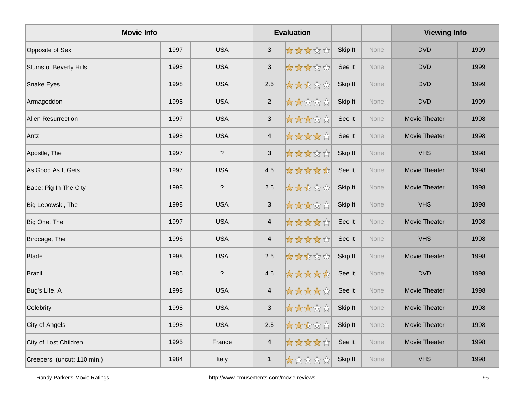| <b>Movie Info</b>          |      |                          | <b>Evaluation</b>         |       |         |             | <b>Viewing Info</b>  |      |  |
|----------------------------|------|--------------------------|---------------------------|-------|---------|-------------|----------------------|------|--|
| Opposite of Sex            | 1997 | <b>USA</b>               | $\sqrt{3}$                | ***** | Skip It | <b>None</b> | <b>DVD</b>           | 1999 |  |
| Slums of Beverly Hills     | 1998 | <b>USA</b>               | $\mathbf{3}$              | ***** | See It  | None        | <b>DVD</b>           | 1999 |  |
| Snake Eyes                 | 1998 | <b>USA</b>               | 2.5                       | ***** | Skip It | None        | <b>DVD</b>           | 1999 |  |
| Armageddon                 | 1998 | <b>USA</b>               | $\overline{2}$            | ***** | Skip It | None        | <b>DVD</b>           | 1999 |  |
| <b>Alien Resurrection</b>  | 1997 | <b>USA</b>               | $\mathbf{3}$              | ***** | See It  | None        | Movie Theater        | 1998 |  |
| Antz                       | 1998 | <b>USA</b>               | $\overline{\mathcal{A}}$  | ***** | See It  | None        | Movie Theater        | 1998 |  |
| Apostle, The               | 1997 | $\overline{\phantom{a}}$ | $\mathbf{3}$              | ***** | Skip It | None        | <b>VHS</b>           | 1998 |  |
| As Good As It Gets         | 1997 | <b>USA</b>               | 4.5                       | ***** | See It  | None        | <b>Movie Theater</b> | 1998 |  |
| Babe: Pig In The City      | 1998 | $\overline{\phantom{a}}$ | 2.5                       | ***** | Skip It | None        | Movie Theater        | 1998 |  |
| Big Lebowski, The          | 1998 | <b>USA</b>               | $\ensuremath{\mathsf{3}}$ | ***** | Skip It | None        | <b>VHS</b>           | 1998 |  |
| Big One, The               | 1997 | <b>USA</b>               | $\overline{4}$            | ***** | See It  | None        | <b>Movie Theater</b> | 1998 |  |
| Birdcage, The              | 1996 | <b>USA</b>               | $\overline{4}$            | ***** | See It  | None        | <b>VHS</b>           | 1998 |  |
| <b>Blade</b>               | 1998 | <b>USA</b>               | 2.5                       | ***** | Skip It | None        | <b>Movie Theater</b> | 1998 |  |
| Brazil                     | 1985 | $\overline{\phantom{a}}$ | 4.5                       | ***** | See It  | None        | <b>DVD</b>           | 1998 |  |
| Bug's Life, A              | 1998 | <b>USA</b>               | $\overline{\mathcal{A}}$  | ***** | See It  | None        | Movie Theater        | 1998 |  |
| Celebrity                  | 1998 | <b>USA</b>               | $\sqrt{3}$                | ***** | Skip It | None        | Movie Theater        | 1998 |  |
| City of Angels             | 1998 | <b>USA</b>               | 2.5                       | ***** | Skip It | None        | <b>Movie Theater</b> | 1998 |  |
| City of Lost Children      | 1995 | France                   | $\overline{4}$            | ***** | See It  | None        | Movie Theater        | 1998 |  |
| Creepers (uncut: 110 min.) | 1984 | Italy                    | $\mathbf{1}$              | ***** | Skip It | None        | <b>VHS</b>           | 1998 |  |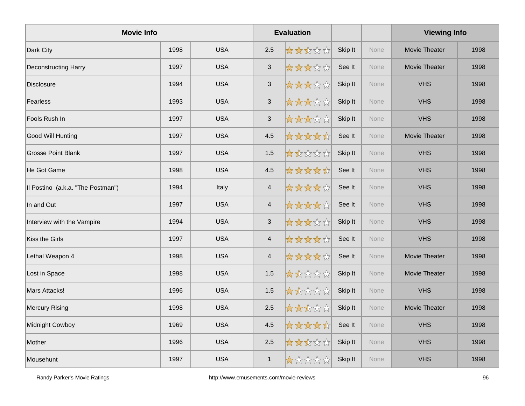| <b>Movie Info</b>                 |      |            |                | <b>Evaluation</b> |         |      | <b>Viewing Info</b>  |      |
|-----------------------------------|------|------------|----------------|-------------------|---------|------|----------------------|------|
| Dark City                         | 1998 | <b>USA</b> | 2.5            | 女女女女女             | Skip It | None | <b>Movie Theater</b> | 1998 |
| <b>Deconstructing Harry</b>       | 1997 | <b>USA</b> | $\mathbf{3}$   | *****             | See It  | None | <b>Movie Theater</b> | 1998 |
| <b>Disclosure</b>                 | 1994 | <b>USA</b> | $\mathbf{3}$   | *****             | Skip It | None | <b>VHS</b>           | 1998 |
| Fearless                          | 1993 | <b>USA</b> | $\sqrt{3}$     | *****             | Skip It | None | <b>VHS</b>           | 1998 |
| Fools Rush In                     | 1997 | <b>USA</b> | $\sqrt{3}$     | *****             | Skip It | None | <b>VHS</b>           | 1998 |
| Good Will Hunting                 | 1997 | <b>USA</b> | 4.5            | *****             | See It  | None | <b>Movie Theater</b> | 1998 |
| <b>Grosse Point Blank</b>         | 1997 | <b>USA</b> | 1.5            | *****             | Skip It | None | <b>VHS</b>           | 1998 |
| He Got Game                       | 1998 | <b>USA</b> | 4.5            | *****             | See It  | None | <b>VHS</b>           | 1998 |
| Il Postino (a.k.a. "The Postman") | 1994 | Italy      | $\overline{4}$ | *****             | See It  | None | <b>VHS</b>           | 1998 |
| In and Out                        | 1997 | <b>USA</b> | $\overline{4}$ | *****             | See It  | None | <b>VHS</b>           | 1998 |
| Interview with the Vampire        | 1994 | <b>USA</b> | 3              | *****             | Skip It | None | <b>VHS</b>           | 1998 |
| Kiss the Girls                    | 1997 | <b>USA</b> | $\overline{4}$ | *****             | See It  | None | <b>VHS</b>           | 1998 |
| Lethal Weapon 4                   | 1998 | <b>USA</b> | $\overline{4}$ | *****             | See It  | None | Movie Theater        | 1998 |
| Lost in Space                     | 1998 | <b>USA</b> | 1.5            | *****             | Skip It | None | Movie Theater        | 1998 |
| Mars Attacks!                     | 1996 | <b>USA</b> | 1.5            | *****             | Skip It | None | <b>VHS</b>           | 1998 |
| <b>Mercury Rising</b>             | 1998 | <b>USA</b> | 2.5            | ☆☆☆☆☆             | Skip It | None | Movie Theater        | 1998 |
| Midnight Cowboy                   | 1969 | <b>USA</b> | 4.5            | *****             | See It  | None | <b>VHS</b>           | 1998 |
| Mother                            | 1996 | <b>USA</b> | 2.5            | *****             | Skip It | None | <b>VHS</b>           | 1998 |
| Mousehunt                         | 1997 | <b>USA</b> | $\mathbf{1}$   | *****             | Skip It | None | <b>VHS</b>           | 1998 |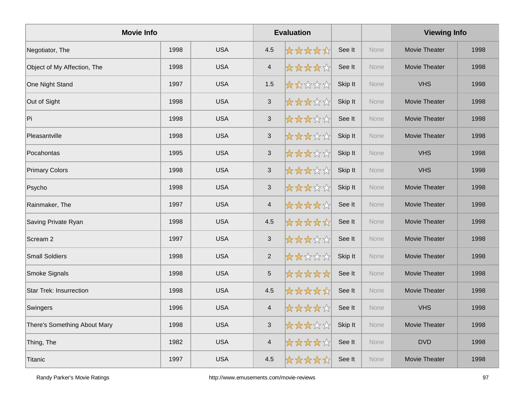| <b>Movie Info</b>              |      |            |                           | <b>Evaluation</b> |         |      | <b>Viewing Info</b>  |      |
|--------------------------------|------|------------|---------------------------|-------------------|---------|------|----------------------|------|
| Negotiator, The                | 1998 | <b>USA</b> | 4.5                       | *****             | See It  | None | <b>Movie Theater</b> | 1998 |
| Object of My Affection, The    | 1998 | <b>USA</b> | $\overline{\mathbf{4}}$   | ☆☆☆☆☆             | See It  | None | Movie Theater        | 1998 |
| One Night Stand                | 1997 | <b>USA</b> | 1.5                       | *****             | Skip It | None | <b>VHS</b>           | 1998 |
| Out of Sight                   | 1998 | <b>USA</b> | $\mathsf 3$               | *****             | Skip It | None | <b>Movie Theater</b> | 1998 |
| ∣Pi                            | 1998 | <b>USA</b> | $\sqrt{3}$                | *****             | See It  | None | <b>Movie Theater</b> | 1998 |
| Pleasantville                  | 1998 | <b>USA</b> | $\sqrt{3}$                | *****             | Skip It | None | Movie Theater        | 1998 |
| Pocahontas                     | 1995 | <b>USA</b> | $\mathsf 3$               | *****             | Skip It | None | <b>VHS</b>           | 1998 |
| <b>Primary Colors</b>          | 1998 | <b>USA</b> | $\sqrt{3}$                | *****             | Skip It | None | <b>VHS</b>           | 1998 |
| Psycho                         | 1998 | <b>USA</b> | $\sqrt{3}$                | *****             | Skip It | None | <b>Movie Theater</b> | 1998 |
| Rainmaker, The                 | 1997 | <b>USA</b> | $\overline{\mathcal{A}}$  | *****             | See It  | None | <b>Movie Theater</b> | 1998 |
| Saving Private Ryan            | 1998 | <b>USA</b> | 4.5                       | *****             | See It  | None | Movie Theater        | 1998 |
| Scream <sub>2</sub>            | 1997 | <b>USA</b> | $\sqrt{3}$                | *****             | See It  | None | Movie Theater        | 1998 |
| <b>Small Soldiers</b>          | 1998 | <b>USA</b> | 2                         | *****             | Skip It | None | <b>Movie Theater</b> | 1998 |
| <b>Smoke Signals</b>           | 1998 | <b>USA</b> | $\mathbf 5$               | *****             | See It  | None | Movie Theater        | 1998 |
| <b>Star Trek: Insurrection</b> | 1998 | <b>USA</b> | 4.5                       | *****             | See It  | None | <b>Movie Theater</b> | 1998 |
| Swingers                       | 1996 | <b>USA</b> | $\overline{4}$            | *****             | See It  | None | <b>VHS</b>           | 1998 |
| There's Something About Mary   | 1998 | <b>USA</b> | $\ensuremath{\mathsf{3}}$ | *****             | Skip It | None | Movie Theater        | 1998 |
| Thing, The                     | 1982 | <b>USA</b> | $\overline{\mathcal{L}}$  | *****             | See It  | None | <b>DVD</b>           | 1998 |
| Titanic                        | 1997 | <b>USA</b> | 4.5                       | *****             | See It  | None | <b>Movie Theater</b> | 1998 |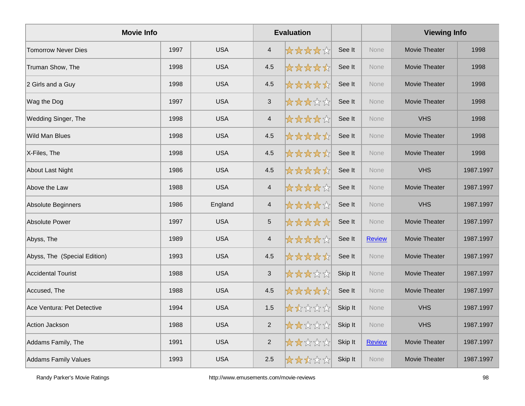| <b>Movie Info</b>            |      |            |                          | <b>Evaluation</b> |         |               | <b>Viewing Info</b>  |           |
|------------------------------|------|------------|--------------------------|-------------------|---------|---------------|----------------------|-----------|
| <b>Tomorrow Never Dies</b>   | 1997 | <b>USA</b> | $\overline{4}$           | *****             | See It  | None          | <b>Movie Theater</b> | 1998      |
| Truman Show, The             | 1998 | <b>USA</b> | 4.5                      | *****             | See It  | None          | <b>Movie Theater</b> | 1998      |
| 2 Girls and a Guy            | 1998 | <b>USA</b> | 4.5                      | *****             | See It  | None          | <b>Movie Theater</b> | 1998      |
| Wag the Dog                  | 1997 | <b>USA</b> | $\sqrt{3}$               | *****             | See It  | None          | <b>Movie Theater</b> | 1998      |
| Wedding Singer, The          | 1998 | <b>USA</b> | $\overline{4}$           | *****             | See It  | None          | <b>VHS</b>           | 1998      |
| <b>Wild Man Blues</b>        | 1998 | <b>USA</b> | 4.5                      | *****             | See It  | None          | <b>Movie Theater</b> | 1998      |
| X-Files, The                 | 1998 | <b>USA</b> | 4.5                      | *****             | See It  | None          | <b>Movie Theater</b> | 1998      |
| <b>About Last Night</b>      | 1986 | <b>USA</b> | 4.5                      | *****             | See It  | None          | <b>VHS</b>           | 1987.1997 |
| Above the Law                | 1988 | <b>USA</b> | $\overline{4}$           | *****             | See It  | None          | Movie Theater        | 1987.1997 |
| Absolute Beginners           | 1986 | England    | $\overline{\mathcal{A}}$ | *****             | See It  | None          | <b>VHS</b>           | 1987.1997 |
| <b>Absolute Power</b>        | 1997 | <b>USA</b> | $\sqrt{5}$               | *****             | See It  | None          | <b>Movie Theater</b> | 1987.1997 |
| Abyss, The                   | 1989 | <b>USA</b> | $\overline{\mathbf{4}}$  | *****             | See It  | <b>Review</b> | <b>Movie Theater</b> | 1987.1997 |
| Abyss, The (Special Edition) | 1993 | <b>USA</b> | 4.5                      | *****             | See It  | None          | <b>Movie Theater</b> | 1987.1997 |
| <b>Accidental Tourist</b>    | 1988 | <b>USA</b> | $\sqrt{3}$               | *****             | Skip It | None          | Movie Theater        | 1987.1997 |
| Accused, The                 | 1988 | <b>USA</b> | 4.5                      | *****             | See It  | None          | Movie Theater        | 1987.1997 |
| Ace Ventura: Pet Detective   | 1994 | <b>USA</b> | 1.5                      | *****             | Skip It | None          | <b>VHS</b>           | 1987.1997 |
| Action Jackson               | 1988 | <b>USA</b> | 2                        | *****             | Skip It | None          | <b>VHS</b>           | 1987.1997 |
| Addams Family, The           | 1991 | <b>USA</b> | $\sqrt{2}$               | *****             | Skip It | <b>Review</b> | Movie Theater        | 1987.1997 |
| <b>Addams Family Values</b>  | 1993 | <b>USA</b> | 2.5                      | *****             | Skip It | None          | Movie Theater        | 1987.1997 |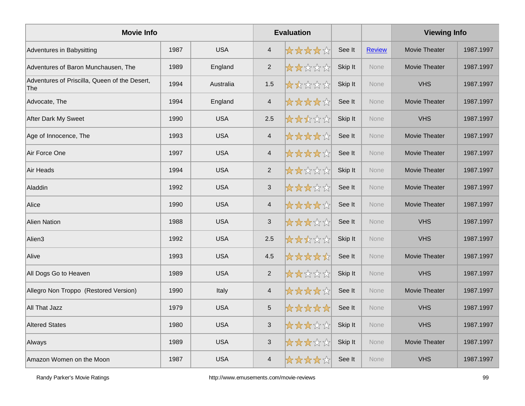| <b>Movie Info</b>                                    |      |            |                           | <b>Evaluation</b> |         |               | <b>Viewing Info</b>  |           |
|------------------------------------------------------|------|------------|---------------------------|-------------------|---------|---------------|----------------------|-----------|
| Adventures in Babysitting                            | 1987 | <b>USA</b> | $\overline{4}$            | *****             | See It  | <b>Review</b> | Movie Theater        | 1987.1997 |
| Adventures of Baron Munchausen, The                  | 1989 | England    | $\overline{2}$            | *****             | Skip It | <b>None</b>   | Movie Theater        | 1987.1997 |
| Adventures of Priscilla, Queen of the Desert,<br>The | 1994 | Australia  | 1.5                       | *****             | Skip It | None          | <b>VHS</b>           | 1987.1997 |
| Advocate, The                                        | 1994 | England    | $\overline{4}$            | *****             | See It  | None          | Movie Theater        | 1987.1997 |
| After Dark My Sweet                                  | 1990 | <b>USA</b> | 2.5                       | *****             | Skip It | <b>None</b>   | <b>VHS</b>           | 1987.1997 |
| Age of Innocence, The                                | 1993 | <b>USA</b> | $\overline{4}$            | *****             | See It  | <b>None</b>   | <b>Movie Theater</b> | 1987.1997 |
| Air Force One                                        | 1997 | <b>USA</b> | $\overline{4}$            | *****             | See It  | None          | Movie Theater        | 1987.1997 |
| Air Heads                                            | 1994 | <b>USA</b> | $\overline{2}$            | *****             | Skip It | <b>None</b>   | Movie Theater        | 1987.1997 |
| Aladdin                                              | 1992 | <b>USA</b> | $\ensuremath{\mathsf{3}}$ | *****             | See It  | <b>None</b>   | Movie Theater        | 1987.1997 |
| Alice                                                | 1990 | <b>USA</b> | $\overline{4}$            | *****             | See It  | None          | Movie Theater        | 1987.1997 |
| <b>Alien Nation</b>                                  | 1988 | <b>USA</b> | $\mathfrak{S}$            | *****             | See It  | None          | <b>VHS</b>           | 1987.1997 |
| Alien3                                               | 1992 | <b>USA</b> | 2.5                       | *****             | Skip It | None          | <b>VHS</b>           | 1987.1997 |
| Alive                                                | 1993 | <b>USA</b> | 4.5                       | *****             | See It  | <b>None</b>   | Movie Theater        | 1987.1997 |
| All Dogs Go to Heaven                                | 1989 | <b>USA</b> | 2                         | *****             | Skip It | <b>None</b>   | <b>VHS</b>           | 1987.1997 |
| Allegro Non Troppo (Restored Version)                | 1990 | Italy      | $\overline{4}$            | *****             | See It  | None          | Movie Theater        | 1987.1997 |
| All That Jazz                                        | 1979 | <b>USA</b> | $\overline{5}$            | *****             | See It  | None          | <b>VHS</b>           | 1987.1997 |
| <b>Altered States</b>                                | 1980 | <b>USA</b> | $\mathfrak{S}$            | *****             | Skip It | <b>None</b>   | <b>VHS</b>           | 1987.1997 |
| Always                                               | 1989 | <b>USA</b> | $\ensuremath{\mathsf{3}}$ | *****             | Skip It | None          | Movie Theater        | 1987.1997 |
| Amazon Women on the Moon                             | 1987 | <b>USA</b> | $\overline{4}$            | *****             | See It  | None          | <b>VHS</b>           | 1987.1997 |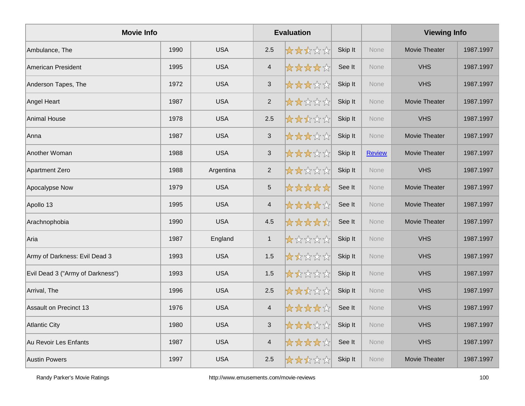| <b>Movie Info</b>                |      |            |                           | <b>Evaluation</b> |         |               | <b>Viewing Info</b>  |           |
|----------------------------------|------|------------|---------------------------|-------------------|---------|---------------|----------------------|-----------|
| Ambulance, The                   | 1990 | <b>USA</b> | 2.5                       | *****             | Skip It | <b>None</b>   | Movie Theater        | 1987.1997 |
| American President               | 1995 | <b>USA</b> | $\overline{4}$            | *****             | See It  | None          | <b>VHS</b>           | 1987.1997 |
| Anderson Tapes, The              | 1972 | <b>USA</b> | $\mathbf{3}$              | *****             | Skip It | None          | <b>VHS</b>           | 1987.1997 |
| Angel Heart                      | 1987 | <b>USA</b> | $\overline{2}$            | *****             | Skip It | None          | Movie Theater        | 1987.1997 |
| Animal House                     | 1978 | <b>USA</b> | 2.5                       | *****             | Skip It | <b>None</b>   | <b>VHS</b>           | 1987.1997 |
| Anna                             | 1987 | <b>USA</b> | $\ensuremath{\mathsf{3}}$ | *****             | Skip It | <b>None</b>   | <b>Movie Theater</b> | 1987.1997 |
| Another Woman                    | 1988 | <b>USA</b> | $\mathfrak{S}$            | *****             | Skip It | <b>Review</b> | Movie Theater        | 1987.1997 |
| Apartment Zero                   | 1988 | Argentina  | $\mathbf 2$               | *****             | Skip It | None          | <b>VHS</b>           | 1987.1997 |
| Apocalypse Now                   | 1979 | <b>USA</b> | $\sqrt{5}$                | *****             | See It  | <b>None</b>   | Movie Theater        | 1987.1997 |
| Apollo 13                        | 1995 | <b>USA</b> | $\overline{4}$            | *****             | See It  | <b>None</b>   | <b>Movie Theater</b> | 1987.1997 |
| Arachnophobia                    | 1990 | <b>USA</b> | 4.5                       | *****             | See It  | None          | Movie Theater        | 1987.1997 |
| Aria                             | 1987 | England    | $\mathbf{1}$              | *****             | Skip It | None          | <b>VHS</b>           | 1987.1997 |
| Army of Darkness: Evil Dead 3    | 1993 | <b>USA</b> | 1.5                       | *****             | Skip It | <b>None</b>   | <b>VHS</b>           | 1987.1997 |
| Evil Dead 3 ("Army of Darkness") | 1993 | <b>USA</b> | 1.5                       | *****             | Skip It | <b>None</b>   | <b>VHS</b>           | 1987.1997 |
| Arrival, The                     | 1996 | <b>USA</b> | 2.5                       | *****             | Skip It | None          | <b>VHS</b>           | 1987.1997 |
| Assault on Precinct 13           | 1976 | <b>USA</b> | $\overline{4}$            | *****             | See It  | None          | <b>VHS</b>           | 1987.1997 |
| Atlantic City                    | 1980 | <b>USA</b> | $\mathfrak{S}$            | *****             | Skip It | <b>None</b>   | <b>VHS</b>           | 1987.1997 |
| Au Revoir Les Enfants            | 1987 | <b>USA</b> | $\overline{4}$            | *****             | See It  | <b>None</b>   | <b>VHS</b>           | 1987.1997 |
| <b>Austin Powers</b>             | 1997 | <b>USA</b> | 2.5                       | *****             | Skip It | None          | <b>Movie Theater</b> | 1987.1997 |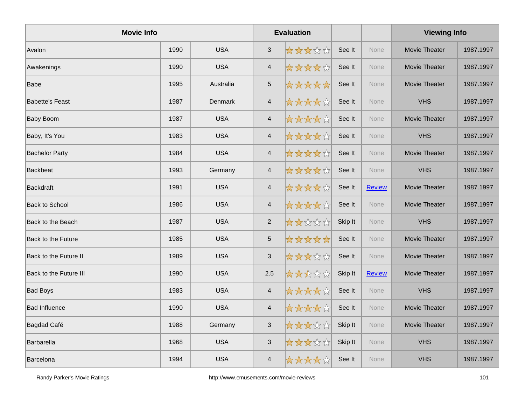| <b>Movie Info</b>             |      |            |                | <b>Evaluation</b> |         |               | <b>Viewing Info</b>  |           |
|-------------------------------|------|------------|----------------|-------------------|---------|---------------|----------------------|-----------|
| Avalon                        | 1990 | <b>USA</b> | $\sqrt{3}$     | *****             | See It  | <b>None</b>   | Movie Theater        | 1987.1997 |
| Awakenings                    | 1990 | <b>USA</b> | $\overline{4}$ | *****             | See It  | <b>None</b>   | <b>Movie Theater</b> | 1987.1997 |
| <b>Babe</b>                   | 1995 | Australia  | $5\,$          | *****             | See It  | None          | Movie Theater        | 1987.1997 |
| <b>Babette's Feast</b>        | 1987 | Denmark    | $\overline{4}$ | *****             | See It  | None          | <b>VHS</b>           | 1987.1997 |
| <b>Baby Boom</b>              | 1987 | <b>USA</b> | $\overline{4}$ | *****             | See It  | None          | <b>Movie Theater</b> | 1987.1997 |
| Baby, It's You                | 1983 | <b>USA</b> | $\overline{4}$ | *****             | See It  | <b>None</b>   | <b>VHS</b>           | 1987.1997 |
| <b>Bachelor Party</b>         | 1984 | <b>USA</b> | 4              | *****             | See It  | <b>None</b>   | <b>Movie Theater</b> | 1987.1997 |
| Backbeat                      | 1993 | Germany    | $\overline{4}$ | *****             | See It  | <b>None</b>   | <b>VHS</b>           | 1987.1997 |
| Backdraft                     | 1991 | <b>USA</b> | $\overline{4}$ | *****             | See It  | <b>Review</b> | Movie Theater        | 1987.1997 |
| <b>Back to School</b>         | 1986 | <b>USA</b> | $\overline{4}$ | *****             | See It  | None          | Movie Theater        | 1987.1997 |
| Back to the Beach             | 1987 | <b>USA</b> | $\overline{2}$ | *****             | Skip It | <b>None</b>   | <b>VHS</b>           | 1987.1997 |
| Back to the Future            | 1985 | <b>USA</b> | $\sqrt{5}$     | *****             | See It  | <b>None</b>   | Movie Theater        | 1987.1997 |
| Back to the Future II         | 1989 | <b>USA</b> | $\sqrt{3}$     | *****             | See It  | None          | Movie Theater        | 1987.1997 |
| <b>Back to the Future III</b> | 1990 | <b>USA</b> | 2.5            | *****             | Skip It | <b>Review</b> | Movie Theater        | 1987.1997 |
| <b>Bad Boys</b>               | 1983 | <b>USA</b> | $\overline{4}$ | *****             | See It  | None          | <b>VHS</b>           | 1987.1997 |
| <b>Bad Influence</b>          | 1990 | <b>USA</b> | $\overline{4}$ | *****             | See It  | <b>None</b>   | Movie Theater        | 1987.1997 |
| Bagdad Café                   | 1988 | Germany    | $\mathbf{3}$   | *****             | Skip It | <b>None</b>   | Movie Theater        | 1987.1997 |
| <b>Barbarella</b>             | 1968 | <b>USA</b> | $\sqrt{3}$     | *****             | Skip It | None          | <b>VHS</b>           | 1987.1997 |
| <b>Barcelona</b>              | 1994 | <b>USA</b> | $\overline{4}$ | *****             | See It  | None          | <b>VHS</b>           | 1987.1997 |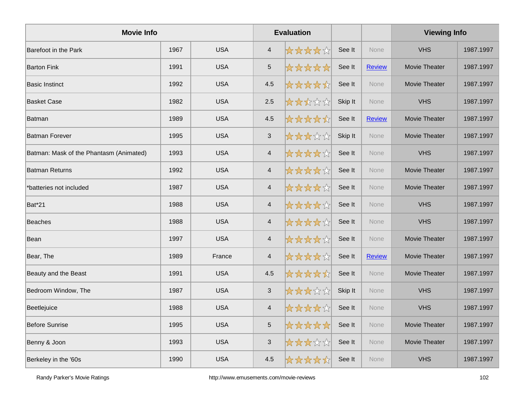| <b>Movie Info</b>                       |      |            |                           | <b>Evaluation</b> |         |               | <b>Viewing Info</b> |           |
|-----------------------------------------|------|------------|---------------------------|-------------------|---------|---------------|---------------------|-----------|
| Barefoot in the Park                    | 1967 | <b>USA</b> | $\overline{a}$            | *****             | See It  | <b>None</b>   | <b>VHS</b>          | 1987.1997 |
| <b>Barton Fink</b>                      | 1991 | <b>USA</b> | $\sqrt{5}$                | *****             | See It  | <b>Review</b> | Movie Theater       | 1987.1997 |
| <b>Basic Instinct</b>                   | 1992 | <b>USA</b> | 4.5                       | *****             | See It  | None          | Movie Theater       | 1987.1997 |
| <b>Basket Case</b>                      | 1982 | <b>USA</b> | 2.5                       | *****             | Skip It | <b>None</b>   | <b>VHS</b>          | 1987.1997 |
| <b>Batman</b>                           | 1989 | <b>USA</b> | 4.5                       | *****             | See It  | <b>Review</b> | Movie Theater       | 1987.1997 |
| <b>Batman Forever</b>                   | 1995 | <b>USA</b> | $\ensuremath{\mathsf{3}}$ | *****             | Skip It | None          | Movie Theater       | 1987.1997 |
| Batman: Mask of the Phantasm (Animated) | 1993 | <b>USA</b> | $\overline{4}$            | *****             | See It  | None          | <b>VHS</b>          | 1987.1997 |
| <b>Batman Returns</b>                   | 1992 | <b>USA</b> | $\overline{4}$            | *****             | See It  | None          | Movie Theater       | 1987.1997 |
| *batteries not included                 | 1987 | <b>USA</b> | $\overline{4}$            | *****             | See It  | None          | Movie Theater       | 1987.1997 |
| Bat*21                                  | 1988 | <b>USA</b> | $\overline{4}$            | *****             | See It  | <b>None</b>   | <b>VHS</b>          | 1987.1997 |
| <b>Beaches</b>                          | 1988 | <b>USA</b> | $\overline{4}$            | *****             | See It  | None          | <b>VHS</b>          | 1987.1997 |
| Bean                                    | 1997 | <b>USA</b> | $\overline{4}$            | *****             | See It  | None          | Movie Theater       | 1987.1997 |
| Bear, The                               | 1989 | France     | $\overline{4}$            | *****             | See It  | <b>Review</b> | Movie Theater       | 1987.1997 |
| Beauty and the Beast                    | 1991 | <b>USA</b> | 4.5                       | *****             | See It  | <b>None</b>   | Movie Theater       | 1987.1997 |
| Bedroom Window, The                     | 1987 | <b>USA</b> | $\ensuremath{\mathsf{3}}$ | *****             | Skip It | None          | <b>VHS</b>          | 1987.1997 |
| Beetlejuice                             | 1988 | <b>USA</b> | $\overline{4}$            | *****             | See It  | None          | <b>VHS</b>          | 1987.1997 |
| Before Sunrise                          | 1995 | <b>USA</b> | $\overline{5}$            | *****             | See It  | <b>None</b>   | Movie Theater       | 1987.1997 |
| Benny & Joon                            | 1993 | <b>USA</b> | $\ensuremath{\mathsf{3}}$ | *****             | See It  | <b>None</b>   | Movie Theater       | 1987.1997 |
| Berkeley in the '60s                    | 1990 | <b>USA</b> | 4.5                       | *****             | See It  | None          | <b>VHS</b>          | 1987.1997 |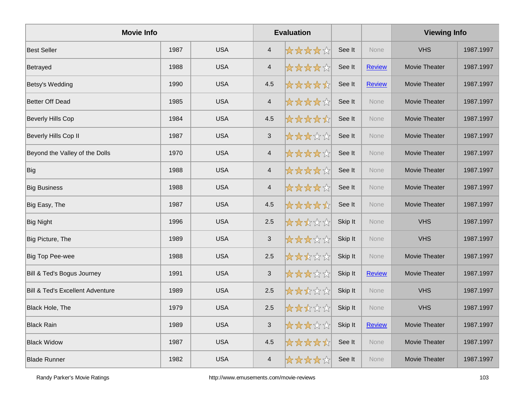| <b>Movie Info</b>                           |      |            |                           | <b>Evaluation</b> |         |               | <b>Viewing Info</b> |           |
|---------------------------------------------|------|------------|---------------------------|-------------------|---------|---------------|---------------------|-----------|
| <b>Best Seller</b>                          | 1987 | <b>USA</b> | $\overline{4}$            | *****             | See It  | <b>None</b>   | <b>VHS</b>          | 1987.1997 |
| Betrayed                                    | 1988 | <b>USA</b> | $\overline{\mathbf{4}}$   | *****             | See It  | <b>Review</b> | Movie Theater       | 1987.1997 |
| Betsy's Wedding                             | 1990 | <b>USA</b> | 4.5                       | *****             | See It  | <b>Review</b> | Movie Theater       | 1987.1997 |
| <b>Better Off Dead</b>                      | 1985 | <b>USA</b> | $\overline{\mathbf{4}}$   | *****             | See It  | <b>None</b>   | Movie Theater       | 1987.1997 |
| <b>Beverly Hills Cop</b>                    | 1984 | <b>USA</b> | 4.5                       | *****             | See It  | None          | Movie Theater       | 1987.1997 |
| Beverly Hills Cop II                        | 1987 | <b>USA</b> | $\mathbf{3}$              | *****             | See It  | None          | Movie Theater       | 1987.1997 |
| Beyond the Valley of the Dolls              | 1970 | <b>USA</b> | $\overline{\mathbf{4}}$   | *****             | See It  | None          | Movie Theater       | 1987.1997 |
| Big                                         | 1988 | <b>USA</b> | $\overline{\mathbf{4}}$   | *****             | See It  | <b>None</b>   | Movie Theater       | 1987.1997 |
| <b>Big Business</b>                         | 1988 | <b>USA</b> | $\overline{4}$            | *****             | See It  | None          | Movie Theater       | 1987.1997 |
| Big Easy, The                               | 1987 | <b>USA</b> | 4.5                       | *****             | See It  | None          | Movie Theater       | 1987.1997 |
| <b>Big Night</b>                            | 1996 | <b>USA</b> | 2.5                       | *****             | Skip It | <b>None</b>   | <b>VHS</b>          | 1987.1997 |
| Big Picture, The                            | 1989 | <b>USA</b> | $\mathfrak{S}$            | *****             | Skip It | None          | <b>VHS</b>          | 1987.1997 |
| <b>Big Top Pee-wee</b>                      | 1988 | <b>USA</b> | 2.5                       | *****             | Skip It | None          | Movie Theater       | 1987.1997 |
| Bill & Ted's Bogus Journey                  | 1991 | <b>USA</b> | $\sqrt{3}$                | *****             | Skip It | <b>Review</b> | Movie Theater       | 1987.1997 |
| <b>Bill &amp; Ted's Excellent Adventure</b> | 1989 | <b>USA</b> | 2.5                       | *****             | Skip It | <b>None</b>   | <b>VHS</b>          | 1987.1997 |
| Black Hole, The                             | 1979 | <b>USA</b> | 2.5                       | *****             | Skip It | None          | <b>VHS</b>          | 1987.1997 |
| <b>Black Rain</b>                           | 1989 | <b>USA</b> | $\ensuremath{\mathsf{3}}$ | *****             | Skip It | <b>Review</b> | Movie Theater       | 1987.1997 |
| <b>Black Widow</b>                          | 1987 | <b>USA</b> | 4.5                       | *****             | See It  | None          | Movie Theater       | 1987.1997 |
| <b>Blade Runner</b>                         | 1982 | <b>USA</b> | $\overline{4}$            | *****             | See It  | None          | Movie Theater       | 1987.1997 |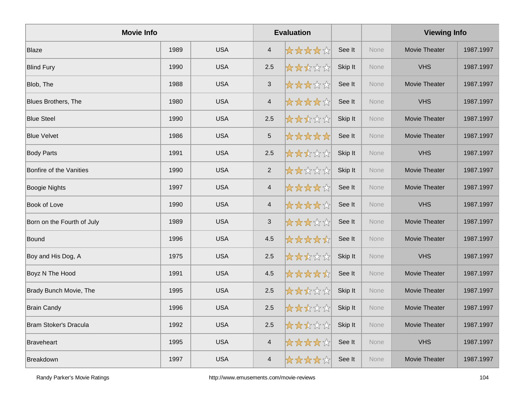| <b>Movie Info</b>          |      |            |                | <b>Evaluation</b> |         |             | <b>Viewing Info</b>  |           |
|----------------------------|------|------------|----------------|-------------------|---------|-------------|----------------------|-----------|
| Blaze                      | 1989 | <b>USA</b> | $\overline{4}$ | *****             | See It  | <b>None</b> | Movie Theater        | 1987.1997 |
| <b>Blind Fury</b>          | 1990 | <b>USA</b> | 2.5            | *****             | Skip It | <b>None</b> | <b>VHS</b>           | 1987.1997 |
| Blob, The                  | 1988 | <b>USA</b> | $\mathfrak{S}$ | *****             | See It  | None        | Movie Theater        | 1987.1997 |
| Blues Brothers, The        | 1980 | <b>USA</b> | $\overline{4}$ | *****             | See It  | None        | <b>VHS</b>           | 1987.1997 |
| <b>Blue Steel</b>          | 1990 | <b>USA</b> | 2.5            | *****             | Skip It | None        | <b>Movie Theater</b> | 1987.1997 |
| <b>Blue Velvet</b>         | 1986 | <b>USA</b> | $\sqrt{5}$     | *****             | See It  | <b>None</b> | Movie Theater        | 1987.1997 |
| <b>Body Parts</b>          | 1991 | <b>USA</b> | 2.5            | *****             | Skip It | <b>None</b> | <b>VHS</b>           | 1987.1997 |
| Bonfire of the Vanities    | 1990 | <b>USA</b> | $\overline{2}$ | *****             | Skip It | None        | <b>Movie Theater</b> | 1987.1997 |
| <b>Boogie Nights</b>       | 1997 | <b>USA</b> | $\overline{4}$ | *****             | See It  | None        | Movie Theater        | 1987.1997 |
| <b>Book of Love</b>        | 1990 | <b>USA</b> | $\overline{4}$ | *****             | See It  | None        | <b>VHS</b>           | 1987.1997 |
| Born on the Fourth of July | 1989 | <b>USA</b> | $\mathfrak{S}$ | *****             | See It  | None        | Movie Theater        | 1987.1997 |
| Bound                      | 1996 | <b>USA</b> | 4.5            | *****             | See It  | <b>None</b> | Movie Theater        | 1987.1997 |
| Boy and His Dog, A         | 1975 | <b>USA</b> | 2.5            | *****             | Skip It | None        | <b>VHS</b>           | 1987.1997 |
| Boyz N The Hood            | 1991 | <b>USA</b> | 4.5            | *****             | See It  | None        | Movie Theater        | 1987.1997 |
| Brady Bunch Movie, The     | 1995 | <b>USA</b> | 2.5            | *****             | Skip It | None        | Movie Theater        | 1987.1997 |
| <b>Brain Candy</b>         | 1996 | <b>USA</b> | 2.5            | *****             | Skip It | <b>None</b> | Movie Theater        | 1987.1997 |
| Bram Stoker's Dracula      | 1992 | <b>USA</b> | 2.5            | *****             | Skip It | <b>None</b> | Movie Theater        | 1987.1997 |
| Braveheart                 | 1995 | <b>USA</b> | $\overline{4}$ | *****             | See It  | None        | <b>VHS</b>           | 1987.1997 |
| <b>Breakdown</b>           | 1997 | <b>USA</b> | $\overline{4}$ | *****             | See It  | None        | <b>Movie Theater</b> | 1987.1997 |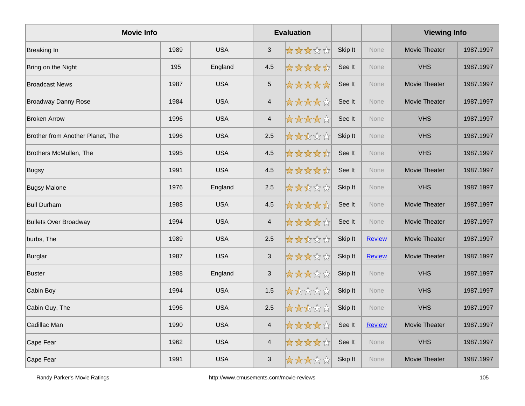| <b>Movie Info</b>                |      |            |                           | <b>Evaluation</b> |         |               | <b>Viewing Info</b>  |           |
|----------------------------------|------|------------|---------------------------|-------------------|---------|---------------|----------------------|-----------|
| Breaking In                      | 1989 | <b>USA</b> | $\sqrt{3}$                | *****             | Skip It | None          | Movie Theater        | 1987.1997 |
| Bring on the Night               | 195  | England    | 4.5                       | *****             | See It  | None          | <b>VHS</b>           | 1987.1997 |
| <b>Broadcast News</b>            | 1987 | <b>USA</b> | $\overline{5}$            | *****             | See It  | None          | Movie Theater        | 1987.1997 |
| <b>Broadway Danny Rose</b>       | 1984 | <b>USA</b> | $\overline{4}$            | *****             | See It  | <b>None</b>   | Movie Theater        | 1987.1997 |
| <b>Broken Arrow</b>              | 1996 | <b>USA</b> | $\overline{4}$            | *****             | See It  | None          | <b>VHS</b>           | 1987.1997 |
| Brother from Another Planet, The | 1996 | <b>USA</b> | 2.5                       | *****             | Skip It | None          | <b>VHS</b>           | 1987.1997 |
| Brothers McMullen, The           | 1995 | <b>USA</b> | 4.5                       | *****             | See It  | None          | <b>VHS</b>           | 1987.1997 |
| Bugsy                            | 1991 | <b>USA</b> | 4.5                       | *****             | See It  | None          | Movie Theater        | 1987.1997 |
| <b>Bugsy Malone</b>              | 1976 | England    | 2.5                       | *****             | Skip It | None          | <b>VHS</b>           | 1987.1997 |
| <b>Bull Durham</b>               | 1988 | <b>USA</b> | 4.5                       | *****             | See It  | None          | <b>Movie Theater</b> | 1987.1997 |
| <b>Bullets Over Broadway</b>     | 1994 | <b>USA</b> | $\overline{4}$            | *****             | See It  | None          | Movie Theater        | 1987.1997 |
| burbs, The                       | 1989 | <b>USA</b> | 2.5                       | *****             | Skip It | <b>Review</b> | Movie Theater        | 1987.1997 |
| Burglar                          | 1987 | <b>USA</b> | $\ensuremath{\mathsf{3}}$ | *****             | Skip It | <b>Review</b> | Movie Theater        | 1987.1997 |
| <b>Buster</b>                    | 1988 | England    | $\ensuremath{\mathsf{3}}$ | *****             | Skip It | None          | <b>VHS</b>           | 1987.1997 |
| Cabin Boy                        | 1994 | <b>USA</b> | 1.5                       | *****             | Skip It | None          | <b>VHS</b>           | 1987.1997 |
| Cabin Guy, The                   | 1996 | <b>USA</b> | 2.5                       | *****             | Skip It | None          | <b>VHS</b>           | 1987.1997 |
| Cadillac Man                     | 1990 | <b>USA</b> | $\overline{4}$            | *****             | See It  | <b>Review</b> | Movie Theater        | 1987.1997 |
| Cape Fear                        | 1962 | <b>USA</b> | $\overline{4}$            | *****             | See It  | None          | <b>VHS</b>           | 1987.1997 |
| Cape Fear                        | 1991 | <b>USA</b> | 3                         | *****             | Skip It | <b>None</b>   | Movie Theater        | 1987.1997 |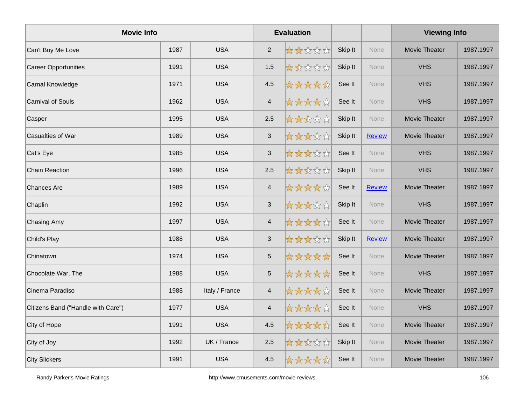| <b>Movie Info</b>                  |      |                |                           | <b>Evaluation</b> |         |               | <b>Viewing Info</b>  |           |
|------------------------------------|------|----------------|---------------------------|-------------------|---------|---------------|----------------------|-----------|
| Can't Buy Me Love                  | 1987 | <b>USA</b>     | $\overline{2}$            | *****             | Skip It | <b>None</b>   | Movie Theater        | 1987.1997 |
| <b>Career Opportunities</b>        | 1991 | <b>USA</b>     | 1.5                       | *****             | Skip It | <b>None</b>   | <b>VHS</b>           | 1987.1997 |
| Carnal Knowledge                   | 1971 | <b>USA</b>     | 4.5                       | *****             | See It  | None          | <b>VHS</b>           | 1987.1997 |
| <b>Carnival of Souls</b>           | 1962 | <b>USA</b>     | $\overline{4}$            | *****             | See It  | None          | <b>VHS</b>           | 1987.1997 |
| Casper                             | 1995 | <b>USA</b>     | 2.5                       | *****             | Skip It | None          | Movie Theater        | 1987.1997 |
| Casualties of War                  | 1989 | <b>USA</b>     | $\ensuremath{\mathsf{3}}$ | *****             | Skip It | <b>Review</b> | Movie Theater        | 1987.1997 |
| Cat's Eye                          | 1985 | <b>USA</b>     | $\mathfrak{S}$            | *****             | See It  | None          | <b>VHS</b>           | 1987.1997 |
| Chain Reaction                     | 1996 | <b>USA</b>     | 2.5                       | *****             | Skip It | <b>None</b>   | <b>VHS</b>           | 1987.1997 |
| Chances Are                        | 1989 | <b>USA</b>     | $\overline{4}$            | *****             | See It  | <b>Review</b> | Movie Theater        | 1987.1997 |
| Chaplin                            | 1992 | <b>USA</b>     | $\ensuremath{\mathsf{3}}$ | *****             | Skip It | None          | <b>VHS</b>           | 1987.1997 |
| Chasing Amy                        | 1997 | <b>USA</b>     | $\overline{4}$            | *****             | See It  | <b>None</b>   | <b>Movie Theater</b> | 1987.1997 |
| Child's Play                       | 1988 | <b>USA</b>     | $\mathfrak{S}$            | *****             | Skip It | <b>Review</b> | Movie Theater        | 1987.1997 |
| Chinatown                          | 1974 | <b>USA</b>     | $\sqrt{5}$                | *****             | See It  | None          | Movie Theater        | 1987.1997 |
| Chocolate War, The                 | 1988 | <b>USA</b>     | $\sqrt{5}$                | *****             | See It  | None          | <b>VHS</b>           | 1987.1997 |
| Cinema Paradiso                    | 1988 | Italy / France | $\overline{4}$            | *****             | See It  | None          | Movie Theater        | 1987.1997 |
| Citizens Band ("Handle with Care") | 1977 | <b>USA</b>     | $\overline{4}$            | *****             | See It  | None          | <b>VHS</b>           | 1987.1997 |
| City of Hope                       | 1991 | <b>USA</b>     | 4.5                       | *****             | See It  | None          | Movie Theater        | 1987.1997 |
| City of Joy                        | 1992 | UK / France    | 2.5                       | *****             | Skip It | None          | Movie Theater        | 1987.1997 |
| City Slickers                      | 1991 | <b>USA</b>     | 4.5                       | *****             | See It  | None          | Movie Theater        | 1987.1997 |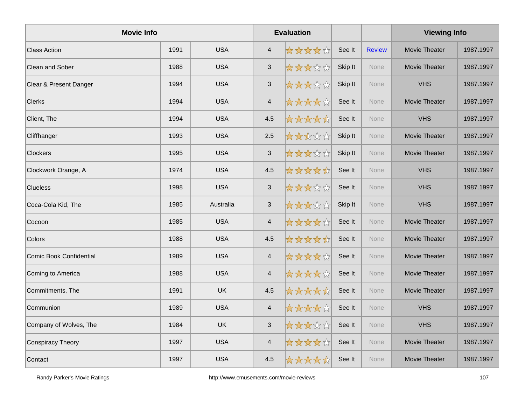| <b>Movie Info</b>       |      |            |                           | <b>Evaluation</b> |         |               | <b>Viewing Info</b>  |           |
|-------------------------|------|------------|---------------------------|-------------------|---------|---------------|----------------------|-----------|
| <b>Class Action</b>     | 1991 | <b>USA</b> | $\overline{4}$            | *****             | See It  | <b>Review</b> | Movie Theater        | 1987.1997 |
| Clean and Sober         | 1988 | <b>USA</b> | $\mathbf{3}$              | *****             | Skip It | None          | Movie Theater        | 1987.1997 |
| Clear & Present Danger  | 1994 | <b>USA</b> | $\mathfrak{S}$            | *****             | Skip It | None          | <b>VHS</b>           | 1987.1997 |
| <b>Clerks</b>           | 1994 | <b>USA</b> | $\overline{4}$            | *****             | See It  | None          | Movie Theater        | 1987.1997 |
| Client, The             | 1994 | <b>USA</b> | 4.5                       | *****             | See It  | <b>None</b>   | <b>VHS</b>           | 1987.1997 |
| Cliffhanger             | 1993 | <b>USA</b> | 2.5                       | *****             | Skip It | <b>None</b>   | Movie Theater        | 1987.1997 |
| Clockers                | 1995 | <b>USA</b> | $\mathfrak{S}$            | *****             | Skip It | None          | Movie Theater        | 1987.1997 |
| Clockwork Orange, A     | 1974 | <b>USA</b> | 4.5                       | *****             | See It  | None          | <b>VHS</b>           | 1987.1997 |
| <b>Clueless</b>         | 1998 | <b>USA</b> | $\sqrt{3}$                | *****             | See It  | <b>None</b>   | <b>VHS</b>           | 1987.1997 |
| Coca-Cola Kid, The      | 1985 | Australia  | $\ensuremath{\mathsf{3}}$ | *****             | Skip It | <b>None</b>   | <b>VHS</b>           | 1987.1997 |
| Cocoon                  | 1985 | <b>USA</b> | $\overline{4}$            | *****             | See It  | None          | Movie Theater        | 1987.1997 |
| Colors                  | 1988 | <b>USA</b> | 4.5                       | *****             | See It  | None          | Movie Theater        | 1987.1997 |
| Comic Book Confidential | 1989 | <b>USA</b> | $\overline{4}$            | *****             | See It  | <b>None</b>   | Movie Theater        | 1987.1997 |
| Coming to America       | 1988 | <b>USA</b> | $\overline{4}$            | *****             | See It  | <b>None</b>   | <b>Movie Theater</b> | 1987.1997 |
| Commitments, The        | 1991 | <b>UK</b>  | 4.5                       | *****             | See It  | None          | Movie Theater        | 1987.1997 |
| Communion               | 1989 | <b>USA</b> | $\overline{4}$            | *****             | See It  | None          | <b>VHS</b>           | 1987.1997 |
| Company of Wolves, The  | 1984 | <b>UK</b>  | $\mathfrak{S}$            | *****             | See It  | <b>None</b>   | <b>VHS</b>           | 1987.1997 |
| Conspiracy Theory       | 1997 | <b>USA</b> | $\overline{4}$            | *****             | See It  | <b>None</b>   | Movie Theater        | 1987.1997 |
| Contact                 | 1997 | <b>USA</b> | 4.5                       | *****             | See It  | None          | Movie Theater        | 1987.1997 |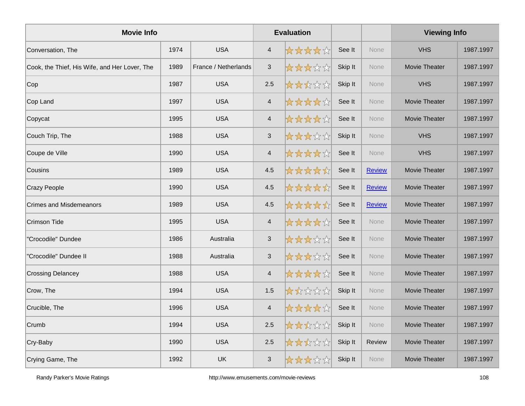| <b>Movie Info</b>                             |      |                      |                           | <b>Evaluation</b> |         |               | <b>Viewing Info</b>  |           |
|-----------------------------------------------|------|----------------------|---------------------------|-------------------|---------|---------------|----------------------|-----------|
| Conversation, The                             | 1974 | <b>USA</b>           | 4                         | *****             | See It  | <b>None</b>   | <b>VHS</b>           | 1987.1997 |
| Cook, the Thief, His Wife, and Her Lover, The | 1989 | France / Netherlands | $\ensuremath{\mathsf{3}}$ | *****             | Skip It | <b>None</b>   | Movie Theater        | 1987.1997 |
| Cop                                           | 1987 | <b>USA</b>           | 2.5                       | *****             | Skip It | None          | <b>VHS</b>           | 1987.1997 |
| Cop Land                                      | 1997 | <b>USA</b>           | $\overline{\mathbf{4}}$   | *****             | See It  | None          | Movie Theater        | 1987.1997 |
| Copycat                                       | 1995 | <b>USA</b>           | $\overline{4}$            | *****             | See It  | <b>None</b>   | Movie Theater        | 1987.1997 |
| Couch Trip, The                               | 1988 | <b>USA</b>           | $\ensuremath{\mathsf{3}}$ | *****             | Skip It | <b>None</b>   | <b>VHS</b>           | 1987.1997 |
| Coupe de Ville                                | 1990 | <b>USA</b>           | $\overline{\mathbf{4}}$   | *****             | See It  | None          | <b>VHS</b>           | 1987.1997 |
| Cousins                                       | 1989 | <b>USA</b>           | 4.5                       | *****             | See It  | <b>Review</b> | Movie Theater        | 1987.1997 |
| <b>Crazy People</b>                           | 1990 | <b>USA</b>           | 4.5                       | *****             | See It  | <b>Review</b> | Movie Theater        | 1987.1997 |
| <b>Crimes and Misdemeanors</b>                | 1989 | <b>USA</b>           | 4.5                       | *****             | See It  | <b>Review</b> | Movie Theater        | 1987.1997 |
| Crimson Tide                                  | 1995 | <b>USA</b>           | $\overline{\mathbf{4}}$   | *****             | See It  | None          | Movie Theater        | 1987.1997 |
| 'Crocodile" Dundee                            | 1986 | Australia            | $\mathfrak{S}$            | *****             | See It  | None          | Movie Theater        | 1987.1997 |
| 'Crocodile" Dundee II                         | 1988 | Australia            | $\sqrt{3}$                | *****             | See It  | <b>None</b>   | Movie Theater        | 1987.1997 |
| <b>Crossing Delancey</b>                      | 1988 | <b>USA</b>           | $\overline{\mathbf{4}}$   | *****             | See It  | None          | Movie Theater        | 1987.1997 |
| Crow, The                                     | 1994 | <b>USA</b>           | 1.5                       | *****             | Skip It | <b>None</b>   | Movie Theater        | 1987.1997 |
| Crucible, The                                 | 1996 | <b>USA</b>           | $\overline{4}$            | *****             | See It  | <b>None</b>   | Movie Theater        | 1987.1997 |
| Crumb                                         | 1994 | <b>USA</b>           | 2.5                       | *****             | Skip It | <b>None</b>   | Movie Theater        | 1987.1997 |
| Cry-Baby                                      | 1990 | <b>USA</b>           | 2.5                       | *****             | Skip It | <b>Review</b> | Movie Theater        | 1987.1997 |
| Crying Game, The                              | 1992 | <b>UK</b>            | 3                         | *****             | Skip It | <b>None</b>   | <b>Movie Theater</b> | 1987.1997 |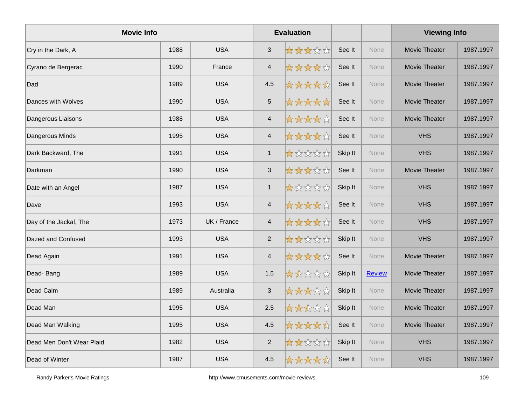| <b>Movie Info</b>         |      |             |                           | <b>Evaluation</b> |         |               | <b>Viewing Info</b>  |           |
|---------------------------|------|-------------|---------------------------|-------------------|---------|---------------|----------------------|-----------|
| Cry in the Dark, A        | 1988 | <b>USA</b>  | $\mathfrak{S}$            | *****             | See It  | <b>None</b>   | <b>Movie Theater</b> | 1987.1997 |
| Cyrano de Bergerac        | 1990 | France      | $\overline{4}$            | *****             | See It  | <b>None</b>   | <b>Movie Theater</b> | 1987.1997 |
| Dad                       | 1989 | <b>USA</b>  | 4.5                       | *****             | See It  | None          | Movie Theater        | 1987.1997 |
| Dances with Wolves        | 1990 | <b>USA</b>  | $\sqrt{5}$                | *****             | See It  | None          | Movie Theater        | 1987.1997 |
| Dangerous Liaisons        | 1988 | <b>USA</b>  | $\overline{4}$            | *****             | See It  | None          | <b>Movie Theater</b> | 1987.1997 |
| Dangerous Minds           | 1995 | <b>USA</b>  | $\overline{4}$            | *****             | See It  | <b>None</b>   | <b>VHS</b>           | 1987.1997 |
| Dark Backward, The        | 1991 | <b>USA</b>  | $\mathbf{1}$              | *****             | Skip It | <b>None</b>   | <b>VHS</b>           | 1987.1997 |
| Darkman                   | 1990 | <b>USA</b>  | $\ensuremath{\mathsf{3}}$ | *****             | See It  | <b>None</b>   | Movie Theater        | 1987.1997 |
| Date with an Angel        | 1987 | <b>USA</b>  | $\mathbf{1}$              | *****             | Skip It | None          | <b>VHS</b>           | 1987.1997 |
| Dave                      | 1993 | <b>USA</b>  | $\overline{4}$            | *****             | See It  | None          | <b>VHS</b>           | 1987.1997 |
| Day of the Jackal, The    | 1973 | UK / France | 4                         | *****             | See It  | <b>None</b>   | <b>VHS</b>           | 1987.1997 |
| Dazed and Confused        | 1993 | <b>USA</b>  | $\overline{2}$            | *****             | Skip It | <b>None</b>   | <b>VHS</b>           | 1987.1997 |
| Dead Again                | 1991 | <b>USA</b>  | $\overline{4}$            | *****             | See It  | None          | <b>Movie Theater</b> | 1987.1997 |
| Dead-Bang                 | 1989 | <b>USA</b>  | 1.5                       | *****             | Skip It | <b>Review</b> | Movie Theater        | 1987.1997 |
| Dead Calm                 | 1989 | Australia   | $\mathfrak{S}$            | *****             | Skip It | None          | Movie Theater        | 1987.1997 |
| Dead Man                  | 1995 | <b>USA</b>  | 2.5                       | *****             | Skip It | <b>None</b>   | Movie Theater        | 1987.1997 |
| Dead Man Walking          | 1995 | <b>USA</b>  | 4.5                       | *****             | See It  | <b>None</b>   | Movie Theater        | 1987.1997 |
| Dead Men Don't Wear Plaid | 1982 | <b>USA</b>  | $\mathbf{2}$              | *****             | Skip It | None          | <b>VHS</b>           | 1987.1997 |
| Dead of Winter            | 1987 | <b>USA</b>  | 4.5                       | *****             | See It  | <b>None</b>   | <b>VHS</b>           | 1987.1997 |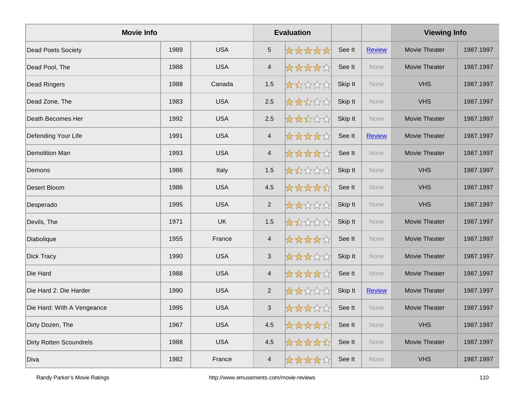| <b>Movie Info</b>              |      |            |                           | <b>Evaluation</b> |         |               | <b>Viewing Info</b>  |           |
|--------------------------------|------|------------|---------------------------|-------------------|---------|---------------|----------------------|-----------|
| Dead Poets Society             | 1989 | <b>USA</b> | $\overline{5}$            | *****             | See It  | <b>Review</b> | Movie Theater        | 1987.1997 |
| Dead Pool, The                 | 1988 | <b>USA</b> | $\overline{4}$            | *****             | See It  | <b>None</b>   | <b>Movie Theater</b> | 1987.1997 |
| Dead Ringers                   | 1988 | Canada     | 1.5                       | *****             | Skip It | None          | <b>VHS</b>           | 1987.1997 |
| Dead Zone, The                 | 1983 | <b>USA</b> | 2.5                       | *****             | Skip It | None          | <b>VHS</b>           | 1987.1997 |
| Death Becomes Her              | 1992 | <b>USA</b> | 2.5                       | *****             | Skip It | None          | Movie Theater        | 1987.1997 |
| Defending Your Life            | 1991 | <b>USA</b> | $\overline{4}$            | *****             | See It  | <b>Review</b> | Movie Theater        | 1987.1997 |
| <b>Demolition Man</b>          | 1993 | <b>USA</b> | $\overline{4}$            | *****             | See It  | <b>None</b>   | <b>Movie Theater</b> | 1987.1997 |
| Demons                         | 1986 | Italy      | 1.5                       | *****             | Skip It | <b>None</b>   | <b>VHS</b>           | 1987.1997 |
| Desert Bloom                   | 1986 | <b>USA</b> | 4.5                       | *****             | See It  | None          | <b>VHS</b>           | 1987.1997 |
| Desperado                      | 1995 | <b>USA</b> | $\overline{2}$            | *****             | Skip It | None          | <b>VHS</b>           | 1987.1997 |
| Devils, The                    | 1971 | <b>UK</b>  | 1.5                       | *****             | Skip It | <b>None</b>   | Movie Theater        | 1987.1997 |
| Diabolique                     | 1955 | France     | $\overline{4}$            | *****             | See It  | <b>None</b>   | Movie Theater        | 1987.1997 |
| <b>Dick Tracy</b>              | 1990 | <b>USA</b> | $\mathfrak{S}$            | *****             | Skip It | None          | Movie Theater        | 1987.1997 |
| Die Hard                       | 1988 | <b>USA</b> | $\overline{4}$            | *****             | See It  | None          | Movie Theater        | 1987.1997 |
| Die Hard 2: Die Harder         | 1990 | <b>USA</b> | $\overline{2}$            | *****             | Skip It | <b>Review</b> | Movie Theater        | 1987.1997 |
| Die Hard: With A Vengeance     | 1995 | <b>USA</b> | $\ensuremath{\mathsf{3}}$ | *****             | See It  | <b>None</b>   | Movie Theater        | 1987.1997 |
| Dirty Dozen, The               | 1967 | <b>USA</b> | 4.5                       | *****             | See It  | None          | <b>VHS</b>           | 1987.1997 |
| <b>Dirty Rotten Scoundrels</b> | 1988 | <b>USA</b> | 4.5                       | *****             | See It  | None          | <b>Movie Theater</b> | 1987.1997 |
| Diva                           | 1982 | France     | $\overline{4}$            | *****             | See It  | None          | <b>VHS</b>           | 1987.1997 |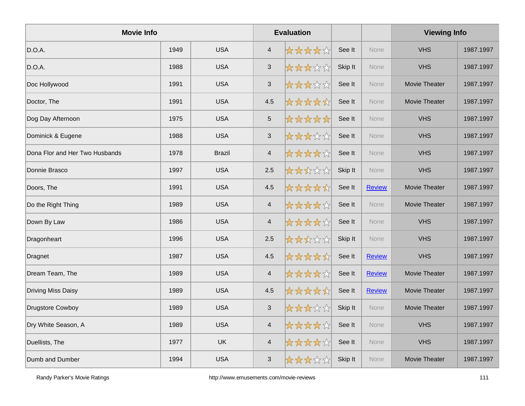| <b>Movie Info</b>              |      |               |                           | <b>Evaluation</b> |         |               | <b>Viewing Info</b> |           |
|--------------------------------|------|---------------|---------------------------|-------------------|---------|---------------|---------------------|-----------|
| D.O.A.                         | 1949 | <b>USA</b>    | $\overline{4}$            | *****             | See It  | None          | <b>VHS</b>          | 1987.1997 |
| D.O.A.                         | 1988 | <b>USA</b>    | $\sqrt{3}$                | *****             | Skip It | <b>None</b>   | <b>VHS</b>          | 1987.1997 |
| Doc Hollywood                  | 1991 | <b>USA</b>    | $\mathfrak{S}$            | *****             | See It  | None          | Movie Theater       | 1987.1997 |
| Doctor, The                    | 1991 | <b>USA</b>    | 4.5                       | *****             | See It  | None          | Movie Theater       | 1987.1997 |
| Dog Day Afternoon              | 1975 | <b>USA</b>    | $\overline{5}$            | *****             | See It  | None          | <b>VHS</b>          | 1987.1997 |
| Dominick & Eugene              | 1988 | <b>USA</b>    | $\ensuremath{\mathsf{3}}$ | *****             | See It  | <b>None</b>   | <b>VHS</b>          | 1987.1997 |
| Dona Flor and Her Two Husbands | 1978 | <b>Brazil</b> | $\overline{4}$            | *****             | See It  | None          | <b>VHS</b>          | 1987.1997 |
| Donnie Brasco                  | 1997 | <b>USA</b>    | 2.5                       | *****             | Skip It | None          | <b>VHS</b>          | 1987.1997 |
| Doors, The                     | 1991 | <b>USA</b>    | 4.5                       | *****             | See It  | <b>Review</b> | Movie Theater       | 1987.1997 |
| Do the Right Thing             | 1989 | <b>USA</b>    | $\overline{4}$            | *****             | See It  | None          | Movie Theater       | 1987.1997 |
| Down By Law                    | 1986 | <b>USA</b>    | $\overline{4}$            | *****             | See It  | <b>None</b>   | <b>VHS</b>          | 1987.1997 |
| Dragonheart                    | 1996 | <b>USA</b>    | 2.5                       | *****             | Skip It | <b>None</b>   | <b>VHS</b>          | 1987.1997 |
| Dragnet                        | 1987 | <b>USA</b>    | 4.5                       | *****             | See It  | <b>Review</b> | <b>VHS</b>          | 1987.1997 |
| Dream Team, The                | 1989 | <b>USA</b>    | $\overline{4}$            | *****             | See It  | <b>Review</b> | Movie Theater       | 1987.1997 |
| <b>Driving Miss Daisy</b>      | 1989 | <b>USA</b>    | 4.5                       | *****             | See It  | <b>Review</b> | Movie Theater       | 1987.1997 |
| Drugstore Cowboy               | 1989 | <b>USA</b>    | $\ensuremath{\mathsf{3}}$ | *****             | Skip It | <b>None</b>   | Movie Theater       | 1987.1997 |
| Dry White Season, A            | 1989 | <b>USA</b>    | $\overline{4}$            | *****             | See It  | None          | <b>VHS</b>          | 1987.1997 |
| Duellists, The                 | 1977 | UK            | $\overline{4}$            | *****             | See It  | None          | <b>VHS</b>          | 1987.1997 |
| Dumb and Dumber                | 1994 | <b>USA</b>    | $\mathfrak{S}$            | *****             | Skip It | None          | Movie Theater       | 1987.1997 |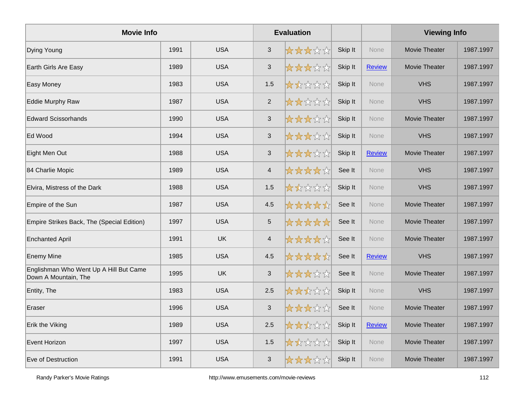| <b>Movie Info</b>                                              |      |            |                           | <b>Evaluation</b> |         |               | <b>Viewing Info</b> |           |
|----------------------------------------------------------------|------|------------|---------------------------|-------------------|---------|---------------|---------------------|-----------|
| Dying Young                                                    | 1991 | <b>USA</b> | 3                         | *****             | Skip It | <b>None</b>   | Movie Theater       | 1987.1997 |
| Earth Girls Are Easy                                           | 1989 | <b>USA</b> | $\mathbf{3}$              | *****             | Skip It | <b>Review</b> | Movie Theater       | 1987.1997 |
| Easy Money                                                     | 1983 | <b>USA</b> | 1.5                       | *****             | Skip It | <b>None</b>   | <b>VHS</b>          | 1987.1997 |
| <b>Eddie Murphy Raw</b>                                        | 1987 | <b>USA</b> | $\overline{2}$            | *****             | Skip It | None          | <b>VHS</b>          | 1987.1997 |
| <b>Edward Scissorhands</b>                                     | 1990 | <b>USA</b> | $\mathfrak{S}$            | *****             | Skip It | None          | Movie Theater       | 1987.1997 |
| Ed Wood                                                        | 1994 | <b>USA</b> | $\sqrt{3}$                | *****             | Skip It | <b>None</b>   | <b>VHS</b>          | 1987.1997 |
| Eight Men Out                                                  | 1988 | <b>USA</b> | $\mathfrak{S}$            | *****             | Skip It | <b>Review</b> | Movie Theater       | 1987.1997 |
| 84 Charlie Mopic                                               | 1989 | <b>USA</b> | $\overline{4}$            | *****             | See It  | <b>None</b>   | <b>VHS</b>          | 1987.1997 |
| Elvira, Mistress of the Dark                                   | 1988 | <b>USA</b> | 1.5                       | *****             | Skip It | None          | <b>VHS</b>          | 1987.1997 |
| Empire of the Sun                                              | 1987 | <b>USA</b> | 4.5                       | *****             | See It  | None          | Movie Theater       | 1987.1997 |
| Empire Strikes Back, The (Special Edition)                     | 1997 | <b>USA</b> | $\overline{5}$            | *****             | See It  | <b>None</b>   | Movie Theater       | 1987.1997 |
| <b>Enchanted April</b>                                         | 1991 | <b>UK</b>  | $\overline{4}$            | *****             | See It  | <b>None</b>   | Movie Theater       | 1987.1997 |
| <b>Enemy Mine</b>                                              | 1985 | <b>USA</b> | 4.5                       | *****             | See It  | <b>Review</b> | <b>VHS</b>          | 1987.1997 |
| Englishman Who Went Up A Hill But Came<br>Down A Mountain, The | 1995 | <b>UK</b>  | $\mathfrak{S}$            | *****             | See It  | None          | Movie Theater       | 1987.1997 |
| Entity, The                                                    | 1983 | <b>USA</b> | 2.5                       | *****             | Skip It | <b>None</b>   | <b>VHS</b>          | 1987.1997 |
| Eraser                                                         | 1996 | <b>USA</b> | $\ensuremath{\mathsf{3}}$ | *****             | See It  | <b>None</b>   | Movie Theater       | 1987.1997 |
| Erik the Viking                                                | 1989 | <b>USA</b> | 2.5                       | *****             | Skip It | <b>Review</b> | Movie Theater       | 1987.1997 |
| Event Horizon                                                  | 1997 | <b>USA</b> | 1.5                       | *****             | Skip It | <b>None</b>   | Movie Theater       | 1987.1997 |
| Eve of Destruction                                             | 1991 | <b>USA</b> | $\mathbf{3}$              | *****             | Skip It | None          | Movie Theater       | 1987.1997 |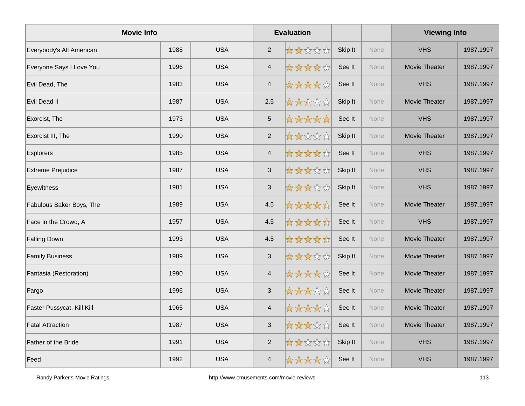| <b>Movie Info</b>          |      |            | <b>Evaluation</b>       |       |         |             | <b>Viewing Info</b>  |           |
|----------------------------|------|------------|-------------------------|-------|---------|-------------|----------------------|-----------|
| Everybody's All American   | 1988 | <b>USA</b> | $\overline{2}$          | ***** | Skip It | <b>None</b> | <b>VHS</b>           | 1987.1997 |
| Everyone Says I Love You   | 1996 | <b>USA</b> | $\overline{4}$          | ***** | See It  | <b>None</b> | <b>Movie Theater</b> | 1987.1997 |
| Evil Dead, The             | 1983 | <b>USA</b> | $\overline{\mathbf{4}}$ | ***** | See It  | None        | <b>VHS</b>           | 1987.1997 |
| Evil Dead II               | 1987 | <b>USA</b> | 2.5                     | ***** | Skip It | None        | Movie Theater        | 1987.1997 |
| Exorcist, The              | 1973 | <b>USA</b> | $\sqrt{5}$              | ***** | See It  | None        | <b>VHS</b>           | 1987.1997 |
| Exorcist III, The          | 1990 | <b>USA</b> | $\overline{2}$          | ***** | Skip It | <b>None</b> | Movie Theater        | 1987.1997 |
| Explorers                  | 1985 | <b>USA</b> | $\overline{\mathbf{4}}$ | ***** | See It  | None        | <b>VHS</b>           | 1987.1997 |
| <b>Extreme Prejudice</b>   | 1987 | <b>USA</b> | $\mathfrak{S}$          | ***** | Skip It | <b>None</b> | <b>VHS</b>           | 1987.1997 |
| Eyewitness                 | 1981 | <b>USA</b> | $\sqrt{3}$              | ***** | Skip It | None        | <b>VHS</b>           | 1987.1997 |
| Fabulous Baker Boys, The   | 1989 | <b>USA</b> | 4.5                     | ***** | See It  | None        | Movie Theater        | 1987.1997 |
| Face in the Crowd, A       | 1957 | <b>USA</b> | 4.5                     | ***** | See It  | <b>None</b> | <b>VHS</b>           | 1987.1997 |
| <b>Falling Down</b>        | 1993 | <b>USA</b> | 4.5                     | ***** | See It  | None        | Movie Theater        | 1987.1997 |
| <b>Family Business</b>     | 1989 | <b>USA</b> | $\sqrt{3}$              | ***** | Skip It | None        | Movie Theater        | 1987.1997 |
| Fantasia (Restoration)     | 1990 | <b>USA</b> | $\overline{\mathbf{4}}$ | ***** | See It  | None        | Movie Theater        | 1987.1997 |
| Fargo                      | 1996 | <b>USA</b> | $\mathfrak{S}$          | ***** | See It  | None        | Movie Theater        | 1987.1997 |
| Faster Pussycat, Kill Kill | 1965 | <b>USA</b> | $\overline{4}$          | ***** | See It  | <b>None</b> | Movie Theater        | 1987.1997 |
| <b>Fatal Attraction</b>    | 1987 | <b>USA</b> | 3                       | ***** | See It  | <b>None</b> | Movie Theater        | 1987.1997 |
| Father of the Bride        | 1991 | <b>USA</b> | $\overline{c}$          | ***** | Skip It | None        | <b>VHS</b>           | 1987.1997 |
| Feed                       | 1992 | <b>USA</b> | $\overline{\mathbf{4}}$ | ***** | See It  | <b>None</b> | <b>VHS</b>           | 1987.1997 |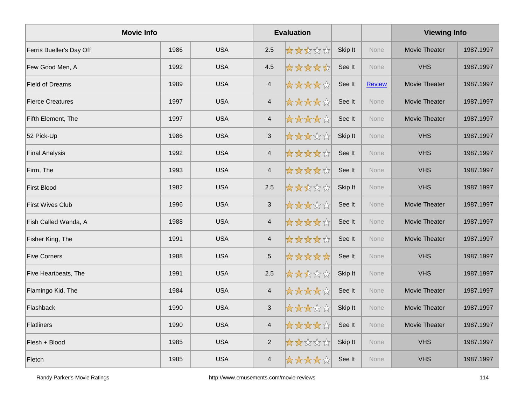| <b>Movie Info</b>        |      |            | <b>Evaluation</b>         |       |         |               | <b>Viewing Info</b> |           |
|--------------------------|------|------------|---------------------------|-------|---------|---------------|---------------------|-----------|
| Ferris Bueller's Day Off | 1986 | <b>USA</b> | 2.5                       | ***** | Skip It | <b>None</b>   | Movie Theater       | 1987.1997 |
| Few Good Men, A          | 1992 | <b>USA</b> | 4.5                       | ***** | See It  | None          | <b>VHS</b>          | 1987.1997 |
| <b>Field of Dreams</b>   | 1989 | <b>USA</b> | $\overline{4}$            | ***** | See It  | <b>Review</b> | Movie Theater       | 1987.1997 |
| <b>Fierce Creatures</b>  | 1997 | <b>USA</b> | $\overline{4}$            | ***** | See It  | None          | Movie Theater       | 1987.1997 |
| Fifth Element, The       | 1997 | <b>USA</b> | $\overline{4}$            | ***** | See It  | None          | Movie Theater       | 1987.1997 |
| 52 Pick-Up               | 1986 | <b>USA</b> | $\ensuremath{\mathsf{3}}$ | ***** | Skip It | <b>None</b>   | <b>VHS</b>          | 1987.1997 |
| <b>Final Analysis</b>    | 1992 | <b>USA</b> | $\overline{4}$            | ***** | See It  | None          | <b>VHS</b>          | 1987.1997 |
| Firm, The                | 1993 | <b>USA</b> | $\overline{4}$            | ***** | See It  | <b>None</b>   | <b>VHS</b>          | 1987.1997 |
| First Blood              | 1982 | <b>USA</b> | 2.5                       | ***** | Skip It | None          | <b>VHS</b>          | 1987.1997 |
| <b>First Wives Club</b>  | 1996 | <b>USA</b> | $\ensuremath{\mathsf{3}}$ | ***** | See It  | None          | Movie Theater       | 1987.1997 |
| Fish Called Wanda, A     | 1988 | <b>USA</b> | $\overline{4}$            | ***** | See It  | <b>None</b>   | Movie Theater       | 1987.1997 |
| Fisher King, The         | 1991 | <b>USA</b> | $\overline{4}$            | ***** | See It  | <b>None</b>   | Movie Theater       | 1987.1997 |
| <b>Five Corners</b>      | 1988 | <b>USA</b> | $\sqrt{5}$                | ***** | See It  | None          | <b>VHS</b>          | 1987.1997 |
| Five Heartbeats, The     | 1991 | <b>USA</b> | 2.5                       | ***** | Skip It | None          | <b>VHS</b>          | 1987.1997 |
| Flamingo Kid, The        | 1984 | <b>USA</b> | $\overline{4}$            | ***** | See It  | None          | Movie Theater       | 1987.1997 |
| Flashback                | 1990 | <b>USA</b> | $\ensuremath{\mathsf{3}}$ | ***** | Skip It | <b>None</b>   | Movie Theater       | 1987.1997 |
| Flatliners               | 1990 | <b>USA</b> | $\overline{4}$            | ***** | See It  | None          | Movie Theater       | 1987.1997 |
| Flesh + Blood            | 1985 | <b>USA</b> | $\overline{c}$            | ***** | Skip It | None          | <b>VHS</b>          | 1987.1997 |
| Fletch                   | 1985 | <b>USA</b> | $\overline{4}$            | ***** | See It  | None          | <b>VHS</b>          | 1987.1997 |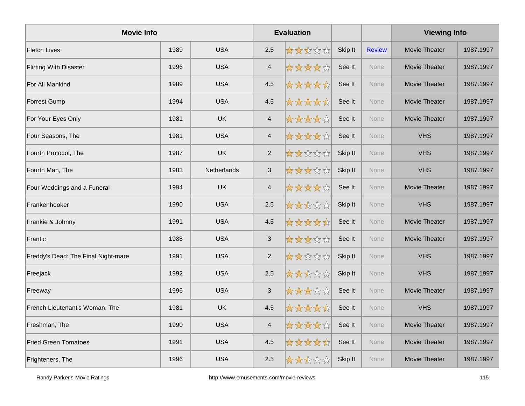| <b>Movie Info</b>                   |      |                    |                           | <b>Evaluation</b> |         |               | <b>Viewing Info</b>  |           |
|-------------------------------------|------|--------------------|---------------------------|-------------------|---------|---------------|----------------------|-----------|
| <b>Fletch Lives</b>                 | 1989 | <b>USA</b>         | 2.5                       | *****             | Skip It | <b>Review</b> | Movie Theater        | 1987.1997 |
| <b>Flirting With Disaster</b>       | 1996 | <b>USA</b>         | 4                         | *****             | See It  | None          | Movie Theater        | 1987.1997 |
| For All Mankind                     | 1989 | <b>USA</b>         | 4.5                       | *****             | See It  | None          | Movie Theater        | 1987.1997 |
| <b>Forrest Gump</b>                 | 1994 | <b>USA</b>         | 4.5                       | *****             | See It  | None          | <b>Movie Theater</b> | 1987.1997 |
| For Your Eyes Only                  | 1981 | UK                 | $\overline{\mathcal{A}}$  | *****             | See It  | None          | Movie Theater        | 1987.1997 |
| Four Seasons, The                   | 1981 | <b>USA</b>         | $\overline{4}$            | *****             | See It  | None          | <b>VHS</b>           | 1987.1997 |
| Fourth Protocol, The                | 1987 | <b>UK</b>          | $\overline{2}$            | *****             | Skip It | None          | <b>VHS</b>           | 1987.1997 |
| Fourth Man, The                     | 1983 | <b>Netherlands</b> | $\ensuremath{\mathsf{3}}$ | *****             | Skip It | <b>None</b>   | <b>VHS</b>           | 1987.1997 |
| Four Weddings and a Funeral         | 1994 | <b>UK</b>          | $\overline{4}$            | *****             | See It  | None          | Movie Theater        | 1987.1997 |
| Frankenhooker                       | 1990 | <b>USA</b>         | 2.5                       | *****             | Skip It | None          | <b>VHS</b>           | 1987.1997 |
| Frankie & Johnny                    | 1991 | <b>USA</b>         | 4.5                       | *****             | See It  | <b>None</b>   | <b>Movie Theater</b> | 1987.1997 |
| Frantic                             | 1988 | <b>USA</b>         | $\ensuremath{\mathsf{3}}$ | *****             | See It  | <b>None</b>   | <b>Movie Theater</b> | 1987.1997 |
| Freddy's Dead: The Final Night-mare | 1991 | <b>USA</b>         | $\overline{2}$            | *****             | Skip It | None          | <b>VHS</b>           | 1987.1997 |
| Freejack                            | 1992 | <b>USA</b>         | 2.5                       | *****             | Skip It | None          | <b>VHS</b>           | 1987.1997 |
| Freeway                             | 1996 | <b>USA</b>         | 3                         | *****             | See It  | <b>None</b>   | <b>Movie Theater</b> | 1987.1997 |
| French Lieutenant's Woman, The      | 1981 | <b>UK</b>          | 4.5                       | *****             | See It  | None          | <b>VHS</b>           | 1987.1997 |
| Freshman, The                       | 1990 | <b>USA</b>         | $\overline{\mathbf{4}}$   | *****             | See It  | None          | Movie Theater        | 1987.1997 |
| <b>Fried Green Tomatoes</b>         | 1991 | <b>USA</b>         | 4.5                       | *****             | See It  | <b>None</b>   | Movie Theater        | 1987.1997 |
| Frighteners, The                    | 1996 | <b>USA</b>         | 2.5                       | *****             | Skip It | <b>None</b>   | Movie Theater        | 1987.1997 |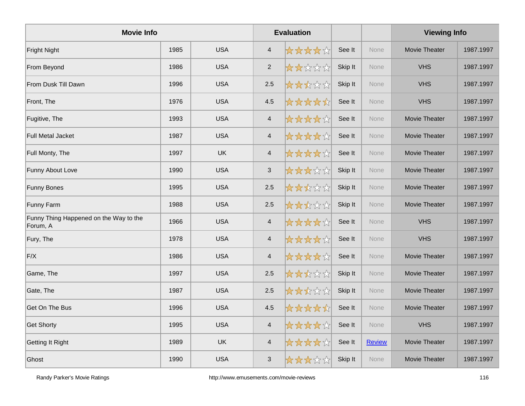| <b>Movie Info</b>                                  |      |            |                          | <b>Evaluation</b> |         |               | <b>Viewing Info</b>  |           |
|----------------------------------------------------|------|------------|--------------------------|-------------------|---------|---------------|----------------------|-----------|
| Fright Night                                       | 1985 | <b>USA</b> | $\overline{\mathcal{A}}$ | *****             | See It  | <b>None</b>   | Movie Theater        | 1987.1997 |
| From Beyond                                        | 1986 | <b>USA</b> | $\overline{2}$           | *****             | Skip It | None          | <b>VHS</b>           | 1987.1997 |
| From Dusk Till Dawn                                | 1996 | <b>USA</b> | 2.5                      | *****             | Skip It | None          | <b>VHS</b>           | 1987.1997 |
| Front, The                                         | 1976 | <b>USA</b> | 4.5                      | *****             | See It  | <b>None</b>   | <b>VHS</b>           | 1987.1997 |
| Fugitive, The                                      | 1993 | <b>USA</b> | $\overline{\mathbf{4}}$  | *****             | See It  | None          | Movie Theater        | 1987.1997 |
| <b>Full Metal Jacket</b>                           | 1987 | <b>USA</b> | $\overline{4}$           | *****             | See It  | None          | Movie Theater        | 1987.1997 |
| Full Monty, The                                    | 1997 | <b>UK</b>  | $\overline{4}$           | *****             | See It  | None          | <b>Movie Theater</b> | 1987.1997 |
| Funny About Love                                   | 1990 | <b>USA</b> | $\mathbf{3}$             | *****             | Skip It | <b>None</b>   | Movie Theater        | 1987.1997 |
| <b>Funny Bones</b>                                 | 1995 | <b>USA</b> | 2.5                      | *****             | Skip It | <b>None</b>   | Movie Theater        | 1987.1997 |
| Funny Farm                                         | 1988 | <b>USA</b> | 2.5                      | *****             | Skip It | None          | Movie Theater        | 1987.1997 |
| Funny Thing Happened on the Way to the<br>Forum, A | 1966 | <b>USA</b> | $\overline{4}$           | *****             | See It  | None          | <b>VHS</b>           | 1987.1997 |
| Fury, The                                          | 1978 | <b>USA</b> | $\overline{4}$           | *****             | See It  | None          | <b>VHS</b>           | 1987.1997 |
| F/X                                                | 1986 | <b>USA</b> | $\overline{\mathbf{4}}$  | *****             | See It  | <b>None</b>   | <b>Movie Theater</b> | 1987.1997 |
| Game, The                                          | 1997 | <b>USA</b> | 2.5                      | *****             | Skip It | None          | Movie Theater        | 1987.1997 |
| Gate, The                                          | 1987 | <b>USA</b> | 2.5                      | *****             | Skip It | None          | Movie Theater        | 1987.1997 |
| Get On The Bus                                     | 1996 | <b>USA</b> | 4.5                      | *****             | See It  | <b>None</b>   | <b>Movie Theater</b> | 1987.1997 |
| <b>Get Shorty</b>                                  | 1995 | <b>USA</b> | $\overline{4}$           | *****             | See It  | None          | <b>VHS</b>           | 1987.1997 |
| Getting It Right                                   | 1989 | <b>UK</b>  | $\overline{4}$           | *****             | See It  | <b>Review</b> | <b>Movie Theater</b> | 1987.1997 |
| Ghost                                              | 1990 | <b>USA</b> | 3                        | *****             | Skip It | <b>None</b>   | <b>Movie Theater</b> | 1987.1997 |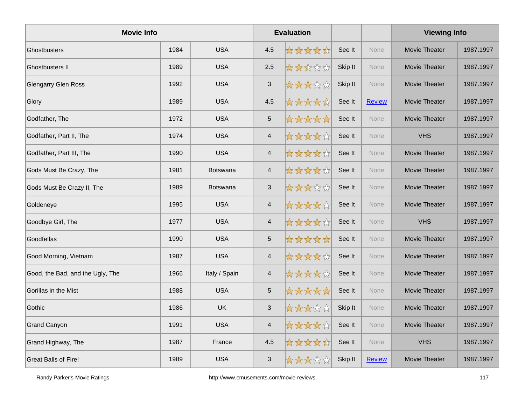| <b>Movie Info</b>                |      |                 |                         | <b>Evaluation</b> |         |               | <b>Viewing Info</b>  |           |
|----------------------------------|------|-----------------|-------------------------|-------------------|---------|---------------|----------------------|-----------|
| <b>Ghostbusters</b>              | 1984 | <b>USA</b>      | 4.5                     | *****             | See It  | <b>None</b>   | Movie Theater        | 1987.1997 |
| <b>Ghostbusters II</b>           | 1989 | <b>USA</b>      | 2.5                     | *****             | Skip It | <b>None</b>   | Movie Theater        | 1987.1997 |
| <b>Glengarry Glen Ross</b>       | 1992 | <b>USA</b>      | $\mathbf{3}$            | *****             | Skip It | None          | Movie Theater        | 1987.1997 |
| Glory                            | 1989 | <b>USA</b>      | 4.5                     | *****             | See It  | <b>Review</b> | Movie Theater        | 1987.1997 |
| Godfather, The                   | 1972 | <b>USA</b>      | 5                       | *****             | See It  | None          | Movie Theater        | 1987.1997 |
| Godfather, Part II, The          | 1974 | <b>USA</b>      | $\overline{\mathbf{4}}$ | *****             | See It  | <b>None</b>   | <b>VHS</b>           | 1987.1997 |
| Godfather, Part III, The         | 1990 | <b>USA</b>      | $\overline{\mathbf{4}}$ | *****             | See It  | None          | Movie Theater        | 1987.1997 |
| Gods Must Be Crazy, The          | 1981 | <b>Botswana</b> | $\overline{4}$          | *****             | See It  | None          | Movie Theater        | 1987.1997 |
| Gods Must Be Crazy II, The       | 1989 | <b>Botswana</b> | $\mathfrak{S}$          | *****             | See It  | <b>None</b>   | Movie Theater        | 1987.1997 |
| Goldeneye                        | 1995 | <b>USA</b>      | $\overline{4}$          | *****             | See It  | <b>None</b>   | Movie Theater        | 1987.1997 |
| Goodbye Girl, The                | 1977 | <b>USA</b>      | $\overline{4}$          | *****             | See It  | None          | <b>VHS</b>           | 1987.1997 |
| Goodfellas                       | 1990 | <b>USA</b>      | 5                       | *****             | See It  | None          | Movie Theater        | 1987.1997 |
| Good Morning, Vietnam            | 1987 | <b>USA</b>      | $\overline{4}$          | *****             | See It  | <b>None</b>   | Movie Theater        | 1987.1997 |
| Good, the Bad, and the Ugly, The | 1966 | Italy / Spain   | $\overline{\mathbf{4}}$ | *****             | See It  | <b>None</b>   | Movie Theater        | 1987.1997 |
| Gorillas in the Mist             | 1988 | <b>USA</b>      | 5                       | *****             | See It  | None          | Movie Theater        | 1987.1997 |
| Gothic                           | 1986 | <b>UK</b>       | $\mathfrak{S}$          | *****             | Skip It | None          | Movie Theater        | 1987.1997 |
| <b>Grand Canyon</b>              | 1991 | <b>USA</b>      | $\overline{\mathbf{4}}$ | *****             | See It  | <b>None</b>   | Movie Theater        | 1987.1997 |
| Grand Highway, The               | 1987 | France          | 4.5                     | *****             | See It  | None          | <b>VHS</b>           | 1987.1997 |
| <b>Great Balls of Fire!</b>      | 1989 | <b>USA</b>      | $\mathfrak{S}$          | *****             | Skip It | Review        | <b>Movie Theater</b> | 1987.1997 |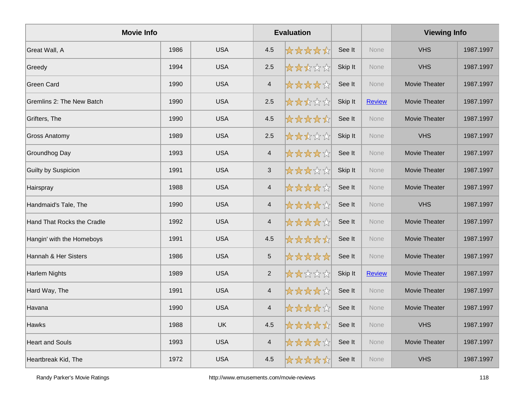| <b>Movie Info</b>          |      |            |                           | <b>Evaluation</b> |         |               | <b>Viewing Info</b>  |           |
|----------------------------|------|------------|---------------------------|-------------------|---------|---------------|----------------------|-----------|
| Great Wall, A              | 1986 | <b>USA</b> | 4.5                       | *****             | See It  | <b>None</b>   | <b>VHS</b>           | 1987.1997 |
| Greedy                     | 1994 | <b>USA</b> | 2.5                       | *****             | Skip It | <b>None</b>   | <b>VHS</b>           | 1987.1997 |
| <b>Green Card</b>          | 1990 | <b>USA</b> | $\overline{4}$            | *****             | See It  | None          | Movie Theater        | 1987.1997 |
| Gremlins 2: The New Batch  | 1990 | <b>USA</b> | 2.5                       | *****             | Skip It | <b>Review</b> | Movie Theater        | 1987.1997 |
| Grifters, The              | 1990 | <b>USA</b> | 4.5                       | *****             | See It  | None          | Movie Theater        | 1987.1997 |
| <b>Gross Anatomy</b>       | 1989 | <b>USA</b> | 2.5                       | *****             | Skip It | <b>None</b>   | <b>VHS</b>           | 1987.1997 |
| Groundhog Day              | 1993 | <b>USA</b> | $\overline{4}$            | *****             | See It  | None          | Movie Theater        | 1987.1997 |
| <b>Guilty by Suspicion</b> | 1991 | <b>USA</b> | $\ensuremath{\mathsf{3}}$ | *****             | Skip It | <b>None</b>   | Movie Theater        | 1987.1997 |
| Hairspray                  | 1988 | <b>USA</b> | $\overline{4}$            | *****             | See It  | <b>None</b>   | Movie Theater        | 1987.1997 |
| Handmaid's Tale, The       | 1990 | <b>USA</b> | $\overline{4}$            | *****             | See It  | <b>None</b>   | <b>VHS</b>           | 1987.1997 |
| Hand That Rocks the Cradle | 1992 | <b>USA</b> | $\overline{4}$            | *****             | See It  | None          | Movie Theater        | 1987.1997 |
| Hangin' with the Homeboys  | 1991 | <b>USA</b> | 4.5                       | *****             | See It  | None          | Movie Theater        | 1987.1997 |
| Hannah & Her Sisters       | 1986 | <b>USA</b> | $\overline{5}$            | *****             | See It  | <b>None</b>   | <b>Movie Theater</b> | 1987.1997 |
| <b>Harlem Nights</b>       | 1989 | <b>USA</b> | $\overline{c}$            | *****             | Skip It | <b>Review</b> | <b>Movie Theater</b> | 1987.1997 |
| Hard Way, The              | 1991 | <b>USA</b> | $\overline{4}$            | *****             | See It  | None          | Movie Theater        | 1987.1997 |
| Havana                     | 1990 | <b>USA</b> | $\overline{4}$            | *****             | See It  | None          | Movie Theater        | 1987.1997 |
| Hawks                      | 1988 | <b>UK</b>  | 4.5                       | *****             | See It  | <b>None</b>   | <b>VHS</b>           | 1987.1997 |
| <b>Heart and Souls</b>     | 1993 | <b>USA</b> | $\overline{4}$            | *****             | See It  | <b>None</b>   | Movie Theater        | 1987.1997 |
| Heartbreak Kid, The        | 1972 | <b>USA</b> | 4.5                       | *****             | See It  | None          | <b>VHS</b>           | 1987.1997 |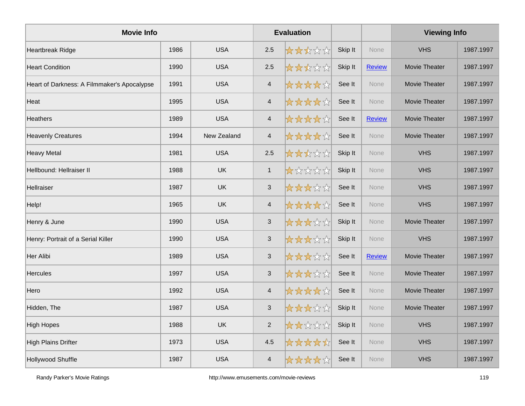| <b>Movie Info</b>                           |      |             |                           | <b>Evaluation</b> |         |               | <b>Viewing Info</b>  |           |
|---------------------------------------------|------|-------------|---------------------------|-------------------|---------|---------------|----------------------|-----------|
| <b>Heartbreak Ridge</b>                     | 1986 | <b>USA</b>  | 2.5                       | *****             | Skip It | <b>None</b>   | <b>VHS</b>           | 1987.1997 |
| <b>Heart Condition</b>                      | 1990 | <b>USA</b>  | 2.5                       | *****             | Skip It | <b>Review</b> | <b>Movie Theater</b> | 1987.1997 |
| Heart of Darkness: A Filmmaker's Apocalypse | 1991 | <b>USA</b>  | $\overline{4}$            | *****             | See It  | None          | Movie Theater        | 1987.1997 |
| Heat                                        | 1995 | <b>USA</b>  | $\overline{4}$            | *****             | See It  | None          | Movie Theater        | 1987.1997 |
| <b>Heathers</b>                             | 1989 | <b>USA</b>  | $\overline{4}$            | *****             | See It  | <b>Review</b> | Movie Theater        | 1987.1997 |
| <b>Heavenly Creatures</b>                   | 1994 | New Zealand | $\overline{\mathbf{4}}$   | *****             | See It  | <b>None</b>   | Movie Theater        | 1987.1997 |
| <b>Heavy Metal</b>                          | 1981 | <b>USA</b>  | 2.5                       | *****             | Skip It | None          | <b>VHS</b>           | 1987.1997 |
| Hellbound: Hellraiser II                    | 1988 | <b>UK</b>   | $\mathbf{1}$              | *****             | Skip It | <b>None</b>   | <b>VHS</b>           | 1987.1997 |
| Hellraiser                                  | 1987 | <b>UK</b>   | $\mathfrak{S}$            | *****             | See It  | None          | <b>VHS</b>           | 1987.1997 |
| Help!                                       | 1965 | <b>UK</b>   | $\overline{4}$            | *****             | See It  | None          | <b>VHS</b>           | 1987.1997 |
| Henry & June                                | 1990 | <b>USA</b>  | 3                         | *****             | Skip It | None          | Movie Theater        | 1987.1997 |
| Henry: Portrait of a Serial Killer          | 1990 | <b>USA</b>  | $\ensuremath{\mathsf{3}}$ | *****             | Skip It | None          | <b>VHS</b>           | 1987.1997 |
| Her Alibi                                   | 1989 | <b>USA</b>  | $\sqrt{3}$                | *****             | See It  | <b>Review</b> | Movie Theater        | 1987.1997 |
| <b>Hercules</b>                             | 1997 | <b>USA</b>  | $\ensuremath{\mathsf{3}}$ | *****             | See It  | None          | <b>Movie Theater</b> | 1987.1997 |
| Hero                                        | 1992 | <b>USA</b>  | $\overline{\mathbf{4}}$   | *****             | See It  | None          | Movie Theater        | 1987.1997 |
| Hidden, The                                 | 1987 | <b>USA</b>  | $\mathfrak{S}$            | *****             | Skip It | <b>None</b>   | Movie Theater        | 1987.1997 |
| <b>High Hopes</b>                           | 1988 | <b>UK</b>   | $\overline{2}$            | *****             | Skip It | <b>None</b>   | <b>VHS</b>           | 1987.1997 |
| <b>High Plains Drifter</b>                  | 1973 | <b>USA</b>  | 4.5                       | *****             | See It  | None          | <b>VHS</b>           | 1987.1997 |
| <b>Hollywood Shuffle</b>                    | 1987 | <b>USA</b>  | $\overline{\mathbf{4}}$   | *****             | See It  | None          | <b>VHS</b>           | 1987.1997 |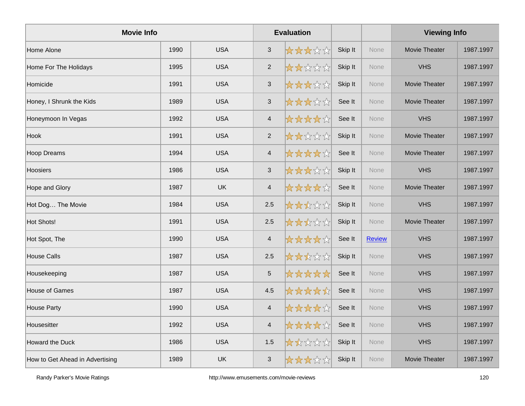| <b>Movie Info</b>               |      |            |                           | <b>Evaluation</b> |         |               | <b>Viewing Info</b> |           |  |
|---------------------------------|------|------------|---------------------------|-------------------|---------|---------------|---------------------|-----------|--|
| Home Alone                      | 1990 | <b>USA</b> | $\mathbf{3}$              | *****             | Skip It | None          | Movie Theater       | 1987.1997 |  |
| Home For The Holidays           | 1995 | <b>USA</b> | $\overline{2}$            | *****             | Skip It | None          | <b>VHS</b>          | 1987.1997 |  |
| Homicide                        | 1991 | <b>USA</b> | $\mathfrak{S}$            | *****             | Skip It | None          | Movie Theater       | 1987.1997 |  |
| Honey, I Shrunk the Kids        | 1989 | <b>USA</b> | $\sqrt{3}$                | *****             | See It  | <b>None</b>   | Movie Theater       | 1987.1997 |  |
| Honeymoon In Vegas              | 1992 | <b>USA</b> | $\overline{4}$            | *****             | See It  | None          | <b>VHS</b>          | 1987.1997 |  |
| Hook                            | 1991 | <b>USA</b> | $\overline{2}$            | *****             | Skip It | None          | Movie Theater       | 1987.1997 |  |
| Hoop Dreams                     | 1994 | <b>USA</b> | $\overline{4}$            | *****             | See It  | None          | Movie Theater       | 1987.1997 |  |
| Hoosiers                        | 1986 | <b>USA</b> | $\ensuremath{\mathsf{3}}$ | *****             | Skip It | <b>None</b>   | <b>VHS</b>          | 1987.1997 |  |
| Hope and Glory                  | 1987 | <b>UK</b>  | $\overline{4}$            | *****             | See It  | None          | Movie Theater       | 1987.1997 |  |
| Hot Dog The Movie               | 1984 | <b>USA</b> | 2.5                       | *****             | Skip It | None          | <b>VHS</b>          | 1987.1997 |  |
| Hot Shots!                      | 1991 | <b>USA</b> | 2.5                       | *****             | Skip It | <b>None</b>   | Movie Theater       | 1987.1997 |  |
| Hot Spot, The                   | 1990 | <b>USA</b> | $\overline{4}$            | *****             | See It  | <b>Review</b> | <b>VHS</b>          | 1987.1997 |  |
| House Calls                     | 1987 | <b>USA</b> | 2.5                       | *****             | Skip It | None          | <b>VHS</b>          | 1987.1997 |  |
| Housekeeping                    | 1987 | <b>USA</b> | $\overline{5}$            | *****             | See It  | None          | <b>VHS</b>          | 1987.1997 |  |
| House of Games                  | 1987 | <b>USA</b> | 4.5                       | *****             | See It  | None          | <b>VHS</b>          | 1987.1997 |  |
| House Party                     | 1990 | <b>USA</b> | $\overline{4}$            | *****             | See It  | None          | <b>VHS</b>          | 1987.1997 |  |
| Housesitter                     | 1992 | <b>USA</b> | $\overline{\mathbf{4}}$   | *****             | See It  | None          | <b>VHS</b>          | 1987.1997 |  |
| Howard the Duck                 | 1986 | <b>USA</b> | 1.5                       | *****             | Skip It | <b>None</b>   | <b>VHS</b>          | 1987.1997 |  |
| How to Get Ahead in Advertising | 1989 | UK         | $\mathbf{3}$              | *****             | Skip It | None          | Movie Theater       | 1987.1997 |  |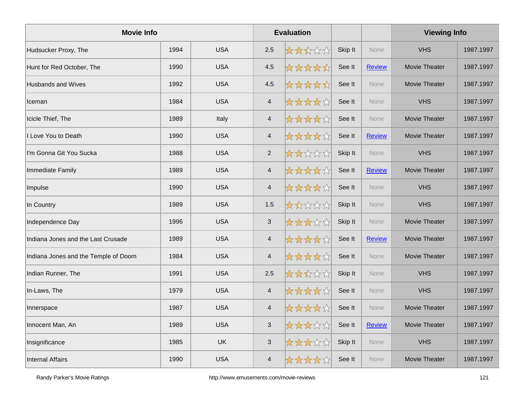| <b>Movie Info</b>                    |      |            |                         | <b>Evaluation</b> |         |               | <b>Viewing Info</b> |           |
|--------------------------------------|------|------------|-------------------------|-------------------|---------|---------------|---------------------|-----------|
| Hudsucker Proxy, The                 | 1994 | <b>USA</b> | 2.5                     | *****             | Skip It | <b>None</b>   | <b>VHS</b>          | 1987.1997 |
| Hunt for Red October, The            | 1990 | <b>USA</b> | 4.5                     | *****             | See It  | <b>Review</b> | Movie Theater       | 1987.1997 |
| <b>Husbands and Wives</b>            | 1992 | <b>USA</b> | 4.5                     | *****             | See It  | None          | Movie Theater       | 1987.1997 |
| Iceman                               | 1984 | <b>USA</b> | $\overline{4}$          | *****             | See It  | None          | <b>VHS</b>          | 1987.1997 |
| Icicle Thief, The                    | 1989 | Italy      | $\overline{\mathbf{4}}$ | *****             | See It  | None          | Movie Theater       | 1987.1997 |
| Love You to Death                    | 1990 | <b>USA</b> | $\overline{\mathbf{4}}$ | *****             | See It  | <b>Review</b> | Movie Theater       | 1987.1997 |
| I'm Gonna Git You Sucka              | 1988 | <b>USA</b> | $\overline{2}$          | *****             | Skip It | None          | <b>VHS</b>          | 1987.1997 |
| Immediate Family                     | 1989 | <b>USA</b> | $\overline{4}$          | *****             | See It  | <b>Review</b> | Movie Theater       | 1987.1997 |
| Impulse                              | 1990 | <b>USA</b> | $\overline{\mathbf{4}}$ | *****             | See It  | None          | <b>VHS</b>          | 1987.1997 |
| In Country                           | 1989 | <b>USA</b> | 1.5                     | *****             | Skip It | None          | <b>VHS</b>          | 1987.1997 |
| Independence Day                     | 1996 | <b>USA</b> | 3                       | *****             | Skip It | None          | Movie Theater       | 1987.1997 |
| Indiana Jones and the Last Crusade   | 1989 | <b>USA</b> | $\overline{\mathbf{4}}$ | *****             | See It  | <b>Review</b> | Movie Theater       | 1987.1997 |
| Indiana Jones and the Temple of Doom | 1984 | <b>USA</b> | $\overline{4}$          | *****             | See It  | None          | Movie Theater       | 1987.1997 |
| Indian Runner, The                   | 1991 | <b>USA</b> | 2.5                     | *****             | Skip It | None          | <b>VHS</b>          | 1987.1997 |
| In-Laws, The                         | 1979 | <b>USA</b> | $\overline{4}$          | *****             | See It  | <b>None</b>   | <b>VHS</b>          | 1987.1997 |
| Innerspace                           | 1987 | <b>USA</b> | $\overline{\mathbf{4}}$ | *****             | See It  | <b>None</b>   | Movie Theater       | 1987.1997 |
| Innocent Man, An                     | 1989 | <b>USA</b> | $\mathfrak{S}$          | *****             | See It  | <b>Review</b> | Movie Theater       | 1987.1997 |
| Insignificance                       | 1985 | <b>UK</b>  | $\mathfrak{S}$          | *****             | Skip It | <b>None</b>   | <b>VHS</b>          | 1987.1997 |
| <b>Internal Affairs</b>              | 1990 | <b>USA</b> | $\overline{\mathbf{4}}$ | *****             | See It  | None          | Movie Theater       | 1987.1997 |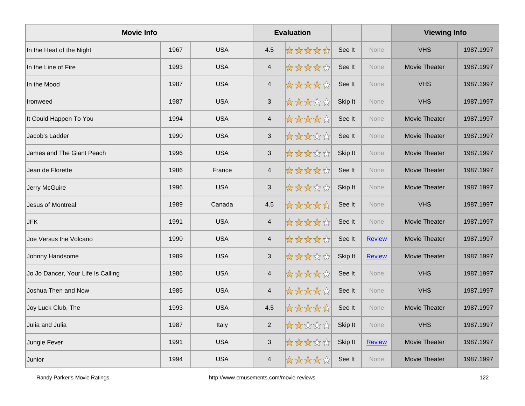| <b>Movie Info</b>                  |      |            |                           | <b>Evaluation</b> |         |               | <b>Viewing Info</b> |           |
|------------------------------------|------|------------|---------------------------|-------------------|---------|---------------|---------------------|-----------|
| In the Heat of the Night           | 1967 | <b>USA</b> | 4.5                       | *****             | See It  | <b>None</b>   | <b>VHS</b>          | 1987.1997 |
| In the Line of Fire                | 1993 | <b>USA</b> | $\overline{4}$            | *****             | See It  | None          | Movie Theater       | 1987.1997 |
| In the Mood                        | 1987 | <b>USA</b> | $\overline{4}$            | *****             | See It  | None          | <b>VHS</b>          | 1987.1997 |
| <b>Ironweed</b>                    | 1987 | <b>USA</b> | $\sqrt{3}$                | *****             | Skip It | None          | <b>VHS</b>          | 1987.1997 |
| It Could Happen To You             | 1994 | <b>USA</b> | $\overline{4}$            | *****             | See It  | None          | Movie Theater       | 1987.1997 |
| Jacob's Ladder                     | 1990 | <b>USA</b> | $\ensuremath{\mathsf{3}}$ | *****             | See It  | None          | Movie Theater       | 1987.1997 |
| James and The Giant Peach          | 1996 | <b>USA</b> | $\mathfrak{S}$            | *****             | Skip It | None          | Movie Theater       | 1987.1997 |
| Jean de Florette                   | 1986 | France     | $\overline{4}$            | *****             | See It  | <b>None</b>   | Movie Theater       | 1987.1997 |
| Jerry McGuire                      | 1996 | <b>USA</b> | $\mathfrak{S}$            | *****             | Skip It | None          | Movie Theater       | 1987.1997 |
| Jesus of Montreal                  | 1989 | Canada     | 4.5                       | *****             | See It  | None          | <b>VHS</b>          | 1987.1997 |
| <b>JFK</b>                         | 1991 | <b>USA</b> | $\overline{4}$            | *****             | See It  | <b>None</b>   | Movie Theater       | 1987.1997 |
| Joe Versus the Volcano             | 1990 | <b>USA</b> | $\overline{4}$            | *****             | See It  | <b>Review</b> | Movie Theater       | 1987.1997 |
| Johnny Handsome                    | 1989 | <b>USA</b> | $\mathfrak{S}$            | *****             | Skip It | <b>Review</b> | Movie Theater       | 1987.1997 |
| Jo Jo Dancer, Your Life Is Calling | 1986 | <b>USA</b> | $\overline{4}$            | *****             | See It  | None          | <b>VHS</b>          | 1987.1997 |
| Joshua Then and Now                | 1985 | <b>USA</b> | $\overline{4}$            | *****             | See It  | None          | <b>VHS</b>          | 1987.1997 |
| Joy Luck Club, The                 | 1993 | <b>USA</b> | 4.5                       | *****             | See It  | None          | Movie Theater       | 1987.1997 |
| Julia and Julia                    | 1987 | Italy      | $\overline{2}$            | *****             | Skip It | None          | <b>VHS</b>          | 1987.1997 |
| Jungle Fever                       | 1991 | <b>USA</b> | $\mathfrak{S}$            | *****             | Skip It | <b>Review</b> | Movie Theater       | 1987.1997 |
| Junior                             | 1994 | <b>USA</b> | $\overline{4}$            | *****             | See It  | None          | Movie Theater       | 1987.1997 |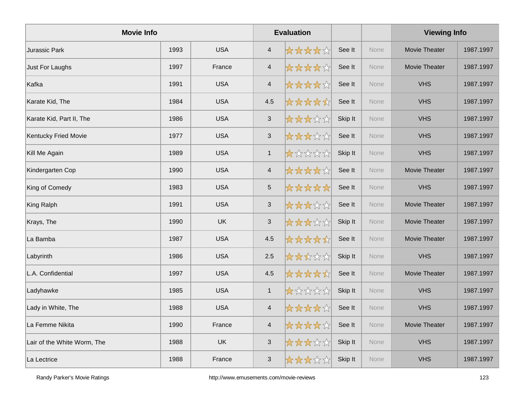| <b>Movie Info</b>           |      |            |                           | <b>Evaluation</b> |         |             | <b>Viewing Info</b>  |           |
|-----------------------------|------|------------|---------------------------|-------------------|---------|-------------|----------------------|-----------|
| Jurassic Park               | 1993 | <b>USA</b> | $\overline{a}$            | *****             | See It  | None        | Movie Theater        | 1987.1997 |
| Just For Laughs             | 1997 | France     | $\overline{4}$            | *****             | See It  | None        | Movie Theater        | 1987.1997 |
| Kafka                       | 1991 | <b>USA</b> | $\overline{4}$            | *****             | See It  | None        | <b>VHS</b>           | 1987.1997 |
| Karate Kid, The             | 1984 | <b>USA</b> | 4.5                       | *****             | See It  | <b>None</b> | <b>VHS</b>           | 1987.1997 |
| Karate Kid, Part II, The    | 1986 | <b>USA</b> | $\sqrt{3}$                | *****             | Skip It | None        | <b>VHS</b>           | 1987.1997 |
| <b>Kentucky Fried Movie</b> | 1977 | <b>USA</b> | $\sqrt{3}$                | *****             | See It  | None        | <b>VHS</b>           | 1987.1997 |
| Kill Me Again               | 1989 | <b>USA</b> | $\mathbf{1}$              | *****             | Skip It | None        | <b>VHS</b>           | 1987.1997 |
| Kindergarten Cop            | 1990 | <b>USA</b> | $\overline{4}$            | *****             | See It  | None        | Movie Theater        | 1987.1997 |
| King of Comedy              | 1983 | <b>USA</b> | $\sqrt{5}$                | *****             | See It  | None        | <b>VHS</b>           | 1987.1997 |
| King Ralph                  | 1991 | <b>USA</b> | $\sqrt{3}$                | *****             | See It  | <b>None</b> | <b>Movie Theater</b> | 1987.1997 |
| Krays, The                  | 1990 | <b>UK</b>  | $\mathfrak{S}$            | *****             | Skip It | None        | Movie Theater        | 1987.1997 |
| La Bamba                    | 1987 | <b>USA</b> | 4.5                       | *****             | See It  | None        | Movie Theater        | 1987.1997 |
| Labyrinth                   | 1986 | <b>USA</b> | 2.5                       | *****             | Skip It | <b>None</b> | <b>VHS</b>           | 1987.1997 |
| L.A. Confidential           | 1997 | <b>USA</b> | 4.5                       | *****             | See It  | <b>None</b> | <b>Movie Theater</b> | 1987.1997 |
| Ladyhawke                   | 1985 | <b>USA</b> | $\mathbf{1}$              | *****             | Skip It | None        | <b>VHS</b>           | 1987.1997 |
| Lady in White, The          | 1988 | <b>USA</b> | $\overline{4}$            | *****             | See It  | None        | <b>VHS</b>           | 1987.1997 |
| La Femme Nikita             | 1990 | France     | $\overline{4}$            | *****             | See It  | <b>None</b> | Movie Theater        | 1987.1997 |
| Lair of the White Worm, The | 1988 | <b>UK</b>  | $\ensuremath{\mathsf{3}}$ | *****             | Skip It | <b>None</b> | <b>VHS</b>           | 1987.1997 |
| La Lectrice                 | 1988 | France     | $\mathfrak{S}$            | *****             | Skip It | None        | <b>VHS</b>           | 1987.1997 |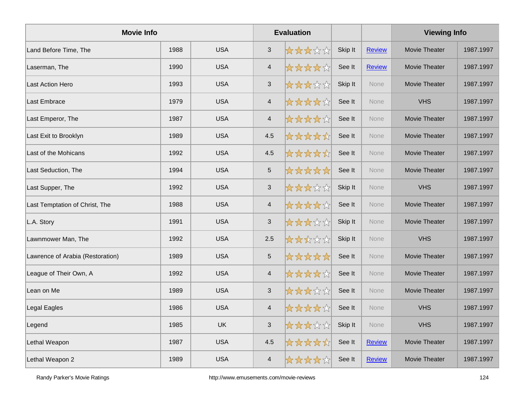| <b>Movie Info</b>                |      |            | <b>Evaluation</b>        |       |         |               | <b>Viewing Info</b>  |           |
|----------------------------------|------|------------|--------------------------|-------|---------|---------------|----------------------|-----------|
| Land Before Time, The            | 1988 | <b>USA</b> | $\sqrt{3}$               | ***** | Skip It | <b>Review</b> | Movie Theater        | 1987.1997 |
| Laserman, The                    | 1990 | <b>USA</b> | $\overline{\mathcal{A}}$ | ***** | See It  | <b>Review</b> | <b>Movie Theater</b> | 1987.1997 |
| Last Action Hero                 | 1993 | <b>USA</b> | $\mathfrak{S}$           | ***** | Skip It | None          | Movie Theater        | 1987.1997 |
| Last Embrace                     | 1979 | <b>USA</b> | $\overline{4}$           | ***** | See It  | None          | <b>VHS</b>           | 1987.1997 |
| Last Emperor, The                | 1987 | <b>USA</b> | $\overline{4}$           | ***** | See It  | None          | Movie Theater        | 1987.1997 |
| Last Exit to Brooklyn            | 1989 | <b>USA</b> | 4.5                      | ***** | See It  | <b>None</b>   | <b>Movie Theater</b> | 1987.1997 |
| Last of the Mohicans             | 1992 | <b>USA</b> | 4.5                      | ***** | See It  | <b>None</b>   | Movie Theater        | 1987.1997 |
| Last Seduction, The              | 1994 | <b>USA</b> | $\overline{5}$           | ***** | See It  | <b>None</b>   | Movie Theater        | 1987.1997 |
| Last Supper, The                 | 1992 | <b>USA</b> | $\sqrt{3}$               | ***** | Skip It | None          | <b>VHS</b>           | 1987.1997 |
| Last Temptation of Christ, The   | 1988 | <b>USA</b> | $\overline{\mathbf{4}}$  | ***** | See It  | None          | Movie Theater        | 1987.1997 |
| L.A. Story                       | 1991 | <b>USA</b> | 3                        | ***** | Skip It | None          | Movie Theater        | 1987.1997 |
| Lawnmower Man, The               | 1992 | <b>USA</b> | 2.5                      | ***** | Skip It | <b>None</b>   | <b>VHS</b>           | 1987.1997 |
| Lawrence of Arabia (Restoration) | 1989 | <b>USA</b> | $\,$ 5 $\,$              | ***** | See It  | <b>None</b>   | Movie Theater        | 1987.1997 |
| League of Their Own, A           | 1992 | <b>USA</b> | $\overline{4}$           | ***** | See It  | <b>None</b>   | <b>Movie Theater</b> | 1987.1997 |
| Lean on Me                       | 1989 | <b>USA</b> | $\mathfrak{S}$           | ***** | See It  | None          | Movie Theater        | 1987.1997 |
| Legal Eagles                     | 1986 | <b>USA</b> | $\overline{4}$           | ***** | See It  | <b>None</b>   | <b>VHS</b>           | 1987.1997 |
| Legend                           | 1985 | <b>UK</b>  | $\mathfrak{S}$           | ***** | Skip It | <b>None</b>   | <b>VHS</b>           | 1987.1997 |
| Lethal Weapon                    | 1987 | <b>USA</b> | 4.5                      | ***** | See It  | <b>Review</b> | Movie Theater        | 1987.1997 |
| Lethal Weapon 2                  | 1989 | <b>USA</b> | $\overline{4}$           | ***** | See It  | Review        | Movie Theater        | 1987.1997 |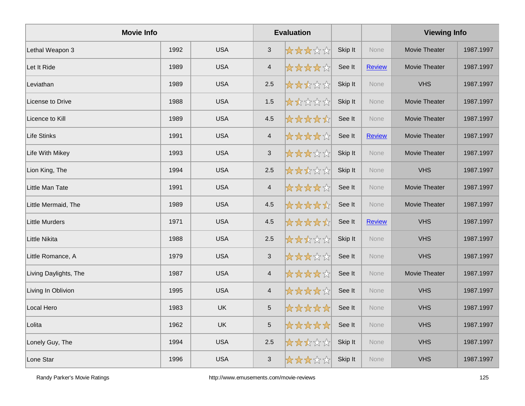| <b>Movie Info</b>     |      |            | <b>Evaluation</b>         |       |         |               | <b>Viewing Info</b>  |           |
|-----------------------|------|------------|---------------------------|-------|---------|---------------|----------------------|-----------|
| Lethal Weapon 3       | 1992 | <b>USA</b> | $\mathfrak{S}$            | ***** | Skip It | <b>None</b>   | Movie Theater        | 1987.1997 |
| Let It Ride           | 1989 | <b>USA</b> | $\overline{4}$            | ***** | See It  | <b>Review</b> | <b>Movie Theater</b> | 1987.1997 |
| Leviathan             | 1989 | <b>USA</b> | 2.5                       | ***** | Skip It | None          | <b>VHS</b>           | 1987.1997 |
| License to Drive      | 1988 | <b>USA</b> | 1.5                       | ***** | Skip It | None          | Movie Theater        | 1987.1997 |
| Licence to Kill       | 1989 | <b>USA</b> | 4.5                       | ***** | See It  | None          | Movie Theater        | 1987.1997 |
| Life Stinks           | 1991 | <b>USA</b> | $\overline{4}$            | ***** | See It  | <b>Review</b> | Movie Theater        | 1987.1997 |
| Life With Mikey       | 1993 | <b>USA</b> | $\mathbf{3}$              | ***** | Skip It | <b>None</b>   | <b>Movie Theater</b> | 1987.1997 |
| Lion King, The        | 1994 | <b>USA</b> | 2.5                       | ***** | Skip It | None          | <b>VHS</b>           | 1987.1997 |
| Little Man Tate       | 1991 | <b>USA</b> | $\overline{4}$            | ***** | See It  | None          | Movie Theater        | 1987.1997 |
| Little Mermaid, The   | 1989 | <b>USA</b> | 4.5                       | ***** | See It  | None          | Movie Theater        | 1987.1997 |
| Little Murders        | 1971 | <b>USA</b> | 4.5                       | ***** | See It  | <b>Review</b> | <b>VHS</b>           | 1987.1997 |
| Little Nikita         | 1988 | <b>USA</b> | 2.5                       | ***** | Skip It | <b>None</b>   | <b>VHS</b>           | 1987.1997 |
| Little Romance, A     | 1979 | <b>USA</b> | $\ensuremath{\mathsf{3}}$ | ***** | See It  | None          | <b>VHS</b>           | 1987.1997 |
| Living Daylights, The | 1987 | <b>USA</b> | $\overline{4}$            | ***** | See It  | None          | Movie Theater        | 1987.1997 |
| Living In Oblivion    | 1995 | <b>USA</b> | $\overline{4}$            | ***** | See It  | None          | <b>VHS</b>           | 1987.1997 |
| Local Hero            | 1983 | <b>UK</b>  | $\sqrt{5}$                | ***** | See It  | <b>None</b>   | <b>VHS</b>           | 1987.1997 |
| Lolita                | 1962 | <b>UK</b>  | $\overline{5}$            | ***** | See It  | None          | <b>VHS</b>           | 1987.1997 |
| Lonely Guy, The       | 1994 | <b>USA</b> | 2.5                       | ***** | Skip It | None          | <b>VHS</b>           | 1987.1997 |
| Lone Star             | 1996 | <b>USA</b> | $\mathfrak{S}$            | ***** | Skip It | None          | <b>VHS</b>           | 1987.1997 |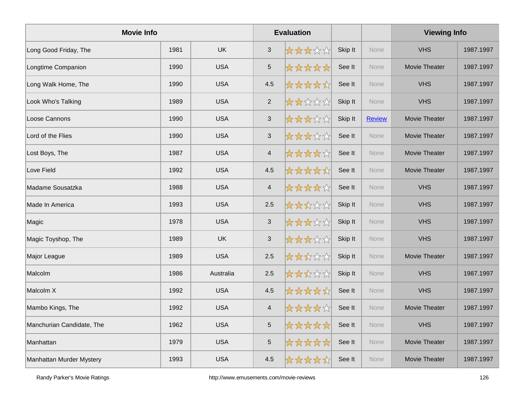| <b>Movie Info</b>         |      |            | <b>Evaluation</b>         |       |         |               | <b>Viewing Info</b> |           |
|---------------------------|------|------------|---------------------------|-------|---------|---------------|---------------------|-----------|
| Long Good Friday, The     | 1981 | <b>UK</b>  | $\mathbf{3}$              | ***** | Skip It | <b>None</b>   | <b>VHS</b>          | 1987.1997 |
| Longtime Companion        | 1990 | <b>USA</b> | $\,$ 5 $\,$               | ***** | See It  | None          | Movie Theater       | 1987.1997 |
| Long Walk Home, The       | 1990 | <b>USA</b> | 4.5                       | ***** | See It  | None          | <b>VHS</b>          | 1987.1997 |
| Look Who's Talking        | 1989 | <b>USA</b> | $\overline{2}$            | ***** | Skip It | None          | <b>VHS</b>          | 1987.1997 |
| Loose Cannons             | 1990 | <b>USA</b> | $\sqrt{3}$                | ***** | Skip It | <b>Review</b> | Movie Theater       | 1987.1997 |
| Lord of the Flies         | 1990 | <b>USA</b> | $\ensuremath{\mathsf{3}}$ | ***** | See It  | None          | Movie Theater       | 1987.1997 |
| Lost Boys, The            | 1987 | <b>USA</b> | $\overline{4}$            | ***** | See It  | None          | Movie Theater       | 1987.1997 |
| Love Field                | 1992 | <b>USA</b> | 4.5                       | ***** | See It  | <b>None</b>   | Movie Theater       | 1987.1997 |
| Madame Sousatzka          | 1988 | <b>USA</b> | $\overline{4}$            | ***** | See It  | None          | <b>VHS</b>          | 1987.1997 |
| Made In America           | 1993 | <b>USA</b> | 2.5                       | ***** | Skip It | None          | <b>VHS</b>          | 1987.1997 |
| Magic                     | 1978 | <b>USA</b> | 3                         | ***** | Skip It | <b>None</b>   | <b>VHS</b>          | 1987.1997 |
| Magic Toyshop, The        | 1989 | <b>UK</b>  | $\sqrt{3}$                | ***** | Skip It | None          | <b>VHS</b>          | 1987.1997 |
| Major League              | 1989 | <b>USA</b> | 2.5                       | ***** | Skip It | None          | Movie Theater       | 1987.1997 |
| Malcolm                   | 1986 | Australia  | 2.5                       | ***** | Skip It | None          | <b>VHS</b>          | 1987.1997 |
| Malcolm X                 | 1992 | <b>USA</b> | 4.5                       | ***** | See It  | None          | <b>VHS</b>          | 1987.1997 |
| Mambo Kings, The          | 1992 | <b>USA</b> | $\overline{4}$            | ***** | See It  | None          | Movie Theater       | 1987.1997 |
| Manchurian Candidate, The | 1962 | <b>USA</b> | 5                         | ***** | See It  | None          | <b>VHS</b>          | 1987.1997 |
| Manhattan                 | 1979 | <b>USA</b> | $\sqrt{5}$                | ***** | See It  | None          | Movie Theater       | 1987.1997 |
| Manhattan Murder Mystery  | 1993 | <b>USA</b> | 4.5                       | ***** | See It  | None          | Movie Theater       | 1987.1997 |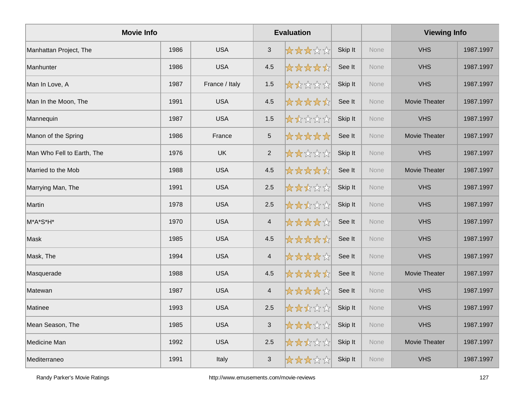| <b>Movie Info</b>          |      |                |                          | <b>Evaluation</b> |         |             | <b>Viewing Info</b> |           |
|----------------------------|------|----------------|--------------------------|-------------------|---------|-------------|---------------------|-----------|
| Manhattan Project, The     | 1986 | <b>USA</b>     | $\sqrt{3}$               | *****             | Skip It | None        | <b>VHS</b>          | 1987.1997 |
| Manhunter                  | 1986 | <b>USA</b>     | 4.5                      | *****             | See It  | <b>None</b> | <b>VHS</b>          | 1987.1997 |
| Man In Love, A             | 1987 | France / Italy | 1.5                      | *****             | Skip It | None        | <b>VHS</b>          | 1987.1997 |
| Man In the Moon, The       | 1991 | <b>USA</b>     | 4.5                      | *****             | See It  | None        | Movie Theater       | 1987.1997 |
| Mannequin                  | 1987 | <b>USA</b>     | 1.5                      | *****             | Skip It | None        | <b>VHS</b>          | 1987.1997 |
| Manon of the Spring        | 1986 | France         | $\sqrt{5}$               | *****             | See It  | <b>None</b> | Movie Theater       | 1987.1997 |
| Man Who Fell to Earth, The | 1976 | <b>UK</b>      | $\overline{2}$           | *****             | Skip It | None        | <b>VHS</b>          | 1987.1997 |
| Married to the Mob         | 1988 | <b>USA</b>     | 4.5                      | *****             | See It  | <b>None</b> | Movie Theater       | 1987.1997 |
| Marrying Man, The          | 1991 | <b>USA</b>     | 2.5                      | *****             | Skip It | None        | <b>VHS</b>          | 1987.1997 |
| Martin                     | 1978 | <b>USA</b>     | 2.5                      | *****             | Skip It | None        | <b>VHS</b>          | 1987.1997 |
| M*A*S*H*                   | 1970 | <b>USA</b>     | $\overline{4}$           | *****             | See It  | None        | <b>VHS</b>          | 1987.1997 |
| Mask                       | 1985 | <b>USA</b>     | 4.5                      | *****             | See It  | <b>None</b> | <b>VHS</b>          | 1987.1997 |
| Mask, The                  | 1994 | <b>USA</b>     | $\overline{\mathcal{A}}$ | *****             | See It  | <b>None</b> | <b>VHS</b>          | 1987.1997 |
| Masquerade                 | 1988 | <b>USA</b>     | 4.5                      | *****             | See It  | None        | Movie Theater       | 1987.1997 |
| Matewan                    | 1987 | <b>USA</b>     | $\overline{4}$           | *****             | See It  | None        | <b>VHS</b>          | 1987.1997 |
| Matinee                    | 1993 | <b>USA</b>     | 2.5                      | *****             | Skip It | <b>None</b> | <b>VHS</b>          | 1987.1997 |
| Mean Season, The           | 1985 | <b>USA</b>     | $\mathfrak{S}$           | *****             | Skip It | None        | <b>VHS</b>          | 1987.1997 |
| Medicine Man               | 1992 | <b>USA</b>     | 2.5                      | *****             | Skip It | None        | Movie Theater       | 1987.1997 |
| Mediterraneo               | 1991 | Italy          | $\mathbf{3}$             | *****             | Skip It | None        | <b>VHS</b>          | 1987.1997 |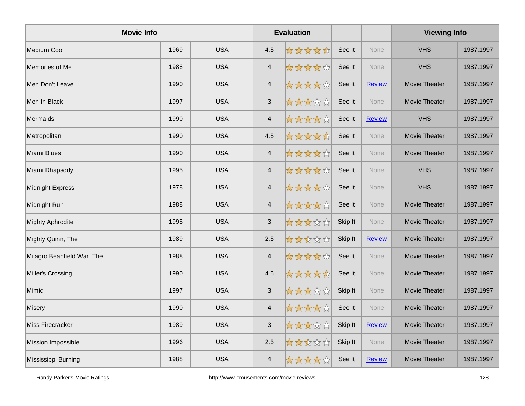| <b>Movie Info</b>          |      |            |                         | <b>Evaluation</b> |         |               | <b>Viewing Info</b>  |           |
|----------------------------|------|------------|-------------------------|-------------------|---------|---------------|----------------------|-----------|
| Medium Cool                | 1969 | <b>USA</b> | 4.5                     | *****             | See It  | <b>None</b>   | <b>VHS</b>           | 1987.1997 |
| Memories of Me             | 1988 | <b>USA</b> | $\overline{4}$          | *****             | See It  | None          | <b>VHS</b>           | 1987.1997 |
| Men Don't Leave            | 1990 | <b>USA</b> | $\overline{4}$          | *****             | See It  | <b>Review</b> | Movie Theater        | 1987.1997 |
| Men In Black               | 1997 | <b>USA</b> | $\sqrt{3}$              | *****             | See It  | None          | Movie Theater        | 1987.1997 |
| Mermaids                   | 1990 | <b>USA</b> | $\overline{4}$          | *****             | See It  | <b>Review</b> | <b>VHS</b>           | 1987.1997 |
| Metropolitan               | 1990 | <b>USA</b> | 4.5                     | *****             | See It  | <b>None</b>   | Movie Theater        | 1987.1997 |
| Miami Blues                | 1990 | <b>USA</b> | $\overline{4}$          | *****             | See It  | <b>None</b>   | Movie Theater        | 1987.1997 |
| Miami Rhapsody             | 1995 | <b>USA</b> | $\overline{4}$          | *****             | See It  | <b>None</b>   | <b>VHS</b>           | 1987.1997 |
| Midnight Express           | 1978 | <b>USA</b> | $\overline{4}$          | *****             | See It  | None          | <b>VHS</b>           | 1987.1997 |
| Midnight Run               | 1988 | <b>USA</b> | $\overline{4}$          | *****             | See It  | None          | Movie Theater        | 1987.1997 |
| <b>Mighty Aphrodite</b>    | 1995 | <b>USA</b> | $\mathfrak{S}$          | *****             | Skip It | <b>None</b>   | Movie Theater        | 1987.1997 |
| Mighty Quinn, The          | 1989 | <b>USA</b> | 2.5                     | *****             | Skip It | <b>Review</b> | Movie Theater        | 1987.1997 |
| Milagro Beanfield War, The | 1988 | <b>USA</b> | $\overline{\mathbf{4}}$ | *****             | See It  | None          | Movie Theater        | 1987.1997 |
| Miller's Crossing          | 1990 | <b>USA</b> | 4.5                     | *****             | See It  | None          | <b>Movie Theater</b> | 1987.1997 |
| Mimic                      | 1997 | <b>USA</b> | $\mathfrak{S}$          | *****             | Skip It | None          | Movie Theater        | 1987.1997 |
| Misery                     | 1990 | <b>USA</b> | $\overline{4}$          | *****             | See It  | <b>None</b>   | Movie Theater        | 1987.1997 |
| Miss Firecracker           | 1989 | <b>USA</b> | $\mathfrak{S}$          | *****             | Skip It | <b>Review</b> | Movie Theater        | 1987.1997 |
| Mission Impossible         | 1996 | <b>USA</b> | 2.5                     | *****             | Skip It | None          | Movie Theater        | 1987.1997 |
| Mississippi Burning        | 1988 | <b>USA</b> | $\overline{4}$          | *****             | See It  | <b>Review</b> | <b>Movie Theater</b> | 1987.1997 |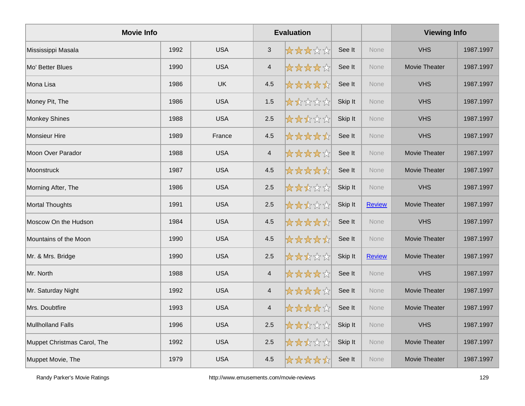| <b>Movie Info</b>           |      |            |                | <b>Evaluation</b> |         |               | <b>Viewing Info</b>  |           |
|-----------------------------|------|------------|----------------|-------------------|---------|---------------|----------------------|-----------|
| Mississippi Masala          | 1992 | <b>USA</b> | $\mathfrak{S}$ | *****             | See It  | <b>None</b>   | <b>VHS</b>           | 1987.1997 |
| Mo' Better Blues            | 1990 | <b>USA</b> | $\overline{4}$ | *****             | See It  | <b>None</b>   | <b>Movie Theater</b> | 1987.1997 |
| Mona Lisa                   | 1986 | <b>UK</b>  | 4.5            | *****             | See It  | None          | <b>VHS</b>           | 1987.1997 |
| Money Pit, The              | 1986 | <b>USA</b> | 1.5            | *****             | Skip It | None          | <b>VHS</b>           | 1987.1997 |
| <b>Monkey Shines</b>        | 1988 | <b>USA</b> | 2.5            | *****             | Skip It | None          | <b>VHS</b>           | 1987.1997 |
| Monsieur Hire               | 1989 | France     | 4.5            | *****             | See It  | <b>None</b>   | <b>VHS</b>           | 1987.1997 |
| Moon Over Parador           | 1988 | <b>USA</b> | $\overline{4}$ | *****             | See It  | <b>None</b>   | <b>Movie Theater</b> | 1987.1997 |
| Moonstruck                  | 1987 | <b>USA</b> | 4.5            | *****             | See It  | <b>None</b>   | Movie Theater        | 1987.1997 |
| Morning After, The          | 1986 | <b>USA</b> | 2.5            | *****             | Skip It | None          | <b>VHS</b>           | 1987.1997 |
| Mortal Thoughts             | 1991 | <b>USA</b> | 2.5            | *****             | Skip It | <b>Review</b> | Movie Theater        | 1987.1997 |
| Moscow On the Hudson        | 1984 | <b>USA</b> | 4.5            | *****             | See It  | <b>None</b>   | <b>VHS</b>           | 1987.1997 |
| Mountains of the Moon       | 1990 | <b>USA</b> | 4.5            | *****             | See It  | None          | Movie Theater        | 1987.1997 |
| Mr. & Mrs. Bridge           | 1990 | <b>USA</b> | 2.5            | *****             | Skip It | <b>Review</b> | Movie Theater        | 1987.1997 |
| Mr. North                   | 1988 | <b>USA</b> | $\overline{4}$ | *****             | See It  | None          | <b>VHS</b>           | 1987.1997 |
| Mr. Saturday Night          | 1992 | <b>USA</b> | $\overline{4}$ | *****             | See It  | None          | Movie Theater        | 1987.1997 |
| Mrs. Doubtfire              | 1993 | <b>USA</b> | $\overline{4}$ | *****             | See It  | <b>None</b>   | Movie Theater        | 1987.1997 |
| Mullholland Falls           | 1996 | <b>USA</b> | 2.5            | *****             | Skip It | None          | <b>VHS</b>           | 1987.1997 |
| Muppet Christmas Carol, The | 1992 | <b>USA</b> | 2.5            | *****             | Skip It | None          | Movie Theater        | 1987.1997 |
| Muppet Movie, The           | 1979 | <b>USA</b> | 4.5            | *****             | See It  | None          | Movie Theater        | 1987.1997 |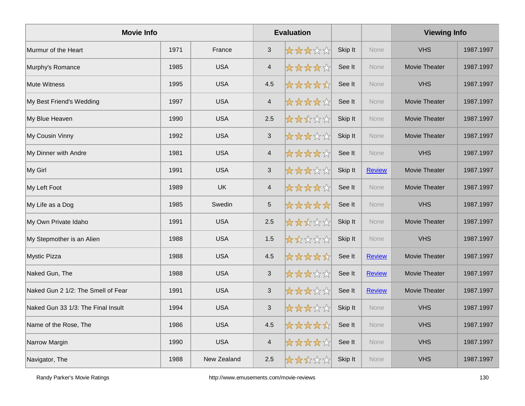| <b>Movie Info</b>                  |      |             |                | <b>Evaluation</b> |         |               | <b>Viewing Info</b>  |           |
|------------------------------------|------|-------------|----------------|-------------------|---------|---------------|----------------------|-----------|
| Murmur of the Heart                | 1971 | France      | $\mathfrak{S}$ | *****             | Skip It | <b>None</b>   | <b>VHS</b>           | 1987.1997 |
| Murphy's Romance                   | 1985 | <b>USA</b>  | $\overline{4}$ | *****             | See It  | None          | Movie Theater        | 1987.1997 |
| <b>Mute Witness</b>                | 1995 | <b>USA</b>  | 4.5            | *****             | See It  | None          | <b>VHS</b>           | 1987.1997 |
| My Best Friend's Wedding           | 1997 | <b>USA</b>  | $\overline{4}$ | *****             | See It  | None          | <b>Movie Theater</b> | 1987.1997 |
| My Blue Heaven                     | 1990 | <b>USA</b>  | 2.5            | *****             | Skip It | <b>None</b>   | Movie Theater        | 1987.1997 |
| My Cousin Vinny                    | 1992 | <b>USA</b>  | $\sqrt{3}$     | *****             | Skip It | <b>None</b>   | <b>Movie Theater</b> | 1987.1997 |
| My Dinner with Andre               | 1981 | <b>USA</b>  | $\overline{4}$ | *****             | See It  | None          | <b>VHS</b>           | 1987.1997 |
| My Girl                            | 1991 | <b>USA</b>  | $\sqrt{3}$     | *****             | Skip It | <b>Review</b> | Movie Theater        | 1987.1997 |
| My Left Foot                       | 1989 | <b>UK</b>   | $\overline{4}$ | *****             | See It  | None          | Movie Theater        | 1987.1997 |
| My Life as a Dog                   | 1985 | Swedin      | $\mathbf 5$    | *****             | See It  | <b>None</b>   | <b>VHS</b>           | 1987.1997 |
| My Own Private Idaho               | 1991 | <b>USA</b>  | 2.5            | *****             | Skip It | None          | Movie Theater        | 1987.1997 |
| My Stepmother is an Alien          | 1988 | <b>USA</b>  | 1.5            | *****             | Skip It | None          | <b>VHS</b>           | 1987.1997 |
| Mystic Pizza                       | 1988 | <b>USA</b>  | 4.5            | *****             | See It  | <b>Review</b> | Movie Theater        | 1987.1997 |
| Naked Gun, The                     | 1988 | <b>USA</b>  | $\sqrt{3}$     | *****             | See It  | Review        | Movie Theater        | 1987.1997 |
| Naked Gun 2 1/2: The Smell of Fear | 1991 | <b>USA</b>  | $\mathbf{3}$   | *****             | See It  | Review        | Movie Theater        | 1987.1997 |
| Naked Gun 33 1/3: The Final Insult | 1994 | <b>USA</b>  | $\sqrt{3}$     | *****             | Skip It | None          | <b>VHS</b>           | 1987.1997 |
| Name of the Rose, The              | 1986 | <b>USA</b>  | 4.5            | *****             | See It  | <b>None</b>   | <b>VHS</b>           | 1987.1997 |
| Narrow Margin                      | 1990 | <b>USA</b>  | $\overline{4}$ | *****             | See It  | <b>None</b>   | <b>VHS</b>           | 1987.1997 |
| Navigator, The                     | 1988 | New Zealand | 2.5            | *****             | Skip It | <b>None</b>   | <b>VHS</b>           | 1987.1997 |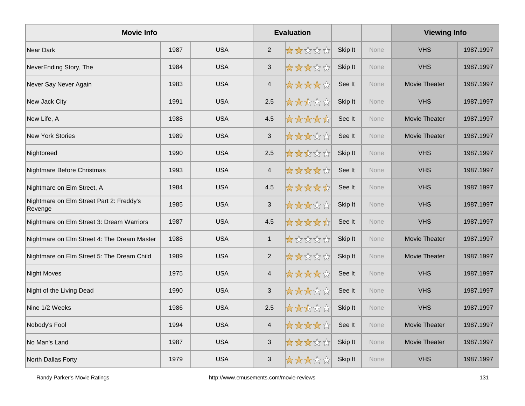| <b>Movie Info</b>                                   |      |            |                | <b>Evaluation</b> |         |             | <b>Viewing Info</b>  |           |
|-----------------------------------------------------|------|------------|----------------|-------------------|---------|-------------|----------------------|-----------|
| Near Dark                                           | 1987 | <b>USA</b> | 2              | *****             | Skip It | <b>None</b> | <b>VHS</b>           | 1987.1997 |
| NeverEnding Story, The                              | 1984 | <b>USA</b> | $\sqrt{3}$     | *****             | Skip It | None        | <b>VHS</b>           | 1987.1997 |
| Never Say Never Again                               | 1983 | <b>USA</b> | $\overline{4}$ | *****             | See It  | None        | Movie Theater        | 1987.1997 |
| New Jack City                                       | 1991 | <b>USA</b> | 2.5            | *****             | Skip It | None        | <b>VHS</b>           | 1987.1997 |
| New Life, A                                         | 1988 | <b>USA</b> | 4.5            | *****             | See It  | None        | <b>Movie Theater</b> | 1987.1997 |
| <b>New York Stories</b>                             | 1989 | <b>USA</b> | $\mathfrak{S}$ | *****             | See It  | <b>None</b> | Movie Theater        | 1987.1997 |
| Nightbreed                                          | 1990 | <b>USA</b> | 2.5            | *****             | Skip It | <b>None</b> | <b>VHS</b>           | 1987.1997 |
| Nightmare Before Christmas                          | 1993 | <b>USA</b> | $\overline{4}$ | *****             | See It  | <b>None</b> | <b>VHS</b>           | 1987.1997 |
| Nightmare on Elm Street, A                          | 1984 | <b>USA</b> | 4.5            | *****             | See It  | None        | <b>VHS</b>           | 1987.1997 |
| Nightmare on Elm Street Part 2: Freddy's<br>Revenge | 1985 | <b>USA</b> | $\sqrt{3}$     | *****             | Skip It | None        | <b>VHS</b>           | 1987.1997 |
| Nightmare on Elm Street 3: Dream Warriors           | 1987 | <b>USA</b> | 4.5            | *****             | See It  | <b>None</b> | <b>VHS</b>           | 1987.1997 |
| Nightmare on Elm Street 4: The Dream Master         | 1988 | <b>USA</b> | $\mathbf{1}$   | *****             | Skip It | None        | Movie Theater        | 1987.1997 |
| Nightmare on Elm Street 5: The Dream Child          | 1989 | <b>USA</b> | 2              | *****             | Skip It | None        | Movie Theater        | 1987.1997 |
| <b>Night Moves</b>                                  | 1975 | <b>USA</b> | $\overline{4}$ | *****             | See It  | None        | <b>VHS</b>           | 1987.1997 |
| Night of the Living Dead                            | 1990 | <b>USA</b> | $\mathfrak{S}$ | *****             | See It  | None        | <b>VHS</b>           | 1987.1997 |
| Nine 1/2 Weeks                                      | 1986 | <b>USA</b> | 2.5            | *****             | Skip It | <b>None</b> | <b>VHS</b>           | 1987.1997 |
| Nobody's Fool                                       | 1994 | <b>USA</b> | $\overline{4}$ | *****             | See It  | <b>None</b> | Movie Theater        | 1987.1997 |
| No Man's Land                                       | 1987 | <b>USA</b> | $\mathfrak{S}$ | *****             | Skip It | None        | Movie Theater        | 1987.1997 |
| North Dallas Forty                                  | 1979 | <b>USA</b> | $\mathfrak{S}$ | *****             | Skip It | None        | <b>VHS</b>           | 1987.1997 |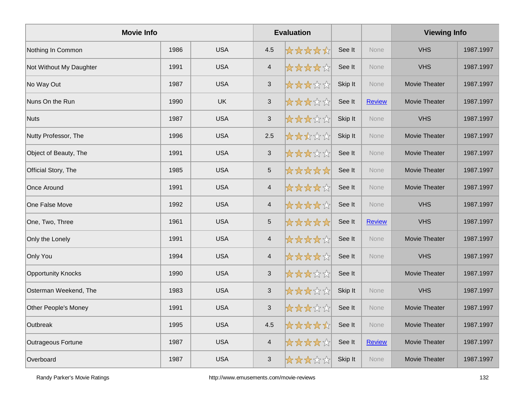| <b>Movie Info</b>         |      |            |                           | <b>Evaluation</b> |         |               | <b>Viewing Info</b> |           |
|---------------------------|------|------------|---------------------------|-------------------|---------|---------------|---------------------|-----------|
| Nothing In Common         | 1986 | <b>USA</b> | 4.5                       | *****             | See It  | <b>None</b>   | <b>VHS</b>          | 1987.1997 |
| Not Without My Daughter   | 1991 | <b>USA</b> | $\overline{4}$            | *****             | See It  | None          | <b>VHS</b>          | 1987.1997 |
| No Way Out                | 1987 | <b>USA</b> | $\mathfrak{S}$            | *****             | Skip It | None          | Movie Theater       | 1987.1997 |
| Nuns On the Run           | 1990 | <b>UK</b>  | $\ensuremath{\mathsf{3}}$ | *****             | See It  | <b>Review</b> | Movie Theater       | 1987.1997 |
| Nuts                      | 1987 | <b>USA</b> | $\mathfrak{S}$            | *****             | Skip It | None          | <b>VHS</b>          | 1987.1997 |
| Nutty Professor, The      | 1996 | <b>USA</b> | 2.5                       | *****             | Skip It | <b>None</b>   | Movie Theater       | 1987.1997 |
| Object of Beauty, The     | 1991 | <b>USA</b> | $\mathfrak{S}$            | *****             | See It  | None          | Movie Theater       | 1987.1997 |
| Official Story, The       | 1985 | <b>USA</b> | $\sqrt{5}$                | *****             | See It  | <b>None</b>   | Movie Theater       | 1987.1997 |
| Once Around               | 1991 | <b>USA</b> | $\overline{\mathbf{4}}$   | *****             | See It  | None          | Movie Theater       | 1987.1997 |
| One False Move            | 1992 | <b>USA</b> | $\overline{4}$            | *****             | See It  | None          | <b>VHS</b>          | 1987.1997 |
| One, Two, Three           | 1961 | <b>USA</b> | $\overline{5}$            | *****             | See It  | <b>Review</b> | <b>VHS</b>          | 1987.1997 |
| Only the Lonely           | 1991 | <b>USA</b> | $\overline{4}$            | *****             | See It  | <b>None</b>   | Movie Theater       | 1987.1997 |
| Only You                  | 1994 | <b>USA</b> | $\overline{4}$            | *****             | See It  | None          | <b>VHS</b>          | 1987.1997 |
| <b>Opportunity Knocks</b> | 1990 | <b>USA</b> | $\mathfrak{S}$            | *****             | See It  |               | Movie Theater       | 1987.1997 |
| Osterman Weekend, The     | 1983 | <b>USA</b> | $\mathfrak{S}$            | *****             | Skip It | <b>None</b>   | <b>VHS</b>          | 1987.1997 |
| Other People's Money      | 1991 | <b>USA</b> | $\ensuremath{\mathsf{3}}$ | *****             | See It  | None          | Movie Theater       | 1987.1997 |
| Outbreak                  | 1995 | <b>USA</b> | 4.5                       | *****             | See It  | None          | Movie Theater       | 1987.1997 |
| Outrageous Fortune        | 1987 | <b>USA</b> | $\overline{4}$            | *****             | See It  | <b>Review</b> | Movie Theater       | 1987.1997 |
| Overboard                 | 1987 | <b>USA</b> | 3                         | *****             | Skip It | <b>None</b>   | Movie Theater       | 1987.1997 |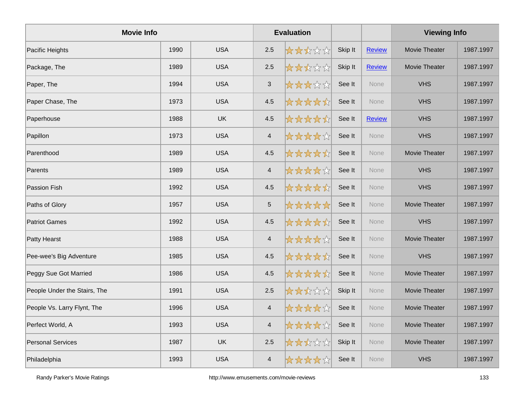| <b>Movie Info</b>            |      |            | <b>Evaluation</b> |       |         |               | <b>Viewing Info</b> |           |
|------------------------------|------|------------|-------------------|-------|---------|---------------|---------------------|-----------|
| Pacific Heights              | 1990 | <b>USA</b> | 2.5               | ***** | Skip It | <b>Review</b> | Movie Theater       | 1987.1997 |
| Package, The                 | 1989 | <b>USA</b> | 2.5               | ***** | Skip It | <b>Review</b> | Movie Theater       | 1987.1997 |
| Paper, The                   | 1994 | <b>USA</b> | $\mathfrak{S}$    | ***** | See It  | None          | <b>VHS</b>          | 1987.1997 |
| Paper Chase, The             | 1973 | <b>USA</b> | 4.5               | ***** | See It  | None          | <b>VHS</b>          | 1987.1997 |
| Paperhouse                   | 1988 | <b>UK</b>  | 4.5               | ***** | See It  | <b>Review</b> | <b>VHS</b>          | 1987.1997 |
| Papillon                     | 1973 | <b>USA</b> | $\overline{4}$    | ***** | See It  | <b>None</b>   | <b>VHS</b>          | 1987.1997 |
| Parenthood                   | 1989 | <b>USA</b> | 4.5               | ***** | See It  | <b>None</b>   | Movie Theater       | 1987.1997 |
| Parents                      | 1989 | <b>USA</b> | $\overline{4}$    | ***** | See It  | None          | <b>VHS</b>          | 1987.1997 |
| Passion Fish                 | 1992 | <b>USA</b> | 4.5               | ***** | See It  | None          | <b>VHS</b>          | 1987.1997 |
| Paths of Glory               | 1957 | <b>USA</b> | $\sqrt{5}$        | ***** | See It  | None          | Movie Theater       | 1987.1997 |
| <b>Patriot Games</b>         | 1992 | <b>USA</b> | 4.5               | ***** | See It  | <b>None</b>   | <b>VHS</b>          | 1987.1997 |
| Patty Hearst                 | 1988 | <b>USA</b> | $\overline{4}$    | ***** | See It  | <b>None</b>   | Movie Theater       | 1987.1997 |
| Pee-wee's Big Adventure      | 1985 | <b>USA</b> | 4.5               | ***** | See It  | None          | <b>VHS</b>          | 1987.1997 |
| Peggy Sue Got Married        | 1986 | <b>USA</b> | 4.5               | ***** | See It  | None          | Movie Theater       | 1987.1997 |
| People Under the Stairs, The | 1991 | <b>USA</b> | 2.5               | ***** | Skip It | None          | Movie Theater       | 1987.1997 |
| People Vs. Larry Flynt, The  | 1996 | <b>USA</b> | $\overline{4}$    | ***** | See It  | <b>None</b>   | Movie Theater       | 1987.1997 |
| Perfect World, A             | 1993 | <b>USA</b> | $\overline{4}$    | ***** | See It  | None          | Movie Theater       | 1987.1997 |
| Personal Services            | 1987 | UK         | 2.5               | ***** | Skip It | None          | Movie Theater       | 1987.1997 |
| Philadelphia                 | 1993 | <b>USA</b> | $\overline{4}$    | ***** | See It  | None          | <b>VHS</b>          | 1987.1997 |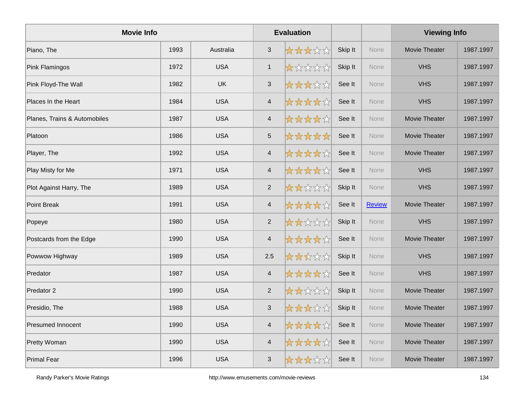| <b>Movie Info</b>            |      |            |                | <b>Evaluation</b> |         |               | <b>Viewing Info</b> |           |
|------------------------------|------|------------|----------------|-------------------|---------|---------------|---------------------|-----------|
| Piano, The                   | 1993 | Australia  | $\mathfrak{S}$ | *****             | Skip It | <b>None</b>   | Movie Theater       | 1987.1997 |
| Pink Flamingos               | 1972 | <b>USA</b> | $\mathbf{1}$   | *****             | Skip It | <b>None</b>   | <b>VHS</b>          | 1987.1997 |
| Pink Floyd-The Wall          | 1982 | <b>UK</b>  | $\mathfrak{S}$ | *****             | See It  | None          | <b>VHS</b>          | 1987.1997 |
| Places In the Heart          | 1984 | <b>USA</b> | $\overline{4}$ | *****             | See It  | None          | <b>VHS</b>          | 1987.1997 |
| Planes, Trains & Automobiles | 1987 | <b>USA</b> | $\overline{4}$ | *****             | See It  | None          | Movie Theater       | 1987.1997 |
| Platoon                      | 1986 | <b>USA</b> | $\sqrt{5}$     | *****             | See It  | <b>None</b>   | Movie Theater       | 1987.1997 |
| Player, The                  | 1992 | <b>USA</b> | 4              | *****             | See It  | <b>None</b>   | Movie Theater       | 1987.1997 |
| Play Misty for Me            | 1971 | <b>USA</b> | $\overline{4}$ | *****             | See It  | <b>None</b>   | <b>VHS</b>          | 1987.1997 |
| Plot Against Harry, The      | 1989 | <b>USA</b> | $\overline{2}$ | *****             | Skip It | None          | <b>VHS</b>          | 1987.1997 |
| Point Break                  | 1991 | <b>USA</b> | $\overline{4}$ | *****             | See It  | <b>Review</b> | Movie Theater       | 1987.1997 |
| Popeye                       | 1980 | <b>USA</b> | $\overline{2}$ | *****             | Skip It | <b>None</b>   | <b>VHS</b>          | 1987.1997 |
| Postcards from the Edge      | 1990 | <b>USA</b> | $\overline{4}$ | *****             | See It  | <b>None</b>   | Movie Theater       | 1987.1997 |
| Powwow Highway               | 1989 | <b>USA</b> | 2.5            | *****             | Skip It | None          | <b>VHS</b>          | 1987.1997 |
| Predator                     | 1987 | <b>USA</b> | $\overline{4}$ | *****             | See It  | None          | <b>VHS</b>          | 1987.1997 |
| Predator 2                   | 1990 | <b>USA</b> | $\overline{2}$ | *****             | Skip It | None          | Movie Theater       | 1987.1997 |
| Presidio, The                | 1988 | <b>USA</b> | $\sqrt{3}$     | *****             | Skip It | <b>None</b>   | Movie Theater       | 1987.1997 |
| <b>Presumed Innocent</b>     | 1990 | <b>USA</b> | $\overline{4}$ | *****             | See It  | <b>None</b>   | Movie Theater       | 1987.1997 |
| Pretty Woman                 | 1990 | <b>USA</b> | $\overline{4}$ | *****             | See It  | None          | Movie Theater       | 1987.1997 |
| Primal Fear                  | 1996 | <b>USA</b> | $\mathfrak{S}$ | *****             | See It  | None          | Movie Theater       | 1987.1997 |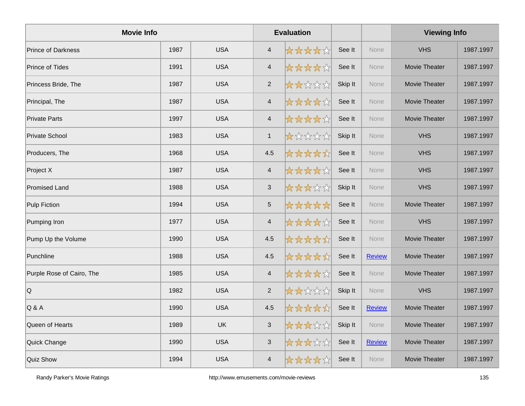| <b>Movie Info</b>         |      |            |                | <b>Evaluation</b> |         |               | <b>Viewing Info</b>  |           |
|---------------------------|------|------------|----------------|-------------------|---------|---------------|----------------------|-----------|
| <b>Prince of Darkness</b> | 1987 | <b>USA</b> | $\overline{4}$ | *****             | See It  | <b>None</b>   | <b>VHS</b>           | 1987.1997 |
| Prince of Tides           | 1991 | <b>USA</b> | $\overline{4}$ | *****             | See It  | None          | Movie Theater        | 1987.1997 |
| Princess Bride, The       | 1987 | <b>USA</b> | $\overline{2}$ | *****             | Skip It | None          | Movie Theater        | 1987.1997 |
| Principal, The            | 1987 | <b>USA</b> | $\overline{4}$ | *****             | See It  | <b>None</b>   | Movie Theater        | 1987.1997 |
| <b>Private Parts</b>      | 1997 | <b>USA</b> | $\overline{4}$ | *****             | See It  | None          | Movie Theater        | 1987.1997 |
| Private School            | 1983 | <b>USA</b> | $\mathbf{1}$   | *****             | Skip It | None          | <b>VHS</b>           | 1987.1997 |
| Producers, The            | 1968 | <b>USA</b> | 4.5            | *****             | See It  | None          | <b>VHS</b>           | 1987.1997 |
| Project X                 | 1987 | <b>USA</b> | $\overline{4}$ | *****             | See It  | None          | <b>VHS</b>           | 1987.1997 |
| <b>Promised Land</b>      | 1988 | <b>USA</b> | $\sqrt{3}$     | *****             | Skip It | None          | <b>VHS</b>           | 1987.1997 |
| Pulp Fiction              | 1994 | <b>USA</b> | $\sqrt{5}$     | *****             | See It  | None          | Movie Theater        | 1987.1997 |
| Pumping Iron              | 1977 | <b>USA</b> | $\overline{4}$ | *****             | See It  | None          | <b>VHS</b>           | 1987.1997 |
| Pump Up the Volume        | 1990 | <b>USA</b> | 4.5            | *****             | See It  | <b>None</b>   | Movie Theater        | 1987.1997 |
| Punchline                 | 1988 | <b>USA</b> | 4.5            | *****             | See It  | <b>Review</b> | Movie Theater        | 1987.1997 |
| Purple Rose of Cairo, The | 1985 | <b>USA</b> | $\overline{4}$ | *****             | See It  | None          | Movie Theater        | 1987.1997 |
| Q                         | 1982 | <b>USA</b> | $\overline{2}$ | *****             | Skip It | None          | <b>VHS</b>           | 1987.1997 |
| $Q$ &A                    | 1990 | <b>USA</b> | 4.5            | *****             | See It  | <b>Review</b> | Movie Theater        | 1987.1997 |
| Queen of Hearts           | 1989 | <b>UK</b>  | $\sqrt{3}$     | *****             | Skip It | None          | Movie Theater        | 1987.1997 |
| Quick Change              | 1990 | <b>USA</b> | $\mathfrak{S}$ | *****             | See It  | <b>Review</b> | Movie Theater        | 1987.1997 |
| Quiz Show                 | 1994 | <b>USA</b> | $\overline{4}$ | *****             | See It  | <b>None</b>   | <b>Movie Theater</b> | 1987.1997 |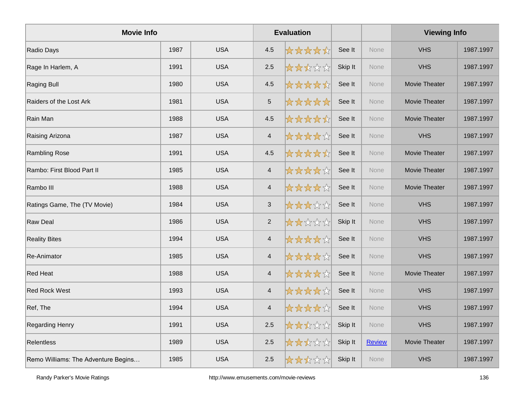| <b>Movie Info</b>                   |      |            |                           | <b>Evaluation</b> |         |               | <b>Viewing Info</b> |           |
|-------------------------------------|------|------------|---------------------------|-------------------|---------|---------------|---------------------|-----------|
| Radio Days                          | 1987 | <b>USA</b> | 4.5                       | *****             | See It  | None          | <b>VHS</b>          | 1987.1997 |
| Rage In Harlem, A                   | 1991 | <b>USA</b> | 2.5                       | *****             | Skip It | None          | <b>VHS</b>          | 1987.1997 |
| Raging Bull                         | 1980 | <b>USA</b> | 4.5                       | *****             | See It  | None          | Movie Theater       | 1987.1997 |
| Raiders of the Lost Ark             | 1981 | <b>USA</b> | $\overline{5}$            | *****             | See It  | None          | Movie Theater       | 1987.1997 |
| Rain Man                            | 1988 | <b>USA</b> | 4.5                       | *****             | See It  | None          | Movie Theater       | 1987.1997 |
| Raising Arizona                     | 1987 | <b>USA</b> | $\overline{4}$            | *****             | See It  | None          | <b>VHS</b>          | 1987.1997 |
| Rambling Rose                       | 1991 | <b>USA</b> | 4.5                       | *****             | See It  | None          | Movie Theater       | 1987.1997 |
| Rambo: First Blood Part II          | 1985 | <b>USA</b> | $\overline{4}$            | *****             | See It  | None          | Movie Theater       | 1987.1997 |
| Rambo III                           | 1988 | <b>USA</b> | $\overline{4}$            | *****             | See It  | None          | Movie Theater       | 1987.1997 |
| Ratings Game, The (TV Movie)        | 1984 | <b>USA</b> | $\ensuremath{\mathsf{3}}$ | *****             | See It  | None          | <b>VHS</b>          | 1987.1997 |
| <b>Raw Deal</b>                     | 1986 | <b>USA</b> | $\overline{2}$            | *****             | Skip It | None          | <b>VHS</b>          | 1987.1997 |
| <b>Reality Bites</b>                | 1994 | <b>USA</b> | $\overline{4}$            | *****             | See It  | None          | <b>VHS</b>          | 1987.1997 |
| <b>Re-Animator</b>                  | 1985 | <b>USA</b> | $\overline{4}$            | *****             | See It  | None          | <b>VHS</b>          | 1987.1997 |
| <b>Red Heat</b>                     | 1988 | <b>USA</b> | $\overline{4}$            | *****             | See It  | <b>None</b>   | Movie Theater       | 1987.1997 |
| <b>Red Rock West</b>                | 1993 | <b>USA</b> | $\overline{4}$            | *****             | See It  | None          | <b>VHS</b>          | 1987.1997 |
| Ref, The                            | 1994 | <b>USA</b> | $\overline{4}$            | *****             | See It  | None          | <b>VHS</b>          | 1987.1997 |
| Regarding Henry                     | 1991 | <b>USA</b> | 2.5                       | *****             | Skip It | None          | <b>VHS</b>          | 1987.1997 |
| Relentless                          | 1989 | <b>USA</b> | 2.5                       | *****             | Skip It | <b>Review</b> | Movie Theater       | 1987.1997 |
| Remo Williams: The Adventure Begins | 1985 | <b>USA</b> | 2.5                       | *****             | Skip It | None          | <b>VHS</b>          | 1987.1997 |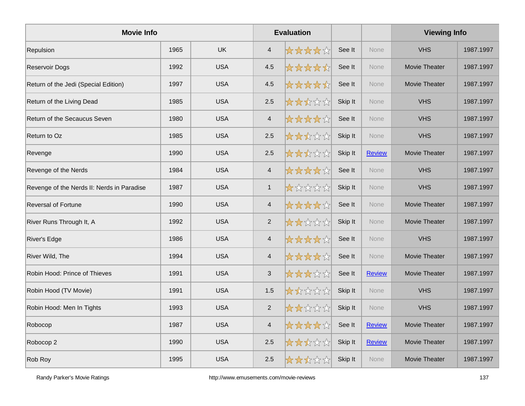| <b>Movie Info</b>                          |      |            | <b>Evaluation</b>       |       |         |               | <b>Viewing Info</b>  |           |
|--------------------------------------------|------|------------|-------------------------|-------|---------|---------------|----------------------|-----------|
| Repulsion                                  | 1965 | <b>UK</b>  | $\overline{4}$          | ***** | See It  | <b>None</b>   | <b>VHS</b>           | 1987.1997 |
| Reservoir Dogs                             | 1992 | <b>USA</b> | 4.5                     | ***** | See It  | None          | Movie Theater        | 1987.1997 |
| Return of the Jedi (Special Edition)       | 1997 | <b>USA</b> | 4.5                     | ***** | See It  | None          | Movie Theater        | 1987.1997 |
| Return of the Living Dead                  | 1985 | <b>USA</b> | 2.5                     | ***** | Skip It | <b>None</b>   | <b>VHS</b>           | 1987.1997 |
| Return of the Secaucus Seven               | 1980 | <b>USA</b> | $\overline{4}$          | ***** | See It  | None          | <b>VHS</b>           | 1987.1997 |
| Return to Oz                               | 1985 | <b>USA</b> | 2.5                     | ***** | Skip It | <b>None</b>   | <b>VHS</b>           | 1987.1997 |
| Revenge                                    | 1990 | <b>USA</b> | 2.5                     | ***** | Skip It | <b>Review</b> | Movie Theater        | 1987.1997 |
| Revenge of the Nerds                       | 1984 | <b>USA</b> | $\overline{4}$          | ***** | See It  | None          | <b>VHS</b>           | 1987.1997 |
| Revenge of the Nerds II: Nerds in Paradise | 1987 | <b>USA</b> | $\mathbf{1}$            | ***** | Skip It | None          | <b>VHS</b>           | 1987.1997 |
| Reversal of Fortune                        | 1990 | <b>USA</b> | $\overline{\mathbf{4}}$ | ***** | See It  | None          | Movie Theater        | 1987.1997 |
| River Runs Through It, A                   | 1992 | <b>USA</b> | $\overline{2}$          | ***** | Skip It | None          | Movie Theater        | 1987.1997 |
| River's Edge                               | 1986 | <b>USA</b> | $\overline{4}$          | ***** | See It  | None          | <b>VHS</b>           | 1987.1997 |
| River Wild, The                            | 1994 | <b>USA</b> | $\overline{\mathbf{4}}$ | ***** | See It  | None          | Movie Theater        | 1987.1997 |
| Robin Hood: Prince of Thieves              | 1991 | <b>USA</b> | $\mathfrak{S}$          | ***** | See It  | <b>Review</b> | Movie Theater        | 1987.1997 |
| Robin Hood (TV Movie)                      | 1991 | <b>USA</b> | 1.5                     | ***** | Skip It | None          | <b>VHS</b>           | 1987.1997 |
| Robin Hood: Men In Tights                  | 1993 | <b>USA</b> | $\overline{2}$          | ***** | Skip It | <b>None</b>   | <b>VHS</b>           | 1987.1997 |
| Robocop                                    | 1987 | <b>USA</b> | $\overline{\mathbf{4}}$ | ***** | See It  | Review        | <b>Movie Theater</b> | 1987.1997 |
| Robocop 2                                  | 1990 | <b>USA</b> | 2.5                     | ***** | Skip It | <b>Review</b> | Movie Theater        | 1987.1997 |
| Rob Roy                                    | 1995 | <b>USA</b> | 2.5                     | ***** | Skip It | None          | Movie Theater        | 1987.1997 |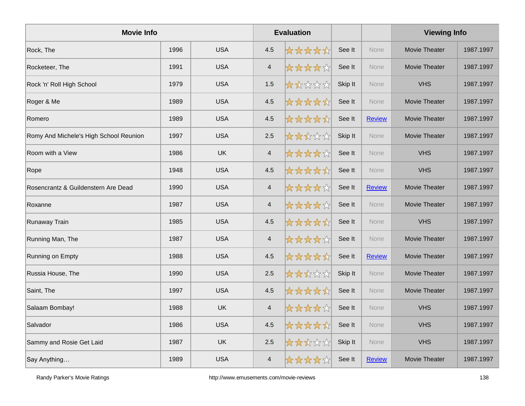| <b>Movie Info</b>                      |      |            |                | <b>Evaluation</b> |         |               | <b>Viewing Info</b>  |           |
|----------------------------------------|------|------------|----------------|-------------------|---------|---------------|----------------------|-----------|
| Rock, The                              | 1996 | <b>USA</b> | 4.5            | *****             | See It  | None          | Movie Theater        | 1987.1997 |
| Rocketeer, The                         | 1991 | <b>USA</b> | $\overline{4}$ | *****             | See It  | None          | Movie Theater        | 1987.1997 |
| Rock 'n' Roll High School              | 1979 | <b>USA</b> | 1.5            | *****             | Skip It | None          | <b>VHS</b>           | 1987.1997 |
| Roger & Me                             | 1989 | <b>USA</b> | 4.5            | *****             | See It  | None          | <b>Movie Theater</b> | 1987.1997 |
| Romero                                 | 1989 | <b>USA</b> | 4.5            | *****             | See It  | <b>Review</b> | Movie Theater        | 1987.1997 |
| Romy And Michele's High School Reunion | 1997 | <b>USA</b> | 2.5            | *****             | Skip It | <b>None</b>   | <b>Movie Theater</b> | 1987.1997 |
| Room with a View                       | 1986 | <b>UK</b>  | $\overline{4}$ | *****             | See It  | None          | <b>VHS</b>           | 1987.1997 |
| Rope                                   | 1948 | <b>USA</b> | 4.5            | *****             | See It  | None          | <b>VHS</b>           | 1987.1997 |
| Rosencrantz & Guildenstern Are Dead    | 1990 | <b>USA</b> | $\overline{4}$ | *****             | See It  | <b>Review</b> | Movie Theater        | 1987.1997 |
| Roxanne                                | 1987 | <b>USA</b> | $\overline{4}$ | *****             | See It  | <b>None</b>   | Movie Theater        | 1987.1997 |
| Runaway Train                          | 1985 | <b>USA</b> | 4.5            | *****             | See It  | None          | <b>VHS</b>           | 1987.1997 |
| Running Man, The                       | 1987 | <b>USA</b> | $\overline{4}$ | *****             | See It  | None          | Movie Theater        | 1987.1997 |
| Running on Empty                       | 1988 | <b>USA</b> | 4.5            | *****             | See It  | <b>Review</b> | Movie Theater        | 1987.1997 |
| Russia House, The                      | 1990 | <b>USA</b> | 2.5            | *****             | Skip It | <b>None</b>   | Movie Theater        | 1987.1997 |
| Saint, The                             | 1997 | <b>USA</b> | 4.5            | *****             | See It  | None          | Movie Theater        | 1987.1997 |
| Salaam Bombay!                         | 1988 | <b>UK</b>  | $\overline{4}$ | *****             | See It  | None          | <b>VHS</b>           | 1987.1997 |
| Salvador                               | 1986 | <b>USA</b> | 4.5            | *****             | See It  | <b>None</b>   | <b>VHS</b>           | 1987.1997 |
| Sammy and Rosie Get Laid               | 1987 | <b>UK</b>  | 2.5            | *****             | Skip It | <b>None</b>   | <b>VHS</b>           | 1987.1997 |
| Say Anything                           | 1989 | <b>USA</b> | $\overline{4}$ | *****             | See It  | Review        | Movie Theater        | 1987.1997 |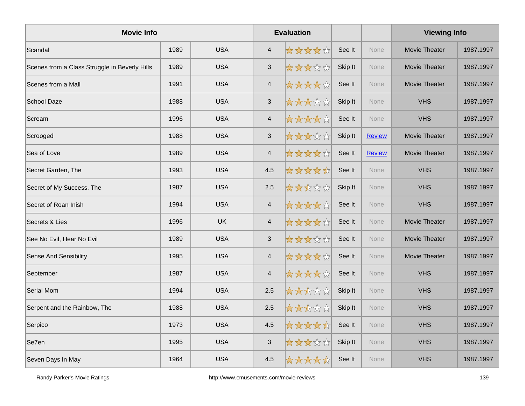| <b>Movie Info</b>                             |      |            |                           | <b>Evaluation</b> |         |               | <b>Viewing Info</b> |           |
|-----------------------------------------------|------|------------|---------------------------|-------------------|---------|---------------|---------------------|-----------|
| Scandal                                       | 1989 | <b>USA</b> | 4                         | *****             | See It  | <b>None</b>   | Movie Theater       | 1987.1997 |
| Scenes from a Class Struggle in Beverly Hills | 1989 | <b>USA</b> | $\mathbf{3}$              | *****             | Skip It | None          | Movie Theater       | 1987.1997 |
| Scenes from a Mall                            | 1991 | <b>USA</b> | $\overline{4}$            | *****             | See It  | None          | Movie Theater       | 1987.1997 |
| <b>School Daze</b>                            | 1988 | <b>USA</b> | 3                         | *****             | Skip It | <b>None</b>   | <b>VHS</b>          | 1987.1997 |
| Scream                                        | 1996 | <b>USA</b> | 4                         | *****             | See It  | <b>None</b>   | <b>VHS</b>          | 1987.1997 |
| Scrooged                                      | 1988 | <b>USA</b> | $\ensuremath{\mathsf{3}}$ | *****             | Skip It | <b>Review</b> | Movie Theater       | 1987.1997 |
| Sea of Love                                   | 1989 | <b>USA</b> | $\overline{4}$            | *****             | See It  | <b>Review</b> | Movie Theater       | 1987.1997 |
| Secret Garden, The                            | 1993 | <b>USA</b> | 4.5                       | *****             | See It  | None          | <b>VHS</b>          | 1987.1997 |
| Secret of My Success, The                     | 1987 | <b>USA</b> | 2.5                       | *****             | Skip It | <b>None</b>   | <b>VHS</b>          | 1987.1997 |
| Secret of Roan Inish                          | 1994 | <b>USA</b> | $\overline{4}$            | *****             | See It  | <b>None</b>   | <b>VHS</b>          | 1987.1997 |
| Secrets & Lies                                | 1996 | <b>UK</b>  | $\overline{4}$            | *****             | See It  | None          | Movie Theater       | 1987.1997 |
| See No Evil, Hear No Evil                     | 1989 | <b>USA</b> | $\mathfrak{S}$            | *****             | See It  | None          | Movie Theater       | 1987.1997 |
| <b>Sense And Sensibility</b>                  | 1995 | <b>USA</b> | $\overline{4}$            | *****             | See It  | <b>None</b>   | Movie Theater       | 1987.1997 |
| September                                     | 1987 | <b>USA</b> | $\overline{4}$            | *****             | See It  | <b>None</b>   | <b>VHS</b>          | 1987.1997 |
| Serial Mom                                    | 1994 | <b>USA</b> | 2.5                       | *****             | Skip It | None          | <b>VHS</b>          | 1987.1997 |
| Serpent and the Rainbow, The                  | 1988 | <b>USA</b> | 2.5                       | *****             | Skip It | None          | <b>VHS</b>          | 1987.1997 |
| Serpico                                       | 1973 | <b>USA</b> | 4.5                       | *****             | See It  | <b>None</b>   | <b>VHS</b>          | 1987.1997 |
| Se7en                                         | 1995 | <b>USA</b> | $\ensuremath{\mathsf{3}}$ | *****             | Skip It | <b>None</b>   | <b>VHS</b>          | 1987.1997 |
| Seven Days In May                             | 1964 | <b>USA</b> | 4.5                       | *****             | See It  | <b>None</b>   | <b>VHS</b>          | 1987.1997 |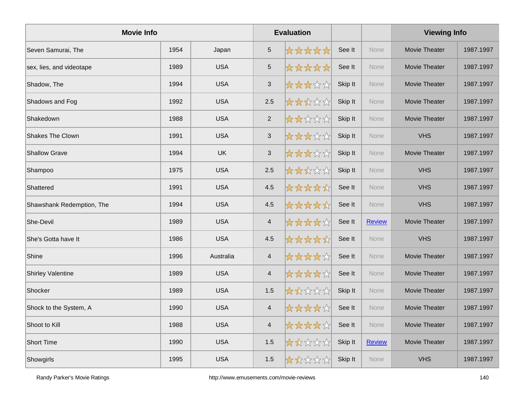| <b>Movie Info</b>         |      |            |                           | <b>Evaluation</b> |         |               | <b>Viewing Info</b>  |           |
|---------------------------|------|------------|---------------------------|-------------------|---------|---------------|----------------------|-----------|
| Seven Samurai, The        | 1954 | Japan      | $\overline{5}$            | *****             | See It  | <b>None</b>   | <b>Movie Theater</b> | 1987.1997 |
| sex, lies, and videotape  | 1989 | <b>USA</b> | $\sqrt{5}$                | *****             | See It  | <b>None</b>   | Movie Theater        | 1987.1997 |
| Shadow, The               | 1994 | <b>USA</b> | $\mathfrak{S}$            | *****             | Skip It | None          | Movie Theater        | 1987.1997 |
| Shadows and Fog           | 1992 | <b>USA</b> | 2.5                       | *****             | Skip It | None          | Movie Theater        | 1987.1997 |
| Shakedown                 | 1988 | <b>USA</b> | $\overline{2}$            | *****             | Skip It | <b>None</b>   | Movie Theater        | 1987.1997 |
| <b>Shakes The Clown</b>   | 1991 | <b>USA</b> | $\ensuremath{\mathsf{3}}$ | *****             | Skip It | <b>None</b>   | <b>VHS</b>           | 1987.1997 |
| <b>Shallow Grave</b>      | 1994 | UK         | $\ensuremath{\mathsf{3}}$ | *****             | Skip It | <b>None</b>   | Movie Theater        | 1987.1997 |
| Shampoo                   | 1975 | <b>USA</b> | 2.5                       | *****             | Skip It | None          | <b>VHS</b>           | 1987.1997 |
| Shattered                 | 1991 | <b>USA</b> | 4.5                       | *****             | See It  | <b>None</b>   | <b>VHS</b>           | 1987.1997 |
| Shawshank Redemption, The | 1994 | <b>USA</b> | 4.5                       | *****             | See It  | <b>None</b>   | <b>VHS</b>           | 1987.1997 |
| She-Devil                 | 1989 | <b>USA</b> | $\overline{4}$            | *****             | See It  | <b>Review</b> | Movie Theater        | 1987.1997 |
| She's Gotta have It       | 1986 | <b>USA</b> | 4.5                       | *****             | See It  | None          | <b>VHS</b>           | 1987.1997 |
| Shine                     | 1996 | Australia  | $\overline{\mathbf{4}}$   | *****             | See It  | None          | Movie Theater        | 1987.1997 |
| <b>Shirley Valentine</b>  | 1989 | <b>USA</b> | $\overline{4}$            | *****             | See It  | <b>None</b>   | Movie Theater        | 1987.1997 |
| Shocker                   | 1989 | <b>USA</b> | 1.5                       | *****             | Skip It | None          | <b>Movie Theater</b> | 1987.1997 |
| Shock to the System, A    | 1990 | <b>USA</b> | $\overline{4}$            | *****             | See It  | None          | Movie Theater        | 1987.1997 |
| Shoot to Kill             | 1988 | <b>USA</b> | $\overline{\mathbf{4}}$   | *****             | See It  | None          | Movie Theater        | 1987.1997 |
| Short Time                | 1990 | <b>USA</b> | 1.5                       | *****             | Skip It | <b>Review</b> | Movie Theater        | 1987.1997 |
| Showgirls                 | 1995 | <b>USA</b> | 1.5                       | *****             | Skip It | <b>None</b>   | <b>VHS</b>           | 1987.1997 |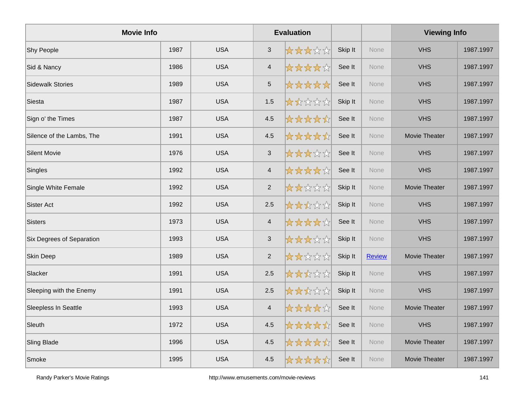| <b>Movie Info</b>         |      |            | <b>Evaluation</b>       |       |         |               | <b>Viewing Info</b>  |           |
|---------------------------|------|------------|-------------------------|-------|---------|---------------|----------------------|-----------|
| Shy People                | 1987 | <b>USA</b> | $\mathfrak{S}$          | ***** | Skip It | None          | <b>VHS</b>           | 1987.1997 |
| Sid & Nancy               | 1986 | <b>USA</b> | $\overline{4}$          | ***** | See It  | None          | <b>VHS</b>           | 1987.1997 |
| <b>Sidewalk Stories</b>   | 1989 | <b>USA</b> | $\overline{5}$          | ***** | See It  | None          | <b>VHS</b>           | 1987.1997 |
| Siesta                    | 1987 | <b>USA</b> | 1.5                     | ***** | Skip It | None          | <b>VHS</b>           | 1987.1997 |
| Sign o' the Times         | 1987 | <b>USA</b> | 4.5                     | ***** | See It  | None          | <b>VHS</b>           | 1987.1997 |
| Silence of the Lambs, The | 1991 | <b>USA</b> | 4.5                     | ***** | See It  | None          | Movie Theater        | 1987.1997 |
| <b>Silent Movie</b>       | 1976 | <b>USA</b> | $\sqrt{3}$              | ***** | See It  | None          | <b>VHS</b>           | 1987.1997 |
| Singles                   | 1992 | <b>USA</b> | $\overline{\mathbf{4}}$ | ***** | See It  | None          | <b>VHS</b>           | 1987.1997 |
| Single White Female       | 1992 | <b>USA</b> | $\overline{2}$          | ***** | Skip It | <b>None</b>   | <b>Movie Theater</b> | 1987.1997 |
| <b>Sister Act</b>         | 1992 | <b>USA</b> | 2.5                     | ***** | Skip It | None          | <b>VHS</b>           | 1987.1997 |
| <b>Sisters</b>            | 1973 | <b>USA</b> | $\overline{4}$          | ***** | See It  | None          | <b>VHS</b>           | 1987.1997 |
| Six Degrees of Separation | 1993 | <b>USA</b> | $\mathfrak{S}$          | ***** | Skip It | None          | <b>VHS</b>           | 1987.1997 |
| Skin Deep                 | 1989 | <b>USA</b> | $\overline{2}$          | ***** | Skip It | <b>Review</b> | <b>Movie Theater</b> | 1987.1997 |
| Slacker                   | 1991 | <b>USA</b> | 2.5                     | ***** | Skip It | None          | <b>VHS</b>           | 1987.1997 |
| Sleeping with the Enemy   | 1991 | <b>USA</b> | 2.5                     | ***** | Skip It | None          | <b>VHS</b>           | 1987.1997 |
| Sleepless In Seattle      | 1993 | <b>USA</b> | $\overline{4}$          | ***** | See It  | None          | Movie Theater        | 1987.1997 |
| Sleuth                    | 1972 | <b>USA</b> | 4.5                     | ***** | See It  | None          | <b>VHS</b>           | 1987.1997 |
| Sling Blade               | 1996 | <b>USA</b> | 4.5                     | ***** | See It  | None          | Movie Theater        | 1987.1997 |
| Smoke                     | 1995 | <b>USA</b> | 4.5                     | ***** | See It  | <b>None</b>   | Movie Theater        | 1987.1997 |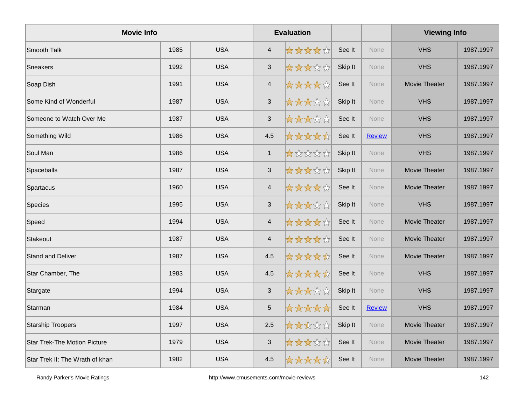| <b>Movie Info</b>                   |      |            |                           | <b>Evaluation</b> |         |               | <b>Viewing Info</b>  |           |
|-------------------------------------|------|------------|---------------------------|-------------------|---------|---------------|----------------------|-----------|
| Smooth Talk                         | 1985 | <b>USA</b> | $\overline{4}$            | *****             | See It  | <b>None</b>   | <b>VHS</b>           | 1987.1997 |
| <b>Sneakers</b>                     | 1992 | <b>USA</b> | $\mathfrak{S}$            | *****             | Skip It | None          | <b>VHS</b>           | 1987.1997 |
| Soap Dish                           | 1991 | <b>USA</b> | 4                         | *****             | See It  | None          | <b>Movie Theater</b> | 1987.1997 |
| Some Kind of Wonderful              | 1987 | <b>USA</b> | $\mathfrak{S}$            | *****             | Skip It | <b>None</b>   | <b>VHS</b>           | 1987.1997 |
| Someone to Watch Over Me            | 1987 | <b>USA</b> | $\mathfrak{S}$            | *****             | See It  | None          | <b>VHS</b>           | 1987.1997 |
| Something Wild                      | 1986 | <b>USA</b> | 4.5                       | *****             | See It  | <b>Review</b> | <b>VHS</b>           | 1987.1997 |
| Soul Man                            | 1986 | <b>USA</b> | $\mathbf{1}$              | *****             | Skip It | None          | <b>VHS</b>           | 1987.1997 |
| Spaceballs                          | 1987 | <b>USA</b> | $\mathfrak{S}$            | *****             | Skip It | <b>None</b>   | Movie Theater        | 1987.1997 |
| Spartacus                           | 1960 | <b>USA</b> | $\overline{\mathbf{4}}$   | *****             | See It  | <b>None</b>   | Movie Theater        | 1987.1997 |
| Species                             | 1995 | <b>USA</b> | $\ensuremath{\mathsf{3}}$ | *****             | Skip It | None          | <b>VHS</b>           | 1987.1997 |
| Speed                               | 1994 | <b>USA</b> | $\overline{\mathbf{4}}$   | *****             | See It  | None          | Movie Theater        | 1987.1997 |
| Stakeout                            | 1987 | <b>USA</b> | $\overline{4}$            | *****             | See It  | None          | Movie Theater        | 1987.1997 |
| <b>Stand and Deliver</b>            | 1987 | <b>USA</b> | 4.5                       | *****             | See It  | <b>None</b>   | Movie Theater        | 1987.1997 |
| Star Chamber, The                   | 1983 | <b>USA</b> | 4.5                       | *****             | See It  | None          | <b>VHS</b>           | 1987.1997 |
| Stargate                            | 1994 | <b>USA</b> | $\mathfrak{S}$            | *****             | Skip It | <b>None</b>   | <b>VHS</b>           | 1987.1997 |
| Starman                             | 1984 | <b>USA</b> | $\,$ 5 $\,$               | *****             | See It  | <b>Review</b> | <b>VHS</b>           | 1987.1997 |
| <b>Starship Troopers</b>            | 1997 | <b>USA</b> | 2.5                       | *****             | Skip It | <b>None</b>   | Movie Theater        | 1987.1997 |
| <b>Star Trek-The Motion Picture</b> | 1979 | <b>USA</b> | $\sqrt{3}$                | *****             | See It  | None          | Movie Theater        | 1987.1997 |
| Star Trek II: The Wrath of khan     | 1982 | <b>USA</b> | 4.5                       | *****             | See It  | None          | <b>Movie Theater</b> | 1987.1997 |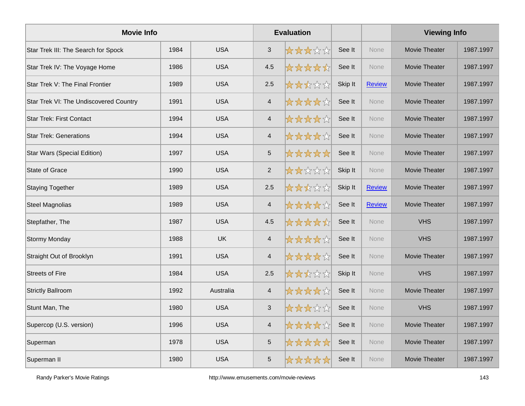| <b>Movie Info</b>                      |      |            |                           | <b>Evaluation</b> |         |               | <b>Viewing Info</b>  |           |
|----------------------------------------|------|------------|---------------------------|-------------------|---------|---------------|----------------------|-----------|
| Star Trek III: The Search for Spock    | 1984 | <b>USA</b> | $\mathfrak{S}$            | *****             | See It  | <b>None</b>   | Movie Theater        | 1987.1997 |
| Star Trek IV: The Voyage Home          | 1986 | <b>USA</b> | 4.5                       | *****             | See It  | None          | Movie Theater        | 1987.1997 |
| Star Trek V: The Final Frontier        | 1989 | <b>USA</b> | 2.5                       | *****             | Skip It | <b>Review</b> | Movie Theater        | 1987.1997 |
| Star Trek VI: The Undiscovered Country | 1991 | <b>USA</b> | $\overline{4}$            | *****             | See It  | None          | Movie Theater        | 1987.1997 |
| <b>Star Trek: First Contact</b>        | 1994 | <b>USA</b> | $\overline{4}$            | *****             | See It  | None          | Movie Theater        | 1987.1997 |
| <b>Star Trek: Generations</b>          | 1994 | <b>USA</b> | $\overline{4}$            | *****             | See It  | <b>None</b>   | <b>Movie Theater</b> | 1987.1997 |
| <b>Star Wars (Special Edition)</b>     | 1997 | <b>USA</b> | $\mathbf 5$               | *****             | See It  | None          | Movie Theater        | 1987.1997 |
| <b>State of Grace</b>                  | 1990 | <b>USA</b> | $\overline{2}$            | *****             | Skip It | <b>None</b>   | Movie Theater        | 1987.1997 |
| <b>Staying Together</b>                | 1989 | <b>USA</b> | 2.5                       | *****             | Skip It | <b>Review</b> | Movie Theater        | 1987.1997 |
| <b>Steel Magnolias</b>                 | 1989 | <b>USA</b> | $\overline{4}$            | *****             | See It  | <b>Review</b> | Movie Theater        | 1987.1997 |
| Stepfather, The                        | 1987 | <b>USA</b> | 4.5                       | *****             | See It  | None          | <b>VHS</b>           | 1987.1997 |
| <b>Stormy Monday</b>                   | 1988 | <b>UK</b>  | $\overline{4}$            | *****             | See It  | None          | <b>VHS</b>           | 1987.1997 |
| Straight Out of Brooklyn               | 1991 | <b>USA</b> | $\overline{4}$            | *****             | See It  | <b>None</b>   | Movie Theater        | 1987.1997 |
| <b>Streets of Fire</b>                 | 1984 | <b>USA</b> | 2.5                       | *****             | Skip It | <b>None</b>   | <b>VHS</b>           | 1987.1997 |
| <b>Strictly Ballroom</b>               | 1992 | Australia  | $\overline{4}$            | *****             | See It  | None          | Movie Theater        | 1987.1997 |
| Stunt Man, The                         | 1980 | <b>USA</b> | $\ensuremath{\mathsf{3}}$ | *****             | See It  | None          | <b>VHS</b>           | 1987.1997 |
| Supercop (U.S. version)                | 1996 | <b>USA</b> | $\overline{4}$            | *****             | See It  | <b>None</b>   | Movie Theater        | 1987.1997 |
| Superman                               | 1978 | <b>USA</b> | 5                         | *****             | See It  | None          | Movie Theater        | 1987.1997 |
| Superman II                            | 1980 | <b>USA</b> | 5                         | *****             | See It  | None          | Movie Theater        | 1987.1997 |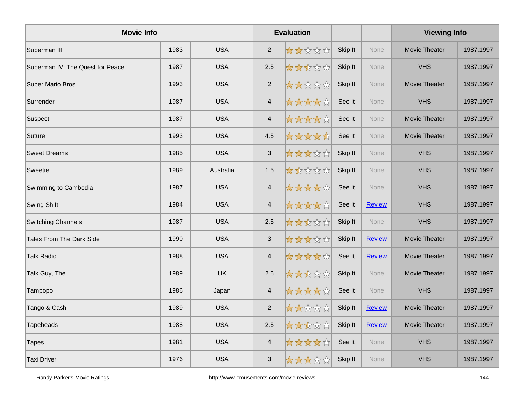| <b>Movie Info</b>                |      |            |                         | <b>Evaluation</b> |         |               | <b>Viewing Info</b> |           |
|----------------------------------|------|------------|-------------------------|-------------------|---------|---------------|---------------------|-----------|
| Superman III                     | 1983 | <b>USA</b> | $\overline{2}$          | *****             | Skip It | <b>None</b>   | Movie Theater       | 1987.1997 |
| Superman IV: The Quest for Peace | 1987 | <b>USA</b> | 2.5                     | *****             | Skip It | None          | <b>VHS</b>          | 1987.1997 |
| Super Mario Bros.                | 1993 | <b>USA</b> | $\overline{2}$          | *****             | Skip It | None          | Movie Theater       | 1987.1997 |
| Surrender                        | 1987 | <b>USA</b> | $\overline{4}$          | *****             | See It  | <b>None</b>   | <b>VHS</b>          | 1987.1997 |
| Suspect                          | 1987 | <b>USA</b> | $\overline{\mathbf{4}}$ | *****             | See It  | None          | Movie Theater       | 1987.1997 |
| Suture                           | 1993 | <b>USA</b> | 4.5                     | *****             | See It  | None          | Movie Theater       | 1987.1997 |
| <b>Sweet Dreams</b>              | 1985 | <b>USA</b> | $\mathfrak{S}$          | *****             | Skip It | None          | <b>VHS</b>          | 1987.1997 |
| Sweetie                          | 1989 | Australia  | 1.5                     | *****             | Skip It | <b>None</b>   | <b>VHS</b>          | 1987.1997 |
| Swimming to Cambodia             | 1987 | <b>USA</b> | $\overline{4}$          | *****             | See It  | None          | <b>VHS</b>          | 1987.1997 |
| <b>Swing Shift</b>               | 1984 | <b>USA</b> | $\overline{\mathbf{4}}$ | *****             | See It  | <b>Review</b> | <b>VHS</b>          | 1987.1997 |
| <b>Switching Channels</b>        | 1987 | <b>USA</b> | 2.5                     | *****             | Skip It | <b>None</b>   | <b>VHS</b>          | 1987.1997 |
| <b>Tales From The Dark Side</b>  | 1990 | <b>USA</b> | $\mathbf{3}$            | *****             | Skip It | <b>Review</b> | Movie Theater       | 1987.1997 |
| <b>Talk Radio</b>                | 1988 | <b>USA</b> | $\overline{4}$          | *****             | See It  | <b>Review</b> | Movie Theater       | 1987.1997 |
| Talk Guy, The                    | 1989 | <b>UK</b>  | 2.5                     | *****             | Skip It | None          | Movie Theater       | 1987.1997 |
| Tampopo                          | 1986 | Japan      | $\overline{4}$          | *****             | See It  | None          | <b>VHS</b>          | 1987.1997 |
| Tango & Cash                     | 1989 | <b>USA</b> | $\overline{2}$          | *****             | Skip It | <b>Review</b> | Movie Theater       | 1987.1997 |
| Tapeheads                        | 1988 | <b>USA</b> | 2.5                     | *****             | Skip It | <b>Review</b> | Movie Theater       | 1987.1997 |
| <b>Tapes</b>                     | 1981 | <b>USA</b> | $\overline{\mathbf{4}}$ | *****             | See It  | <b>None</b>   | <b>VHS</b>          | 1987.1997 |
| <b>Taxi Driver</b>               | 1976 | <b>USA</b> | $\mathbf{3}$            | *****             | Skip It | <b>None</b>   | <b>VHS</b>          | 1987.1997 |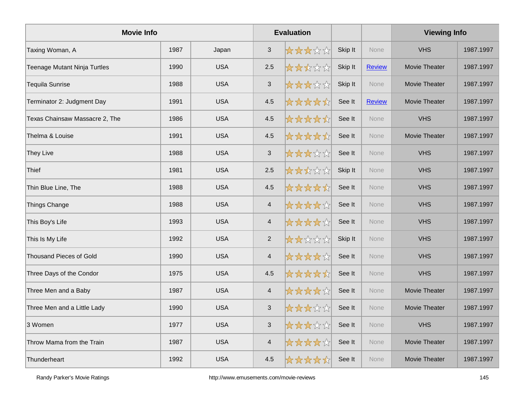| <b>Movie Info</b>              |      | <b>Evaluation</b> |                         |       |         | <b>Viewing Info</b> |                      |           |
|--------------------------------|------|-------------------|-------------------------|-------|---------|---------------------|----------------------|-----------|
| Taxing Woman, A                | 1987 | Japan             | $\mathbf{3}$            | ***** | Skip It | <b>None</b>         | <b>VHS</b>           | 1987.1997 |
| Teenage Mutant Ninja Turtles   | 1990 | <b>USA</b>        | 2.5                     | ***** | Skip It | <b>Review</b>       | <b>Movie Theater</b> | 1987.1997 |
| Tequila Sunrise                | 1988 | <b>USA</b>        | $\mathfrak{S}$          | ***** | Skip It | None                | Movie Theater        | 1987.1997 |
| Terminator 2: Judgment Day     | 1991 | <b>USA</b>        | 4.5                     | ***** | See It  | Review              | Movie Theater        | 1987.1997 |
| Texas Chainsaw Massacre 2, The | 1986 | <b>USA</b>        | 4.5                     | ***** | See It  | None                | <b>VHS</b>           | 1987.1997 |
| Thelma & Louise                | 1991 | <b>USA</b>        | 4.5                     | ***** | See It  | <b>None</b>         | Movie Theater        | 1987.1997 |
| They Live                      | 1988 | <b>USA</b>        | 3                       | ***** | See It  | None                | <b>VHS</b>           | 1987.1997 |
| Thief                          | 1981 | <b>USA</b>        | 2.5                     | ***** | Skip It | <b>None</b>         | <b>VHS</b>           | 1987.1997 |
| Thin Blue Line, The            | 1988 | <b>USA</b>        | 4.5                     | ***** | See It  | None                | <b>VHS</b>           | 1987.1997 |
| <b>Things Change</b>           | 1988 | <b>USA</b>        | $\overline{4}$          | ***** | See It  | None                | <b>VHS</b>           | 1987.1997 |
| This Boy's Life                | 1993 | <b>USA</b>        | 4                       | ***** | See It  | <b>None</b>         | <b>VHS</b>           | 1987.1997 |
| This Is My Life                | 1992 | <b>USA</b>        | $\overline{2}$          | ***** | Skip It | <b>None</b>         | <b>VHS</b>           | 1987.1997 |
| Thousand Pieces of Gold        | 1990 | <b>USA</b>        | $\overline{4}$          | ***** | See It  | <b>None</b>         | <b>VHS</b>           | 1987.1997 |
| Three Days of the Condor       | 1975 | <b>USA</b>        | 4.5                     | ***** | See It  | None                | <b>VHS</b>           | 1987.1997 |
| Three Men and a Baby           | 1987 | <b>USA</b>        | $\overline{\mathbf{4}}$ | ***** | See It  | None                | Movie Theater        | 1987.1997 |
| Three Men and a Little Lady    | 1990 | <b>USA</b>        | $\mathfrak{S}$          | ***** | See It  | <b>None</b>         | Movie Theater        | 1987.1997 |
| 3 Women                        | 1977 | <b>USA</b>        | 3                       | ***** | See It  | <b>None</b>         | <b>VHS</b>           | 1987.1997 |
| Throw Mama from the Train      | 1987 | <b>USA</b>        | $\overline{\mathbf{4}}$ | ***** | See It  | None                | Movie Theater        | 1987.1997 |
| Thunderheart                   | 1992 | <b>USA</b>        | 4.5                     | ***** | See It  | None                | Movie Theater        | 1987.1997 |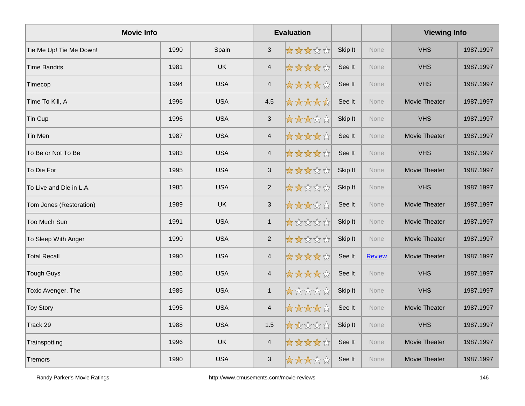| <b>Movie Info</b>       |      | <b>Evaluation</b> |                           |       |         | <b>Viewing Info</b> |               |           |
|-------------------------|------|-------------------|---------------------------|-------|---------|---------------------|---------------|-----------|
| Tie Me Up! Tie Me Down! | 1990 | Spain             | $\mathfrak{S}$            | ***** | Skip It | <b>None</b>         | <b>VHS</b>    | 1987.1997 |
| Time Bandits            | 1981 | <b>UK</b>         | $\overline{4}$            | ***** | See It  | None                | <b>VHS</b>    | 1987.1997 |
| Timecop                 | 1994 | <b>USA</b>        | $\overline{4}$            | ***** | See It  | None                | <b>VHS</b>    | 1987.1997 |
| Time To Kill, A         | 1996 | <b>USA</b>        | 4.5                       | ***** | See It  | <b>None</b>         | Movie Theater | 1987.1997 |
| Tin Cup                 | 1996 | <b>USA</b>        | $\mathfrak{S}$            | ***** | Skip It | None                | <b>VHS</b>    | 1987.1997 |
| Tin Men                 | 1987 | <b>USA</b>        | $\overline{4}$            | ***** | See It  | None                | Movie Theater | 1987.1997 |
| To Be or Not To Be      | 1983 | <b>USA</b>        | $\overline{4}$            | ***** | See It  | None                | <b>VHS</b>    | 1987.1997 |
| To Die For              | 1995 | <b>USA</b>        | $\ensuremath{\mathsf{3}}$ | ***** | Skip It | <b>None</b>         | Movie Theater | 1987.1997 |
| To Live and Die in L.A. | 1985 | <b>USA</b>        | $\mathbf{2}$              | ***** | Skip It | None                | <b>VHS</b>    | 1987.1997 |
| Tom Jones (Restoration) | 1989 | <b>UK</b>         | $\mathfrak{S}$            | ***** | See It  | None                | Movie Theater | 1987.1997 |
| Too Much Sun            | 1991 | <b>USA</b>        | $\mathbf{1}$              | ***** | Skip It | None                | Movie Theater | 1987.1997 |
| To Sleep With Anger     | 1990 | <b>USA</b>        | $\overline{2}$            | ***** | Skip It | <b>None</b>         | Movie Theater | 1987.1997 |
| <b>Total Recall</b>     | 1990 | <b>USA</b>        | $\overline{4}$            | ***** | See It  | <b>Review</b>       | Movie Theater | 1987.1997 |
| Tough Guys              | 1986 | <b>USA</b>        | $\overline{4}$            | ***** | See It  | None                | <b>VHS</b>    | 1987.1997 |
| Toxic Avenger, The      | 1985 | <b>USA</b>        | $\mathbf{1}$              | ***** | Skip It | <b>None</b>         | <b>VHS</b>    | 1987.1997 |
| <b>Toy Story</b>        | 1995 | <b>USA</b>        | $\overline{4}$            | ***** | See It  | None                | Movie Theater | 1987.1997 |
| Track 29                | 1988 | <b>USA</b>        | 1.5                       | ***** | Skip It | None                | <b>VHS</b>    | 1987.1997 |
| Trainspotting           | 1996 | <b>UK</b>         | $\overline{4}$            | ***** | See It  | None                | Movie Theater | 1987.1997 |
| Tremors                 | 1990 | <b>USA</b>        | 3                         | ***** | See It  | <b>None</b>         | Movie Theater | 1987.1997 |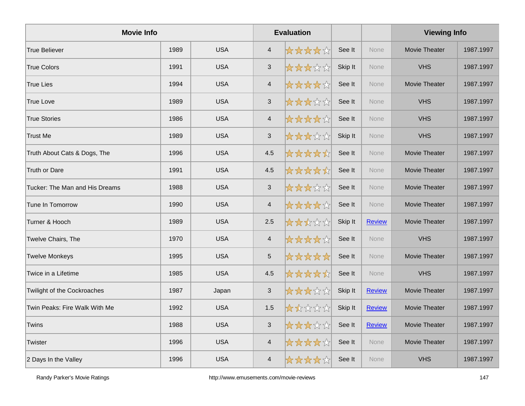| <b>Movie Info</b>              |      | <b>Evaluation</b> |                           |       |         | <b>Viewing Info</b> |                      |           |
|--------------------------------|------|-------------------|---------------------------|-------|---------|---------------------|----------------------|-----------|
| True Believer                  | 1989 | <b>USA</b>        | $\overline{4}$            | ***** | See It  | <b>None</b>         | Movie Theater        | 1987.1997 |
| <b>True Colors</b>             | 1991 | <b>USA</b>        | $\sqrt{3}$                | ***** | Skip It | <b>None</b>         | <b>VHS</b>           | 1987.1997 |
| <b>True Lies</b>               | 1994 | <b>USA</b>        | $\overline{4}$            | ***** | See It  | None                | Movie Theater        | 1987.1997 |
| <b>True Love</b>               | 1989 | <b>USA</b>        | $\mathfrak{S}$            | ***** | See It  | <b>None</b>         | <b>VHS</b>           | 1987.1997 |
| <b>True Stories</b>            | 1986 | <b>USA</b>        | $\overline{4}$            | ***** | See It  | None                | <b>VHS</b>           | 1987.1997 |
| Trust Me                       | 1989 | <b>USA</b>        | $\ensuremath{\mathsf{3}}$ | ***** | Skip It | <b>None</b>         | <b>VHS</b>           | 1987.1997 |
| Truth About Cats & Dogs, The   | 1996 | <b>USA</b>        | 4.5                       | ***** | See It  | None                | Movie Theater        | 1987.1997 |
| Truth or Dare                  | 1991 | <b>USA</b>        | 4.5                       | ***** | See It  | None                | Movie Theater        | 1987.1997 |
| Tucker: The Man and His Dreams | 1988 | <b>USA</b>        | $\sqrt{3}$                | ***** | See It  | <b>None</b>         | Movie Theater        | 1987.1997 |
| Tune In Tomorrow               | 1990 | <b>USA</b>        | $\overline{4}$            | ***** | See It  | None                | Movie Theater        | 1987.1997 |
| Turner & Hooch                 | 1989 | <b>USA</b>        | 2.5                       | ***** | Skip It | Review              | Movie Theater        | 1987.1997 |
| Twelve Chairs, The             | 1970 | <b>USA</b>        | $\overline{4}$            | ***** | See It  | None                | <b>VHS</b>           | 1987.1997 |
| Twelve Monkeys                 | 1995 | <b>USA</b>        | $\overline{5}$            | ***** | See It  | <b>None</b>         | <b>Movie Theater</b> | 1987.1997 |
| Twice in a Lifetime            | 1985 | <b>USA</b>        | 4.5                       | ***** | See It  | <b>None</b>         | <b>VHS</b>           | 1987.1997 |
| Twilight of the Cockroaches    | 1987 | Japan             | $\ensuremath{\mathsf{3}}$ | ***** | Skip It | <b>Review</b>       | Movie Theater        | 1987.1997 |
| Twin Peaks: Fire Walk With Me  | 1992 | <b>USA</b>        | 1.5                       | ***** | Skip It | <b>Review</b>       | Movie Theater        | 1987.1997 |
| Twins                          | 1988 | <b>USA</b>        | $\mathfrak{S}$            | ***** | See It  | <b>Review</b>       | Movie Theater        | 1987.1997 |
| Twister                        | 1996 | <b>USA</b>        | $\overline{4}$            | ***** | See It  | <b>None</b>         | Movie Theater        | 1987.1997 |
| 2 Days In the Valley           | 1996 | <b>USA</b>        | $\overline{4}$            | ***** | See It  | None                | <b>VHS</b>           | 1987.1997 |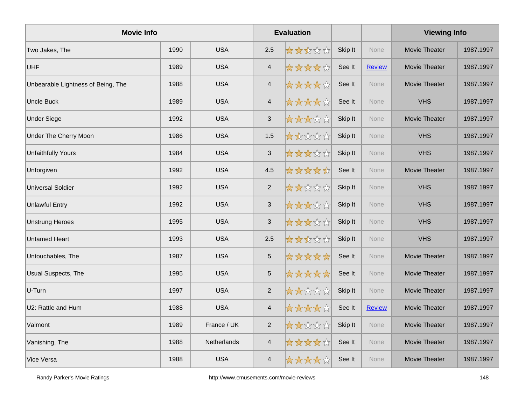| <b>Movie Info</b>                  |      | <b>Evaluation</b> |                         |       |         | <b>Viewing Info</b> |                      |           |
|------------------------------------|------|-------------------|-------------------------|-------|---------|---------------------|----------------------|-----------|
| Two Jakes, The                     | 1990 | <b>USA</b>        | 2.5                     | ***** | Skip It | <b>None</b>         | Movie Theater        | 1987.1997 |
| <b>UHF</b>                         | 1989 | <b>USA</b>        | $\overline{\mathbf{4}}$ | ***** | See It  | <b>Review</b>       | Movie Theater        | 1987.1997 |
| Unbearable Lightness of Being, The | 1988 | <b>USA</b>        | $\overline{\mathbf{4}}$ | ***** | See It  | None                | Movie Theater        | 1987.1997 |
| Uncle Buck                         | 1989 | <b>USA</b>        | $\overline{\mathbf{4}}$ | ***** | See It  | None                | <b>VHS</b>           | 1987.1997 |
| <b>Under Siege</b>                 | 1992 | <b>USA</b>        | 3                       | ***** | Skip It | <b>None</b>         | Movie Theater        | 1987.1997 |
| Under The Cherry Moon              | 1986 | <b>USA</b>        | 1.5                     | ***** | Skip It | <b>None</b>         | <b>VHS</b>           | 1987.1997 |
| <b>Unfaithfully Yours</b>          | 1984 | <b>USA</b>        | $\mathfrak{S}$          | ***** | Skip It | None                | <b>VHS</b>           | 1987.1997 |
| Unforgiven                         | 1992 | <b>USA</b>        | 4.5                     | ***** | See It  | None                | Movie Theater        | 1987.1997 |
| <b>Universal Soldier</b>           | 1992 | <b>USA</b>        | $\overline{2}$          | ***** | Skip It | <b>None</b>         | <b>VHS</b>           | 1987.1997 |
| <b>Unlawful Entry</b>              | 1992 | <b>USA</b>        | $\mathfrak{S}$          | ***** | Skip It | <b>None</b>         | <b>VHS</b>           | 1987.1997 |
| <b>Unstrung Heroes</b>             | 1995 | <b>USA</b>        | $\mathfrak{S}$          | ***** | Skip It | None                | <b>VHS</b>           | 1987.1997 |
| <b>Untamed Heart</b>               | 1993 | <b>USA</b>        | 2.5                     | ***** | Skip It | None                | <b>VHS</b>           | 1987.1997 |
| Untouchables, The                  | 1987 | <b>USA</b>        | 5                       | ***** | See It  | <b>None</b>         | Movie Theater        | 1987.1997 |
| Usual Suspects, The                | 1995 | <b>USA</b>        | $\overline{5}$          | ***** | See It  | <b>None</b>         | <b>Movie Theater</b> | 1987.1997 |
| U-Turn                             | 1997 | <b>USA</b>        | $\overline{2}$          | ***** | Skip It | None                | Movie Theater        | 1987.1997 |
| U2: Rattle and Hum                 | 1988 | <b>USA</b>        | $\overline{4}$          | ***** | See It  | <b>Review</b>       | Movie Theater        | 1987.1997 |
| Valmont                            | 1989 | France / UK       | $\overline{2}$          | ***** | Skip It | <b>None</b>         | Movie Theater        | 1987.1997 |
| Vanishing, The                     | 1988 | Netherlands       | $\overline{\mathbf{4}}$ | ***** | See It  | <b>None</b>         | Movie Theater        | 1987.1997 |
| Vice Versa                         | 1988 | <b>USA</b>        | $\overline{\mathbf{4}}$ | ***** | See It  | None                | <b>Movie Theater</b> | 1987.1997 |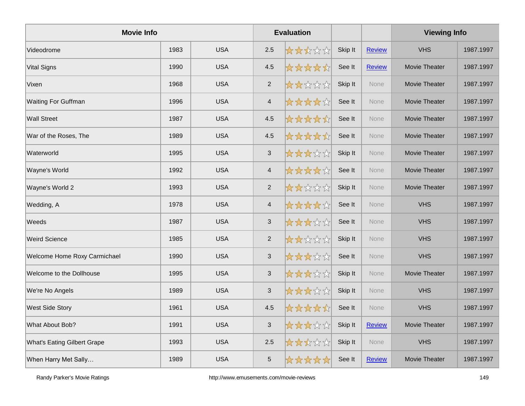| <b>Movie Info</b>                  |      | <b>Evaluation</b> |                |       |         | <b>Viewing Info</b> |               |           |
|------------------------------------|------|-------------------|----------------|-------|---------|---------------------|---------------|-----------|
| Videodrome                         | 1983 | <b>USA</b>        | 2.5            | ***** | Skip It | <b>Review</b>       | <b>VHS</b>    | 1987.1997 |
| <b>Vital Signs</b>                 | 1990 | <b>USA</b>        | 4.5            | ***** | See It  | <b>Review</b>       | Movie Theater | 1987.1997 |
| Vixen                              | 1968 | <b>USA</b>        | $\overline{2}$ | ***** | Skip It | None                | Movie Theater | 1987.1997 |
| <b>Waiting For Guffman</b>         | 1996 | <b>USA</b>        | $\overline{4}$ | ***** | See It  | None                | Movie Theater | 1987.1997 |
| <b>Wall Street</b>                 | 1987 | <b>USA</b>        | 4.5            | ***** | See It  | <b>None</b>         | Movie Theater | 1987.1997 |
| War of the Roses, The              | 1989 | <b>USA</b>        | 4.5            | ***** | See It  | <b>None</b>         | Movie Theater | 1987.1997 |
| Waterworld                         | 1995 | <b>USA</b>        | $\mathfrak{S}$ | ***** | Skip It | None                | Movie Theater | 1987.1997 |
| Wayne's World                      | 1992 | <b>USA</b>        | $\overline{4}$ | ***** | See It  | None                | Movie Theater | 1987.1997 |
| Wayne's World 2                    | 1993 | <b>USA</b>        | $\overline{c}$ | ***** | Skip It | <b>None</b>         | Movie Theater | 1987.1997 |
| Wedding, A                         | 1978 | <b>USA</b>        | $\overline{4}$ | ***** | See It  | <b>None</b>         | <b>VHS</b>    | 1987.1997 |
| Weeds                              | 1987 | <b>USA</b>        | $\mathfrak{S}$ | ***** | See It  | None                | <b>VHS</b>    | 1987.1997 |
| <b>Weird Science</b>               | 1985 | <b>USA</b>        | $\overline{2}$ | ***** | Skip It | None                | <b>VHS</b>    | 1987.1997 |
| Welcome Home Roxy Carmichael       | 1990 | <b>USA</b>        | $\mathfrak{S}$ | ***** | See It  | <b>None</b>         | <b>VHS</b>    | 1987.1997 |
| Welcome to the Dollhouse           | 1995 | <b>USA</b>        | $\sqrt{3}$     | ***** | Skip It | <b>None</b>         | Movie Theater | 1987.1997 |
| We're No Angels                    | 1989 | <b>USA</b>        | $\sqrt{3}$     | ***** | Skip It | None                | <b>VHS</b>    | 1987.1997 |
| <b>West Side Story</b>             | 1961 | <b>USA</b>        | 4.5            | ***** | See It  | None                | <b>VHS</b>    | 1987.1997 |
| What About Bob?                    | 1991 | <b>USA</b>        | $\mathfrak{S}$ | ***** | Skip It | <b>Review</b>       | Movie Theater | 1987.1997 |
| <b>What's Eating Gilbert Grape</b> | 1993 | <b>USA</b>        | 2.5            | ***** | Skip It | <b>None</b>         | <b>VHS</b>    | 1987.1997 |
| When Harry Met Sally               | 1989 | <b>USA</b>        | 5              | ***** | See It  | <b>Review</b>       | Movie Theater | 1987.1997 |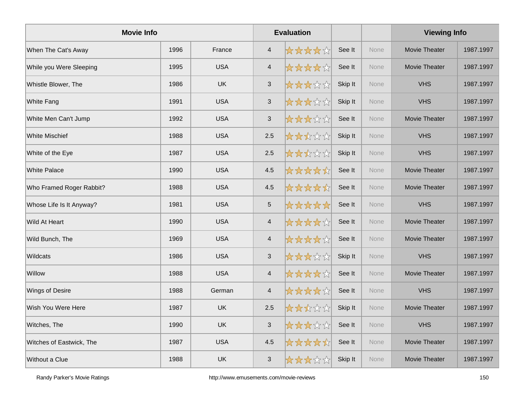| <b>Movie Info</b>        |      | <b>Evaluation</b> |                |       |         | <b>Viewing Info</b> |                      |           |
|--------------------------|------|-------------------|----------------|-------|---------|---------------------|----------------------|-----------|
| When The Cat's Away      | 1996 | France            | $\overline{4}$ | ***** | See It  | <b>None</b>         | Movie Theater        | 1987.1997 |
| While you Were Sleeping  | 1995 | <b>USA</b>        | $\overline{4}$ | ***** | See It  | None                | Movie Theater        | 1987.1997 |
| Whistle Blower, The      | 1986 | <b>UK</b>         | $\mathbf{3}$   | ***** | Skip It | None                | <b>VHS</b>           | 1987.1997 |
| <b>White Fang</b>        | 1991 | <b>USA</b>        | $\mathfrak{S}$ | ***** | Skip It | None                | <b>VHS</b>           | 1987.1997 |
| White Men Can't Jump     | 1992 | <b>USA</b>        | 3              | ***** | See It  | None                | Movie Theater        | 1987.1997 |
| <b>White Mischief</b>    | 1988 | <b>USA</b>        | 2.5            | ***** | Skip It | <b>None</b>         | <b>VHS</b>           | 1987.1997 |
| White of the Eye         | 1987 | <b>USA</b>        | 2.5            | ***** | Skip It | None                | <b>VHS</b>           | 1987.1997 |
| <b>White Palace</b>      | 1990 | <b>USA</b>        | 4.5            | ***** | See It  | None                | Movie Theater        | 1987.1997 |
| Who Framed Roger Rabbit? | 1988 | <b>USA</b>        | 4.5            | ***** | See It  | None                | Movie Theater        | 1987.1997 |
| Whose Life Is It Anyway? | 1981 | <b>USA</b>        | $\sqrt{5}$     | ***** | See It  | <b>None</b>         | <b>VHS</b>           | 1987.1997 |
| Wild At Heart            | 1990 | <b>USA</b>        | $\overline{4}$ | ***** | See It  | None                | Movie Theater        | 1987.1997 |
| Wild Bunch, The          | 1969 | <b>USA</b>        | $\overline{4}$ | ***** | See It  | None                | Movie Theater        | 1987.1997 |
| Wildcats                 | 1986 | <b>USA</b>        | $\mathfrak{S}$ | ***** | Skip It | <b>None</b>         | <b>VHS</b>           | 1987.1997 |
| Willow                   | 1988 | <b>USA</b>        | $\overline{4}$ | ***** | See It  | <b>None</b>         | <b>Movie Theater</b> | 1987.1997 |
| Wings of Desire          | 1988 | German            | $\overline{4}$ | ***** | See It  | None                | <b>VHS</b>           | 1987.1997 |
| Wish You Were Here       | 1987 | <b>UK</b>         | 2.5            | ***** | Skip It | None                | Movie Theater        | 1987.1997 |
| Witches, The             | 1990 | <b>UK</b>         | $\mathfrak{S}$ | ***** | See It  | None                | <b>VHS</b>           | 1987.1997 |
| Witches of Eastwick, The | 1987 | <b>USA</b>        | 4.5            | ***** | See It  | <b>None</b>         | Movie Theater        | 1987.1997 |
| Without a Clue           | 1988 | UK                | $\mathfrak{S}$ | ***** | Skip It | None                | Movie Theater        | 1987.1997 |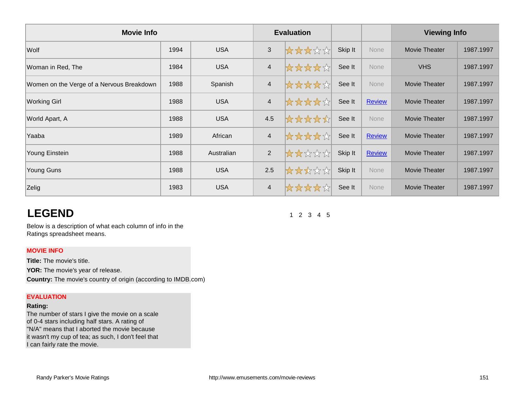| <b>Movie Info</b>                         |      |            | <b>Evaluation</b> |       |         |               | <b>Viewing Info</b>  |           |
|-------------------------------------------|------|------------|-------------------|-------|---------|---------------|----------------------|-----------|
| Wolf                                      | 1994 | <b>USA</b> | $\sqrt{3}$        | ***** | Skip It | None          | <b>Movie Theater</b> | 1987.1997 |
| Woman in Red, The                         | 1984 | <b>USA</b> | $\overline{4}$    | ***** | See It  | None          | <b>VHS</b>           | 1987.1997 |
| Women on the Verge of a Nervous Breakdown | 1988 | Spanish    | $\overline{4}$    | ***** | See It  | None          | <b>Movie Theater</b> | 1987.1997 |
| <b>Working Girl</b>                       | 1988 | <b>USA</b> | $\overline{4}$    | ***** | See It  | <b>Review</b> | <b>Movie Theater</b> | 1987.1997 |
| World Apart, A                            | 1988 | <b>USA</b> | 4.5               | ***** | See It  | None          | Movie Theater        | 1987.1997 |
| Yaaba                                     | 1989 | African    | $\overline{4}$    | ***** | See It  | <b>Review</b> | <b>Movie Theater</b> | 1987.1997 |
| Young Einstein                            | 1988 | Australian | $\overline{2}$    | ***** | Skip It | <b>Review</b> | <b>Movie Theater</b> | 1987.1997 |
| Young Guns                                | 1988 | <b>USA</b> | 2.5               | ***** | Skip It | None          | <b>Movie Theater</b> | 1987.1997 |
| Zelig                                     | 1983 | <b>USA</b> | $\overline{4}$    | ***** | See It  | None          | Movie Theater        | 1987.1997 |

# **LEGEND**

1 2 3 4 5

Below is a description of what each column of info in the Ratings spreadsheet means.

## **MOVIE INFO**

**Title:** The movie's title. YOR: The movie's year of release. **Country:** The movie's country of origin (according to IMDB.com)

#### **EVALUATION**

### **Rating:**

The number of stars I give the movie on a scale of 0-4 stars including half stars. A rating of "N/A" means that I aborted the movie because it wasn't my cup of tea; as such, I don't feel that I can fairly rate the movie.